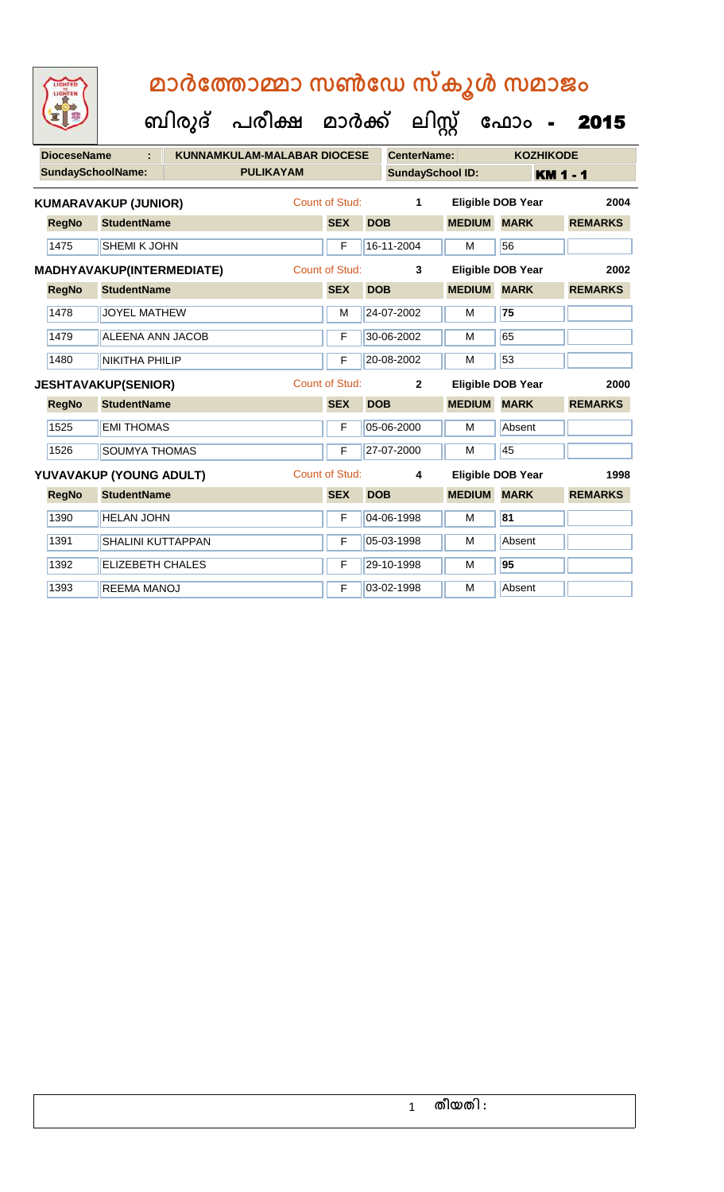| LIGHTED<br>LIGHTEN       |                             | മാർത്തോമ്മാ സൺഡേ സ്കൂൾ സമാജം              |                       |                         |                    |                          |                 |
|--------------------------|-----------------------------|-------------------------------------------|-----------------------|-------------------------|--------------------|--------------------------|-----------------|
|                          |                             | ബിരുദ് പരീക്ഷ മാർക്ക് ലിസ്റ്റ് ഫോം - 2015 |                       |                         |                    |                          |                 |
| <b>DioceseName</b>       |                             | <b>KUNNAMKULAM-MALABAR DIOCESE</b>        |                       | <b>CenterName:</b>      |                    | <b>KOZHIKODE</b>         |                 |
| <b>SundaySchoolName:</b> |                             | <b>PULIKAYAM</b>                          |                       | <b>SundaySchool ID:</b> |                    |                          | <b>KM 1 - 1</b> |
|                          | <b>KUMARAVAKUP (JUNIOR)</b> |                                           | Count of Stud:        | $\mathbf 1$             |                    | <b>Eligible DOB Year</b> | 2004            |
| <b>RegNo</b>             | <b>StudentName</b>          |                                           | <b>SEX</b>            | <b>DOB</b>              | <b>MEDIUM</b>      | <b>MARK</b>              | <b>REMARKS</b>  |
| 1475                     | SHEMI K JOHN                |                                           | F                     | 16-11-2004              | м                  | 56                       |                 |
|                          | MADHYAVAKUP(INTERMEDIATE)   |                                           | <b>Count of Stud:</b> | 3                       |                    | <b>Eligible DOB Year</b> | 2002            |
| <b>RegNo</b>             | <b>StudentName</b>          |                                           | <b>SEX</b>            | <b>DOB</b>              | <b>MEDIUM MARK</b> |                          | <b>REMARKS</b>  |
| 1478                     | <b>JOYEL MATHEW</b>         |                                           | м                     | 24-07-2002              | м                  | 75                       |                 |
| 1479                     | <b>ALEENA ANN JACOB</b>     |                                           | F                     | 30-06-2002              | м                  | 65                       |                 |
| 1480                     | <b>NIKITHA PHILIP</b>       |                                           | F                     | 20-08-2002              | м                  | 53                       |                 |
|                          | <b>JESHTAVAKUP(SENIOR)</b>  |                                           | Count of Stud:        | $\mathbf{2}$            |                    | <b>Eligible DOB Year</b> | 2000            |
| <b>RegNo</b>             | <b>StudentName</b>          |                                           | <b>SEX</b>            | <b>DOB</b>              | <b>MEDIUM</b>      | <b>MARK</b>              | <b>REMARKS</b>  |
| 1525                     | <b>EMI THOMAS</b>           |                                           | F                     | 05-06-2000              | M                  | Absent                   |                 |
| 1526                     | <b>SOUMYA THOMAS</b>        |                                           | F                     | 27-07-2000              | м                  | 45                       |                 |
|                          | YUVAVAKUP (YOUNG ADULT)     |                                           | Count of Stud:        | 4                       |                    | <b>Eligible DOB Year</b> | 1998            |
| <b>RegNo</b>             | <b>StudentName</b>          |                                           | <b>SEX</b>            | <b>DOB</b>              | <b>MEDIUM</b>      | <b>MARK</b>              | <b>REMARKS</b>  |
| 1390                     | <b>HELAN JOHN</b>           |                                           | F                     | 04-06-1998              | M                  | 81                       |                 |
| 1391                     | <b>SHALINI KUTTAPPAN</b>    |                                           | F                     | 05-03-1998              | м                  | Absent                   |                 |
| 1392                     | <b>ELIZEBETH CHALES</b>     |                                           | F                     | 29-10-1998              | м                  | 95                       |                 |
| 1393                     | <b>REEMA MANOJ</b>          |                                           | F                     | 03-02-1998              | м                  | Absent                   |                 |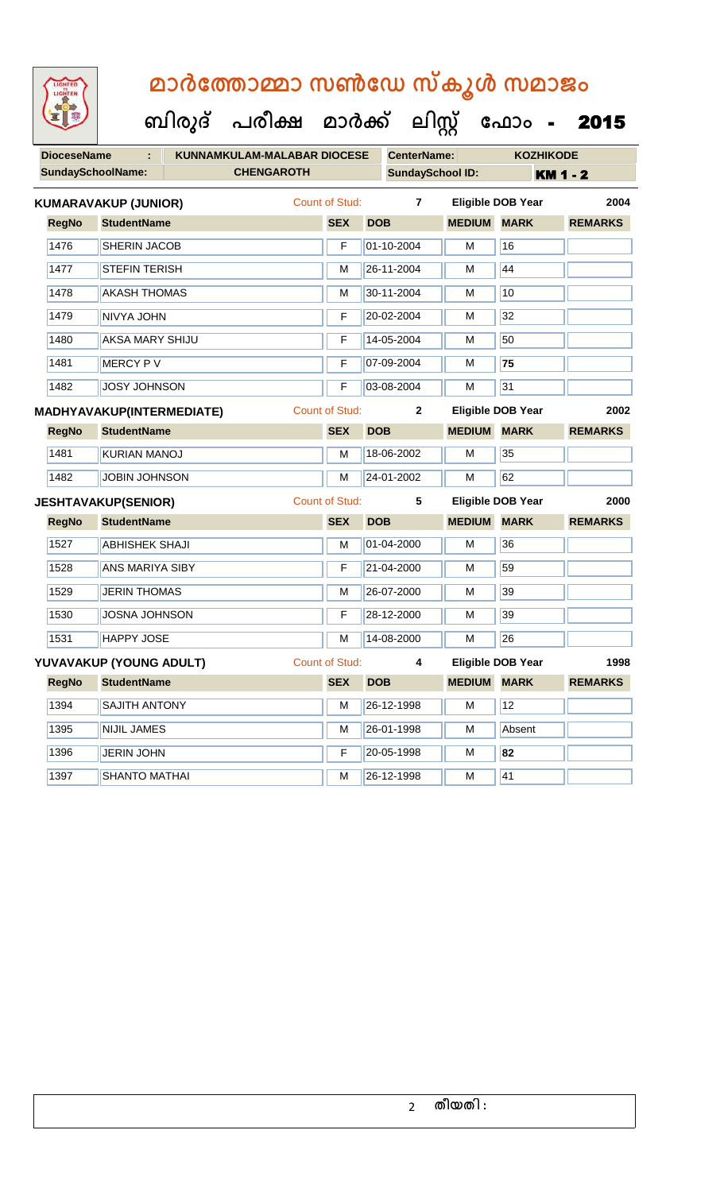| LIGHTED<br>LIGHTEN       |                                  | മാർത്തോമ്മാ സൺഡേ സ്കൂൾ സമാജം              |                       |            |                         |               |                          |                |
|--------------------------|----------------------------------|-------------------------------------------|-----------------------|------------|-------------------------|---------------|--------------------------|----------------|
|                          |                                  | ബിരുദ് പരീക്ഷ മാർക്ക് ലിസ്റ്റ് ഫോം - 2015 |                       |            |                         |               |                          |                |
| <b>DioceseName</b>       |                                  | KUNNAMKULAM-MALABAR DIOCESE               |                       |            | <b>CenterName:</b>      |               | <b>KOZHIKODE</b>         |                |
| <b>SundaySchoolName:</b> |                                  | <b>CHENGAROTH</b>                         |                       |            | <b>SundaySchool ID:</b> |               | <b>KM 1 - 2</b>          |                |
|                          | <b>KUMARAVAKUP (JUNIOR)</b>      |                                           | Count of Stud:        |            | $\overline{7}$          |               | <b>Eligible DOB Year</b> | 2004           |
| <b>RegNo</b>             | <b>StudentName</b>               |                                           | <b>SEX</b>            | <b>DOB</b> |                         | <b>MEDIUM</b> | <b>MARK</b>              | <b>REMARKS</b> |
| 1476                     | <b>SHERIN JACOB</b>              |                                           | F                     | 01-10-2004 |                         | M             | 16                       |                |
| 1477                     | <b>STEFIN TERISH</b>             |                                           | м                     | 26-11-2004 |                         | м             | 44                       |                |
| 1478                     | <b>AKASH THOMAS</b>              |                                           | М                     |            | 30-11-2004              | м             | 10                       |                |
| 1479                     | NIVYA JOHN                       |                                           | F                     |            | 20-02-2004              | M             | 32                       |                |
| 1480                     | <b>AKSA MARY SHIJU</b>           |                                           | F                     | 14-05-2004 |                         | М             | 50                       |                |
| 1481                     | <b>MERCY PV</b>                  |                                           | F                     |            | 07-09-2004              | м             | 75                       |                |
| 1482                     | <b>JOSY JOHNSON</b>              |                                           | F                     |            | 03-08-2004              | м             | 31                       |                |
|                          | <b>MADHYAVAKUP(INTERMEDIATE)</b> |                                           | <b>Count of Stud:</b> |            | $\mathbf{2}$            |               | Eligible DOB Year        | 2002           |
| <b>RegNo</b>             | <b>StudentName</b>               |                                           | <b>SEX</b>            | <b>DOB</b> |                         | <b>MEDIUM</b> | <b>MARK</b>              | <b>REMARKS</b> |
| 1481                     | <b>KURIAN MANOJ</b>              |                                           | М                     |            | 18-06-2002              | M             | 35                       |                |
| 1482                     | <b>JOBIN JOHNSON</b>             |                                           | M                     | 24-01-2002 |                         | M             | 62                       |                |
|                          | <b>JESHTAVAKUP(SENIOR)</b>       |                                           | Count of Stud:        |            | 5                       |               | <b>Eligible DOB Year</b> | 2000           |
| <b>RegNo</b>             | <b>StudentName</b>               |                                           | <b>SEX</b>            | <b>DOB</b> |                         | <b>MEDIUM</b> | <b>MARK</b>              | <b>REMARKS</b> |
| 1527                     | <b>ABHISHEK SHAJI</b>            |                                           | м                     |            | 01-04-2000              | M             | 36                       |                |
| 1528                     | <b>ANS MARIYA SIBY</b>           |                                           | F                     | 21-04-2000 |                         | м             | 59                       |                |
| 1529                     | <b>JERIN THOMAS</b>              |                                           | М                     | 26-07-2000 |                         | M             | 39                       |                |
| 1530                     | <b>JOSNA JOHNSON</b>             |                                           | F                     |            | 28-12-2000              | M             | 39                       |                |
| 1531                     | <b>HAPPY JOSE</b>                |                                           | м                     | 14-08-2000 |                         | М             | 26                       |                |
|                          | YUVAVAKUP (YOUNG ADULT)          |                                           | Count of Stud:        |            | 4                       |               | <b>Eligible DOB Year</b> | 1998           |
| <b>RegNo</b>             | <b>StudentName</b>               |                                           | <b>SEX</b>            | <b>DOB</b> |                         | <b>MEDIUM</b> | <b>MARK</b>              | <b>REMARKS</b> |
| 1394                     | <b>SAJITH ANTONY</b>             |                                           | М                     |            | 26-12-1998              | М             | 12                       |                |
| 1395                     | <b>NIJIL JAMES</b>               |                                           | М                     | 26-01-1998 |                         | М             | Absent                   |                |
| 1396                     | <b>JERIN JOHN</b>                |                                           | F                     | 20-05-1998 |                         | м             | 82                       |                |
| 1397                     | SHANTO MATHAI                    |                                           | M                     |            | 26-12-1998              | M             | 41                       |                |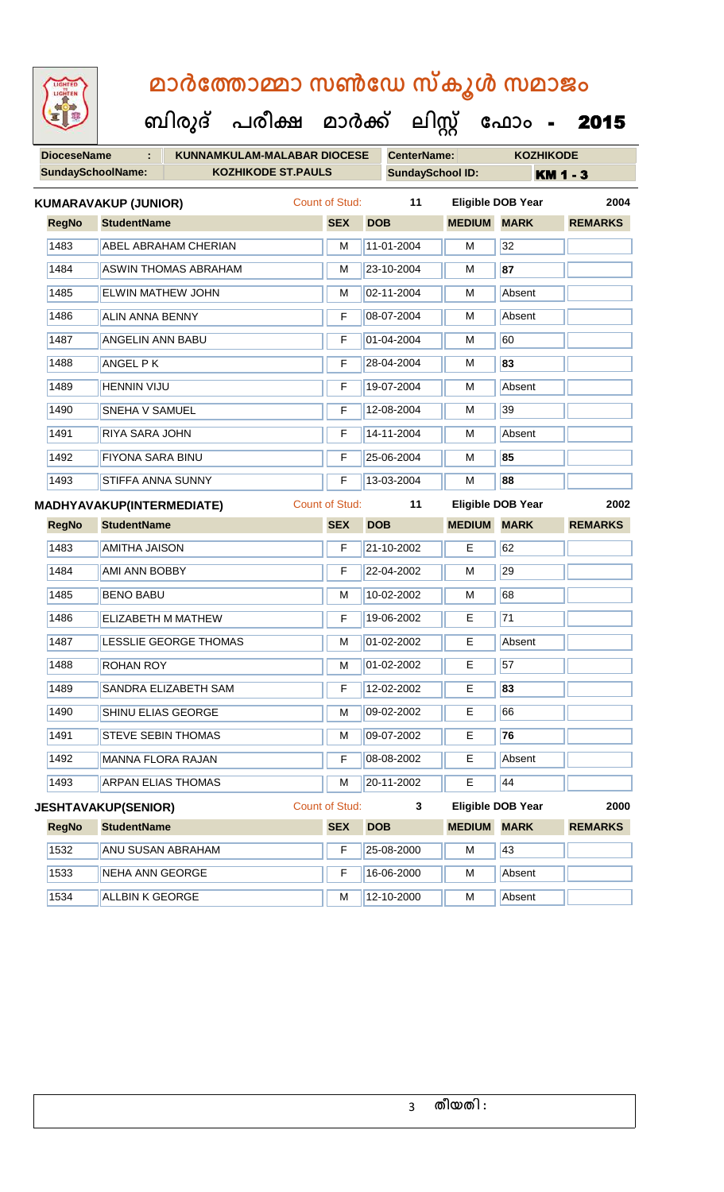| LIGHTED<br>LIGHTEN       |                                  | മാർത്തോമ്മാ സൺഡേ സ്കൂൾ സമാജം         |                           |                       |                         |                    |                          |                 |
|--------------------------|----------------------------------|--------------------------------------|---------------------------|-----------------------|-------------------------|--------------------|--------------------------|-----------------|
|                          |                                  | ബിരുദ് പരീക്ഷ മാർക്ക് ലിസ്റ്റ് ഫോം - |                           |                       |                         |                    |                          | 2015            |
| <b>DioceseName</b>       | ÷.                               | <b>KUNNAMKULAM-MALABAR DIOCESE</b>   |                           |                       | <b>CenterName:</b>      |                    | <b>KOZHIKODE</b>         |                 |
| <b>SundaySchoolName:</b> |                                  |                                      | <b>KOZHIKODE ST.PAULS</b> |                       | <b>SundaySchool ID:</b> |                    |                          | <b>KM 1 - 3</b> |
|                          | <b>KUMARAVAKUP (JUNIOR)</b>      |                                      |                           | Count of Stud:        | 11                      |                    | <b>Eligible DOB Year</b> | 2004            |
| <b>RegNo</b>             | <b>StudentName</b>               |                                      |                           | <b>SEX</b>            | <b>DOB</b>              | <b>MEDIUM</b>      | <b>MARK</b>              | <b>REMARKS</b>  |
| 1483                     |                                  | <b>ABEL ABRAHAM CHERIAN</b>          |                           | м                     | 11-01-2004              | M                  | 32                       |                 |
| 1484                     |                                  | <b>ASWIN THOMAS ABRAHAM</b>          |                           | М                     | 23-10-2004              | М                  | 87                       |                 |
| 1485                     | <b>ELWIN MATHEW JOHN</b>         |                                      |                           | M                     | 02-11-2004              | м                  | Absent                   |                 |
| 1486                     | <b>ALIN ANNA BENNY</b>           |                                      |                           | F                     | 08-07-2004              | M                  | Absent                   |                 |
| 1487                     | <b>ANGELIN ANN BABU</b>          |                                      |                           | F                     | 01-04-2004              | м                  | 60                       |                 |
| 1488                     | <b>ANGEL PK</b>                  |                                      |                           | F                     | 28-04-2004              | м                  | 83                       |                 |
| 1489                     | <b>HENNIN VIJU</b>               |                                      |                           | F                     | 19-07-2004              | м                  | Absent                   |                 |
| 1490                     | SNEHA V SAMUEL                   |                                      |                           | F                     | 12-08-2004              | м                  | 39                       |                 |
| 1491                     | RIYA SARA JOHN                   |                                      |                           | F                     | 14-11-2004              | М                  | Absent                   |                 |
| 1492                     | <b>FIYONA SARA BINU</b>          |                                      |                           | F                     | 25-06-2004              | м                  | 85                       |                 |
| 1493                     | STIFFA ANNA SUNNY                |                                      |                           | F                     | 13-03-2004              | M                  | 88                       |                 |
|                          | <b>MADHYAVAKUP(INTERMEDIATE)</b> |                                      |                           | <b>Count of Stud:</b> | 11                      |                    | <b>Eligible DOB Year</b> | 2002            |
| <b>RegNo</b>             | <b>StudentName</b>               |                                      |                           | <b>SEX</b>            | <b>DOB</b>              | <b>MEDIUM MARK</b> |                          | <b>REMARKS</b>  |
| 1483                     | <b>AMITHA JAISON</b>             |                                      |                           | F                     | 21-10-2002              | E                  | 62                       |                 |
| 1484                     | <b>AMI ANN BOBBY</b>             |                                      |                           |                       |                         |                    |                          |                 |
|                          |                                  |                                      |                           | F                     | 22-04-2002              | M                  | 29                       |                 |
| 1485                     | <b>IBENO BABU</b>                |                                      |                           | M                     | $10-02-2002$            | $\overline{M}$     | 68                       |                 |
| 1486                     | ELIZABETH M MATHEW               |                                      |                           | F                     | 19-06-2002              | E                  | 71                       |                 |
| 1487                     |                                  | <b>LESSLIE GEORGE THOMAS</b>         |                           | M                     | 01-02-2002              | Е                  | Absent                   |                 |
| 1488                     | <b>ROHAN ROY</b>                 |                                      |                           | M                     | 01-02-2002              | E                  | 57                       |                 |
| 1489                     |                                  | SANDRA ELIZABETH SAM                 |                           | F                     | 12-02-2002              | E                  | 83                       |                 |
| 1490                     | SHINU ELIAS GEORGE               |                                      |                           | M                     | 09-02-2002              | E                  | 66                       |                 |
| 1491                     | <b>STEVE SEBIN THOMAS</b>        |                                      |                           | M                     | 09-07-2002              | Е                  | 76                       |                 |
| 1492                     | <b>MANNA FLORA RAJAN</b>         |                                      |                           | F                     | 08-08-2002              | Е                  | Absent                   |                 |
| 1493                     | <b>ARPAN ELIAS THOMAS</b>        |                                      |                           | M                     | 20-11-2002              | E                  | 44                       |                 |
|                          | <b>JESHTAVAKUP(SENIOR)</b>       |                                      |                           | Count of Stud:        | 3                       |                    | <b>Eligible DOB Year</b> | 2000            |
| <b>RegNo</b>             | <b>StudentName</b>               |                                      |                           | <b>SEX</b>            | <b>DOB</b>              | <b>MEDIUM</b>      | <b>MARK</b>              | <b>REMARKS</b>  |
| 1532                     | <b>ANU SUSAN ABRAHAM</b>         |                                      |                           | F                     | 25-08-2000              | M                  | 43                       |                 |
| 1533                     | NEHA ANN GEORGE                  |                                      |                           | F                     | 16-06-2000              | м                  | Absent                   |                 |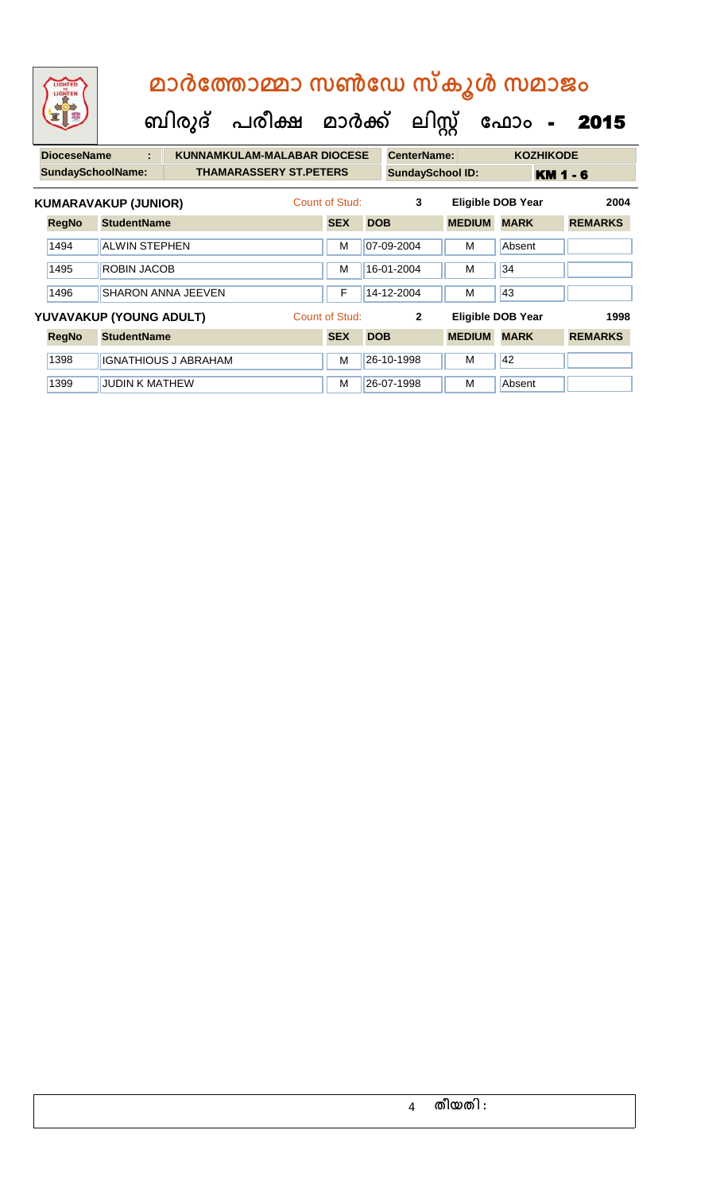| LIGHTED<br>LIGHTEN       | മാർത്തോമ്മാ സൺഡേ സ്കൂൾ സമാജം<br>ബിരുദ് പരീക്ഷ മാർക്ക് |                |            | ലിസ്റ്റ്                |               | ഫോം<br>$\blacksquare$    | 2015            |
|--------------------------|-------------------------------------------------------|----------------|------------|-------------------------|---------------|--------------------------|-----------------|
| <b>DioceseName</b>       | <b>KUNNAMKULAM-MALABAR DIOCESE</b><br>÷               |                |            | <b>CenterName:</b>      |               | <b>KOZHIKODE</b>         |                 |
| <b>SundaySchoolName:</b> | <b>THAMARASSERY ST.PETERS</b>                         |                |            | <b>SundaySchool ID:</b> |               |                          | <b>KM 1 - 6</b> |
|                          | <b>KUMARAVAKUP (JUNIOR)</b>                           | Count of Stud: |            | 3                       |               | <b>Eligible DOB Year</b> | 2004            |
| <b>RegNo</b>             | <b>StudentName</b>                                    | <b>SEX</b>     | <b>DOB</b> |                         | <b>MEDIUM</b> | <b>MARK</b>              | <b>REMARKS</b>  |
| 1494                     | <b>ALWIN STEPHEN</b>                                  | M              |            | 07-09-2004              | м             | Absent                   |                 |
| 1495                     | <b>ROBIN JACOB</b>                                    | м              |            | 16-01-2004              | м             | 34                       |                 |
| 1496                     | <b>SHARON ANNA JEEVEN</b>                             | F              |            | 14-12-2004              | м             | 43                       |                 |
|                          | YUVAVAKUP (YOUNG ADULT)                               | Count of Stud: |            | $\overline{2}$          |               | <b>Eligible DOB Year</b> | 1998            |
| <b>RegNo</b>             | <b>StudentName</b>                                    | <b>SEX</b>     | <b>DOB</b> |                         | <b>MEDIUM</b> | <b>MARK</b>              | <b>REMARKS</b>  |
| 1398                     | <b>IGNATHIOUS J ABRAHAM</b>                           | м              |            | 26-10-1998              | м             | 42                       |                 |
| 1399                     | <b>JUDIN K MATHEW</b>                                 | м              |            | 26-07-1998              | м             | Absent                   |                 |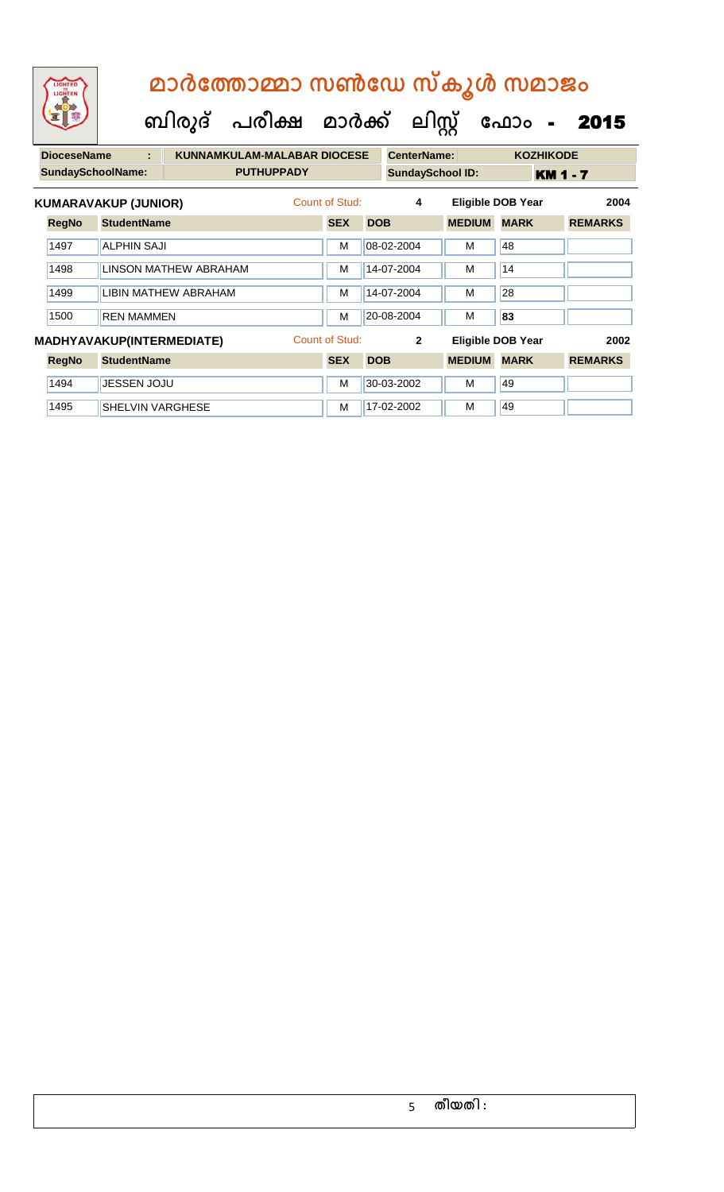| LIGHTED<br>LIGHTEN       |                             | മാർത്തോമ്മാ സൺഡേ സ്കൂൾ സമാജം<br>ബിരുദ് പരീക്ഷ മാർക്ക് ലിസ്റ്റ് |                |            |                         |               | ഫോം -                    | 2015            |
|--------------------------|-----------------------------|----------------------------------------------------------------|----------------|------------|-------------------------|---------------|--------------------------|-----------------|
| <b>DioceseName</b>       | ÷.                          | <b>KUNNAMKULAM-MALABAR DIOCESE</b>                             |                |            | <b>CenterName:</b>      |               | <b>KOZHIKODE</b>         |                 |
| <b>SundaySchoolName:</b> |                             | <b>PUTHUPPADY</b>                                              |                |            | <b>SundaySchool ID:</b> |               |                          | <b>KM 1 - 7</b> |
|                          | <b>KUMARAVAKUP (JUNIOR)</b> |                                                                | Count of Stud: |            | 4                       |               | Eligible DOB Year        | 2004            |
| <b>RegNo</b>             | <b>StudentName</b>          |                                                                | <b>SEX</b>     | <b>DOB</b> |                         | <b>MEDIUM</b> | <b>MARK</b>              | <b>REMARKS</b>  |
| 1497                     | <b>ALPHIN SAJI</b>          |                                                                | м              |            | 08-02-2004              | м             | 48                       |                 |
| 1498                     | LINSON MATHEW ABRAHAM       |                                                                | M              |            | 14-07-2004              | м             | 14                       |                 |
| 1499                     | LIBIN MATHEW ABRAHAM        |                                                                | м              |            | 14-07-2004              | M             | 28                       |                 |
| 1500                     | <b>REN MAMMEN</b>           |                                                                | M              |            | 20-08-2004              | M             | 83                       |                 |
|                          | MADHYAVAKUP(INTERMEDIATE)   |                                                                | Count of Stud: |            | $\overline{2}$          |               | <b>Eligible DOB Year</b> | 2002            |
| <b>RegNo</b>             | <b>StudentName</b>          |                                                                | <b>SEX</b>     | <b>DOB</b> |                         | <b>MEDIUM</b> | <b>MARK</b>              | <b>REMARKS</b>  |
| 1494                     | <b>JESSEN JOJU</b>          |                                                                | M              |            | 30-03-2002              | M             | 49                       |                 |
| 1495                     | SHELVIN VARGHESE            |                                                                | м              |            | 17-02-2002              | M             | 49                       |                 |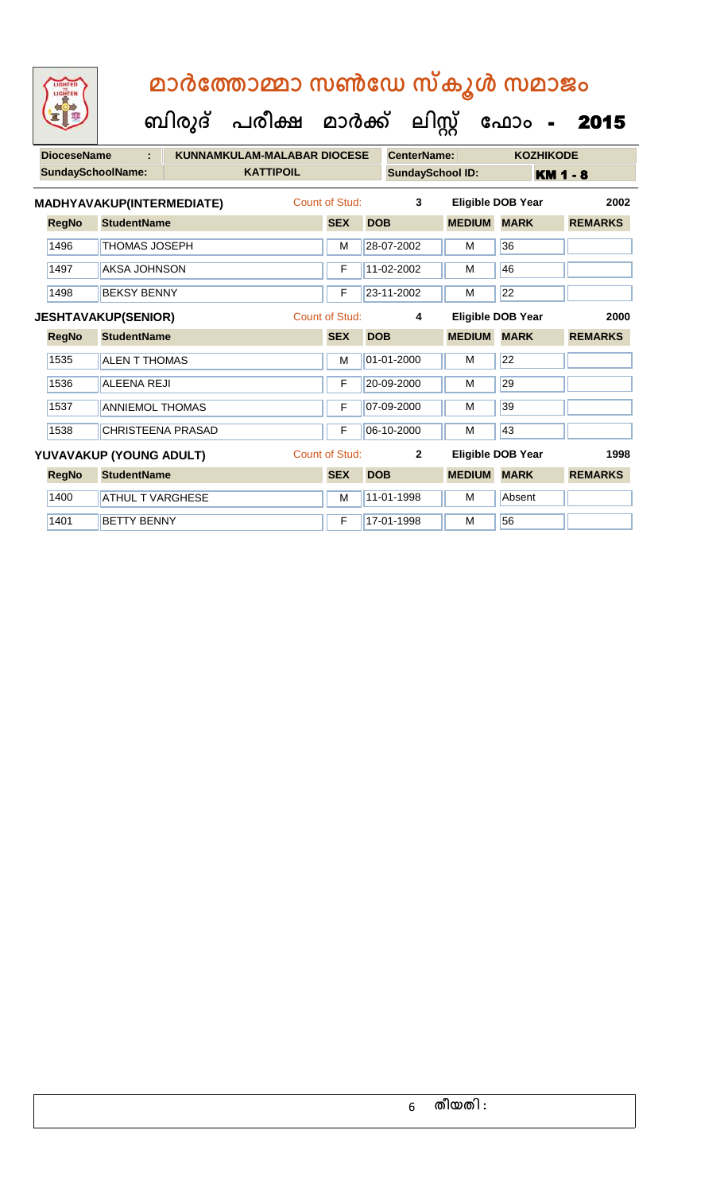| LIGHTED<br>LIGHTEN       |                            | മാർത്തോമ്മാ സൺഡേ സ്കൂൾ സമാജം       |                       |                         |               |                          |                 |
|--------------------------|----------------------------|------------------------------------|-----------------------|-------------------------|---------------|--------------------------|-----------------|
|                          |                            | ബിരുദ് പരീക്ഷ മാർക്ക് ലിസ്സ് ഫോം - |                       |                         |               |                          | 2015            |
| <b>DioceseName</b>       |                            | <b>KUNNAMKULAM-MALABAR DIOCESE</b> |                       | <b>CenterName:</b>      |               | <b>KOZHIKODE</b>         |                 |
| <b>SundaySchoolName:</b> |                            | <b>KATTIPOIL</b>                   |                       | <b>SundaySchool ID:</b> |               |                          | <b>KM 1 - 8</b> |
|                          | MADHYAVAKUP(INTERMEDIATE)  |                                    | Count of Stud:        | 3                       |               | <b>Eligible DOB Year</b> | 2002            |
| <b>RegNo</b>             | <b>StudentName</b>         |                                    | <b>SEX</b>            | <b>DOB</b>              | <b>MEDIUM</b> | <b>MARK</b>              | <b>REMARKS</b>  |
| 1496                     | <b>THOMAS JOSEPH</b>       |                                    | M                     | 28-07-2002              | М             | 36                       |                 |
| 1497                     | <b>AKSA JOHNSON</b>        |                                    | F                     | 11-02-2002              | м             | 46                       |                 |
| 1498                     | <b>BEKSY BENNY</b>         |                                    | F                     | 23-11-2002              | M             | 22                       |                 |
|                          | <b>JESHTAVAKUP(SENIOR)</b> |                                    | <b>Count of Stud:</b> | 4                       |               | <b>Eligible DOB Year</b> | 2000            |
| <b>RegNo</b>             | <b>StudentName</b>         |                                    | <b>SEX</b>            | <b>DOB</b>              | <b>MEDIUM</b> | <b>MARK</b>              | <b>REMARKS</b>  |
| 1535                     | <b>ALEN T THOMAS</b>       |                                    | м                     | 01-01-2000              | м             | 22                       |                 |
| 1536                     | <b>ALEENA REJI</b>         |                                    | F                     | 20-09-2000              | м             | 29                       |                 |
| 1537                     | <b>ANNIEMOL THOMAS</b>     |                                    | F                     | 07-09-2000              | м             | 39                       |                 |
| 1538                     | <b>CHRISTEENA PRASAD</b>   |                                    | F                     | 06-10-2000              | м             | 43                       |                 |
|                          | YUVAVAKUP (YOUNG ADULT)    |                                    | Count of Stud:        | $\overline{2}$          |               | <b>Eligible DOB Year</b> | 1998            |
| <b>RegNo</b>             | <b>StudentName</b>         |                                    | <b>SEX</b>            | <b>DOB</b>              | <b>MEDIUM</b> | <b>MARK</b>              | <b>REMARKS</b>  |
| 1400                     | <b>ATHUL T VARGHESE</b>    |                                    | M                     | 11-01-1998              | M             | Absent                   |                 |
| 1401                     | <b>BETTY BENNY</b>         |                                    | F                     | 17-01-1998              | M             | 56                       |                 |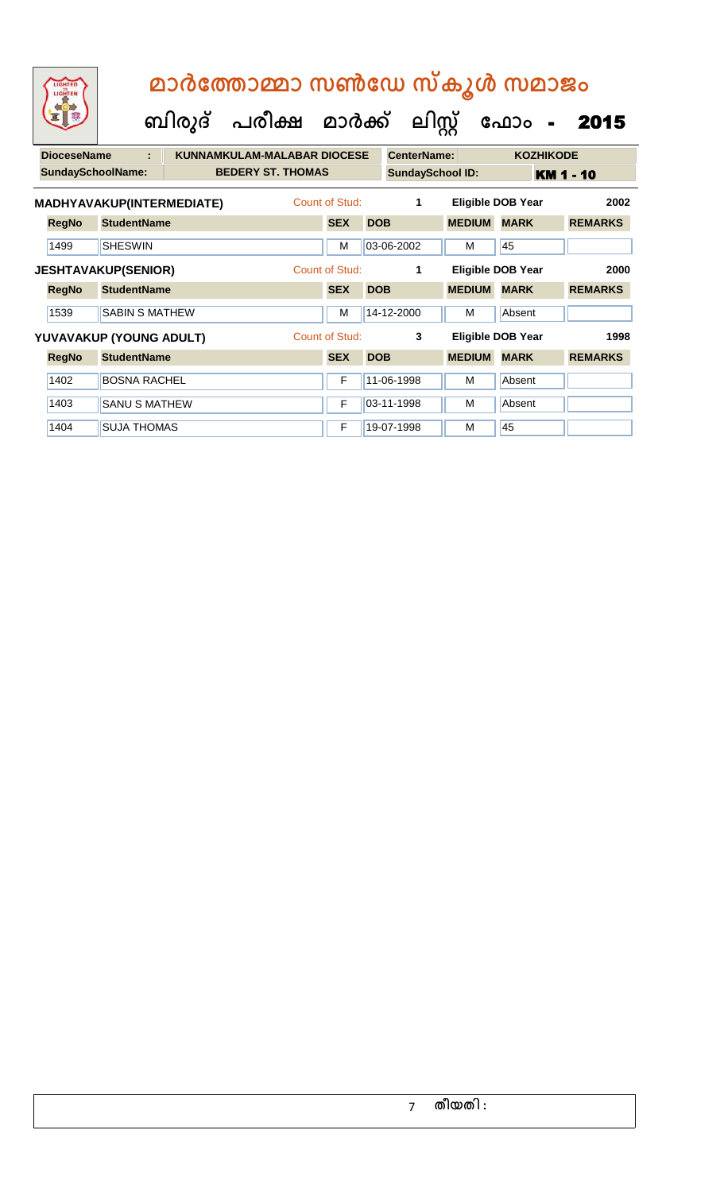| LIGHTED<br>LIGHTEN                             |                            | മാർത്തോമ്മാ സൺഡേ സ്കൂൾ സമാജം<br>ബിരുദ് പരീക്ഷ മാർക്ക്          |                       |            | ലിസ്റ്റ്                |               | ഫോം                      | 2015             |
|------------------------------------------------|----------------------------|----------------------------------------------------------------|-----------------------|------------|-------------------------|---------------|--------------------------|------------------|
| <b>DioceseName</b><br><b>SundaySchoolName:</b> | ٠                          | <b>KUNNAMKULAM-MALABAR DIOCESE</b><br><b>BEDERY ST. THOMAS</b> |                       |            | <b>CenterName:</b>      |               | <b>KOZHIKODE</b>         |                  |
|                                                |                            |                                                                |                       |            | <b>SundaySchool ID:</b> |               |                          | <b>KM 1 - 10</b> |
|                                                | MADHYAVAKUP(INTERMEDIATE)  |                                                                | Count of Stud:        |            | 1                       |               | <b>Eligible DOB Year</b> | 2002             |
| <b>RegNo</b>                                   | <b>StudentName</b>         |                                                                | <b>SEX</b>            | <b>DOB</b> |                         | <b>MEDIUM</b> | <b>MARK</b>              | <b>REMARKS</b>   |
| 1499                                           | <b>SHESWIN</b>             |                                                                | M                     |            | 03-06-2002              | м             | 45                       |                  |
|                                                | <b>JESHTAVAKUP(SENIOR)</b> |                                                                | <b>Count of Stud:</b> |            | 1                       |               | <b>Eligible DOB Year</b> | 2000             |
| <b>RegNo</b>                                   | <b>StudentName</b>         |                                                                | <b>SEX</b>            | <b>DOB</b> |                         | <b>MEDIUM</b> | <b>MARK</b>              | <b>REMARKS</b>   |
| 1539                                           | <b>SABIN S MATHEW</b>      |                                                                | M                     |            | 14-12-2000              | M             | Absent                   |                  |
|                                                | YUVAVAKUP (YOUNG ADULT)    |                                                                | <b>Count of Stud:</b> |            | 3                       |               | <b>Eligible DOB Year</b> | 1998             |
| <b>RegNo</b>                                   | <b>StudentName</b>         |                                                                | <b>SEX</b>            | <b>DOB</b> |                         | <b>MEDIUM</b> | <b>MARK</b>              | <b>REMARKS</b>   |
| 1402                                           | <b>BOSNA RACHEL</b>        |                                                                | F                     |            | 11-06-1998              | M             | Absent                   |                  |
|                                                |                            |                                                                |                       |            |                         |               |                          |                  |
| 1403                                           | <b>SANU S MATHEW</b>       |                                                                | F                     |            | 03-11-1998              | м             | Absent                   |                  |
| 1404                                           | <b>SUJA THOMAS</b>         |                                                                | F                     |            | 19-07-1998              | м             | 45                       |                  |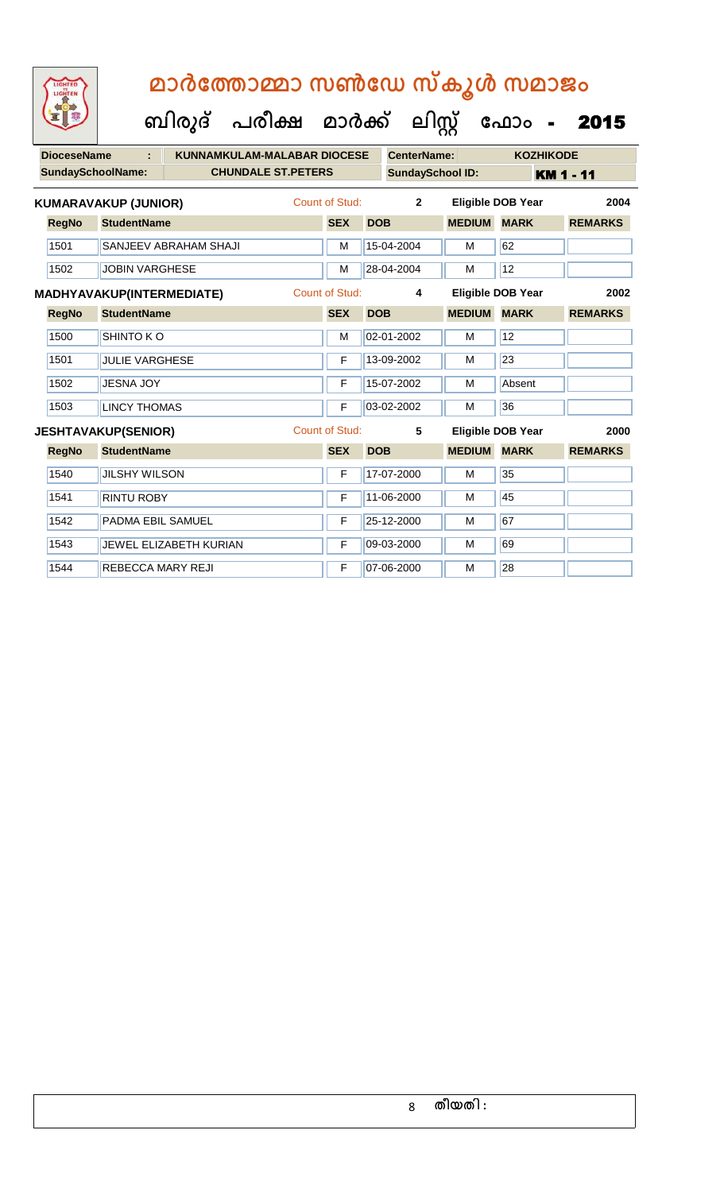| LIGHTED<br>LIGHTEN       |                                  | മാർത്തോമ്മാ സൺഡേ സ്കൂൾ സമാജം<br>ബിരുദ് പരീക്ഷ മാർക്ക് ലിസ്റ്റ് ഫോം - 2015 |                       |            |                         |               |                          |                  |
|--------------------------|----------------------------------|---------------------------------------------------------------------------|-----------------------|------------|-------------------------|---------------|--------------------------|------------------|
| <b>DioceseName</b>       |                                  | <b>KUNNAMKULAM-MALABAR DIOCESE</b>                                        |                       |            | <b>CenterName:</b>      |               | <b>KOZHIKODE</b>         |                  |
| <b>SundaySchoolName:</b> |                                  | <b>CHUNDALE ST.PETERS</b>                                                 |                       |            | <b>SundaySchool ID:</b> |               |                          | <b>KM 1 - 11</b> |
|                          | <b>KUMARAVAKUP (JUNIOR)</b>      |                                                                           | Count of Stud:        |            | $\overline{2}$          |               | <b>Eligible DOB Year</b> | 2004             |
| <b>RegNo</b>             | <b>StudentName</b>               |                                                                           | <b>SEX</b>            | <b>DOB</b> |                         | <b>MEDIUM</b> | <b>MARK</b>              | <b>REMARKS</b>   |
| 1501                     | SANJEEV ABRAHAM SHAJI            |                                                                           | M                     |            | 15-04-2004              | М             | 62                       |                  |
| 1502                     | <b>JOBIN VARGHESE</b>            |                                                                           | M                     |            | 28-04-2004              | M             | 12                       |                  |
|                          | <b>MADHYAVAKUP(INTERMEDIATE)</b> |                                                                           | <b>Count of Stud:</b> |            | 4                       |               | <b>Eligible DOB Year</b> | 2002             |
| <b>RegNo</b>             | <b>StudentName</b>               |                                                                           | <b>SEX</b>            | <b>DOB</b> |                         | <b>MEDIUM</b> | <b>MARK</b>              | <b>REMARKS</b>   |
| 1500                     | SHINTO KO                        |                                                                           | M                     |            | 02-01-2002              | M             | 12                       |                  |
| 1501                     | <b>JULIE VARGHESE</b>            |                                                                           | F                     |            | 13-09-2002              | м             | 23                       |                  |
| 1502                     | <b>JESNA JOY</b>                 |                                                                           | F                     |            | 15-07-2002              | м             | Absent                   |                  |
| 1503                     | <b>LINCY THOMAS</b>              |                                                                           | F                     |            | 03-02-2002              | M             | 36                       |                  |
|                          | <b>JESHTAVAKUP(SENIOR)</b>       |                                                                           | <b>Count of Stud:</b> |            | 5                       |               | <b>Eligible DOB Year</b> | 2000             |
| <b>RegNo</b>             | <b>StudentName</b>               |                                                                           | <b>SEX</b>            | <b>DOB</b> |                         | <b>MEDIUM</b> | <b>MARK</b>              | <b>REMARKS</b>   |
| 1540                     | <b>JILSHY WILSON</b>             |                                                                           | F                     |            | 17-07-2000              | M             | 35                       |                  |
| 1541                     | <b>RINTU ROBY</b>                |                                                                           | F                     |            | 11-06-2000              | М             | 45                       |                  |
| 1542                     | PADMA EBIL SAMUEL                |                                                                           | F                     |            | 25-12-2000              | M             | 67                       |                  |
| 1543                     | JEWEL ELIZABETH KURIAN           |                                                                           | F                     |            | 09-03-2000              | м             | 69                       |                  |
| 1544                     | <b>REBECCA MARY REJI</b>         |                                                                           | F                     |            | 07-06-2000              | м             | 28                       |                  |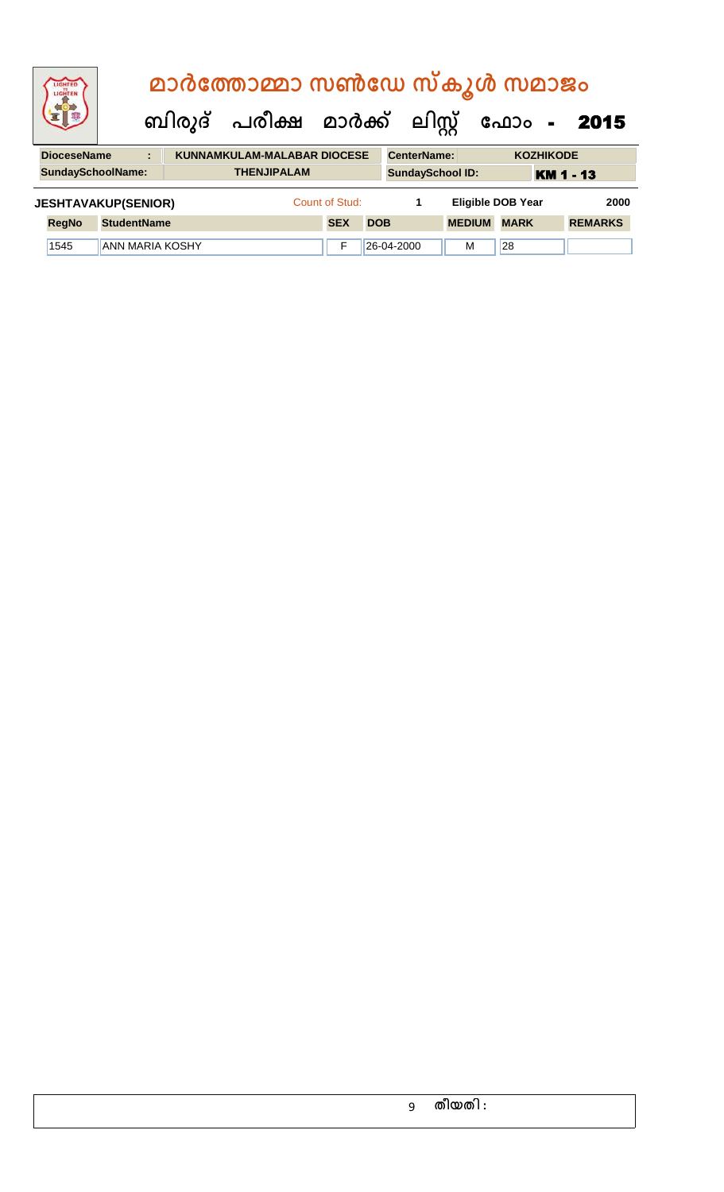| LIGHTED<br>LIGHTEN         |                        |   | മാർത്തോമ്മാ സൺഡേ സ്കൂൾ സമാജം       |                |            |                         |                          |             |                  |                |  |
|----------------------------|------------------------|---|------------------------------------|----------------|------------|-------------------------|--------------------------|-------------|------------------|----------------|--|
|                            |                        |   | ബിരുദ് പരീക്ഷ മാർക്ക് ലിസ്റ്റ്     |                |            |                         |                          | ഫോം -       |                  | 2015           |  |
| <b>DioceseName</b>         |                        | ÷ | <b>KUNNAMKULAM-MALABAR DIOCESE</b> |                |            | <b>CenterName:</b>      |                          |             | <b>KOZHIKODE</b> |                |  |
| <b>SundaySchoolName:</b>   |                        |   | <b>THENJIPALAM</b>                 |                |            | <b>SundaySchool ID:</b> |                          |             | <b>KM 1 - 13</b> |                |  |
| <b>JESHTAVAKUP(SENIOR)</b> |                        |   |                                    | Count of Stud: |            | 1                       | <b>Eligible DOB Year</b> |             |                  | 2000           |  |
| <b>RegNo</b>               | <b>StudentName</b>     |   |                                    | <b>SEX</b>     | <b>DOB</b> |                         | <b>MEDIUM</b>            | <b>MARK</b> |                  | <b>REMARKS</b> |  |
| 1545                       | <b>ANN MARIA KOSHY</b> |   |                                    | F              |            | 26-04-2000              | м                        | 28          |                  |                |  |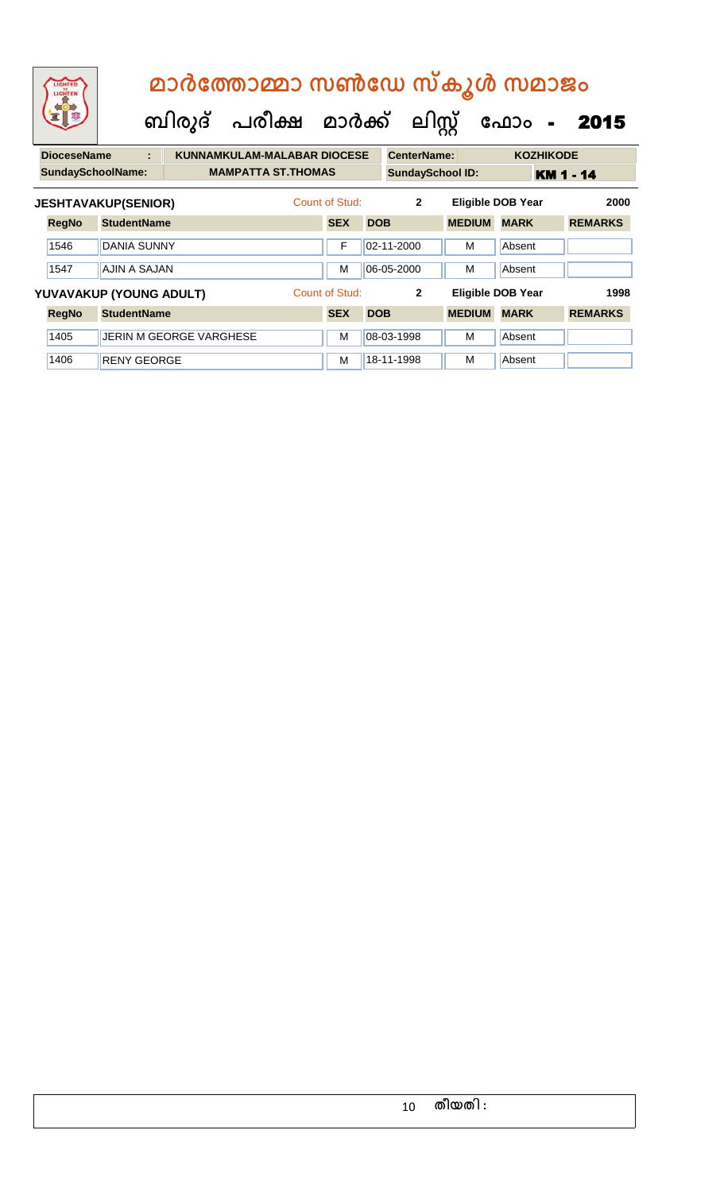| LIGHTED<br>LIGHTEN       |                            | ബിരുദ് | മാർത്തോമ്മാ സൺഡേ സ്കൂൾ സമാജം<br>പരീക്ഷ മാർക്ക് ലിസ്റ്റ് |                |            |                         |               | ഫോം -                    | 2015             |
|--------------------------|----------------------------|--------|---------------------------------------------------------|----------------|------------|-------------------------|---------------|--------------------------|------------------|
| <b>DioceseName</b>       | ÷                          |        | <b>KUNNAMKULAM-MALABAR DIOCESE</b>                      |                |            | <b>CenterName:</b>      |               | <b>KOZHIKODE</b>         |                  |
| <b>SundaySchoolName:</b> |                            |        | <b>MAMPATTA ST.THOMAS</b>                               |                |            | <b>SundaySchool ID:</b> |               |                          | <b>KM 1 - 14</b> |
|                          | <b>JESHTAVAKUP(SENIOR)</b> |        |                                                         | Count of Stud: |            | $\overline{2}$          |               | <b>Eligible DOB Year</b> | 2000             |
| <b>RegNo</b>             | <b>StudentName</b>         |        |                                                         | <b>SEX</b>     | <b>DOB</b> |                         | <b>MEDIUM</b> | <b>MARK</b>              | <b>REMARKS</b>   |
| 1546                     | <b>DANIA SUNNY</b>         |        |                                                         | F              |            | 02-11-2000              | м             | Absent                   |                  |
| 1547                     | AJIN A SAJAN               |        |                                                         | м              |            | 06-05-2000              | м             | Absent                   |                  |
|                          | YUVAVAKUP (YOUNG ADULT)    |        |                                                         | Count of Stud: |            | $\overline{2}$          |               | <b>Eligible DOB Year</b> | 1998             |
| <b>RegNo</b>             | <b>StudentName</b>         |        |                                                         | <b>SEX</b>     | <b>DOB</b> |                         | <b>MEDIUM</b> | <b>MARK</b>              | <b>REMARKS</b>   |
| 1405                     | JERIN M GEORGE VARGHESE    |        |                                                         | M              |            | 08-03-1998              | м             | Absent                   |                  |
| 1406                     | <b>RENY GEORGE</b>         |        |                                                         | М              |            | 18-11-1998              | м             | Absent                   |                  |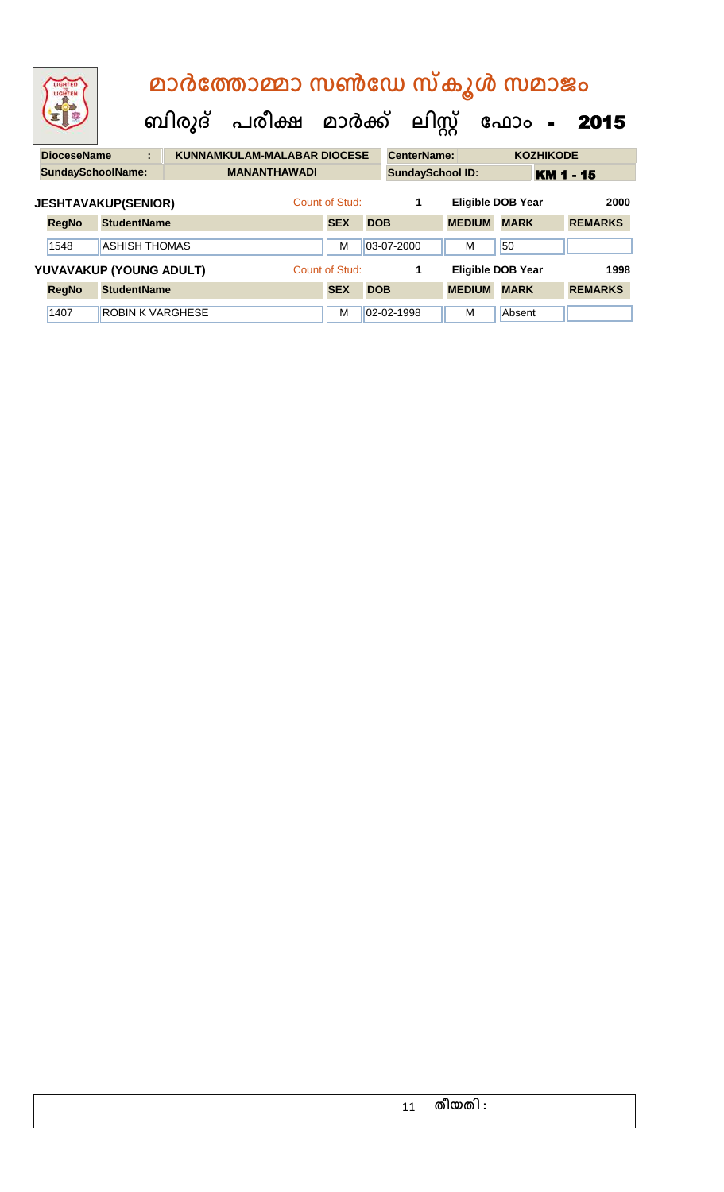| LIGHTED<br>LIGHTEN         |                         |  |                                    |                     |                |            |            |                    | മാർത്തോമ്മാ സൺഡേ സ്കൂൾ സമാജം |             |                  |                |  |
|----------------------------|-------------------------|--|------------------------------------|---------------------|----------------|------------|------------|--------------------|------------------------------|-------------|------------------|----------------|--|
|                            |                         |  | ബിരുദ് പരീക്ഷ മാർക്ക് ലിസ്റ്റ്     |                     |                |            |            |                    |                              | ഫോം         | $\blacksquare$   | 2015           |  |
| <b>DioceseName</b>         | t                       |  | <b>KUNNAMKULAM-MALABAR DIOCESE</b> |                     |                |            |            | <b>CenterName:</b> |                              |             | <b>KOZHIKODE</b> |                |  |
| <b>SundaySchoolName:</b>   |                         |  |                                    | <b>MANANTHAWADI</b> |                |            |            |                    | <b>SundaySchool ID:</b>      |             | <b>KM 1 - 15</b> |                |  |
| <b>JESHTAVAKUP(SENIOR)</b> |                         |  |                                    |                     | Count of Stud: |            |            | 1                  | <b>Eligible DOB Year</b>     |             |                  | 2000           |  |
| <b>RegNo</b>               | <b>StudentName</b>      |  |                                    |                     | <b>SEX</b>     | <b>DOB</b> |            |                    | <b>MEDIUM</b>                | <b>MARK</b> |                  | <b>REMARKS</b> |  |
| 1548                       | <b>ASHISH THOMAS</b>    |  |                                    |                     | М              |            | 03-07-2000 |                    | M                            | 50          |                  |                |  |
| YUVAVAKUP (YOUNG ADULT)    |                         |  |                                    |                     | Count of Stud: |            |            | 1                  | <b>Eligible DOB Year</b>     |             |                  | 1998           |  |
| <b>RegNo</b>               | <b>StudentName</b>      |  |                                    |                     | <b>SEX</b>     | <b>DOB</b> |            |                    | <b>MEDIUM</b>                | <b>MARK</b> |                  | <b>REMARKS</b> |  |
| 1407                       | <b>ROBIN K VARGHESE</b> |  |                                    |                     | м              |            | 02-02-1998 |                    | м                            | Absent      |                  |                |  |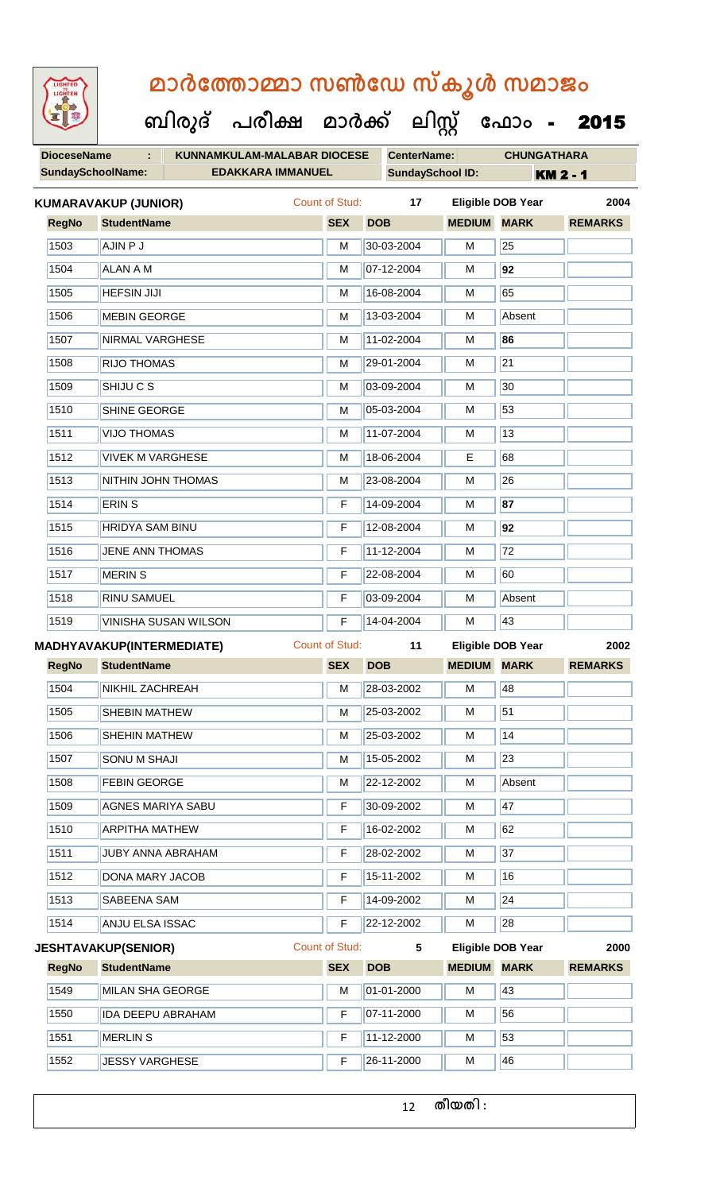| LIGHTED<br>LIGHTEN       |                                  | മാർത്തോമ്മാ സൺഡേ സ്കൂൾ സമാജം         |                       |            |                         |               |                          |                 |
|--------------------------|----------------------------------|--------------------------------------|-----------------------|------------|-------------------------|---------------|--------------------------|-----------------|
|                          |                                  | ബിരുദ് പരീക്ഷ മാർക്ക് ലിസ്റ്റ് ഫോം - |                       |            |                         |               |                          | 2015            |
| <b>DioceseName</b>       | ÷                                | <b>KUNNAMKULAM-MALABAR DIOCESE</b>   |                       |            | <b>CenterName:</b>      |               | <b>CHUNGATHARA</b>       |                 |
| <b>SundaySchoolName:</b> |                                  | <b>EDAKKARA IMMANUEL</b>             |                       |            | <b>SundaySchool ID:</b> |               |                          | <b>KM 2 - 1</b> |
|                          | KUMARAVAKUP (JUNIOR)             |                                      | <b>Count of Stud:</b> |            | 17                      |               | <b>Eligible DOB Year</b> | 2004            |
| <b>RegNo</b>             | <b>StudentName</b>               |                                      | <b>SEX</b>            | <b>DOB</b> |                         | <b>MEDIUM</b> | <b>MARK</b>              | <b>REMARKS</b>  |
| 1503                     | AJIN P J                         |                                      | M                     |            | 30-03-2004              | м             | 25                       |                 |
| 1504                     | <b>ALAN A M</b>                  |                                      | М                     |            | 07-12-2004              | м             | 92                       |                 |
| 1505                     | <b>HEFSIN JIJI</b>               |                                      | М                     |            | 16-08-2004              | М             | 65                       |                 |
| 1506                     | <b>MEBIN GEORGE</b>              |                                      | M                     |            | 13-03-2004              | м             | Absent                   |                 |
| 1507                     | <b>NIRMAL VARGHESE</b>           |                                      | М                     |            | 11-02-2004              | м             | 86                       |                 |
| 1508                     | <b>RIJO THOMAS</b>               |                                      | М                     |            | 29-01-2004              | М             | 21                       |                 |
| 1509                     | SHIJU C S                        |                                      | М                     |            | 03-09-2004              | м             | 30                       |                 |
| 1510                     | SHINE GEORGE                     |                                      | м                     |            | 05-03-2004              | м             | 53                       |                 |
| 1511                     | <b>VIJO THOMAS</b>               |                                      | м                     |            | 11-07-2004              | м             | 13                       |                 |
| 1512                     | <b>VIVEK M VARGHESE</b>          |                                      | М                     |            | 18-06-2004              | Е             | 68                       |                 |
| 1513                     | NITHIN JOHN THOMAS               |                                      | М                     |            | 23-08-2004              | м             | 26                       |                 |
| 1514                     | <b>ERIN S</b>                    |                                      | F                     |            | 14-09-2004              | м             | 87                       |                 |
| 1515                     | <b>HRIDYA SAM BINU</b>           |                                      | F                     |            | 12-08-2004              | м             | 92                       |                 |
| 1516                     | <b>JENE ANN THOMAS</b>           |                                      | F                     |            | 11-12-2004              | м             | 72                       |                 |
| 1517                     | <b>MERIN S</b>                   |                                      | F                     |            | 22-08-2004              | М             | 60                       |                 |
| 1518                     | <b>RINU SAMUEL</b>               |                                      | F                     |            | 03-09-2004              | м             | Absent                   |                 |
| 1519                     | <b>VINISHA SUSAN WILSON</b>      |                                      | F                     |            | 14-04-2004              | M             | 43                       |                 |
|                          | <b>MADHYAVAKUP(INTERMEDIATE)</b> |                                      | <b>Count of Stud:</b> |            | 11                      |               | Eligible DOB Year        | 2002            |
| <b>RegNo</b>             | <b>StudentName</b>               |                                      | <b>SEX</b>            | <b>DOB</b> |                         | <b>MEDIUM</b> | <b>MARK</b>              | <b>REMARKS</b>  |
| 1504                     | <b>NIKHIL ZACHREAH</b>           |                                      | M                     |            | 28-03-2002              | M             | 48                       |                 |
| 1505                     | <b>SHEBIN MATHEW</b>             |                                      | M                     |            | 25-03-2002              | м             | 51                       |                 |
| 1506                     | SHEHIN MATHEW                    |                                      | M                     |            | 25-03-2002              | M             | 14                       |                 |
| 1507                     | <b>SONU M SHAJI</b>              |                                      | M                     |            | 15-05-2002              | M             | 23                       |                 |
| 1508                     | <b>FEBIN GEORGE</b>              |                                      | M                     |            | 22-12-2002              | м             | Absent                   |                 |
| 1509                     | <b>AGNES MARIYA SABU</b>         |                                      | F                     |            | 30-09-2002              | М             | 47                       |                 |
| 1510                     | <b>ARPITHA MATHEW</b>            |                                      | F                     |            | 16-02-2002              | M             | 62                       |                 |
| 1511                     | <b>JUBY ANNA ABRAHAM</b>         |                                      | F                     |            | 28-02-2002              | M             | 37                       |                 |
| 1512                     | DONA MARY JACOB                  |                                      | F                     |            | 15-11-2002              | M             | 16                       |                 |
| 1513                     | <b>SABEENA SAM</b>               |                                      | F                     |            | 14-09-2002              | M             | 24                       |                 |
| 1514                     | ANJU ELSA ISSAC                  |                                      | F                     |            | 22-12-2002              | M             | 28                       |                 |
|                          | <b>JESHTAVAKUP(SENIOR)</b>       |                                      | <b>Count of Stud:</b> |            | 5                       |               | <b>Eligible DOB Year</b> | 2000            |
| <b>RegNo</b>             | <b>StudentName</b>               |                                      | <b>SEX</b>            | <b>DOB</b> |                         | <b>MEDIUM</b> | <b>MARK</b>              | <b>REMARKS</b>  |
| 1549                     | <b>MILAN SHA GEORGE</b>          |                                      | M                     |            | 01-01-2000              | М             | 43                       |                 |
| 1550                     | <b>IDA DEEPU ABRAHAM</b>         |                                      | F                     |            | 07-11-2000              | M             | 56                       |                 |
| 1551                     | <b>MERLIN S</b>                  |                                      | F                     |            | 11-12-2000              | M             | 53                       |                 |
| 1552                     | <b>JESSY VARGHESE</b>            |                                      | F                     |            | 26-11-2000              | М             | 46                       |                 |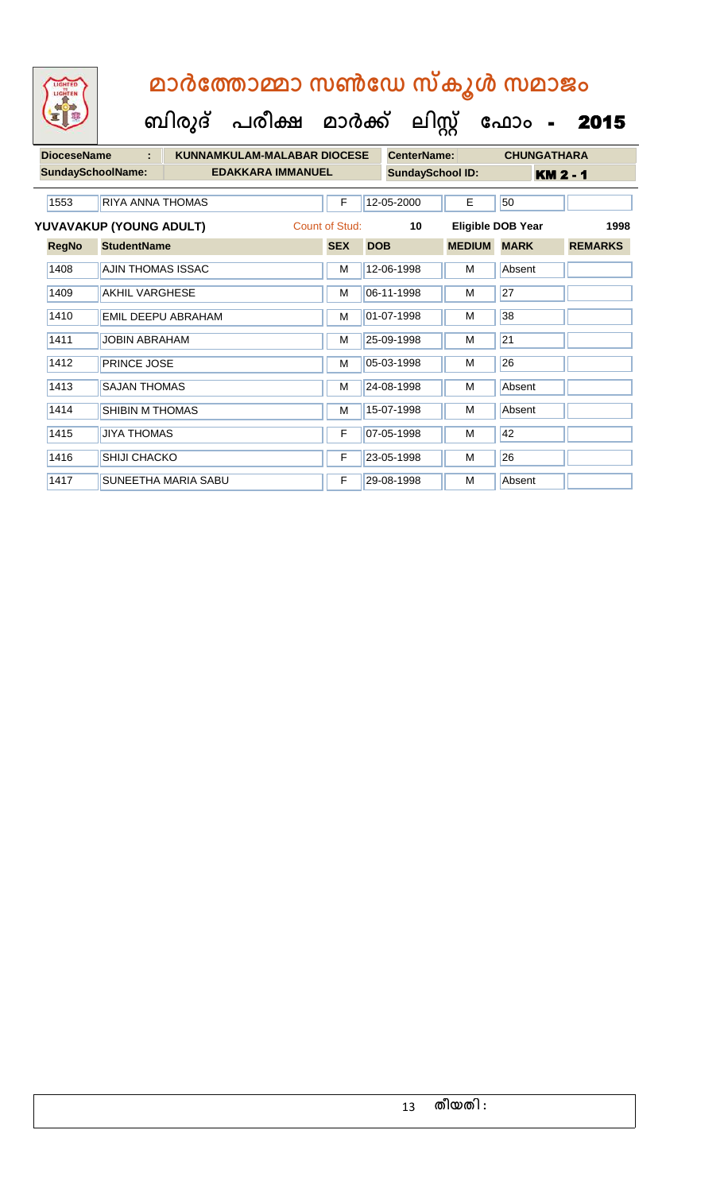| LIGHTED<br>LIGHTEN       | മാർത്തോമ്മാ സൺഡേ സ്കൂൾ സമാജം |                                    |                |            |                    |                         |                          |                 |  |  |  |
|--------------------------|------------------------------|------------------------------------|----------------|------------|--------------------|-------------------------|--------------------------|-----------------|--|--|--|
|                          | ബിരുദ് പരീക്ഷ മാർക്ക്        |                                    |                | ലിസ്റ്റ്   |                    | ഫോം                     | 2015                     |                 |  |  |  |
| <b>DioceseName</b>       | ÷.                           | <b>KUNNAMKULAM-MALABAR DIOCESE</b> |                |            | <b>CenterName:</b> |                         | <b>CHUNGATHARA</b>       |                 |  |  |  |
| <b>SundaySchoolName:</b> |                              | <b>EDAKKARA IMMANUEL</b>           |                |            |                    | <b>SundaySchool ID:</b> |                          | <b>KM 2 - 1</b> |  |  |  |
| 1553                     | RIYA ANNA THOMAS             |                                    | F              | 12-05-2000 |                    | E                       | 50                       |                 |  |  |  |
|                          | YUVAVAKUP (YOUNG ADULT)      |                                    | Count of Stud: |            | 10                 |                         | <b>Eligible DOB Year</b> | 1998            |  |  |  |
| <b>RegNo</b>             | <b>StudentName</b>           |                                    | <b>SEX</b>     | <b>DOB</b> |                    | <b>MEDIUM</b>           | <b>MARK</b>              | <b>REMARKS</b>  |  |  |  |
| 1408                     | AJIN THOMAS ISSAC            |                                    | M              | 12-06-1998 |                    | M                       | Absent                   |                 |  |  |  |
| 1409                     | <b>AKHIL VARGHESE</b>        |                                    | M              | 06-11-1998 |                    | M                       | 27                       |                 |  |  |  |
| 1410                     | <b>FMIL DEFPU ABRAHAM</b>    |                                    | м              | 01-07-1998 |                    | м                       | 38                       |                 |  |  |  |
| 1411                     | <b>JOBIN ABRAHAM</b>         |                                    | м              | 25-09-1998 |                    | м                       | 21                       |                 |  |  |  |
| 1412                     | PRINCE JOSE                  |                                    | м              | 05-03-1998 |                    | м                       | 26                       |                 |  |  |  |
| 1413                     | <b>SAJAN THOMAS</b>          |                                    | M              | 24-08-1998 |                    | м                       | Absent                   |                 |  |  |  |
| 1414                     | <b>SHIBIN M THOMAS</b>       |                                    | м              | 15-07-1998 |                    | м                       | Absent                   |                 |  |  |  |
| 1415                     | <b>JIYA THOMAS</b>           |                                    | F              | 07-05-1998 |                    | м                       | 42                       |                 |  |  |  |
| 1416                     | SHIJI CHACKO                 |                                    | F              | 23-05-1998 |                    | M                       | 26                       |                 |  |  |  |
| 1417                     | SUNEETHA MARIA SABU          |                                    | F              | 29-08-1998 |                    | M                       | Absent                   |                 |  |  |  |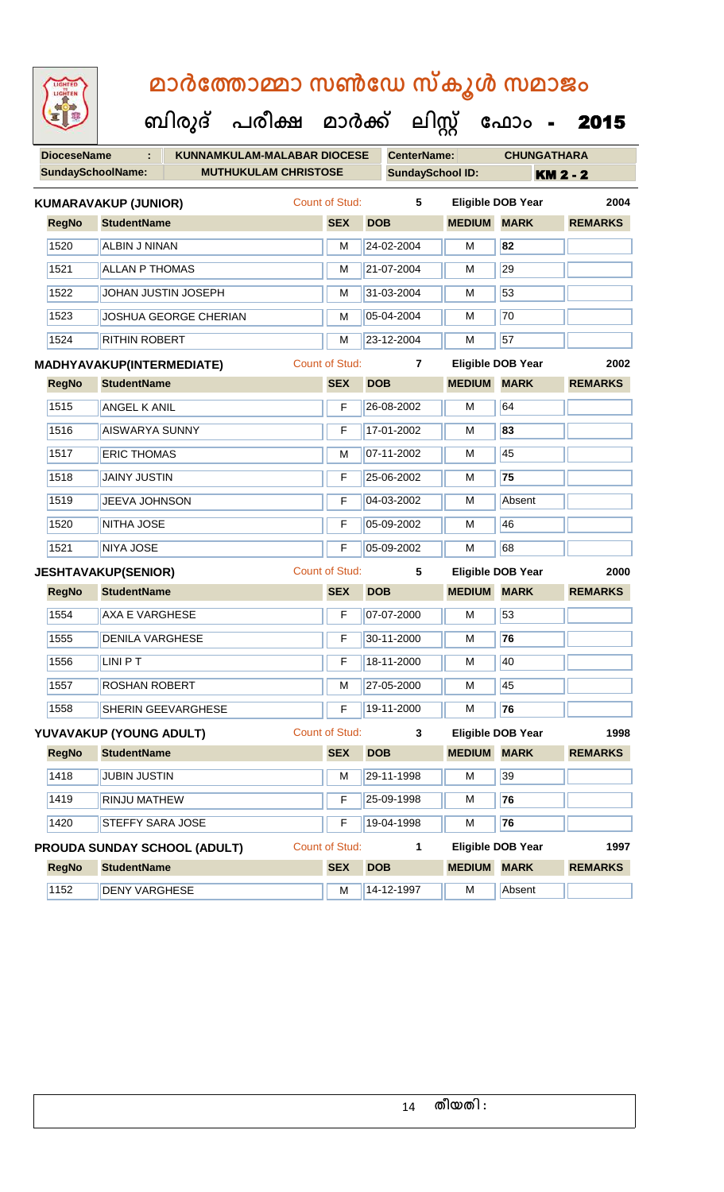| LIGHTED<br>LIGHTEN |                                     | മാർത്തോമ്മാ സൺഡേ സ്കൂൾ സമാജം              |                       |            |                         |                    |                          |                |  |
|--------------------|-------------------------------------|-------------------------------------------|-----------------------|------------|-------------------------|--------------------|--------------------------|----------------|--|
|                    |                                     | ബിരുദ് പരീക്ഷ മാർക്ക് ലിസ്റ്റ് ഫോം - 2015 |                       |            |                         |                    |                          |                |  |
| <b>DioceseName</b> | ÷                                   | <b>KUNNAMKULAM-MALABAR DIOCESE</b>        |                       |            | <b>CenterName:</b>      |                    | <b>CHUNGATHARA</b>       |                |  |
|                    | <b>SundaySchoolName:</b>            | <b>MUTHUKULAM CHRISTOSE</b>               |                       |            | <b>SundaySchool ID:</b> |                    | <b>KM 2 - 2</b>          |                |  |
|                    | <b>KUMARAVAKUP (JUNIOR)</b>         |                                           | <b>Count of Stud:</b> |            | 5                       |                    | Eligible DOB Year        | 2004           |  |
| <b>RegNo</b>       | <b>StudentName</b>                  |                                           | <b>SEX</b>            | <b>DOB</b> |                         | <b>MEDIUM</b>      | <b>MARK</b>              | <b>REMARKS</b> |  |
| 1520               | <b>ALBIN J NINAN</b>                |                                           | м                     |            | 24-02-2004              | M                  | 82                       |                |  |
| 1521               | <b>ALLAN P THOMAS</b>               |                                           | M                     |            | 21-07-2004              | м                  | 29                       |                |  |
| 1522               | JOHAN JUSTIN JOSEPH                 |                                           | M                     |            | 31-03-2004              | м                  | 53                       |                |  |
| 1523               | JOSHUA GEORGE CHERIAN               |                                           | M                     |            | 05-04-2004              | M                  | 70                       |                |  |
| 1524               | <b>RITHIN ROBERT</b>                |                                           | M                     |            | 23-12-2004              | м                  | 57                       |                |  |
|                    | MADHYAVAKUP(INTERMEDIATE)           |                                           | <b>Count of Stud:</b> |            | $\overline{7}$          |                    | <b>Eligible DOB Year</b> | 2002           |  |
| <b>RegNo</b>       | <b>StudentName</b>                  |                                           | <b>SEX</b>            | <b>DOB</b> |                         | <b>MEDIUM MARK</b> |                          | <b>REMARKS</b> |  |
| 1515               | <b>ANGEL K ANIL</b>                 |                                           | F                     |            | 26-08-2002              | м                  | 64                       |                |  |
| 1516               | <b>AISWARYA SUNNY</b>               |                                           | F                     |            | 17-01-2002              | M                  | 83                       |                |  |
| 1517               | <b>ERIC THOMAS</b>                  |                                           | м                     |            | 07-11-2002              | м                  | 45                       |                |  |
| 1518               | <b>JAINY JUSTIN</b>                 |                                           | F                     |            | 25-06-2002              | м                  | 75                       |                |  |
| 1519               | JEEVA JOHNSON                       |                                           | F                     |            | 04-03-2002              | M                  | Absent                   |                |  |
| 1520               | NITHA JOSE                          |                                           | F                     |            | 05-09-2002              | М                  | 46                       |                |  |
| 1521               | <b>NIYA JOSE</b>                    |                                           | F                     |            | 05-09-2002              | M                  | 68                       |                |  |
|                    | <b>JESHTAVAKUP(SENIOR)</b>          |                                           | Count of Stud:        |            | 5                       |                    | <b>Eligible DOB Year</b> | 2000           |  |
|                    | RegNo StudentName                   |                                           | <b>SEX</b>            | <b>DOB</b> |                         | <b>MEDIUM MARK</b> |                          | <b>REMARKS</b> |  |
| 1554               | <b>AXA E VARGHESE</b>               |                                           | F                     |            | 07-07-2000              | М                  | 53                       |                |  |
| 1555               | <b>DENILA VARGHESE</b>              |                                           | F                     |            | 30-11-2000              | М                  | 76                       |                |  |
| 1556               | <b>LINI PT</b>                      |                                           | F                     |            | 18-11-2000              | М                  | 40                       |                |  |
| 1557               | <b>ROSHAN ROBERT</b>                |                                           | M                     |            | 27-05-2000              | M                  | 45                       |                |  |
| 1558               | SHERIN GEEVARGHESE                  |                                           | F                     |            | 19-11-2000              | М                  | 76                       |                |  |
|                    | YUVAVAKUP (YOUNG ADULT)             |                                           | <b>Count of Stud:</b> |            | 3                       |                    | <b>Eligible DOB Year</b> | 1998           |  |
| <b>RegNo</b>       | <b>StudentName</b>                  |                                           | <b>SEX</b>            | <b>DOB</b> |                         | <b>MEDIUM</b>      | <b>MARK</b>              | <b>REMARKS</b> |  |
| 1418               | <b>JUBIN JUSTIN</b>                 |                                           | M                     |            | 29-11-1998              | M                  | 39                       |                |  |
| 1419               | RINJU MATHEW                        |                                           | F                     |            | 25-09-1998              | M                  | 76                       |                |  |
| 1420               | <b>STEFFY SARA JOSE</b>             |                                           | F                     |            | 19-04-1998              | м                  | 76                       |                |  |
|                    | <b>PROUDA SUNDAY SCHOOL (ADULT)</b> |                                           | Count of Stud:        |            | 1                       |                    | <b>Eligible DOB Year</b> | 1997           |  |
| <b>RegNo</b>       | <b>StudentName</b>                  |                                           | <b>SEX</b>            | <b>DOB</b> |                         | <b>MEDIUM</b>      | <b>MARK</b>              | <b>REMARKS</b> |  |
| 1152               | <b>DENY VARGHESE</b>                |                                           | M                     |            | 14-12-1997              | M                  | Absent                   |                |  |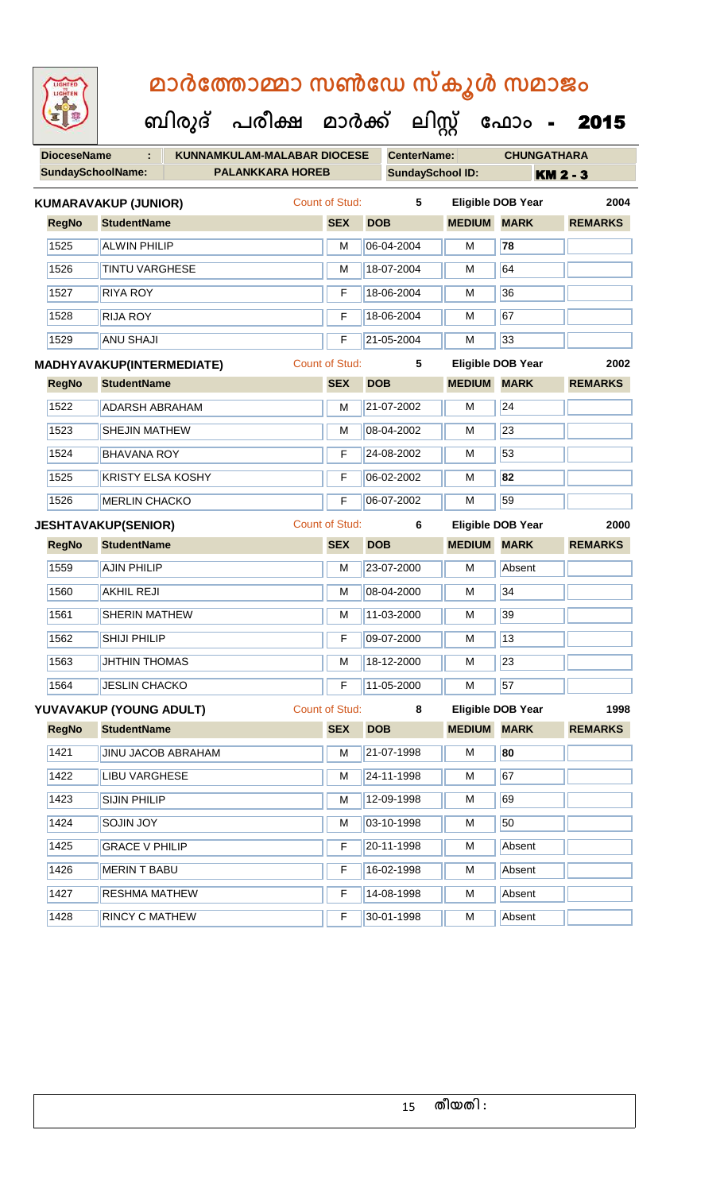| LIGHTED<br>LIGHTEN |                                              |                       | മാർത്തോമ്മാ സൺഡേ സ്കൂൾ സമാജം |               |                          |                |  |  |  |
|--------------------|----------------------------------------------|-----------------------|------------------------------|---------------|--------------------------|----------------|--|--|--|
|                    | ബിരുദ് പരീക്ഷ മാർക്ക് ലിസ്റ്റ് ഫോം -         |                       |                              |               | 2015                     |                |  |  |  |
| <b>DioceseName</b> | <b>KUNNAMKULAM-MALABAR DIOCESE</b>           |                       | <b>CenterName:</b>           |               | <b>CHUNGATHARA</b>       |                |  |  |  |
|                    | SundaySchoolName:<br><b>PALANKKARA HOREB</b> |                       | <b>SundaySchool ID:</b>      |               | <b>KM 2 - 3</b>          |                |  |  |  |
|                    | <b>KUMARAVAKUP (JUNIOR)</b>                  | Count of Stud:        | 5                            |               | <b>Eligible DOB Year</b> | 2004           |  |  |  |
| <b>RegNo</b>       | <b>StudentName</b>                           | <b>SEX</b>            | <b>DOB</b>                   | <b>MEDIUM</b> | <b>MARK</b>              | <b>REMARKS</b> |  |  |  |
| 1525               | <b>ALWIN PHILIP</b>                          | М                     | 06-04-2004                   | м             | 78                       |                |  |  |  |
| 1526               | <b>TINTU VARGHESE</b>                        | м                     | 18-07-2004                   | м             | 64                       |                |  |  |  |
| 1527               | <b>RIYA ROY</b>                              | F                     | 18-06-2004                   | м             | 36                       |                |  |  |  |
| 1528               | <b>RIJA ROY</b>                              | F                     | 18-06-2004                   | м             | 67                       |                |  |  |  |
| 1529               | <b>ANU SHAJI</b>                             | F                     | 21-05-2004                   | М             | 33                       |                |  |  |  |
|                    | MADHYAVAKUP(INTERMEDIATE)                    | <b>Count of Stud:</b> | 5                            |               | Eligible DOB Year        | 2002           |  |  |  |
| <b>RegNo</b>       | <b>StudentName</b>                           | <b>SEX</b>            | <b>DOB</b>                   | <b>MEDIUM</b> | <b>MARK</b>              | <b>REMARKS</b> |  |  |  |
| 1522               | <b>ADARSH ABRAHAM</b>                        | M                     | 21-07-2002                   | м             | 24                       |                |  |  |  |
| 1523               | <b>SHEJIN MATHEW</b>                         | М                     | 08-04-2002                   | м             | $\overline{23}$          |                |  |  |  |
| 1524               | <b>BHAVANA ROY</b>                           | F                     | 24-08-2002                   | м             | 53                       |                |  |  |  |
| 1525               | <b>KRISTY ELSA KOSHY</b>                     | F                     | 06-02-2002                   | м             | 82                       |                |  |  |  |
| 1526               | <b>MERLIN CHACKO</b>                         | F                     | 06-07-2002                   | м             | 59                       |                |  |  |  |
|                    | <b>JESHTAVAKUP(SENIOR)</b>                   | Count of Stud:        | 6                            |               | <b>Eligible DOB Year</b> | 2000           |  |  |  |
| <b>RegNo</b>       | <b>StudentName</b>                           | <b>SEX</b>            | <b>DOB</b>                   | <b>MEDIUM</b> | <b>MARK</b>              | <b>REMARKS</b> |  |  |  |
| 1559               | <b>AJIN PHILIP</b>                           | м                     | 23-07-2000                   | м             | Absent                   |                |  |  |  |
| 1560               | <b>AKHIL REJI</b>                            | M                     | 08-04-2000                   | М             | 34                       |                |  |  |  |
| 1561               | <b>SHERIN MATHEW</b>                         | M                     | 11-03-2000                   | M             | 39                       |                |  |  |  |
| 1562               | SHIJI PHILIP                                 | F                     | 09-07-2000                   | М             | 13                       |                |  |  |  |
| 1563               | <b>JHTHIN THOMAS</b>                         | M                     | 18-12-2000                   | М             | 23                       |                |  |  |  |
| 1564               | <b>JESLIN CHACKO</b>                         | F                     | 11-05-2000                   | M             | 57                       |                |  |  |  |
|                    | YUVAVAKUP (YOUNG ADULT)                      | <b>Count of Stud:</b> | 8                            |               | <b>Eligible DOB Year</b> | 1998           |  |  |  |
| <b>RegNo</b>       | <b>StudentName</b>                           | <b>SEX</b>            | <b>DOB</b>                   | <b>MEDIUM</b> | <b>MARK</b>              | <b>REMARKS</b> |  |  |  |
| 1421               | <b>JINU JACOB ABRAHAM</b>                    | M                     | 21-07-1998                   | М             | 80                       |                |  |  |  |
| 1422               | <b>LIBU VARGHESE</b>                         | M                     | 24-11-1998                   | М             | 67                       |                |  |  |  |
| 1423               | <b>SIJIN PHILIP</b>                          | M                     | 12-09-1998                   | м             | 69                       |                |  |  |  |
| 1424               | <b>SOJIN JOY</b>                             | M                     | 03-10-1998                   | М             | 50                       |                |  |  |  |
| 1425               | <b>GRACE V PHILIP</b>                        | F                     | 20-11-1998                   | М             | Absent                   |                |  |  |  |
| 1426               | <b>MERIN T BABU</b>                          | F                     | 16-02-1998                   | M             | Absent                   |                |  |  |  |
| 1427               | RESHMA MATHEW                                | F                     | 14-08-1998                   | М             | Absent                   |                |  |  |  |
| 1428               | <b>RINCY C MATHEW</b>                        | F                     | 30-01-1998                   | М             | Absent                   |                |  |  |  |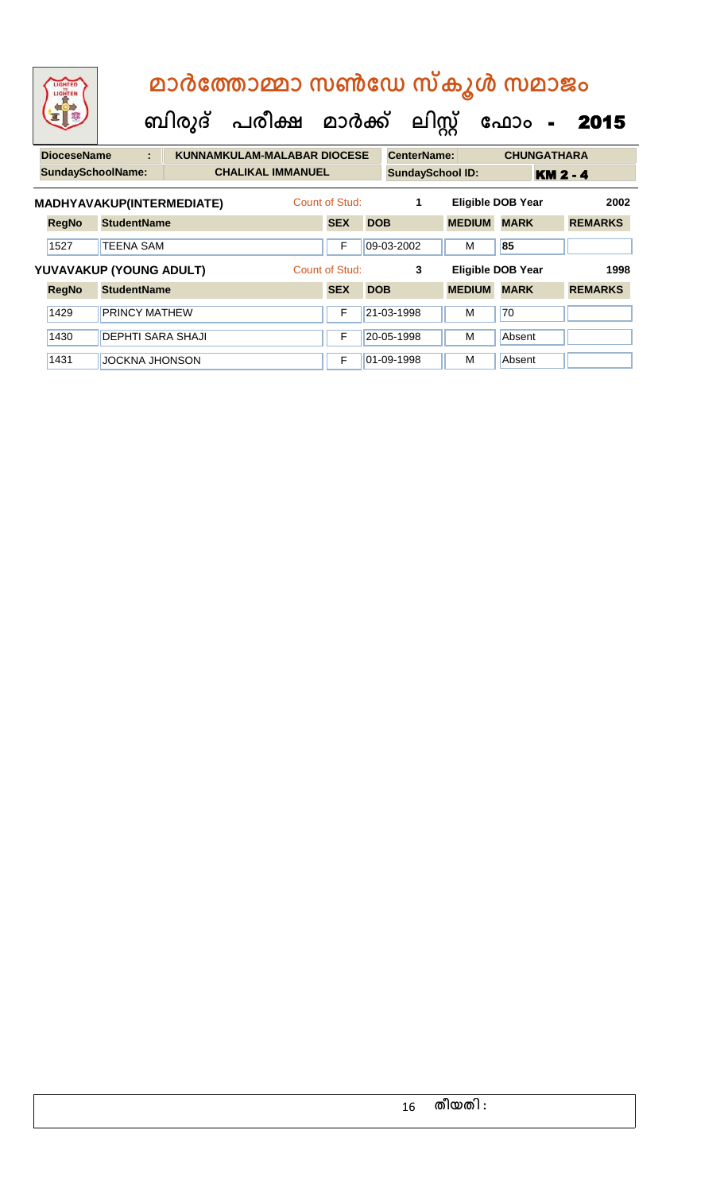|                                                      | LIGHTED<br>LIGHTEN                                            |                          | മാർത്തോമ്മാ സൺഡേ സ്കൂൾ സമാജം |                       |                         |                |            |                 |                    |                          |                |  |  |
|------------------------------------------------------|---------------------------------------------------------------|--------------------------|------------------------------|-----------------------|-------------------------|----------------|------------|-----------------|--------------------|--------------------------|----------------|--|--|
|                                                      |                                                               |                          |                              | ബിരുദ് പരീക്ഷ മാർക്ക് |                         |                |            | ലിസ്റ്റ്        |                    | ഫോം<br>$\blacksquare$    | 2015           |  |  |
|                                                      | <b>DioceseName</b><br><b>KUNNAMKULAM-MALABAR DIOCESE</b><br>÷ |                          |                              |                       | <b>CenterName:</b>      |                |            |                 | <b>CHUNGATHARA</b> |                          |                |  |  |
| <b>SundaySchoolName:</b><br><b>CHALIKAL IMMANUEL</b> |                                                               |                          |                              |                       | <b>SundaySchool ID:</b> |                |            | <b>KM 2 - 4</b> |                    |                          |                |  |  |
|                                                      | <b>MADHYAVAKUP(INTERMEDIATE)</b>                              |                          |                              |                       |                         | Count of Stud: |            | $\mathbf{1}$    |                    | <b>Eligible DOB Year</b> | 2002           |  |  |
|                                                      | <b>RegNo</b>                                                  | <b>StudentName</b>       |                              |                       |                         | <b>SEX</b>     | <b>DOB</b> |                 | <b>MEDIUM</b>      | <b>MARK</b>              | <b>REMARKS</b> |  |  |
|                                                      | 1527                                                          | <b>TEENA SAM</b>         |                              |                       |                         | F              |            | 09-03-2002      | м                  | 85                       |                |  |  |
|                                                      |                                                               | YUVAVAKUP (YOUNG ADULT)  |                              |                       |                         | Count of Stud: |            | 3               |                    | <b>Eligible DOB Year</b> | 1998           |  |  |
|                                                      | <b>RegNo</b>                                                  | <b>StudentName</b>       |                              |                       |                         | <b>SEX</b>     | <b>DOB</b> |                 | <b>MEDIUM</b>      | <b>MARK</b>              | <b>REMARKS</b> |  |  |
|                                                      | 1429                                                          | <b>PRINCY MATHEW</b>     |                              |                       |                         | F              |            | 21-03-1998      | м                  | 70                       |                |  |  |
|                                                      | 1430                                                          | <b>DEPHTI SARA SHAJI</b> |                              |                       |                         | F              |            | 20-05-1998      | M                  | Absent                   |                |  |  |
|                                                      | 1431                                                          | <b>JOCKNA JHONSON</b>    |                              |                       |                         | F              |            | 01-09-1998      | м                  | Absent                   |                |  |  |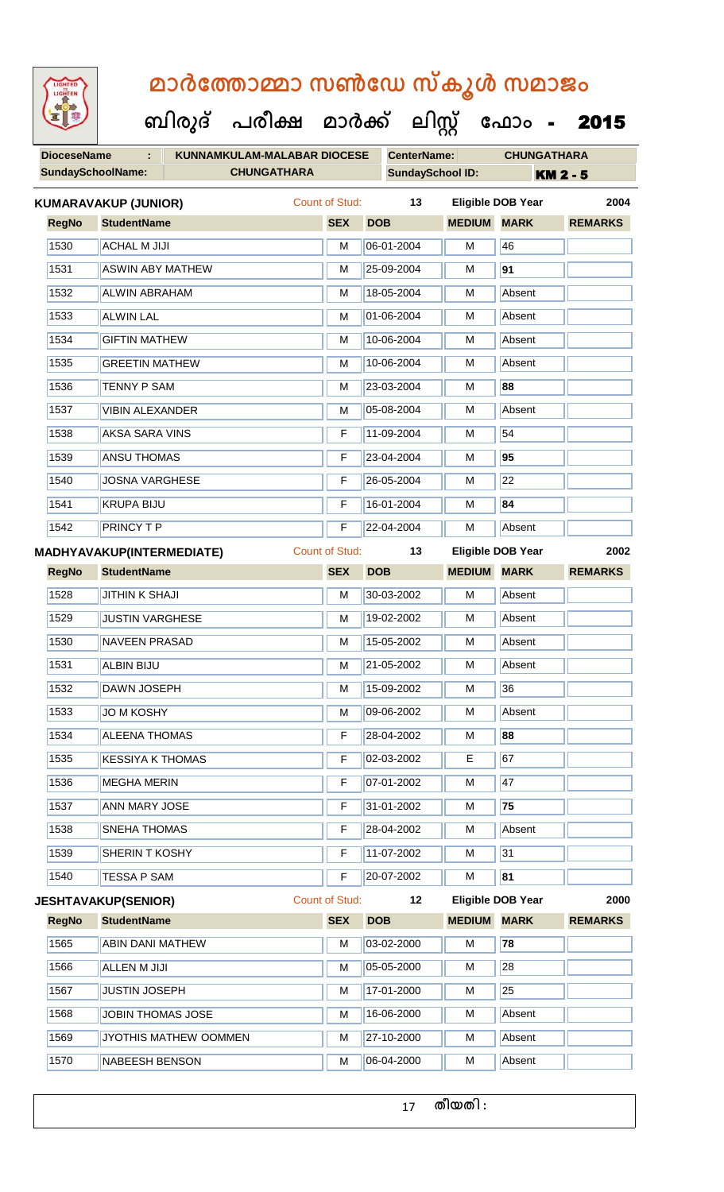| LIGHTED<br>LIGHTEN       |                             | മാർത്തോമ്മാ സൺഡേ സ്കൂൾ സമാജം<br>ബിരുദ് പരീക്ഷ മാർക്ക് ലിസ്റ്റ് ഫോം - |                       |                         |               |                          |                 |  |  |  |
|--------------------------|-----------------------------|----------------------------------------------------------------------|-----------------------|-------------------------|---------------|--------------------------|-----------------|--|--|--|
|                          |                             |                                                                      |                       |                         |               |                          | 2015            |  |  |  |
| <b>DioceseName</b>       | ÷                           | KUNNAMKULAM-MALABAR DIOCESE                                          |                       | <b>CenterName:</b>      |               | <b>CHUNGATHARA</b>       |                 |  |  |  |
| <b>SundaySchoolName:</b> |                             | <b>CHUNGATHARA</b>                                                   |                       | <b>SundaySchool ID:</b> |               |                          | <b>KM 2 - 5</b> |  |  |  |
|                          | <b>KUMARAVAKUP (JUNIOR)</b> |                                                                      | <b>Count of Stud:</b> | 13                      |               | <b>Eligible DOB Year</b> | 2004            |  |  |  |
| <b>RegNo</b>             | <b>StudentName</b>          |                                                                      | <b>SEX</b>            | <b>DOB</b>              | <b>MEDIUM</b> | <b>MARK</b>              | <b>REMARKS</b>  |  |  |  |
| 1530                     | <b>ACHAL M JIJI</b>         |                                                                      | М                     | 06-01-2004              | м             | 46                       |                 |  |  |  |
| 1531                     | <b>ASWIN ABY MATHEW</b>     |                                                                      | м                     | 25-09-2004              | м             | 91                       |                 |  |  |  |
| 1532                     | <b>ALWIN ABRAHAM</b>        |                                                                      | М                     | 18-05-2004              | м             | Absent                   |                 |  |  |  |
| 1533                     | <b>ALWIN LAL</b>            |                                                                      | М                     | 01-06-2004              | м             | Absent                   |                 |  |  |  |
| 1534                     | <b>GIFTIN MATHEW</b>        |                                                                      | М                     | 10-06-2004              | м             | Absent                   |                 |  |  |  |
| 1535                     | <b>GREETIN MATHEW</b>       |                                                                      | м                     | 10-06-2004              | м             | Absent                   |                 |  |  |  |
| 1536                     | <b>TENNY P SAM</b>          |                                                                      | М                     | 23-03-2004              | м             | 88                       |                 |  |  |  |
| 1537                     | <b>VIBIN ALEXANDER</b>      |                                                                      | М                     | 05-08-2004              | м             | Absent                   |                 |  |  |  |
| 1538                     | <b>AKSA SARA VINS</b>       |                                                                      | F                     | 11-09-2004              | м             | 54                       |                 |  |  |  |
| 1539                     | <b>ANSU THOMAS</b>          |                                                                      | F                     | 23-04-2004              | м             | 95                       |                 |  |  |  |
| 1540                     | <b>JOSNA VARGHESE</b>       |                                                                      | F                     | 26-05-2004              | м             | 22                       |                 |  |  |  |
| 1541                     | <b>KRUPA BIJU</b>           |                                                                      | F                     | 16-01-2004              | м             | 84                       |                 |  |  |  |
| 1542                     | PRINCY T P                  |                                                                      | F                     | 22-04-2004              | м             | Absent                   |                 |  |  |  |
|                          | MADHYAVAKUP(INTERMEDIATE)   |                                                                      | <b>Count of Stud:</b> | 13                      |               | Eligible DOB Year        | 2002            |  |  |  |
| <b>RegNo</b>             | <b>StudentName</b>          |                                                                      | <b>SEX</b>            | <b>DOB</b>              | <b>MEDIUM</b> | <b>MARK</b>              | <b>REMARKS</b>  |  |  |  |
| 1528                     | <b>JITHIN K SHAJI</b>       |                                                                      | M                     | 30-03-2002              | м             | Absent                   |                 |  |  |  |
| 1529                     | <b>JUSTIN VARGHESE</b>      |                                                                      | М                     | 19-02-2002              | M             | Absent                   |                 |  |  |  |
| 1530                     | <b>NAVEEN PRASAD</b>        |                                                                      | М                     | 15-05-2002              | M             | Absent                   |                 |  |  |  |
| 1531                     | <b>ALBIN BIJU</b>           |                                                                      | М                     | 21-05-2002              | M             | Absent                   |                 |  |  |  |
| 1532                     | <b>DAWN JOSEPH</b>          |                                                                      | М                     | 15-09-2002              | M             | 36                       |                 |  |  |  |
| 1533                     | <b>JO M KOSHY</b>           |                                                                      | M                     | 09-06-2002              | M             | Absent                   |                 |  |  |  |
| 1534                     | <b>ALEENA THOMAS</b>        |                                                                      | F                     | 28-04-2002              | M             | 88                       |                 |  |  |  |
| 1535                     | <b>KESSIYA K THOMAS</b>     |                                                                      | F                     | 02-03-2002              | E.            | 67                       |                 |  |  |  |
| 1536                     | <b>MEGHA MERIN</b>          |                                                                      | F                     | 07-01-2002              | M             | 47                       |                 |  |  |  |
| 1537                     | <b>ANN MARY JOSE</b>        |                                                                      | F                     | 31-01-2002              | M             | 75                       |                 |  |  |  |
| 1538                     | <b>SNEHA THOMAS</b>         |                                                                      | F                     | 28-04-2002              | M             | Absent                   |                 |  |  |  |
| 1539                     | SHERIN T KOSHY              |                                                                      | F                     | 11-07-2002              | M             | 31                       |                 |  |  |  |
| 1540                     | <b>TESSA P SAM</b>          |                                                                      | F                     | 20-07-2002              | м             | 81                       |                 |  |  |  |
|                          | <b>JESHTAVAKUP(SENIOR)</b>  |                                                                      | Count of Stud:        | 12 <sup>2</sup>         |               | <b>Eligible DOB Year</b> | 2000            |  |  |  |
| <b>RegNo</b>             | <b>StudentName</b>          |                                                                      | <b>SEX</b>            | <b>DOB</b>              | <b>MEDIUM</b> | <b>MARK</b>              | <b>REMARKS</b>  |  |  |  |
| 1565                     | <b>ABIN DANI MATHEW</b>     |                                                                      | м                     | 03-02-2000              | M             | 78                       |                 |  |  |  |
| 1566                     | <b>ALLEN M JIJI</b>         |                                                                      | М                     | 05-05-2000              | M             | 28                       |                 |  |  |  |
| 1567                     | <b>JUSTIN JOSEPH</b>        |                                                                      | М                     | 17-01-2000              | м             | 25                       |                 |  |  |  |
| 1568                     | JOBIN THOMAS JOSE           |                                                                      | M                     | 16-06-2000              | м             | Absent                   |                 |  |  |  |
| 1569                     | JYOTHIS MATHEW OOMMEN       |                                                                      | М                     | 27-10-2000              | M             | Absent                   |                 |  |  |  |
| 1570                     | <b>NABEESH BENSON</b>       |                                                                      | М                     | 06-04-2000              | M             | Absent                   |                 |  |  |  |
|                          |                             |                                                                      |                       |                         |               |                          |                 |  |  |  |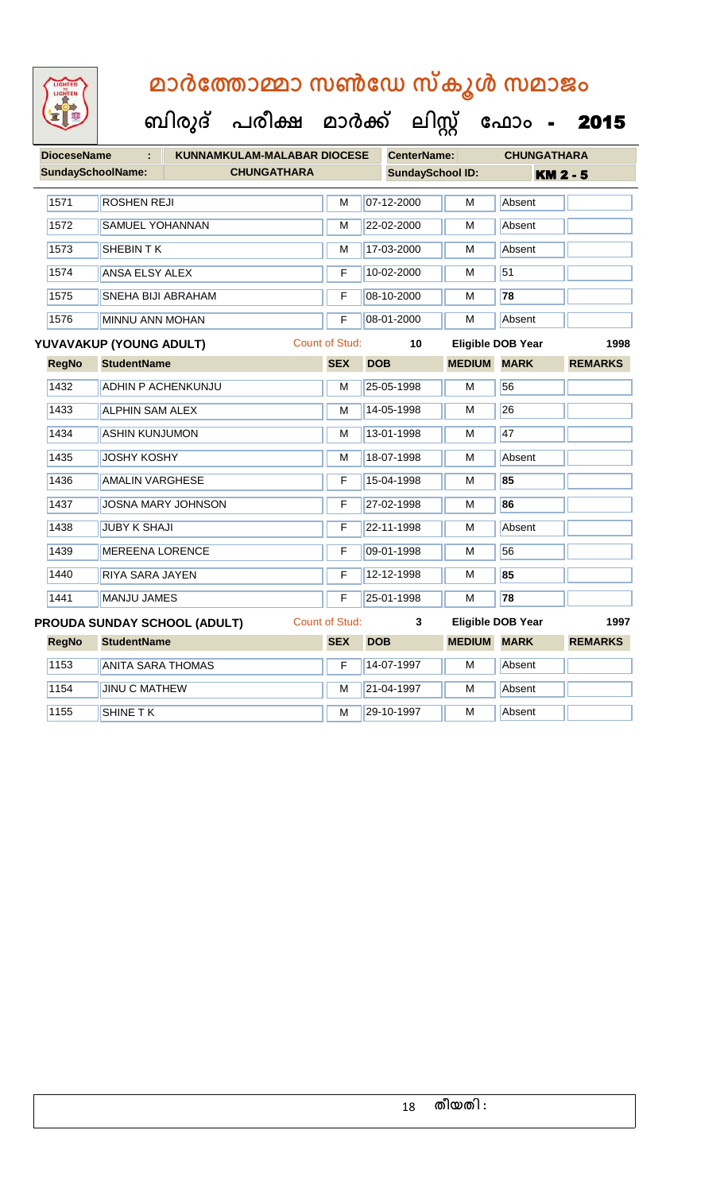# **മാര്കഫതാമ്മാ സണ്ഫേ സ്കൂള് സമാജോം**

| LIGHTED |  |
|---------|--|
|         |  |
|         |  |
|         |  |
|         |  |
|         |  |

# **ബിരുദ് പരീക്ഷ മാര്ക് ക ലിസ്റ്റ ക ഫ ാോം** - 2015

| <b>DioceseName</b>       | ÷.                        | <b>KUNNAMKULAM-MALABAR DIOCESE</b>  |                       |                 | <b>CenterName:</b>      |                | <b>CHUNGATHARA</b>       |                |  |
|--------------------------|---------------------------|-------------------------------------|-----------------------|-----------------|-------------------------|----------------|--------------------------|----------------|--|
| <b>SundaySchoolName:</b> |                           | <b>CHUNGATHARA</b>                  |                       |                 | <b>SundaySchool ID:</b> |                | <b>KM 2 - 5</b>          |                |  |
| 1571                     | <b>ROSHEN REJI</b>        |                                     | M                     |                 | 07-12-2000              | M              | Absent                   |                |  |
| 1572                     | <b>SAMUEL YOHANNAN</b>    |                                     | M                     |                 | 22-02-2000              | M              | Absent                   |                |  |
| 1573                     | <b>SHEBINTK</b>           |                                     | М                     |                 | 17-03-2000              | M              | Absent                   |                |  |
| 1574                     | <b>ANSA ELSY ALEX</b>     |                                     | F                     |                 | 10-02-2000              | М              | 51                       |                |  |
| 1575                     | <b>SNEHA BIJI ABRAHAM</b> |                                     | F                     |                 | 08-10-2000              | М              | 78                       |                |  |
| 1576                     | MINNU ANN MOHAN           |                                     | F                     | 08-01-2000<br>м |                         |                | Absent                   |                |  |
|                          | YUVAVAKUP (YOUNG ADULT)   |                                     | <b>Count of Stud:</b> |                 | 10                      |                | <b>Eligible DOB Year</b> | 1998           |  |
| <b>RegNo</b>             | <b>StudentName</b>        |                                     | <b>SEX</b>            | <b>DOB</b>      |                         | <b>MEDIUM</b>  | <b>MARK</b>              | <b>REMARKS</b> |  |
| 1432                     | <b>ADHIN P ACHENKUNJU</b> |                                     | M                     |                 | 25-05-1998              | M              | 56                       |                |  |
| 1433                     | <b>ALPHIN SAM ALEX</b>    |                                     | м                     |                 | 14-05-1998              | М              | 26                       |                |  |
| 1434                     | <b>ASHIN KUNJUMON</b>     |                                     | М                     |                 | 13-01-1998              | M              | 47                       |                |  |
| 1435                     | <b>JOSHY KOSHY</b>        |                                     | М                     |                 | 18-07-1998              | M              | Absent                   |                |  |
| 1436                     | AMALIN VARGHESE           |                                     | $\overline{F}$        |                 | 15-04-1998              | М              | 85                       |                |  |
| 1437                     |                           | JOSNA MARY JOHNSON                  | F                     |                 | 27-02-1998              | M              | 86                       |                |  |
| 1438                     | <b>JUBY K SHAJI</b>       |                                     | F                     |                 | 22-11-1998              | M              | Absent                   |                |  |
| 1439                     | <b>MEREENA LORENCE</b>    |                                     | F                     |                 | 09-01-1998              | M              | 56                       |                |  |
| 1440                     | <b>RIYA SARA JAYEN</b>    |                                     | F                     |                 | 12-12-1998              | м              | 85                       |                |  |
| 1441                     | <b>MANJU JAMES</b>        |                                     | F                     |                 | 25-01-1998              | M              | 78                       |                |  |
|                          |                           | <b>PROUDA SUNDAY SCHOOL (ADULT)</b> | <b>Count of Stud:</b> |                 | 3                       |                | <b>Eligible DOB Year</b> | 1997           |  |
| <b>RegNo</b>             | <b>StudentName</b>        |                                     | <b>SEX</b>            | <b>DOB</b>      |                         | <b>MEDIUM</b>  | <b>MARK</b>              | <b>REMARKS</b> |  |
| 1153                     | <b>ANITA SARA THOMAS</b>  |                                     | F                     |                 | 14-07-1997              | $\overline{M}$ | Absent                   |                |  |
| 1154                     | <b>JINU C MATHEW</b>      |                                     | М                     |                 | 21-04-1997              | М              | Absent                   |                |  |
| 1155                     | SHINE TK                  |                                     | м                     |                 | 29-10-1997              | М              | Absent                   |                |  |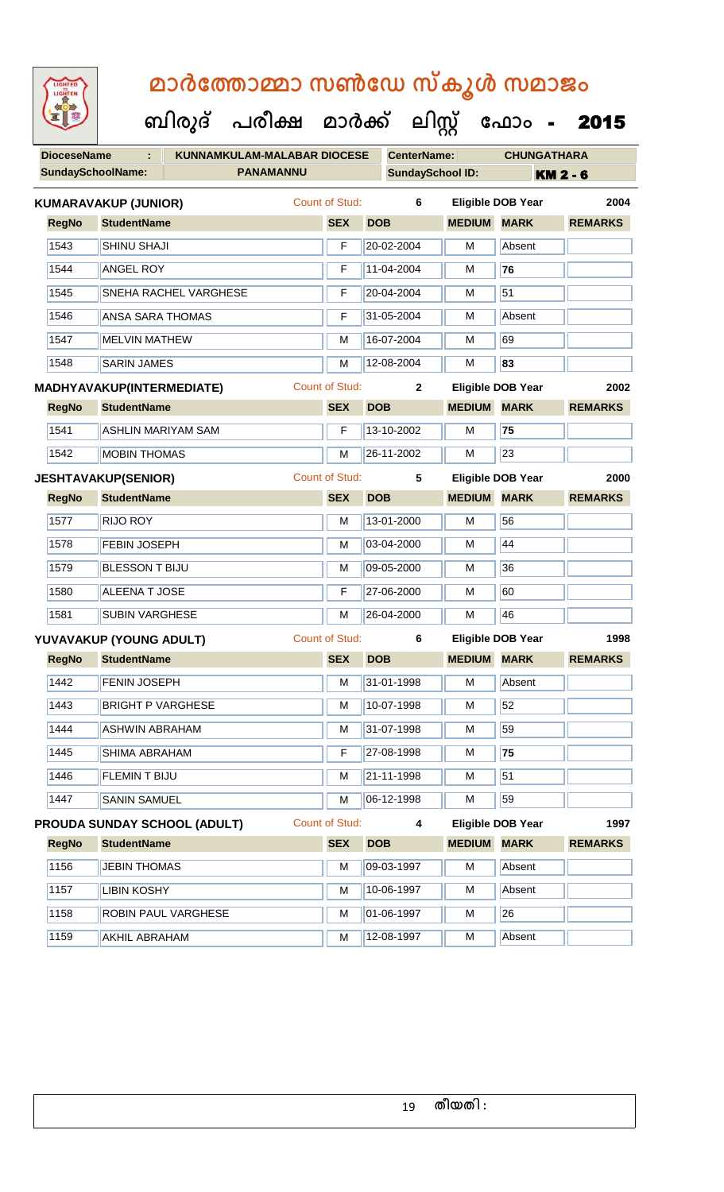|                            | LIGHTED<br>LIGHTEN       |                                  | മാർത്തോമ്മാ സൺഡേ സ്കൂൾ സമാജം       |                       |                         |                    |                          |                          |                |  |
|----------------------------|--------------------------|----------------------------------|------------------------------------|-----------------------|-------------------------|--------------------|--------------------------|--------------------------|----------------|--|
|                            |                          |                                  | ബിരുദ് പരീക്ഷ മാർക്ക് ലിസ്സ് ഫോം - |                       |                         |                    |                          |                          | 2015           |  |
|                            | <b>DioceseName</b>       | ÷                                | <b>KUNNAMKULAM-MALABAR DIOCESE</b> |                       |                         | <b>CenterName:</b> |                          | <b>CHUNGATHARA</b>       |                |  |
|                            | <b>SundaySchoolName:</b> |                                  | <b>PANAMANNU</b>                   |                       | <b>SundaySchool ID:</b> |                    |                          | <b>KM 2 - 6</b>          |                |  |
|                            |                          | <b>KUMARAVAKUP (JUNIOR)</b>      |                                    | Count of Stud:        |                         | 6                  |                          | <b>Eligible DOB Year</b> | 2004           |  |
|                            | <b>RegNo</b>             | <b>StudentName</b>               |                                    | <b>SEX</b>            | <b>DOB</b>              |                    | <b>MEDIUM</b>            | <b>MARK</b>              | <b>REMARKS</b> |  |
|                            | 1543                     | <b>SHINU SHAJI</b>               |                                    | F                     |                         | 20-02-2004         | м                        | Absent                   |                |  |
|                            | 1544                     | <b>ANGEL ROY</b>                 |                                    | F                     |                         | 11-04-2004         | м                        | 76                       |                |  |
|                            | 1545                     | <b>SNEHA RACHEL VARGHESE</b>     |                                    | F                     |                         | 20-04-2004         | м                        | 51                       |                |  |
|                            | 1546                     | ANSA SARA THOMAS                 |                                    | F                     |                         | 31-05-2004         | м                        | Absent                   |                |  |
|                            | 1547                     | <b>MELVIN MATHEW</b>             |                                    | М                     |                         | 16-07-2004         | м                        | 69                       |                |  |
|                            | 1548                     | <b>SARIN JAMES</b>               |                                    | M                     |                         | 12-08-2004         | м                        | 83                       |                |  |
|                            |                          | <b>MADHYAVAKUP(INTERMEDIATE)</b> |                                    | Count of Stud:        |                         | $\mathbf{2}$       |                          | <b>Eligible DOB Year</b> | 2002           |  |
|                            | <b>RegNo</b>             | <b>StudentName</b>               |                                    | <b>SEX</b>            | <b>DOB</b>              |                    | <b>MEDIUM</b>            | <b>MARK</b>              | <b>REMARKS</b> |  |
|                            | 1541                     | <b>ASHLIN MARIYAM SAM</b>        |                                    | F                     |                         | 13-10-2002         | м                        | 75                       |                |  |
|                            | 1542                     | <b>MOBIN THOMAS</b>              |                                    | М                     |                         | 26-11-2002         | м                        | 23                       |                |  |
| <b>JESHTAVAKUP(SENIOR)</b> |                          |                                  | Count of Stud:                     |                       | 5                       |                    | <b>Eligible DOB Year</b> | 2000                     |                |  |
|                            | <b>RegNo</b>             | <b>StudentName</b>               |                                    | <b>SEX</b>            | <b>DOB</b>              |                    | <b>MEDIUM</b>            | <b>MARK</b>              | <b>REMARKS</b> |  |
|                            | 1577                     | <b>RIJO ROY</b>                  |                                    | м                     |                         | 13-01-2000         | м                        | 56                       |                |  |
|                            | 1578                     | <b>FEBIN JOSEPH</b>              |                                    | м                     |                         | 03-04-2000         | М                        | 44                       |                |  |
|                            | 1579                     | <b>BLESSON T BIJU</b>            |                                    | м                     |                         | 09-05-2000         | м                        | 36                       |                |  |
|                            | 1580                     | <b>ALEENA T JOSE</b>             |                                    | F                     |                         | 27-06-2000         | M                        | 60                       |                |  |
|                            | 1581                     | <b>SUBIN VARGHESE</b>            |                                    | м                     |                         | 26-04-2000         | M                        | 46                       |                |  |
|                            |                          | YUVAVAKUP (YOUNG ADULT)          |                                    | <b>Count of Stud:</b> |                         | 6                  |                          | <b>Eligible DOB Year</b> | 1998           |  |
|                            | <b>RegNo</b>             | <b>StudentName</b>               |                                    | <b>SEX</b>            | <b>DOB</b>              |                    | <b>MEDIUM</b>            | <b>MARK</b>              | <b>REMARKS</b> |  |
|                            | 1442                     | FENIN JOSEPH                     |                                    | M                     |                         | 31-01-1998         | M                        | Absent                   |                |  |
|                            | 1443                     | <b>BRIGHT P VARGHESE</b>         |                                    | М                     |                         | 10-07-1998         | M                        | 52                       |                |  |
|                            | 1444                     | <b>ASHWIN ABRAHAM</b>            |                                    | м                     |                         | 31-07-1998         | M                        | 59                       |                |  |
|                            | 1445                     | SHIMA ABRAHAM                    |                                    | F                     |                         | 27-08-1998         | M                        | 75                       |                |  |
|                            | 1446                     | FLEMIN T BIJU                    |                                    | M                     |                         | 21-11-1998         | м                        | 51                       |                |  |
|                            | 1447                     | <b>SANIN SAMUEL</b>              |                                    | M                     |                         | 06-12-1998         | M                        | 59                       |                |  |
|                            |                          | PROUDA SUNDAY SCHOOL (ADULT)     |                                    | <b>Count of Stud:</b> |                         | 4                  |                          | <b>Eligible DOB Year</b> | 1997           |  |
|                            | <b>RegNo</b>             | <b>StudentName</b>               |                                    | <b>SEX</b>            | <b>DOB</b>              |                    | <b>MEDIUM</b>            | <b>MARK</b>              | <b>REMARKS</b> |  |
|                            | 1156                     | <b>JEBIN THOMAS</b>              |                                    | M                     |                         | 09-03-1997         | M                        | Absent                   |                |  |
|                            | 1157                     | <b>LIBIN KOSHY</b>               |                                    | M                     |                         | 10-06-1997         | M                        | Absent                   |                |  |
|                            | 1158                     | <b>ROBIN PAUL VARGHESE</b>       |                                    | M                     |                         | 01-06-1997         | M                        | 26                       |                |  |
|                            | 1159                     | <b>AKHIL ABRAHAM</b>             |                                    | M                     |                         | 12-08-1997         | M                        | Absent                   |                |  |
|                            |                          |                                  |                                    |                       |                         |                    |                          |                          |                |  |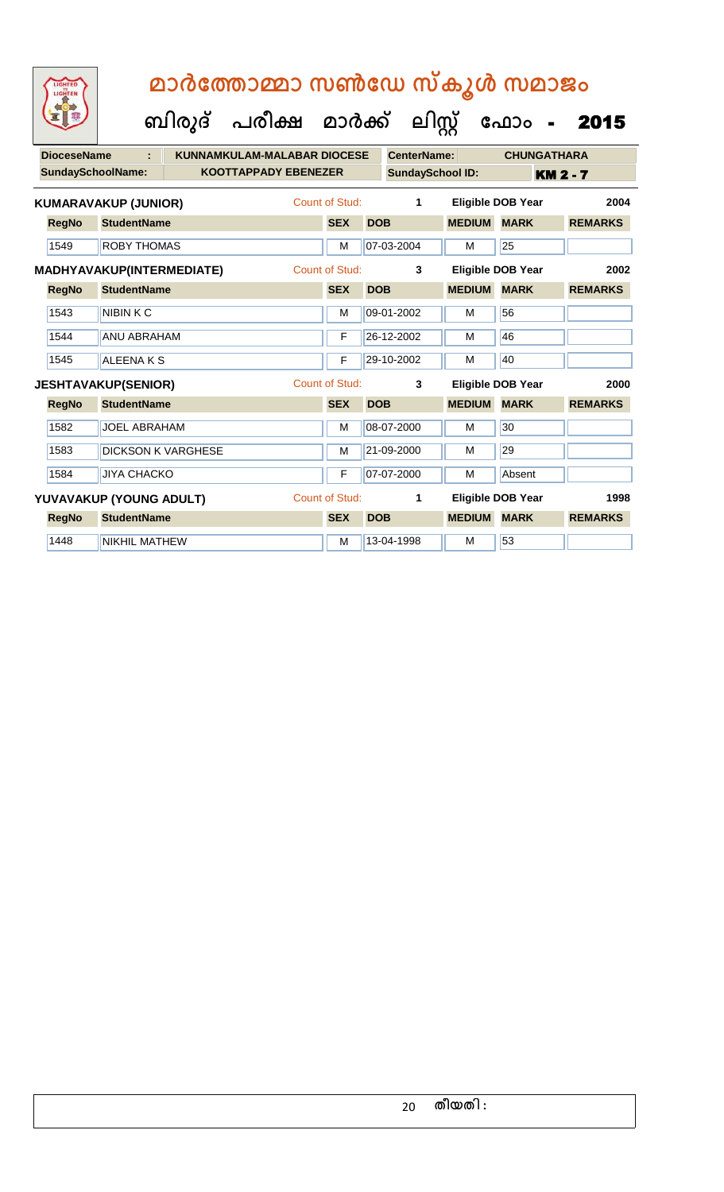| LIGHTED<br>LIGHTEN               | മാർത്തോമ്മാ സൺഡേ സ്കൂൾ സമാജം |                                      |  |                       |                         |               |                          |                 |  |  |  |
|----------------------------------|------------------------------|--------------------------------------|--|-----------------------|-------------------------|---------------|--------------------------|-----------------|--|--|--|
|                                  |                              | ബിരുദ് പരീക്ഷ മാർക്ക് ലിസ്റ്റ് ഫോം - |  |                       |                         |               |                          | 2015            |  |  |  |
| <b>DioceseName</b>               |                              | <b>KUNNAMKULAM-MALABAR DIOCESE</b>   |  |                       | <b>CenterName:</b>      |               | <b>CHUNGATHARA</b>       |                 |  |  |  |
| <b>SundaySchoolName:</b>         |                              | <b>KOOTTAPPADY EBENEZER</b>          |  |                       | <b>SundaySchool ID:</b> |               |                          | <b>KM 2 - 7</b> |  |  |  |
|                                  | <b>KUMARAVAKUP (JUNIOR)</b>  |                                      |  | Count of Stud:        | 1                       |               | <b>Eligible DOB Year</b> | 2004            |  |  |  |
| <b>RegNo</b>                     | <b>StudentName</b>           |                                      |  | <b>SEX</b>            | <b>DOB</b>              | <b>MEDIUM</b> | <b>MARK</b>              | <b>REMARKS</b>  |  |  |  |
| 1549                             | <b>ROBY THOMAS</b>           |                                      |  | M                     | 07-03-2004              | M             | 25                       |                 |  |  |  |
| <b>MADHYAVAKUP(INTERMEDIATE)</b> |                              |                                      |  | <b>Count of Stud:</b> | 3                       |               | <b>Eligible DOB Year</b> | 2002            |  |  |  |
| <b>RegNo</b>                     | <b>StudentName</b>           |                                      |  | <b>SEX</b>            | <b>DOB</b>              | <b>MEDIUM</b> | <b>MARK</b>              | <b>REMARKS</b>  |  |  |  |
| 1543                             | <b>NIBINKC</b>               |                                      |  | M                     | 09-01-2002              | M             | 56                       |                 |  |  |  |
| 1544                             | <b>ANU ABRAHAM</b>           |                                      |  | F                     | 26-12-2002              | M             | 46                       |                 |  |  |  |
| 1545                             | <b>ALEENAKS</b>              |                                      |  | F                     | 29-10-2002              | M             | 40                       |                 |  |  |  |
|                                  | <b>JESHTAVAKUP(SENIOR)</b>   |                                      |  | Count of Stud:        | 3                       |               | <b>Eligible DOB Year</b> | 2000            |  |  |  |
| <b>RegNo</b>                     | <b>StudentName</b>           |                                      |  | <b>SEX</b>            | <b>DOB</b>              | <b>MEDIUM</b> | <b>MARK</b>              | <b>REMARKS</b>  |  |  |  |
| 1582                             | <b>JOEL ABRAHAM</b>          |                                      |  | M                     | 08-07-2000              | M             | 30                       |                 |  |  |  |
| 1583                             | <b>DICKSON K VARGHESE</b>    |                                      |  | м                     | 21-09-2000              | м             | 29                       |                 |  |  |  |
| 1584                             | <b>JIYA CHACKO</b>           |                                      |  | F                     | 07-07-2000              | м             | Absent                   |                 |  |  |  |
|                                  | YUVAVAKUP (YOUNG ADULT)      |                                      |  | <b>Count of Stud:</b> | 1                       |               | <b>Eligible DOB Year</b> | 1998            |  |  |  |
| <b>RegNo</b>                     | <b>StudentName</b>           |                                      |  | <b>SEX</b>            | <b>DOB</b>              | <b>MEDIUM</b> | <b>MARK</b>              | <b>REMARKS</b>  |  |  |  |
| 1448                             | <b>NIKHIL MATHEW</b>         |                                      |  | M                     | 13-04-1998              | M             | 53                       |                 |  |  |  |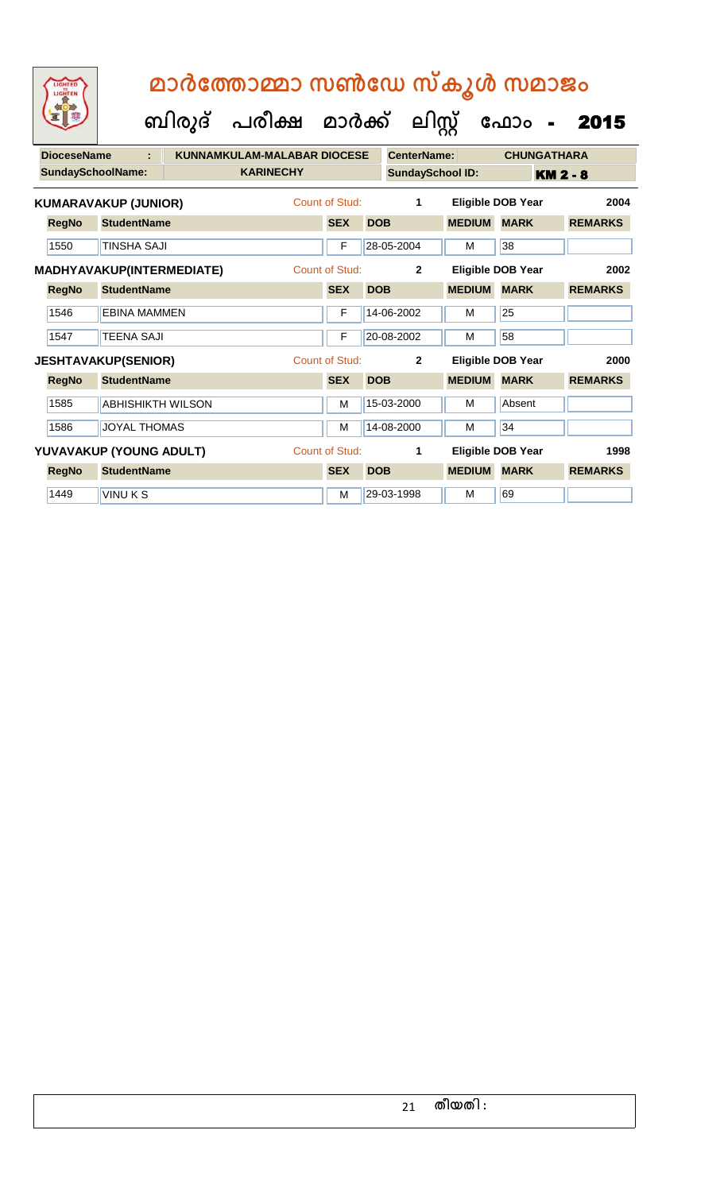| LIGHTED<br>LIGHTEN        | മാർത്തോമ്മാ സൺഡേ സ്കൂൾ സമാജം<br>ബിരുദ് പരീക്ഷ മാർക്ക്<br>ലിസ്റ്റ്<br>ഫോം |  |                                    |                       |              |                    |                          |                          |                |  |
|---------------------------|--------------------------------------------------------------------------|--|------------------------------------|-----------------------|--------------|--------------------|--------------------------|--------------------------|----------------|--|
|                           |                                                                          |  |                                    |                       |              |                    |                          |                          | 2015           |  |
| <b>DioceseName</b>        |                                                                          |  | <b>KUNNAMKULAM-MALABAR DIOCESE</b> |                       |              | <b>CenterName:</b> |                          | <b>CHUNGATHARA</b>       |                |  |
| <b>SundaySchoolName:</b>  |                                                                          |  | <b>KARINECHY</b>                   |                       |              |                    | <b>SundaySchool ID:</b>  | <b>KM 2 - 8</b>          |                |  |
|                           | <b>KUMARAVAKUP (JUNIOR)</b>                                              |  |                                    | Count of Stud:        |              | 1                  |                          | <b>Eligible DOB Year</b> | 2004           |  |
| <b>RegNo</b>              | <b>StudentName</b>                                                       |  |                                    | <b>SEX</b>            | <b>DOB</b>   |                    | <b>MEDIUM</b>            | <b>MARK</b>              | <b>REMARKS</b> |  |
| 1550                      | <b>TINSHA SAJI</b>                                                       |  |                                    | F                     | 28-05-2004   |                    | M                        | 38                       |                |  |
| MADHYAVAKUP(INTERMEDIATE) |                                                                          |  | <b>Count of Stud:</b>              |                       | $\mathbf{2}$ |                    | <b>Eligible DOB Year</b> | 2002                     |                |  |
| <b>RegNo</b>              | <b>StudentName</b>                                                       |  |                                    | <b>SEX</b>            | <b>DOB</b>   |                    | <b>MEDIUM</b>            | <b>MARK</b>              | <b>REMARKS</b> |  |
| 1546                      | <b>EBINA MAMMEN</b>                                                      |  |                                    | F                     | 14-06-2002   |                    | M                        | 25                       |                |  |
| 1547                      | <b>TEENA SAJI</b>                                                        |  |                                    | F                     | 20-08-2002   |                    | M                        | 58                       |                |  |
|                           | <b>JESHTAVAKUP(SENIOR)</b>                                               |  |                                    | <b>Count of Stud:</b> |              | $\mathbf{2}$       |                          | <b>Eligible DOB Year</b> | 2000           |  |
| <b>RegNo</b>              | <b>StudentName</b>                                                       |  |                                    | <b>SEX</b>            | <b>DOB</b>   |                    | <b>MEDIUM</b>            | <b>MARK</b>              | <b>REMARKS</b> |  |
| 1585                      | <b>ABHISHIKTH WILSON</b>                                                 |  |                                    | м                     | 15-03-2000   |                    | м                        | Absent                   |                |  |
| 1586                      | <b>JOYAL THOMAS</b>                                                      |  |                                    | м                     | 14-08-2000   |                    | м                        | 34                       |                |  |
|                           | YUVAVAKUP (YOUNG ADULT)                                                  |  |                                    | <b>Count of Stud:</b> |              | 1                  |                          | Eligible DOB Year        | 1998           |  |
| <b>RegNo</b>              | <b>StudentName</b>                                                       |  |                                    | <b>SEX</b>            | <b>DOB</b>   |                    | <b>MEDIUM</b>            | <b>MARK</b>              | <b>REMARKS</b> |  |
| 1449                      | <b>VINUKS</b>                                                            |  |                                    | M                     | 29-03-1998   |                    | M                        | 69                       |                |  |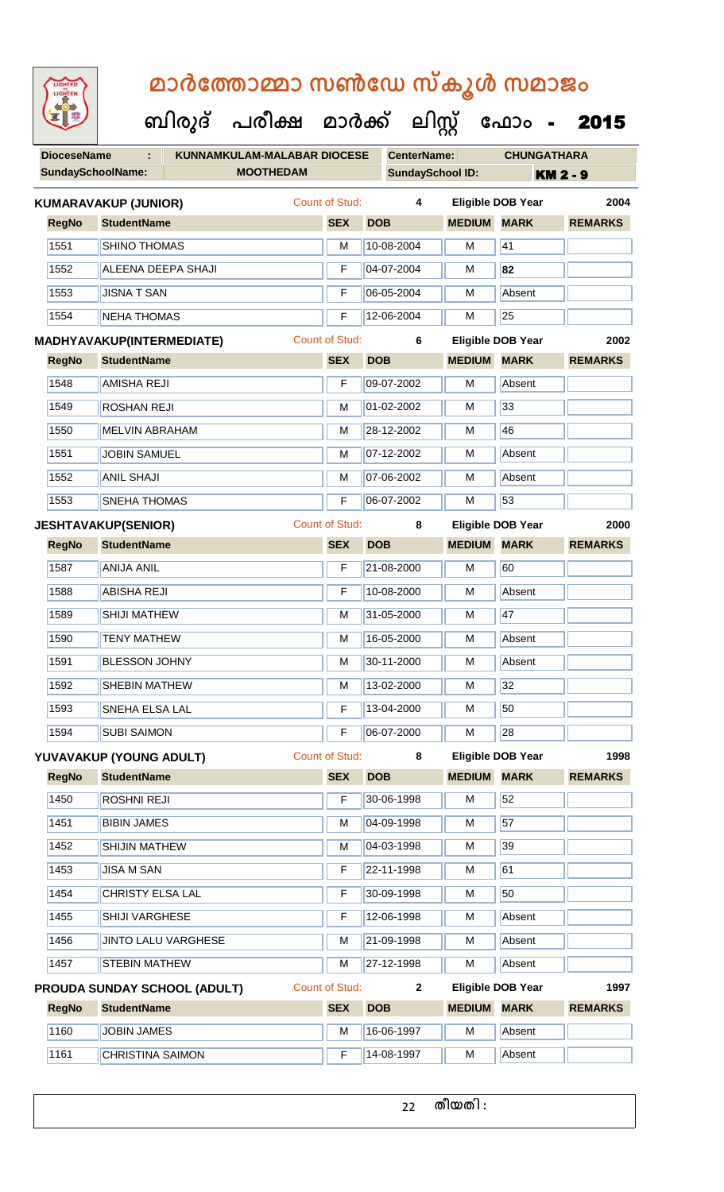| LIGHTED<br>LIGHTEN       |                                     | മാർത്തോമ്മാ സൺഡേ സ്കൂൾ സമാജം       |                       |            |                         |                    |                          |                 |
|--------------------------|-------------------------------------|------------------------------------|-----------------------|------------|-------------------------|--------------------|--------------------------|-----------------|
|                          |                                     | ബിരുദ് പരീക്ഷ മാർക്ക് ലിസ്സ് ഫോം - |                       |            |                         |                    |                          | 2015            |
| <b>DioceseName</b>       | ÷.                                  | <b>KUNNAMKULAM-MALABAR DIOCESE</b> |                       |            | <b>CenterName:</b>      |                    | <b>CHUNGATHARA</b>       |                 |
| <b>SundavSchoolName:</b> |                                     | <b>MOOTHEDAM</b>                   |                       |            | <b>SundaySchool ID:</b> |                    |                          | <b>KM 2 - 9</b> |
|                          | <b>KUMARAVAKUP (JUNIOR)</b>         |                                    | <b>Count of Stud:</b> |            | 4                       |                    | <b>Eligible DOB Year</b> | 2004            |
| <b>RegNo</b>             | <b>StudentName</b>                  |                                    | <b>SEX</b>            | <b>DOB</b> |                         | <b>MEDIUM</b>      | <b>MARK</b>              | <b>REMARKS</b>  |
| 1551                     | <b>SHINO THOMAS</b>                 |                                    | М                     | 10-08-2004 |                         | м                  | 41                       |                 |
| 1552                     | ALEENA DEEPA SHAJI                  |                                    | F                     | 04-07-2004 |                         | м                  | 82                       |                 |
| 1553                     | <b>JISNA T SAN</b>                  |                                    | F                     | 06-05-2004 |                         | м                  | Absent                   |                 |
| 1554                     | <b>NEHA THOMAS</b>                  |                                    | F                     | 12-06-2004 |                         | м                  | 25                       |                 |
|                          | <b>MADHYAVAKUP(INTERMEDIATE)</b>    |                                    | Count of Stud:        |            | 6                       |                    | <b>Eligible DOB Year</b> | 2002            |
| <b>RegNo</b>             | <b>StudentName</b>                  |                                    | <b>SEX</b>            | <b>DOB</b> |                         | <b>MEDIUM</b>      | <b>MARK</b>              | <b>REMARKS</b>  |
| 1548                     | <b>AMISHA REJI</b>                  |                                    | F                     | 09-07-2002 |                         | м                  | Absent                   |                 |
| 1549                     | <b>ROSHAN REJI</b>                  |                                    | м                     | 01-02-2002 |                         | м                  | 33                       |                 |
| 1550                     | <b>MELVIN ABRAHAM</b>               |                                    | м                     | 28-12-2002 |                         | м                  | 46                       |                 |
| 1551                     | <b>JOBIN SAMUEL</b>                 |                                    | м                     | 07-12-2002 |                         | м                  | Absent                   |                 |
| 1552                     | <b>ANIL SHAJI</b>                   |                                    | М                     | 07-06-2002 |                         | м                  | Absent                   |                 |
| 1553                     | <b>SNEHA THOMAS</b>                 |                                    | F                     | 06-07-2002 |                         | м                  | 53                       |                 |
|                          | <b>JESHTAVAKUP(SENIOR)</b>          |                                    | <b>Count of Stud:</b> |            | 8                       |                    | <b>Eligible DOB Year</b> | 2000            |
| <b>RegNo</b>             | <b>StudentName</b>                  |                                    | <b>SEX</b>            | <b>DOB</b> |                         | <b>MEDIUM</b>      | <b>MARK</b>              | <b>REMARKS</b>  |
| 1587                     | <b>ANIJA ANIL</b>                   |                                    | F                     | 21-08-2000 |                         | м                  | 60                       |                 |
| 1588                     | <b>ABISHA REJI</b>                  |                                    | F                     | 10-08-2000 |                         | М                  | Absent                   |                 |
| 1589                     | <b>SHIJI MATHEW</b>                 |                                    | M                     | 31-05-2000 |                         | М                  | 47                       |                 |
| 1590                     | <b>TENY MATHEW</b>                  |                                    | M                     | 16-05-2000 |                         | M                  | Absent                   |                 |
| 1591                     | <b>BLESSON JOHNY</b>                |                                    | M                     | 30-11-2000 |                         | м                  | Absent                   |                 |
| 1592                     | <b>SHEBIN MATHEW</b>                |                                    | M                     | 13-02-2000 |                         | М                  | 32                       |                 |
| 1593                     | <b>SNEHA ELSA LAL</b>               |                                    | F                     | 13-04-2000 |                         | M                  | 50                       |                 |
| 1594                     | <b>SUBI SAIMON</b>                  |                                    | F                     | 06-07-2000 |                         | М                  | 28                       |                 |
|                          | YUVAVAKUP (YOUNG ADULT)             |                                    | <b>Count of Stud:</b> |            | 8                       |                    | <b>Eligible DOB Year</b> | 1998            |
| <b>RegNo</b>             | <b>StudentName</b>                  |                                    | <b>SEX</b>            | <b>DOB</b> |                         | <b>MEDIUM MARK</b> |                          | <b>REMARKS</b>  |
| 1450                     | <b>ROSHNI REJI</b>                  |                                    | F                     | 30-06-1998 |                         | М                  | 52                       |                 |
| 1451                     | <b>BIBIN JAMES</b>                  |                                    | M                     | 04-09-1998 |                         | M                  | 57                       |                 |
| 1452                     | <b>SHIJIN MATHEW</b>                |                                    | M                     | 04-03-1998 |                         | М                  | 39                       |                 |
| 1453                     | <b>JISA M SAN</b>                   |                                    | F                     | 22-11-1998 |                         | М                  | 61                       |                 |
| 1454                     | <b>CHRISTY ELSA LAL</b>             |                                    | F                     | 30-09-1998 |                         | M                  | 50                       |                 |
| 1455                     | <b>SHIJI VARGHESE</b>               |                                    | F                     | 12-06-1998 |                         | М                  | Absent                   |                 |
| 1456                     | <b>JINTO LALU VARGHESE</b>          |                                    | M                     | 21-09-1998 |                         | м                  | Absent                   |                 |
| 1457                     | <b>STEBIN MATHEW</b>                |                                    | M                     | 27-12-1998 |                         | М                  | Absent                   |                 |
|                          | <b>PROUDA SUNDAY SCHOOL (ADULT)</b> |                                    | <b>Count of Stud:</b> |            | $\mathbf{2}$            |                    | <b>Eligible DOB Year</b> | 1997            |
| <b>RegNo</b>             | <b>StudentName</b>                  |                                    | <b>SEX</b>            | <b>DOB</b> |                         | <b>MEDIUM</b>      | <b>MARK</b>              | <b>REMARKS</b>  |
| 1160                     | <b>JOBIN JAMES</b>                  |                                    | M                     | 16-06-1997 |                         | M                  | Absent                   |                 |
| 1161                     | <b>CHRISTINA SAIMON</b>             |                                    | F                     | 14-08-1997 |                         | М                  | Absent                   |                 |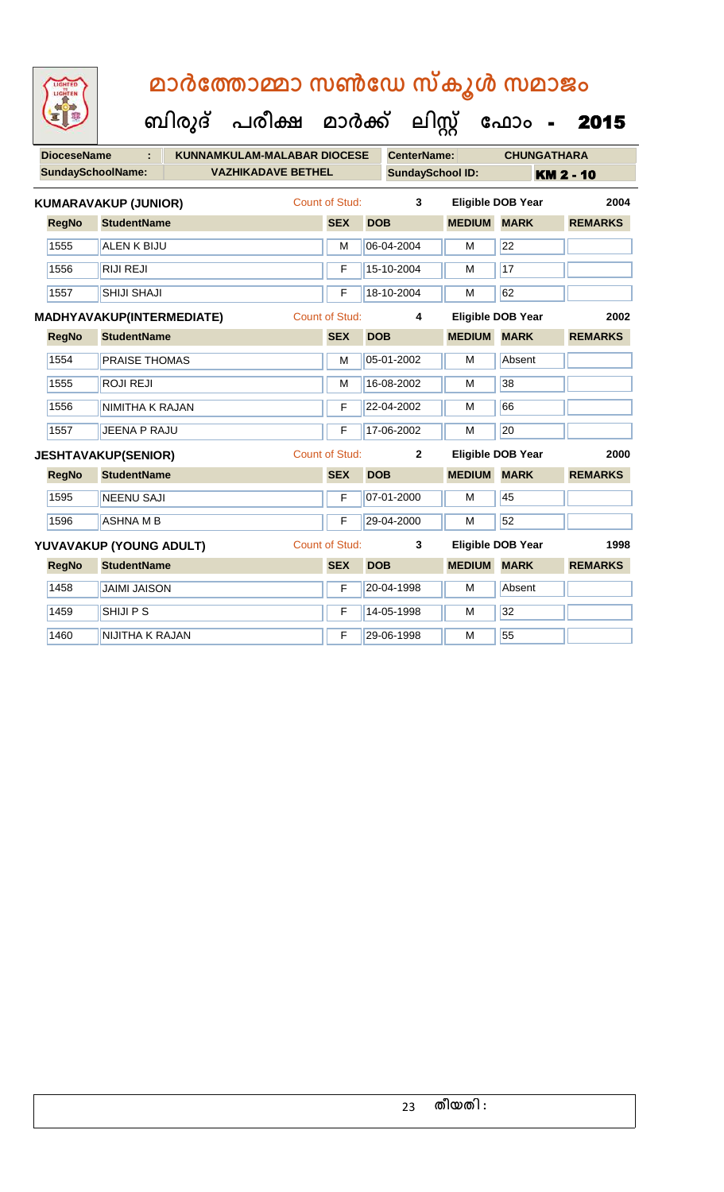| LIGHTED<br>LIGHTEN       | മാർത്തോമ്മാ സൺഡേ സ്കൂൾ സമാജം            |                    |                         |                |                    |                          |                |  |  |  |  |
|--------------------------|-----------------------------------------|--------------------|-------------------------|----------------|--------------------|--------------------------|----------------|--|--|--|--|
|                          | ബിരുദ് പരീക്ഷ മാർക്ക് ലിസ്റ്റ് ഫോം -    |                    |                         |                |                    |                          | 2015           |  |  |  |  |
| <b>DioceseName</b>       | <b>KUNNAMKULAM-MALABAR DIOCESE</b><br>٠ | <b>CenterName:</b> |                         |                | <b>CHUNGATHARA</b> |                          |                |  |  |  |  |
| <b>SundaySchoolName:</b> | <b>VAZHIKADAVE BETHEL</b>               |                    | <b>SundaySchool ID:</b> |                |                    | <b>KM 2 - 10</b>         |                |  |  |  |  |
|                          | <b>KUMARAVAKUP (JUNIOR)</b>             | Count of Stud:     |                         | 3              |                    | <b>Eligible DOB Year</b> | 2004           |  |  |  |  |
| <b>RegNo</b>             | <b>StudentName</b>                      | <b>SEX</b>         | <b>DOB</b>              |                | <b>MEDIUM</b>      | <b>MARK</b>              | <b>REMARKS</b> |  |  |  |  |
| 1555                     | <b>ALEN K BIJU</b>                      | M                  | 06-04-2004              |                | M                  | 22                       |                |  |  |  |  |
| 1556                     | <b>RIJI REJI</b>                        | F                  | 15-10-2004              |                | M                  | 17                       |                |  |  |  |  |
| 1557                     | SHIJI SHAJI                             | F                  | 18-10-2004              |                | M                  | 62                       |                |  |  |  |  |
|                          | MADHYAVAKUP(INTERMEDIATE)               | Count of Stud:     |                         | 4              |                    | <b>Eligible DOB Year</b> | 2002           |  |  |  |  |
| <b>RegNo</b>             | <b>StudentName</b>                      | <b>SEX</b>         | <b>DOB</b>              |                | <b>MEDIUM</b>      | <b>MARK</b>              | <b>REMARKS</b> |  |  |  |  |
| 1554                     | <b>PRAISE THOMAS</b>                    | м                  | 05-01-2002              |                | м                  | Absent                   |                |  |  |  |  |
| 1555                     | ROJI REJI                               | M                  | 16-08-2002              |                | M                  | 38                       |                |  |  |  |  |
| 1556                     | NIMITHA K RAJAN                         | F                  | 22-04-2002              |                | M                  | 66                       |                |  |  |  |  |
| 1557                     | <b>JEENA P RAJU</b>                     | F                  | 17-06-2002              |                | M                  | 20                       |                |  |  |  |  |
|                          | <b>JESHTAVAKUP(SENIOR)</b>              | Count of Stud:     |                         | $\overline{2}$ |                    | <b>Eligible DOB Year</b> | 2000           |  |  |  |  |
| <b>RegNo</b>             | <b>StudentName</b>                      | <b>SEX</b>         | <b>DOB</b>              |                | <b>MEDIUM</b>      | <b>MARK</b>              | <b>REMARKS</b> |  |  |  |  |
| 1595                     | <b>NEENU SAJI</b>                       | F                  | 07-01-2000              |                | М                  | 45                       |                |  |  |  |  |
| 1596                     | <b>ASHNA MB</b>                         | F                  | 29-04-2000              |                | M                  | 52                       |                |  |  |  |  |
|                          | YUVAVAKUP (YOUNG ADULT)                 | Count of Stud:     |                         | 3              |                    | Eligible DOB Year        | 1998           |  |  |  |  |
| <b>RegNo</b>             | <b>StudentName</b>                      | <b>SEX</b>         | <b>DOB</b>              |                | <b>MEDIUM</b>      | <b>MARK</b>              | <b>REMARKS</b> |  |  |  |  |
| 1458                     | <b>JAIMI JAISON</b>                     | F                  | 20-04-1998              |                | м                  | Absent                   |                |  |  |  |  |
| 1459                     | <b>SHIJIPS</b>                          | F                  | 14-05-1998              |                | м                  | 32                       |                |  |  |  |  |
| 1460                     | NIJITHA K RAJAN                         | F                  | 29-06-1998              |                | M                  | 55                       |                |  |  |  |  |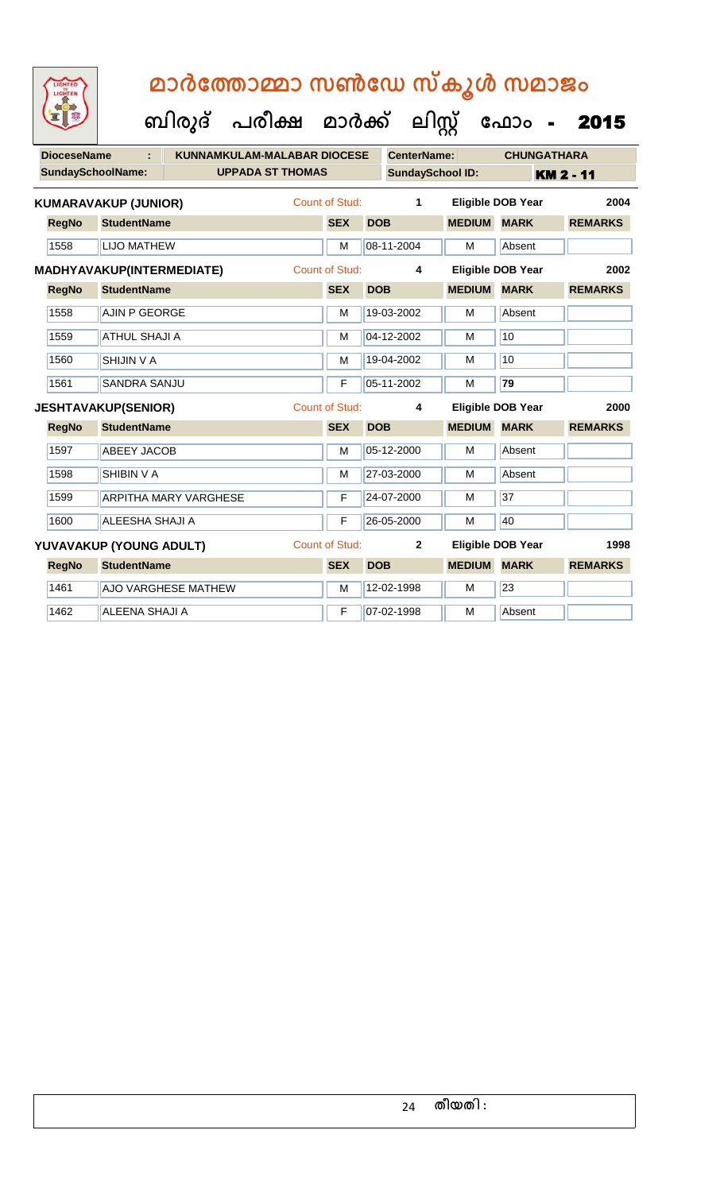| LIGHTED<br>LIGHTEN       |                              | മാർത്തോമ്മാ സൺഡേ സ്കൂൾ സമാജം         |                       |            |                         |                    |                          |                |  |
|--------------------------|------------------------------|--------------------------------------|-----------------------|------------|-------------------------|--------------------|--------------------------|----------------|--|
|                          |                              | ബിരുദ് പരീക്ഷ മാർക്ക് ലിസ്റ്റ് ഫോം - |                       |            |                         |                    |                          | 2015           |  |
| <b>DioceseName</b>       | ÷                            | <b>KUNNAMKULAM-MALABAR DIOCESE</b>   |                       |            | <b>CenterName:</b>      |                    | <b>CHUNGATHARA</b>       |                |  |
| <b>SundaySchoolName:</b> |                              | <b>UPPADA ST THOMAS</b>              |                       |            | <b>SundaySchool ID:</b> |                    | <b>KM 2 - 11</b>         |                |  |
|                          | <b>KUMARAVAKUP (JUNIOR)</b>  |                                      | Count of Stud:        |            | 1                       |                    | <b>Eligible DOB Year</b> | 2004           |  |
| <b>RegNo</b>             | <b>StudentName</b>           |                                      | <b>SEX</b>            | <b>DOB</b> |                         | <b>MEDIUM</b>      | <b>MARK</b>              | <b>REMARKS</b> |  |
| 1558                     | <b>LIJO MATHEW</b>           |                                      | M                     |            | 08-11-2004              | М                  | Absent                   |                |  |
|                          | MADHYAVAKUP(INTERMEDIATE)    |                                      | <b>Count of Stud:</b> |            | 4                       |                    | <b>Eligible DOB Year</b> | 2002           |  |
| <b>RegNo</b>             | <b>StudentName</b>           |                                      | <b>SEX</b>            | <b>DOB</b> |                         | <b>MEDIUM</b>      | <b>MARK</b>              | <b>REMARKS</b> |  |
| 1558                     | <b>AJIN P GEORGE</b>         |                                      | M                     |            | 19-03-2002              | M                  | Absent                   |                |  |
| 1559                     | <b>ATHUL SHAJI A</b>         |                                      | M                     |            | 04-12-2002              | M                  | 10                       |                |  |
| 1560                     | <b>SHIJIN V A</b>            |                                      | м                     |            | 19-04-2002              | м                  | 10                       |                |  |
| 1561                     | <b>SANDRA SANJU</b>          |                                      | F                     |            | 05-11-2002              | М                  | 79                       |                |  |
|                          | <b>JESHTAVAKUP(SENIOR)</b>   |                                      | <b>Count of Stud:</b> |            | 4                       |                    | Eligible DOB Year        | 2000           |  |
| <b>RegNo</b>             | <b>StudentName</b>           |                                      | <b>SEX</b>            | <b>DOB</b> |                         | <b>MEDIUM</b>      | <b>MARK</b>              | <b>REMARKS</b> |  |
| 1597                     | <b>ABEEY JACOB</b>           |                                      | M                     |            | 05-12-2000              | М                  | Absent                   |                |  |
| 1598                     | SHIBIN V A                   |                                      | м                     |            | 27-03-2000              | м                  | Absent                   |                |  |
| 1599                     | <b>ARPITHA MARY VARGHESE</b> |                                      | F                     |            | 24-07-2000              | M                  | 37                       |                |  |
| 1600                     | <b>ALEESHA SHAJI A</b>       |                                      | F                     |            | 26-05-2000              | м                  | 40                       |                |  |
|                          | YUVAVAKUP (YOUNG ADULT)      |                                      | <b>Count of Stud:</b> |            | $\mathbf{2}$            |                    | <b>Eligible DOB Year</b> | 1998           |  |
| <b>RegNo</b>             | <b>StudentName</b>           |                                      | <b>SEX</b>            | <b>DOB</b> |                         | <b>MEDIUM MARK</b> |                          | <b>REMARKS</b> |  |
| 1461                     | <b>AJO VARGHESE MATHEW</b>   |                                      | M                     |            | 12-02-1998              | м                  | 23                       |                |  |
| 1462                     | ALEENA SHAJI A               |                                      | F                     |            | 07-02-1998              | м                  | Absent                   |                |  |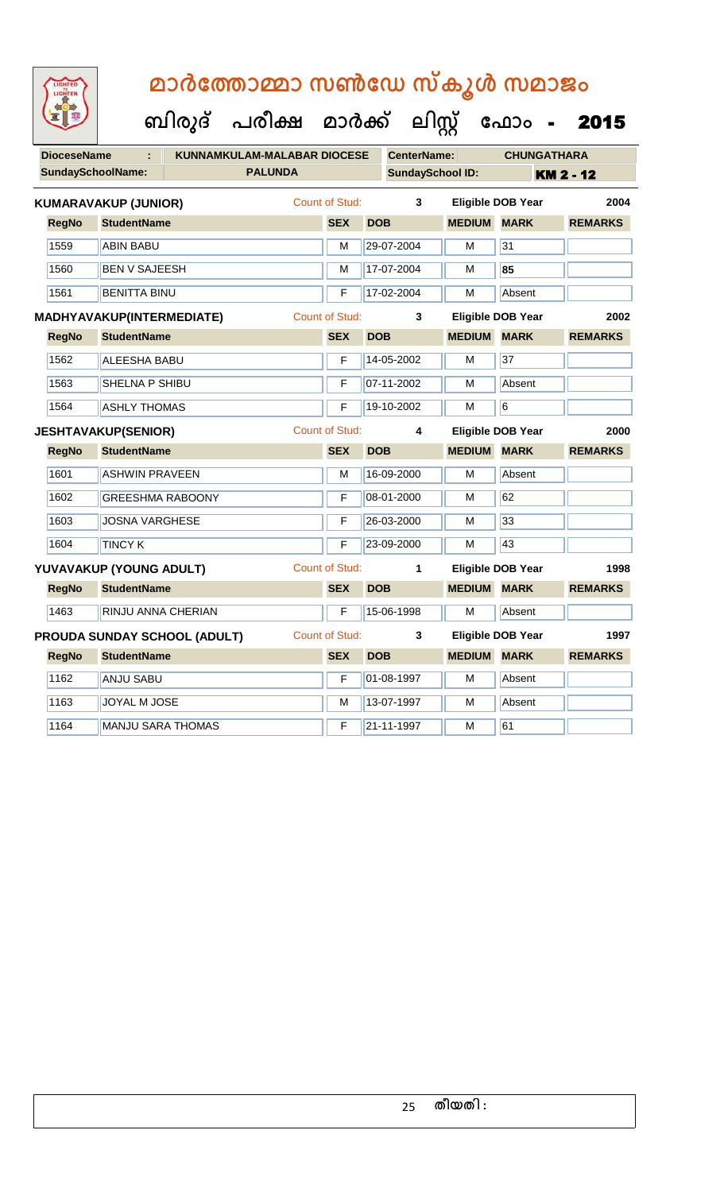| LIGHTED<br>LIGHTEN | മാർത്തോമ്മാ സൺഡേ സ്കൂൾ സമാജം         |                       |                         |                    |                          |                |  |
|--------------------|--------------------------------------|-----------------------|-------------------------|--------------------|--------------------------|----------------|--|
|                    | ബിരുദ് പരീക്ഷ മാർക്ക് ലിസ്റ്റ് ഫോം - |                       |                         |                    |                          | 2015           |  |
| <b>DioceseName</b> | <b>KUNNAMKULAM-MALABAR DIOCESE</b>   |                       | <b>CenterName:</b>      |                    | <b>CHUNGATHARA</b>       |                |  |
|                    | SundaySchoolName:<br><b>PALUNDA</b>  |                       | <b>SundaySchool ID:</b> |                    | <b>KM 2 - 12</b>         |                |  |
|                    | <b>KUMARAVAKUP (JUNIOR)</b>          | Count of Stud:        | 3                       |                    | <b>Eligible DOB Year</b> | 2004           |  |
| <b>RegNo</b>       | <b>StudentName</b>                   | <b>SEX</b>            | <b>DOB</b>              | <b>MEDIUM</b>      | <b>MARK</b>              | <b>REMARKS</b> |  |
| 1559               | <b>ABIN BABU</b>                     | М                     | 29-07-2004              | M                  | 31                       |                |  |
| 1560               | <b>BEN V SAJEESH</b>                 | M                     | 17-07-2004              | м                  | 85                       |                |  |
| 1561               | <b>BENITTA BINU</b>                  | F                     | 17-02-2004              | м                  | Absent                   |                |  |
|                    | <b>MADHYAVAKUP(INTERMEDIATE)</b>     | <b>Count of Stud:</b> | 3                       |                    | <b>Eligible DOB Year</b> | 2002           |  |
| <b>RegNo</b>       | <b>StudentName</b>                   | <b>SEX</b>            | <b>DOB</b>              | <b>MEDIUM</b>      | <b>MARK</b>              | <b>REMARKS</b> |  |
| 1562               | <b>ALEESHA BABU</b>                  | F                     | 14-05-2002              | м                  | 37                       |                |  |
| 1563               | <b>SHELNA P SHIBU</b>                | F                     | 07-11-2002              | м                  | Absent                   |                |  |
| 1564               | <b>ASHLY THOMAS</b>                  | F                     | 19-10-2002              | м                  | 6                        |                |  |
|                    | <b>JESHTAVAKUP(SENIOR)</b>           | <b>Count of Stud:</b> | 4                       |                    | <b>Eligible DOB Year</b> | 2000           |  |
| <b>RegNo</b>       | <b>StudentName</b>                   | <b>SEX</b>            | <b>DOB</b>              | <b>MEDIUM</b>      | <b>MARK</b>              | <b>REMARKS</b> |  |
| 1601               | <b>ASHWIN PRAVEEN</b>                | M                     | 16-09-2000              | M                  | Absent                   |                |  |
| 1602               | <b>GREESHMA RABOONY</b>              | F                     | 08-01-2000              | м                  | 62                       |                |  |
| 1603               | <b>JOSNA VARGHESE</b>                | F                     | 26-03-2000              | м                  | 33                       |                |  |
| 1604               | <b>TINCY K</b>                       | F                     | 23-09-2000              | м                  | 43                       |                |  |
|                    | YUVAVAKUP (YOUNG ADULT)              | <b>Count of Stud:</b> | $\mathbf 1$             |                    | <b>Eligible DOB Year</b> | 1998           |  |
| <b>RegNo</b>       | <b>StudentName</b>                   | <b>SEX</b>            | <b>DOB</b>              | <b>MEDIUM MARK</b> |                          | <b>REMARKS</b> |  |
| 1463               | RINJU ANNA CHERIAN                   | F                     | 15-06-1998              | М                  | Absent                   |                |  |
|                    | PROUDA SUNDAY SCHOOL (ADULT)         | Count of Stud:        | 3                       |                    | <b>Eligible DOB Year</b> | 1997           |  |
| <b>RegNo</b>       | <b>StudentName</b>                   | <b>SEX</b>            | <b>DOB</b>              | <b>MEDIUM</b>      | <b>MARK</b>              | <b>REMARKS</b> |  |
| 1162               | <b>ANJU SABU</b>                     | F                     | 01-08-1997              | М                  | Absent                   |                |  |
| 1163               | <b>JOYAL M JOSE</b>                  | М                     | 13-07-1997              | M                  | Absent                   |                |  |
| 1164               | <b>MANJU SARA THOMAS</b>             | F                     | 21-11-1997              | M                  | 61                       |                |  |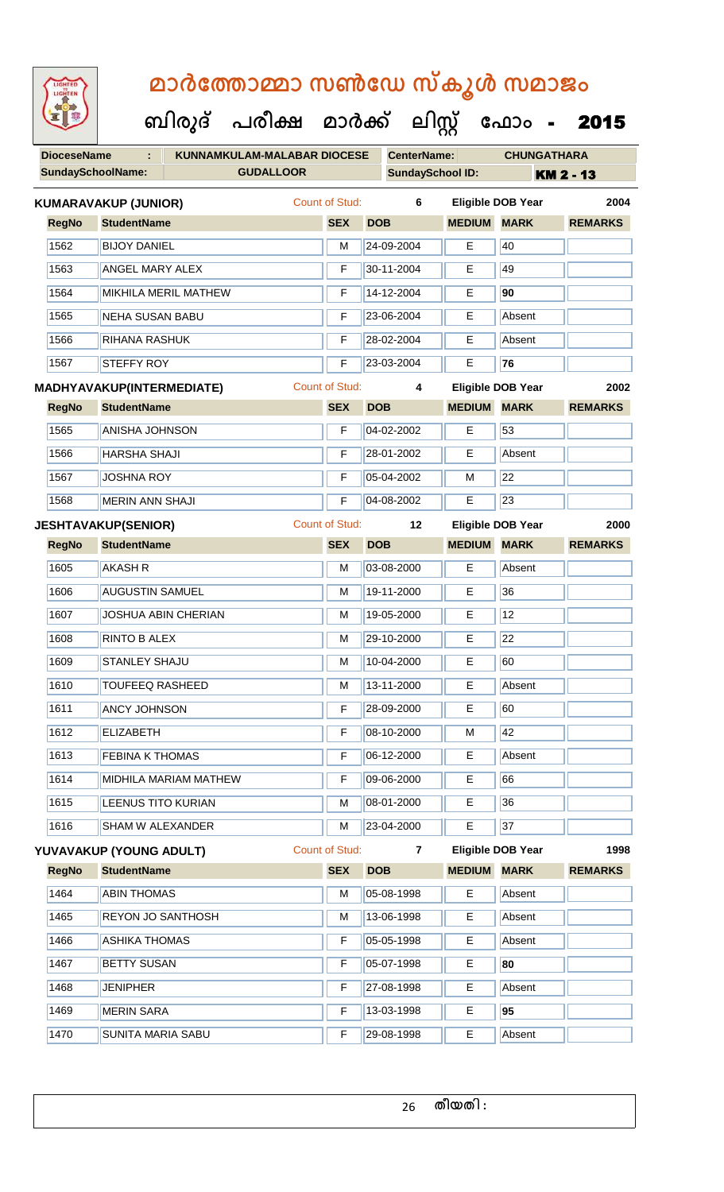| LIGHTED<br>LIGHTEN | മാർത്തോമ്മാ സൺഡേ സ്കൂൾ സമാജം         |                       |                         |               |                          |                  |   |    |  |
|--------------------|--------------------------------------|-----------------------|-------------------------|---------------|--------------------------|------------------|---|----|--|
|                    | ബിരുദ് പരീക്ഷ മാർക്ക് ലിസ്റ്റ് ഫോം - |                       |                         |               |                          | 2015             |   |    |  |
| <b>DioceseName</b> | <b>KUNNAMKULAM-MALABAR DIOCESE</b>   |                       | <b>CenterName:</b>      |               | <b>CHUNGATHARA</b>       |                  |   |    |  |
| SundaySchoolName:  | <b>GUDALLOOR</b>                     |                       | <b>SundaySchool ID:</b> |               |                          | <b>KM 2 - 13</b> |   |    |  |
|                    | <b>KUMARAVAKUP (JUNIOR)</b>          | Count of Stud:        | 6                       |               | <b>Eligible DOB Year</b> | 2004             |   |    |  |
| <b>RegNo</b>       | <b>StudentName</b>                   | <b>SEX</b>            | <b>DOB</b>              | <b>MEDIUM</b> | <b>MARK</b>              | <b>REMARKS</b>   |   |    |  |
| 1562               | <b>BIJOY DANIEL</b>                  | м                     | 24-09-2004              | Е             | 40                       |                  |   |    |  |
| 1563               | <b>ANGEL MARY ALEX</b>               | F                     | 30-11-2004              | E             | 49                       |                  |   |    |  |
| 1564               | <b>MIKHILA MERIL MATHEW</b>          | F                     | 14-12-2004              | Е             | 90                       |                  |   |    |  |
| 1565               | <b>NEHA SUSAN BABU</b>               | F                     | 23-06-2004              | Е             | Absent                   |                  |   |    |  |
| 1566               | <b>RIHANA RASHUK</b>                 | F                     | 28-02-2004              | Е             | Absent                   |                  |   |    |  |
| 1567               | <b>STEFFY ROY</b>                    | F                     | 23-03-2004              | Е             | 76                       |                  |   |    |  |
|                    | MADHYAVAKUP(INTERMEDIATE)            | <b>Count of Stud:</b> | 4                       |               | Eligible DOB Year        | 2002             |   |    |  |
| <b>RegNo</b>       | <b>StudentName</b>                   | <b>SEX</b>            | <b>DOB</b>              | <b>MEDIUM</b> | <b>MARK</b>              | <b>REMARKS</b>   |   |    |  |
| 1565               | <b>ANISHA JOHNSON</b>                | F                     | 04-02-2002              | E             | 53                       |                  |   |    |  |
| 1566               | <b>HARSHA SHAJI</b>                  | F                     | 28-01-2002              | E             | Absent                   |                  |   |    |  |
| 1567               | <b>JOSHNA ROY</b>                    | F                     | 05-04-2002              | м             | 22                       |                  |   |    |  |
| 1568               | <b>MERIN ANN SHAJI</b>               | F                     | 04-08-2002              | E             | 23                       |                  |   |    |  |
|                    | <b>JESHTAVAKUP(SENIOR)</b>           | Count of Stud:        | 12                      |               | Eligible DOB Year        | 2000             |   |    |  |
| <b>RegNo</b>       | <b>StudentName</b>                   | <b>SEX</b>            | <b>DOB</b>              | <b>MEDIUM</b> | <b>MARK</b>              | <b>REMARKS</b>   |   |    |  |
| 1605               | <b>AKASH R</b>                       | м                     | 03-08-2000              | E             | Absent                   |                  |   |    |  |
| 1606               | <b>AUGUSTIN SAMUEL</b>               | M                     | 19-11-2000              | E             | 36                       |                  |   |    |  |
| 1607               | <b>JOSHUA ABIN CHERIAN</b>           | M                     | 19-05-2000              | Е             | 12                       |                  |   |    |  |
| 1608               | RINTO B ALEX                         |                       |                         |               |                          | 29-10-2000       | E | 22 |  |
| 1609               | <b>STANLEY SHAJU</b>                 | M                     | 10-04-2000              | Е             | 60                       |                  |   |    |  |
| 1610               | <b>TOUFEEQ RASHEED</b>               | М                     | 13-11-2000              | E             | Absent                   |                  |   |    |  |
| 1611               | <b>ANCY JOHNSON</b>                  | F                     | 28-09-2000              | E             | 60                       |                  |   |    |  |
| 1612               | <b>ELIZABETH</b>                     | F                     | 08-10-2000              | M             | 42                       |                  |   |    |  |
| 1613               | <b>FEBINA K THOMAS</b>               | F                     | 06-12-2000              | E             | Absent                   |                  |   |    |  |
| 1614               | MIDHILA MARIAM MATHEW                | F                     | 09-06-2000              | E             | 66                       |                  |   |    |  |
| 1615               | <b>LEENUS TITO KURIAN</b>            | М                     | 08-01-2000              | E.            | 36                       |                  |   |    |  |
| 1616               | <b>SHAM W ALEXANDER</b>              | М                     | 23-04-2000              | Е             | 37                       |                  |   |    |  |
|                    | YUVAVAKUP (YOUNG ADULT)              | <b>Count of Stud:</b> | $\overline{7}$          |               | Eligible DOB Year        | 1998             |   |    |  |
| <b>RegNo</b>       | <b>StudentName</b>                   | <b>SEX</b>            | <b>DOB</b>              | <b>MEDIUM</b> | <b>MARK</b>              | <b>REMARKS</b>   |   |    |  |
| 1464               | <b>ABIN THOMAS</b>                   | M                     | 05-08-1998              | E             | Absent                   |                  |   |    |  |
| 1465               | <b>REYON JO SANTHOSH</b>             | M                     | 13-06-1998              | Е             | Absent                   |                  |   |    |  |
| 1466               | <b>ASHIKA THOMAS</b>                 | F                     | 05-05-1998              | E.            | Absent                   |                  |   |    |  |
| 1467               | <b>BETTY SUSAN</b>                   |                       | 05-07-1998<br>E         |               | 80                       |                  |   |    |  |
| 1468               | <b>JENIPHER</b>                      | F                     | 27-08-1998              | Е             | Absent                   |                  |   |    |  |
| 1469               | <b>MERIN SARA</b>                    | F                     | 95<br>13-03-1998<br>Е   |               |                          |                  |   |    |  |
| 1470               | <b>SUNITA MARIA SABU</b>             | F                     | 29-08-1998              | E             | Absent                   |                  |   |    |  |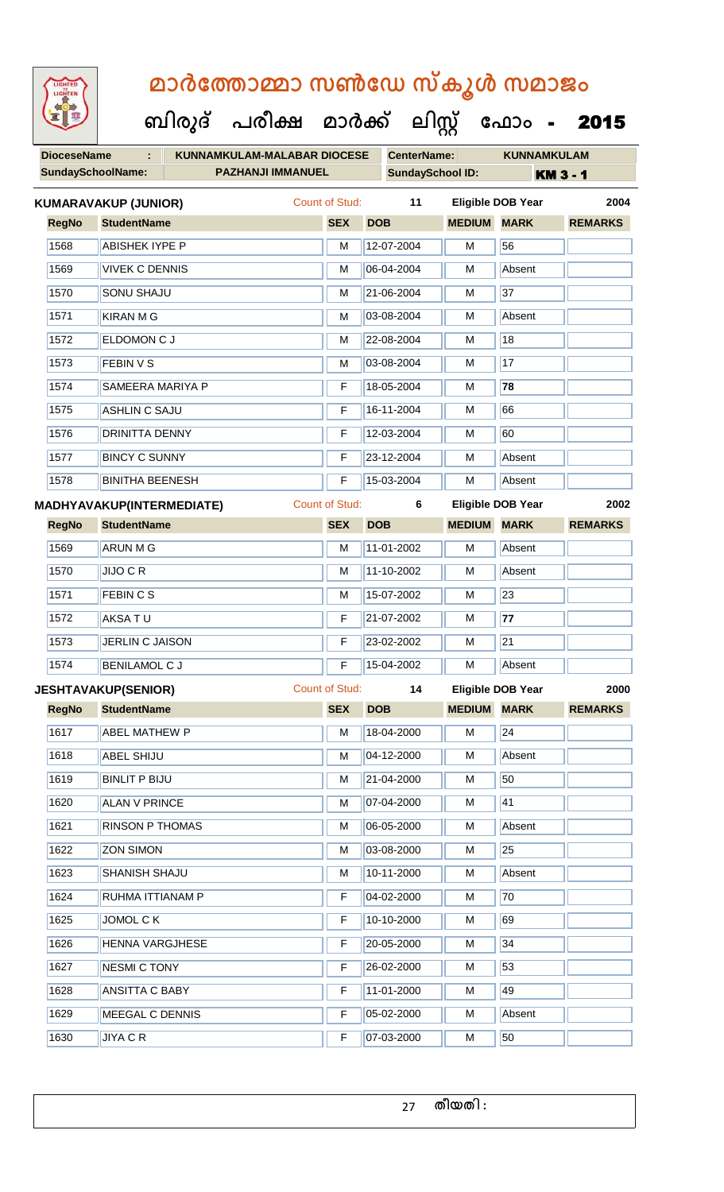| LIGHTED<br>LIGHTEN | മാർത്തോമ്മാ സൺഡേ സ്കൂൾ സമാജം<br>ബിരുദ് പരീക്ഷ മാർക്ക് ലിസ്റ്റ് ഫോം - |                       |                         |               |                          | 2015            |
|--------------------|----------------------------------------------------------------------|-----------------------|-------------------------|---------------|--------------------------|-----------------|
| <b>DioceseName</b> | ÷.<br><b>KUNNAMKULAM-MALABAR DIOCESE</b>                             |                       | <b>CenterName:</b>      |               | <b>KUNNAMKULAM</b>       |                 |
|                    | <b>SundaySchoolName:</b><br><b>PAZHANJI IMMANUEL</b>                 |                       | <b>SundaySchool ID:</b> |               |                          | <b>KM 3 - 1</b> |
|                    | <b>KUMARAVAKUP (JUNIOR)</b>                                          | <b>Count of Stud:</b> | 11                      |               | <b>Eligible DOB Year</b> | 2004            |
| <b>RegNo</b>       | <b>StudentName</b>                                                   | <b>SEX</b>            | <b>DOB</b>              | <b>MEDIUM</b> | <b>MARK</b>              | <b>REMARKS</b>  |
| 1568               | <b>ABISHEK IYPE P</b>                                                | М                     | 12-07-2004              | м             | 56                       |                 |
| 1569               | <b>VIVEK C DENNIS</b>                                                | м                     | 06-04-2004              | м             | Absent                   |                 |
| 1570               | <b>SONU SHAJU</b>                                                    | М                     | 21-06-2004              | м             | 37                       |                 |
| 1571               | <b>KIRAN M G</b>                                                     | м                     | 03-08-2004              | м             | Absent                   |                 |
| 1572               | <b>ELDOMON CJ</b>                                                    | M                     | 22-08-2004              | м             | 18                       |                 |
| 1573               | <b>FEBIN V S</b>                                                     | М                     | 03-08-2004              | м             | 17                       |                 |
| 1574               | <b>SAMEERA MARIYA P</b>                                              | F                     | 18-05-2004              | м             | 78                       |                 |
| 1575               | <b>ASHLIN C SAJU</b>                                                 | F                     | 16-11-2004              | м             | 66                       |                 |
| 1576               | <b>DRINITTA DENNY</b>                                                | F                     | 12-03-2004              | м             | 60                       |                 |
| 1577               | <b>BINCY C SUNNY</b>                                                 | F                     | 23-12-2004              | M             | Absent                   |                 |
| 1578               | <b>BINITHA BEENESH</b>                                               | F                     | 15-03-2004              | M             | Absent                   |                 |
|                    | <b>MADHYAVAKUP(INTERMEDIATE)</b>                                     | <b>Count of Stud:</b> | 6                       |               | <b>Eligible DOB Year</b> | 2002            |
| <b>RegNo</b>       | <b>StudentName</b>                                                   | <b>SEX</b>            | <b>DOB</b>              | <b>MEDIUM</b> | <b>MARK</b>              | <b>REMARKS</b>  |
| 1569               | <b>ARUN M G</b>                                                      | м                     | 11-01-2002              | M             | Absent                   |                 |
| 1570               | JIJO C R                                                             | м                     | 11-10-2002              | M             | Absent                   |                 |
| 1571               | <b>FEBIN C S</b>                                                     | M                     | 15-07-2002              | M             | 23                       |                 |
| 1572               | AKSATU                                                               | F                     | 21-07-2002              | M             | 77                       |                 |
| 1573               | JERLIN C JAISON                                                      | F                     | 23-02-2002              | м             | 21                       |                 |
| 1574               | <b>BENILAMOL C J</b>                                                 | F                     | 15-04-2002              | M             | Absent                   |                 |
|                    | <b>JESHTAVAKUP(SENIOR)</b>                                           | <b>Count of Stud:</b> | 14                      |               | <b>Eligible DOB Year</b> | 2000            |
| <b>RegNo</b>       | <b>StudentName</b>                                                   | <b>SEX</b>            | <b>DOB</b>              | <b>MEDIUM</b> | <b>MARK</b>              | <b>REMARKS</b>  |
| 1617               | <b>ABEL MATHEW P</b>                                                 | M                     | 18-04-2000              | M             | 24                       |                 |
| 1618               | <b>ABEL SHIJU</b>                                                    | M                     | 04-12-2000              | м             | Absent                   |                 |
| 1619               | <b>BINLIT P BIJU</b>                                                 | M                     | 21-04-2000              | M             | 50                       |                 |
| 1620               | <b>ALAN V PRINCE</b>                                                 | M                     | 07-04-2000              | M             | 41                       |                 |
| 1621               | <b>RINSON P THOMAS</b>                                               | M                     | 06-05-2000              | м             | Absent                   |                 |
| 1622               | <b>ZON SIMON</b>                                                     | M                     | 03-08-2000              | M             | 25                       |                 |
| 1623               | SHANISH SHAJU                                                        | м                     | 10-11-2000              | M             | Absent                   |                 |
| 1624               | RUHMA ITTIANAM P                                                     | F                     | 04-02-2000              | M             | 70                       |                 |
| 1625               | JOMOL C K                                                            | F                     | 10-10-2000              | м             | 69                       |                 |
| 1626               | <b>HENNA VARGJHESE</b>                                               | F                     | 20-05-2000              | M             | 34                       |                 |
| 1627               | <b>NESMI C TONY</b>                                                  | F                     | 26-02-2000              | м             | 53                       |                 |
| 1628               | ANSITTA C BABY                                                       | F                     | 11-01-2000              | м             | 49                       |                 |
| 1629               | MEEGAL C DENNIS                                                      | F                     | 05-02-2000              | M             | Absent                   |                 |
| 1630               | <b>JIYA C R</b>                                                      | F                     | 07-03-2000              | M             | 50                       |                 |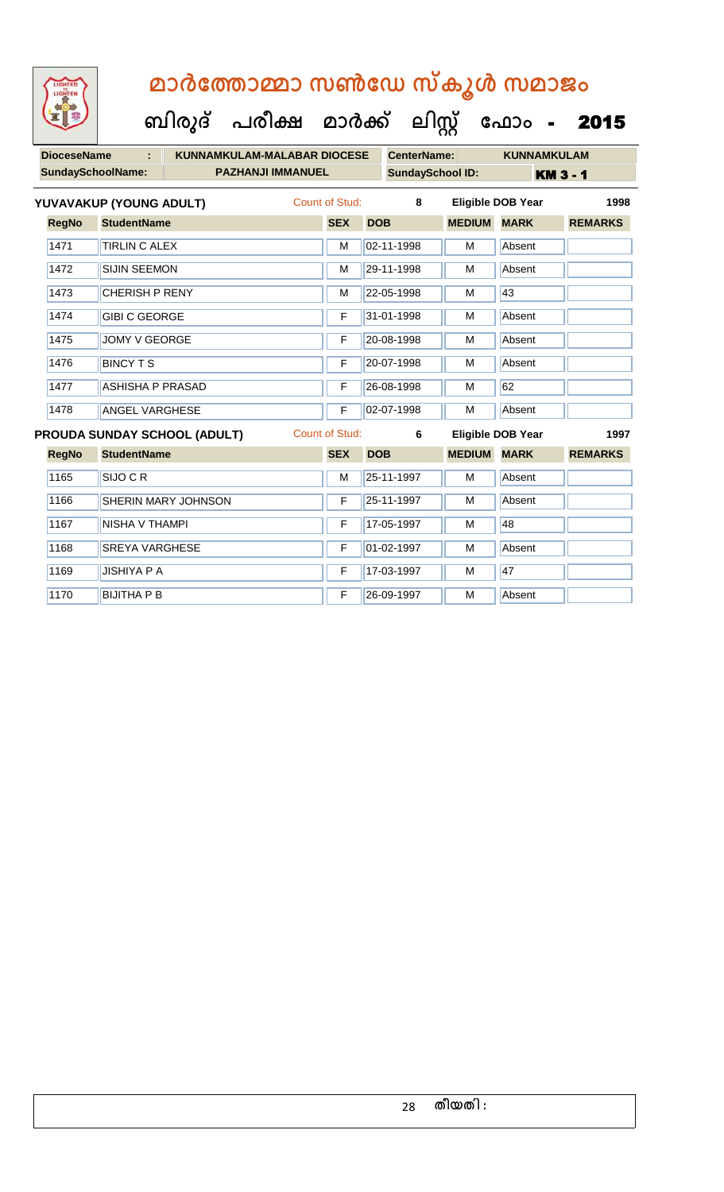| LIGHTED<br>LIGHTEN       | മാർത്തോമ്മാ സൺഡേ സ്കൂൾ സമാജം                                                     |                       |                         |               |                          |                |
|--------------------------|----------------------------------------------------------------------------------|-----------------------|-------------------------|---------------|--------------------------|----------------|
| <b>DioceseName</b>       | ബിരുദ് പരീക്ഷ മാർക്ക് ലിസ്റ്റ് ഫോം -<br><b>KUNNAMKULAM-MALABAR DIOCESE</b><br>÷. |                       | <b>CenterName:</b>      |               | <b>KUNNAMKULAM</b>       | 2015           |
| <b>SundaySchoolName:</b> | <b>PAZHANJI IMMANUEL</b>                                                         |                       | <b>SundaySchool ID:</b> |               | <b>KM 3 - 1</b>          |                |
|                          | YUVAVAKUP (YOUNG ADULT)                                                          | Count of Stud:        | 8                       |               | <b>Eligible DOB Year</b> | 1998           |
| <b>RegNo</b>             | <b>StudentName</b>                                                               | <b>SEX</b>            | <b>DOB</b>              | <b>MEDIUM</b> | <b>MARK</b>              | <b>REMARKS</b> |
| 1471                     | <b>TIRLIN C ALEX</b>                                                             | М                     | 02-11-1998              | M             | Absent                   |                |
| 1472                     | <b>SIJIN SEEMON</b>                                                              | М                     | 29-11-1998              | M             | Absent                   |                |
| 1473                     | <b>CHERISH P RENY</b>                                                            | М                     | 22-05-1998              | м             | 43                       |                |
| 1474                     | <b>GIBI C GEORGE</b>                                                             | F                     | 31-01-1998              | м             | Absent                   |                |
| 1475                     | <b>JOMY V GEORGE</b>                                                             | F                     | 20-08-1998              | м             | Absent                   |                |
| 1476                     | <b>BINCY T S</b>                                                                 |                       | 20-07-1998              | м             | Absent                   |                |
| 1477                     | <b>ASHISHA P PRASAD</b>                                                          | F                     | 26-08-1998              | м             | 62                       |                |
| 1478                     | <b>ANGEL VARGHESE</b>                                                            | F                     | 02-07-1998              | м             | Absent                   |                |
|                          | PROUDA SUNDAY SCHOOL (ADULT)                                                     | <b>Count of Stud:</b> | 6                       |               | <b>Eligible DOB Year</b> | 1997           |
| <b>RegNo</b>             | <b>StudentName</b>                                                               | <b>SEX</b>            | <b>DOB</b>              | <b>MEDIUM</b> | <b>MARK</b>              | <b>REMARKS</b> |
| 1165                     | SIJO C R                                                                         | М                     | 25-11-1997              | м             | Absent                   |                |
| 1166                     | SHERIN MARY JOHNSON                                                              | F                     | 25-11-1997              | м             | Absent                   |                |
| 1167                     | <b>NISHA V THAMPI</b>                                                            | F                     | 17-05-1997              | м             | 48                       |                |
| 1168                     | <b>SREYA VARGHESE</b>                                                            | F                     | 01-02-1997              | м             | Absent                   |                |
| 1169                     | <b>JISHIYA P A</b>                                                               | F                     | 17-03-1997              | м             | 47                       |                |
| 1170                     | <b>BIJITHA P B</b>                                                               | F                     | 26-09-1997              | м             | Absent                   |                |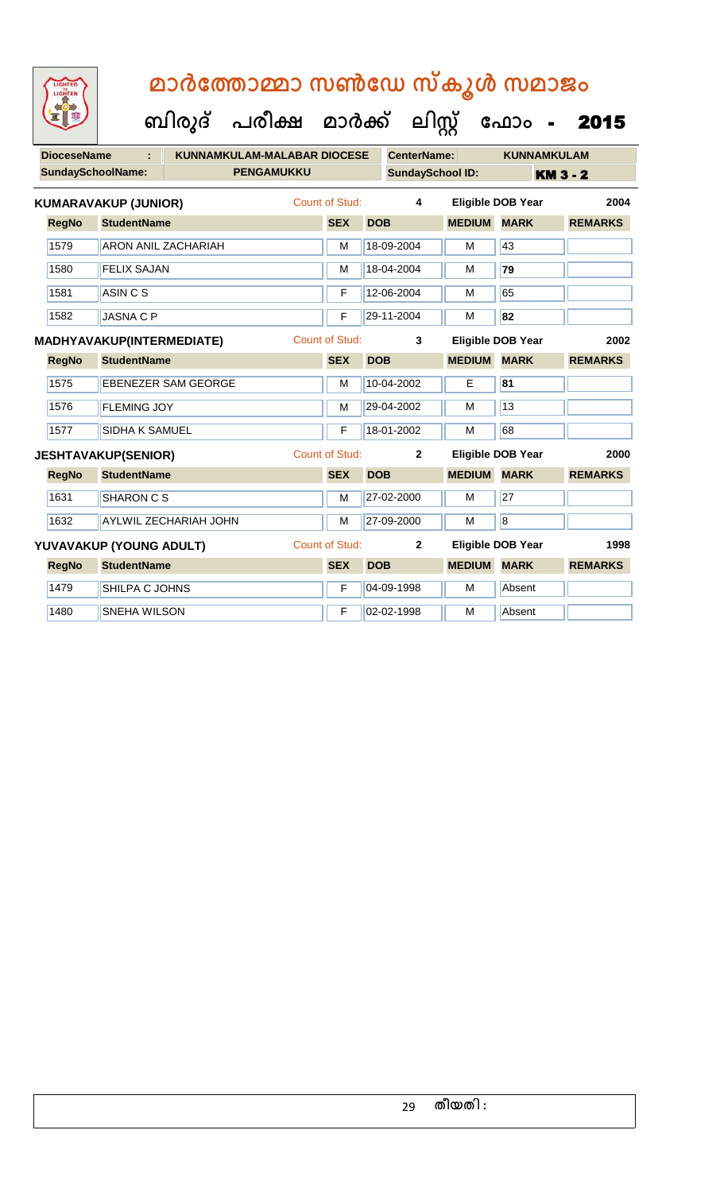| LIGHTED<br>LIGHTEN       |                                  | മാർത്തോമ്മാ സൺഡേ സ്കൂൾ സമാജം         |                       |            |                         |                          |                 |  |
|--------------------------|----------------------------------|--------------------------------------|-----------------------|------------|-------------------------|--------------------------|-----------------|--|
|                          |                                  | ബിരുദ് പരീക്ഷ മാർക്ക് ലിസ്റ്റ് ഫോം - |                       |            |                         |                          | 2015            |  |
| <b>DioceseName</b>       |                                  | <b>KUNNAMKULAM-MALABAR DIOCESE</b>   |                       |            | <b>CenterName:</b>      | <b>KUNNAMKULAM</b>       |                 |  |
| <b>SundaySchoolName:</b> |                                  | <b>PENGAMUKKU</b>                    |                       |            | <b>SundaySchool ID:</b> |                          | <b>KM 3 - 2</b> |  |
|                          | <b>KUMARAVAKUP (JUNIOR)</b>      |                                      | Count of Stud:        |            | 4                       | <b>Eligible DOB Year</b> | 2004            |  |
| <b>RegNo</b>             | <b>StudentName</b>               |                                      | <b>SEX</b>            | <b>DOB</b> | <b>MEDIUM MARK</b>      |                          | <b>REMARKS</b>  |  |
| 1579                     | <b>ARON ANIL ZACHARIAH</b>       |                                      | M                     | 18-09-2004 | М                       | 43                       |                 |  |
| 1580                     | <b>FELIX SAJAN</b>               |                                      | м                     | 18-04-2004 | м                       | 79                       |                 |  |
| 1581                     | <b>ASIN C S</b>                  |                                      | F                     | 12-06-2004 | м                       | 65                       |                 |  |
| 1582                     | <b>JASNACP</b>                   |                                      | F                     | 29-11-2004 | м                       | 82                       |                 |  |
|                          | <b>MADHYAVAKUP(INTERMEDIATE)</b> |                                      | <b>Count of Stud:</b> |            | 3                       | <b>Eligible DOB Year</b> | 2002            |  |
| <b>RegNo</b>             | <b>StudentName</b>               |                                      | <b>SEX</b>            | <b>DOB</b> | <b>MEDIUM</b>           | <b>MARK</b>              | <b>REMARKS</b>  |  |
| 1575                     | EBENEZER SAM GEORGE              |                                      | м                     | 10-04-2002 | E                       | 81                       |                 |  |
| 1576                     | <b>FLEMING JOY</b>               |                                      | м                     | 29-04-2002 | м                       | 13                       |                 |  |
| 1577                     | <b>SIDHA K SAMUEL</b>            |                                      | F                     | 18-01-2002 | м                       | 68                       |                 |  |
|                          | <b>JESHTAVAKUP(SENIOR)</b>       |                                      | Count of Stud:        |            | $\mathbf{2}$            | <b>Eligible DOB Year</b> | 2000            |  |
| <b>RegNo</b>             | <b>StudentName</b>               |                                      | <b>SEX</b>            | <b>DOB</b> | <b>MEDIUM</b>           | <b>MARK</b>              | <b>REMARKS</b>  |  |
|                          |                                  |                                      |                       |            |                         |                          |                 |  |
| 1631                     | SHARON C S                       |                                      | M                     | 27-02-2000 | М                       | 27                       |                 |  |
| 1632                     | <b>AYLWIL ZECHARIAH JOHN</b>     |                                      | М                     | 27-09-2000 | М                       | $\overline{8}$           |                 |  |
|                          | YUVAVAKUP (YOUNG ADULT)          |                                      | Count of Stud:        |            | $\mathbf{2}$            | <b>Eligible DOB Year</b> | 1998            |  |
| <b>RegNo</b>             | <b>StudentName</b>               |                                      | <b>SEX</b>            | <b>DOB</b> | <b>MEDIUM</b>           | <b>MARK</b>              | <b>REMARKS</b>  |  |
| 1479                     | SHILPA C JOHNS                   |                                      | F                     | 04-09-1998 | м                       | Absent                   |                 |  |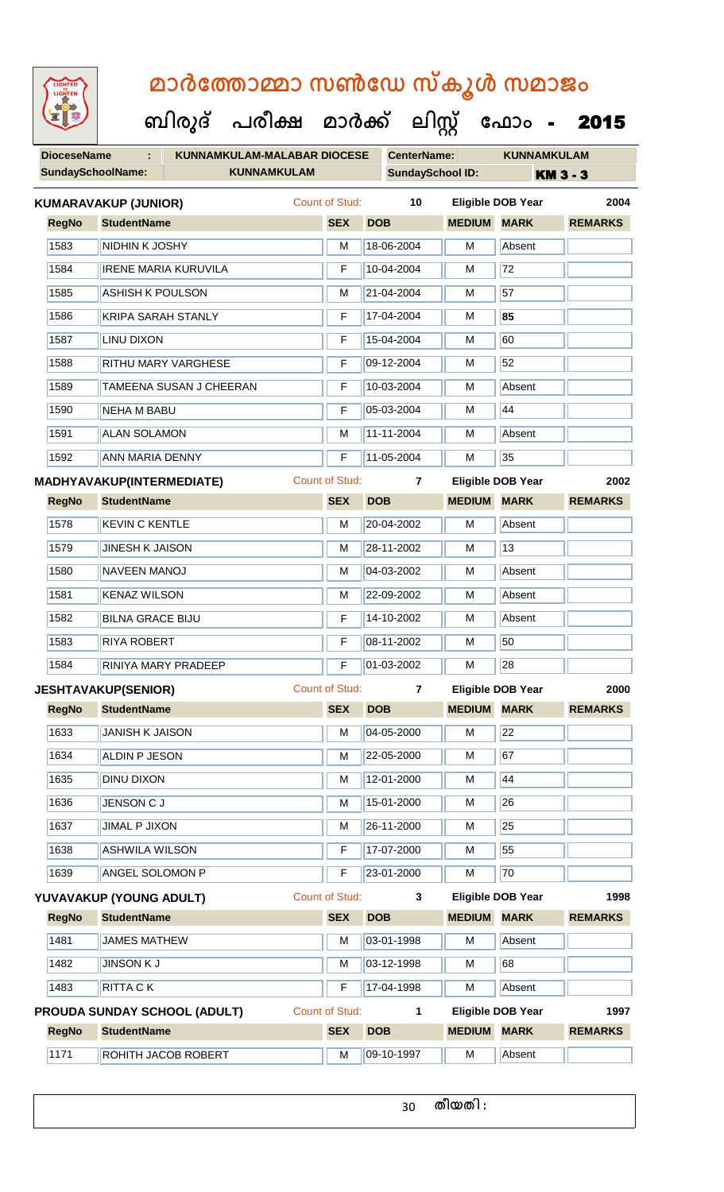| LIGHTED<br>LIGHTEN       |                                     | മാർത്തോമ്മാ സൺഡേ സ്കൂൾ സമാജം         |                       |            |                    |                         |                          |                 |
|--------------------------|-------------------------------------|--------------------------------------|-----------------------|------------|--------------------|-------------------------|--------------------------|-----------------|
|                          |                                     | ബിരുദ് പരീക്ഷ മാർക്ക് ലിസ്റ്റ് ഫോം - |                       |            |                    |                         |                          | 2015            |
| <b>DioceseName</b>       | ÷                                   | <b>KUNNAMKULAM-MALABAR DIOCESE</b>   |                       |            | <b>CenterName:</b> |                         | <b>KUNNAMKULAM</b>       |                 |
| <b>SundaySchoolName:</b> |                                     | <b>KUNNAMKULAM</b>                   |                       |            |                    | <b>SundaySchool ID:</b> |                          | <b>KM 3 - 3</b> |
|                          | <b>KUMARAVAKUP (JUNIOR)</b>         |                                      | Count of Stud:        |            | 10                 |                         | <b>Eligible DOB Year</b> | 2004            |
| <b>RegNo</b>             | <b>StudentName</b>                  |                                      | <b>SEX</b>            | <b>DOB</b> |                    | <b>MEDIUM</b>           | <b>MARK</b>              | <b>REMARKS</b>  |
| 1583                     | NIDHIN K JOSHY                      |                                      | М                     | 18-06-2004 |                    | м                       | Absent                   |                 |
| 1584                     | <b>IRENE MARIA KURUVILA</b>         |                                      | F                     | 10-04-2004 |                    | м                       | 72                       |                 |
| 1585                     | <b>ASHISH K POULSON</b>             |                                      | М                     | 21-04-2004 |                    | м                       | 57                       |                 |
| 1586                     | KRIPA SARAH STANLY                  |                                      | F                     | 17-04-2004 |                    | м                       | 85                       |                 |
| 1587                     | LINU DIXON                          |                                      | F                     | 15-04-2004 |                    | м                       | 60                       |                 |
| 1588                     | RITHU MARY VARGHESE                 |                                      | F                     | 09-12-2004 |                    | м                       | 52                       |                 |
| 1589                     | TAMEENA SUSAN J CHEERAN             |                                      | F                     | 10-03-2004 |                    | M                       | Absent                   |                 |
| 1590                     | NEHA M BABU                         |                                      | F                     | 05-03-2004 |                    | м                       | 44                       |                 |
| 1591                     | <b>ALAN SOLAMON</b>                 |                                      | М                     | 11-11-2004 |                    | м                       | Absent                   |                 |
| 1592                     | <b>ANN MARIA DENNY</b>              |                                      | F                     | 11-05-2004 |                    | м                       | 35                       |                 |
|                          | MADHYAVAKUP(INTERMEDIATE)           |                                      | <b>Count of Stud:</b> |            | $\overline{7}$     |                         | Eligible DOB Year        | 2002            |
| <b>RegNo</b>             | <b>StudentName</b>                  |                                      | <b>SEX</b>            | <b>DOB</b> |                    | <b>MEDIUM</b>           | <b>MARK</b>              | <b>REMARKS</b>  |
| 1578                     | <b>KEVIN C KENTLE</b>               |                                      | м                     | 20-04-2002 |                    | м                       | Absent                   |                 |
| 1579                     | <b>JINESH K JAISON</b>              |                                      | М                     | 28-11-2002 |                    | м                       | 13                       |                 |
| 1580                     | <b>NAVEEN MANOJ</b>                 |                                      | м                     | 04-03-2002 |                    | M                       | Absent                   |                 |
| 1581                     | <b>KENAZ WILSON</b>                 |                                      | M                     | 22-09-2002 |                    | M                       | Absent                   |                 |
| 1582                     | <b>BILNA GRACE BIJU</b>             |                                      | F                     | 14-10-2002 |                    | M                       | Absent                   |                 |
| 1583                     | RIYA ROBERT                         |                                      | F                     | 08-11-2002 |                    | M                       | 50                       |                 |
| 1584                     | RINIYA MARY PRADEEP                 |                                      | F                     | 01-03-2002 |                    | М                       | 28                       |                 |
|                          | <b>JESHTAVAKUP(SENIOR)</b>          |                                      | <b>Count of Stud:</b> |            | $\overline{7}$     |                         | <b>Eligible DOB Year</b> | 2000            |
| <b>RegNo</b>             | <b>StudentName</b>                  |                                      | <b>SEX</b>            | <b>DOB</b> |                    | <b>MEDIUM</b>           | <b>MARK</b>              | <b>REMARKS</b>  |
| 1633                     | <b>JANISH K JAISON</b>              |                                      | M                     | 04-05-2000 |                    | M                       | 22                       |                 |
| 1634                     | <b>ALDIN P JESON</b>                |                                      | M                     | 22-05-2000 |                    | M                       | 67                       |                 |
| 1635                     | <b>DINU DIXON</b>                   |                                      | M                     | 12-01-2000 |                    | м                       | 44                       |                 |
| 1636                     | <b>JENSON CJ</b>                    |                                      | M                     | 15-01-2000 |                    | M                       | 26                       |                 |
| 1637                     | <b>JIMAL P JIXON</b>                |                                      | M                     | 26-11-2000 |                    | M                       | $\overline{25}$          |                 |
| 1638                     | <b>ASHWILA WILSON</b>               |                                      | F                     | 17-07-2000 |                    | M                       | 55                       |                 |
| 1639                     | <b>ANGEL SOLOMON P</b>              |                                      | F                     | 23-01-2000 |                    | M                       | 70                       |                 |
|                          | YUVAVAKUP (YOUNG ADULT)             |                                      | <b>Count of Stud:</b> |            | 3                  |                         | <b>Eligible DOB Year</b> | 1998            |
| <b>RegNo</b>             | <b>StudentName</b>                  |                                      | <b>SEX</b>            | <b>DOB</b> |                    | <b>MEDIUM</b>           | <b>MARK</b>              | <b>REMARKS</b>  |
| 1481                     | <b>JAMES MATHEW</b>                 |                                      | М                     | 03-01-1998 |                    | M                       | Absent                   |                 |
| 1482                     | <b>JINSON K J</b>                   |                                      | M                     | 03-12-1998 |                    | M                       | 68                       |                 |
| 1483                     | <b>RITTA CK</b>                     |                                      | F                     | 17-04-1998 |                    | M                       | Absent                   |                 |
|                          | <b>PROUDA SUNDAY SCHOOL (ADULT)</b> |                                      | <b>Count of Stud:</b> |            | 1                  |                         | <b>Eligible DOB Year</b> | 1997            |
| <b>RegNo</b>             | <b>StudentName</b>                  |                                      | <b>SEX</b>            | <b>DOB</b> |                    | <b>MEDIUM</b>           | <b>MARK</b>              | <b>REMARKS</b>  |
| 1171                     | ROHITH JACOB ROBERT                 |                                      | M                     | 09-10-1997 |                    | M                       | Absent                   |                 |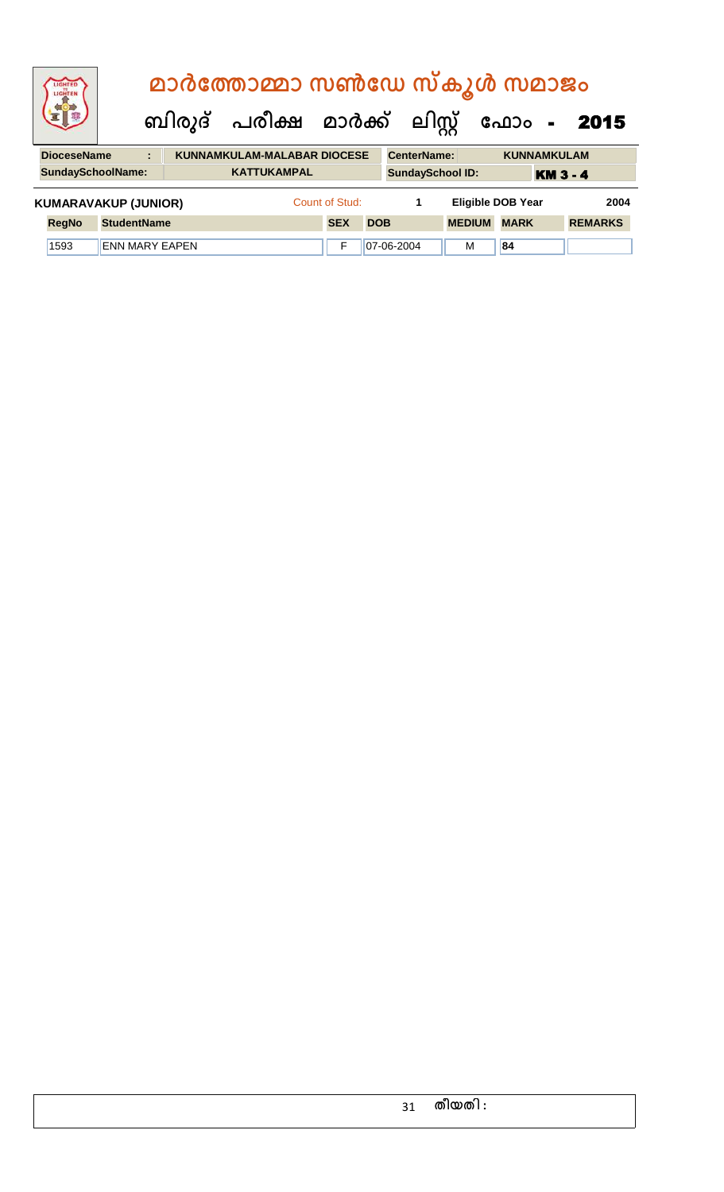|                                                                                                    | LIGHTEN                            |  |  |  | മാർത്തോമ്മാ സൺഡേ സ്കൂൾ സമാജം   |            |            |                         |             |  |                 |            |
|----------------------------------------------------------------------------------------------------|------------------------------------|--|--|--|--------------------------------|------------|------------|-------------------------|-------------|--|-----------------|------------|
|                                                                                                    |                                    |  |  |  | ബിരുദ് പരീക്ഷ മാർക്ക് ലിസ്റ്റ് |            |            |                         |             |  |                 | ഫോം - 2015 |
| <b>DioceseName</b><br><b>KUNNAMKULAM-MALABAR DIOCESE</b><br>CenterName:<br><b>KUNNAMKULAM</b><br>÷ |                                    |  |  |  |                                |            |            |                         |             |  |                 |            |
|                                                                                                    | <b>SundaySchoolName:</b>           |  |  |  | <b>KATTUKAMPAL</b>             |            |            | <b>SundaySchool ID:</b> |             |  | <b>KM 3 - 4</b> |            |
| Count of Stud:<br><b>KUMARAVAKUP (JUNIOR)</b><br><b>Eligible DOB Year</b><br>1                     |                                    |  |  |  |                                |            |            |                         | 2004        |  |                 |            |
|                                                                                                    | <b>StudentName</b><br><b>RegNo</b> |  |  |  | <b>SEX</b>                     | <b>DOB</b> |            | <b>MEDIUM</b>           | <b>MARK</b> |  | <b>REMARKS</b>  |            |
| 1593<br><b>ENN MARY EAPEN</b>                                                                      |                                    |  |  |  | F                              |            | 07-06-2004 | м                       | 84          |  |                 |            |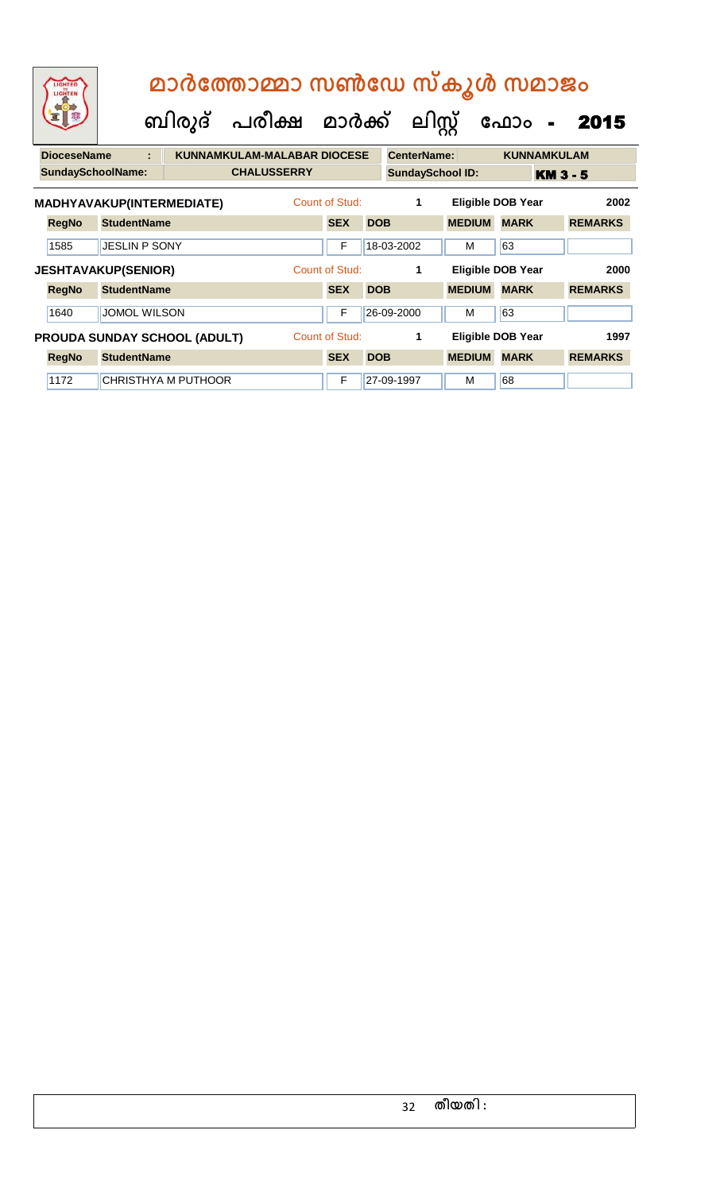| LIGHTED<br>LIGHTEN                                                                                        |                                     | മാർത്തോമ്മാ സൺഡേ സ്കൂൾ സമാജം |                       |                |            |                         |               |                          |                 |  |  |  |
|-----------------------------------------------------------------------------------------------------------|-------------------------------------|------------------------------|-----------------------|----------------|------------|-------------------------|---------------|--------------------------|-----------------|--|--|--|
|                                                                                                           |                                     |                              | ബിരുദ് പരീക്ഷ മാർക്ക് |                |            | ലിസ്റ്റ്                |               | ഫോം<br>$\blacksquare$    | 2015            |  |  |  |
| <b>DioceseName</b><br><b>KUNNAMKULAM-MALABAR DIOCESE</b><br><b>CenterName:</b><br><b>KUNNAMKULAM</b><br>ŧ |                                     |                              |                       |                |            |                         |               |                          |                 |  |  |  |
| <b>SundaySchoolName:</b>                                                                                  |                                     |                              | <b>CHALUSSERRY</b>    |                |            | <b>SundaySchool ID:</b> |               |                          | <b>KM 3 - 5</b> |  |  |  |
|                                                                                                           | MADHYAVAKUP(INTERMEDIATE)           |                              |                       | Count of Stud: |            | 1                       |               | <b>Eligible DOB Year</b> | 2002            |  |  |  |
| <b>RegNo</b>                                                                                              | <b>StudentName</b>                  |                              |                       | <b>SEX</b>     | <b>DOB</b> |                         | <b>MEDIUM</b> | <b>MARK</b>              | <b>REMARKS</b>  |  |  |  |
| 1585                                                                                                      | <b>JESLIN P SONY</b>                |                              |                       | $\mathsf{F}$   |            | 18-03-2002              | м             | 63                       |                 |  |  |  |
|                                                                                                           | <b>JESHTAVAKUP(SENIOR)</b>          |                              |                       | Count of Stud: |            | 1                       |               | <b>Eligible DOB Year</b> | 2000            |  |  |  |
| <b>RegNo</b>                                                                                              | <b>StudentName</b>                  |                              |                       | <b>SEX</b>     | <b>DOB</b> |                         | <b>MEDIUM</b> | <b>MARK</b>              | <b>REMARKS</b>  |  |  |  |
| 1640                                                                                                      | <b>JOMOL WILSON</b>                 |                              |                       | F              |            | 26-09-2000              | м             | 63                       |                 |  |  |  |
|                                                                                                           | <b>PROUDA SUNDAY SCHOOL (ADULT)</b> |                              |                       | Count of Stud: |            | 1                       |               | <b>Eligible DOB Year</b> | 1997            |  |  |  |
| <b>RegNo</b>                                                                                              | <b>StudentName</b>                  |                              |                       | <b>SEX</b>     | <b>DOB</b> |                         | <b>MEDIUM</b> | <b>MARK</b>              | <b>REMARKS</b>  |  |  |  |
| 1172                                                                                                      | <b>CHRISTHYA M PUTHOOR</b>          |                              |                       | F              |            | 27-09-1997              | M             | 68                       |                 |  |  |  |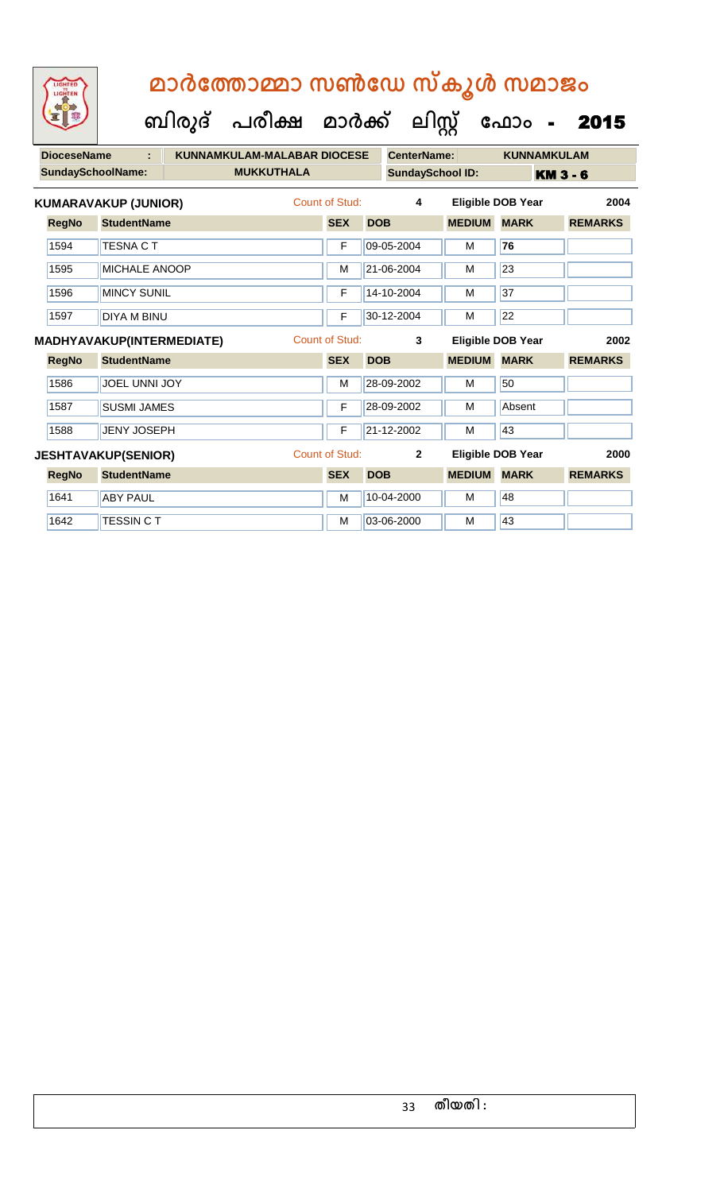| LIGHTED<br>LIGHTEN                             |                                  | മാർത്തോമ്മാ സൺഡേ സ്കൂൾ സമാജം<br>ബിരുദ് പരീക്ഷ മാർക്ക് ലിസ്റ്റ് ഫോം - |                |            |                    |                         |                          | 2015            |
|------------------------------------------------|----------------------------------|----------------------------------------------------------------------|----------------|------------|--------------------|-------------------------|--------------------------|-----------------|
| <b>DioceseName</b><br><b>SundaySchoolName:</b> | ٠                                | <b>KUNNAMKULAM-MALABAR DIOCESE</b><br><b>MUKKUTHALA</b>              |                |            | <b>CenterName:</b> | <b>SundaySchool ID:</b> | <b>KUNNAMKULAM</b>       | <b>KM 3 - 6</b> |
|                                                | <b>KUMARAVAKUP (JUNIOR)</b>      |                                                                      | Count of Stud: |            | 4                  |                         | <b>Eligible DOB Year</b> | 2004            |
| <b>RegNo</b>                                   | <b>StudentName</b>               |                                                                      | <b>SEX</b>     | <b>DOB</b> |                    | <b>MEDIUM</b>           | <b>MARK</b>              | <b>REMARKS</b>  |
| 1594                                           | <b>TESNACT</b>                   |                                                                      | F              | 09-05-2004 |                    | м                       | 76                       |                 |
| 1595                                           | <b>MICHALE ANOOP</b>             |                                                                      | м              | 21-06-2004 |                    | м                       | 23                       |                 |
| 1596                                           | <b>MINCY SUNIL</b>               |                                                                      | F              | 14-10-2004 |                    | м                       | 37                       |                 |
| 1597                                           | <b>DIYA M BINU</b>               |                                                                      | F              | 30-12-2004 |                    | M                       | 22                       |                 |
|                                                | <b>MADHYAVAKUP(INTERMEDIATE)</b> |                                                                      | Count of Stud: |            | 3                  |                         | <b>Eligible DOB Year</b> | 2002            |
| <b>RegNo</b>                                   | <b>StudentName</b>               |                                                                      | <b>SEX</b>     | <b>DOB</b> |                    | <b>MEDIUM</b>           | <b>MARK</b>              | <b>REMARKS</b>  |
| 1586                                           | <b>JOEL UNNI JOY</b>             |                                                                      | M              | 28-09-2002 |                    | м                       | 50                       |                 |
| 1587                                           | <b>SUSMI JAMES</b>               |                                                                      | F              | 28-09-2002 |                    | м                       | Absent                   |                 |
| 1588                                           | <b>JENY JOSEPH</b>               |                                                                      | F              | 21-12-2002 |                    | M                       | 43                       |                 |
|                                                | <b>JESHTAVAKUP(SENIOR)</b>       |                                                                      | Count of Stud: |            | $\mathbf{2}$       |                         | <b>Eligible DOB Year</b> | 2000            |
| <b>RegNo</b>                                   | <b>StudentName</b>               |                                                                      | <b>SEX</b>     | <b>DOB</b> |                    | <b>MEDIUM</b>           | <b>MARK</b>              | <b>REMARKS</b>  |
| 1641                                           | <b>ABY PAUL</b>                  |                                                                      | M              | 10-04-2000 |                    | M                       | 48                       |                 |

1642 ||TESSIN C T || M || M || 03-06-2000 || M || 43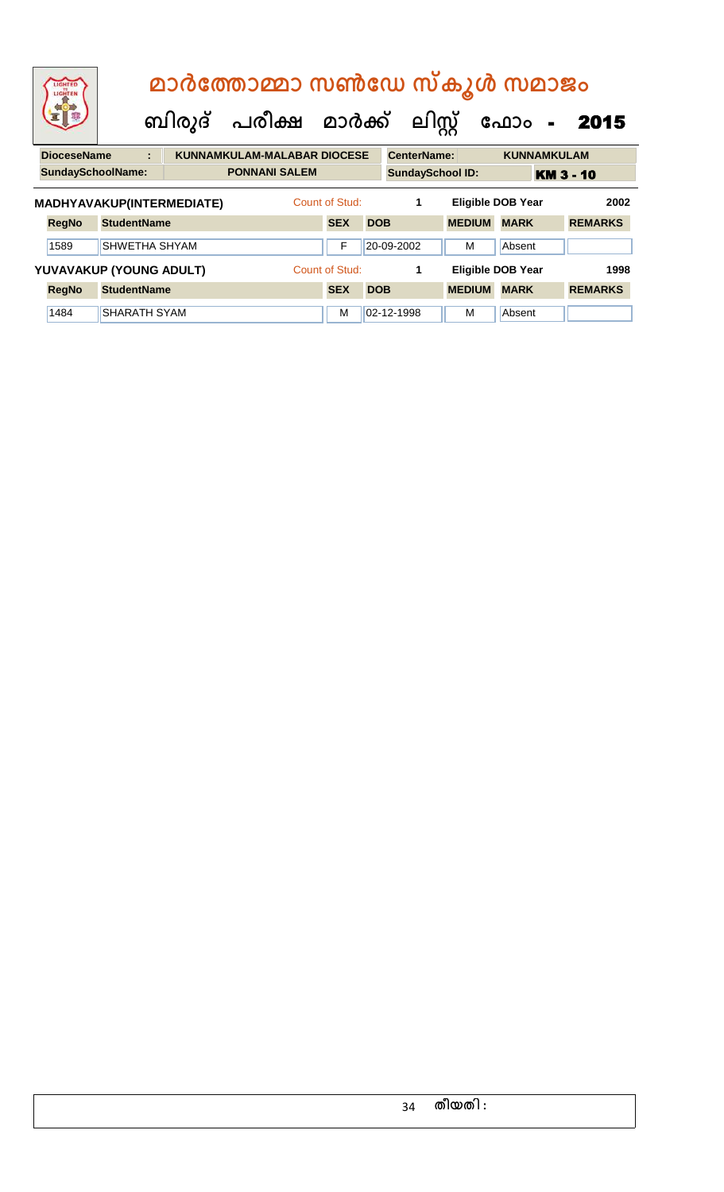| LIGHTED<br>LIGHTEN                 |                    | മാർത്തോമ്മാ സൺഡേ സ്കൂൾ സമാജം |                                  |                                    |                |                |            |                         |                          |                          |                |                |
|------------------------------------|--------------------|------------------------------|----------------------------------|------------------------------------|----------------|----------------|------------|-------------------------|--------------------------|--------------------------|----------------|----------------|
|                                    |                    |                              |                                  | ബിരുദ് പരീക്ഷ മാർക്ക് ലിസ്റ്റ്     |                |                |            |                         |                          | ഫോം -                    |                | 2015           |
| <b>DioceseName</b>                 |                    | ÷                            |                                  | <b>KUNNAMKULAM-MALABAR DIOCESE</b> |                |                |            | <b>CenterName:</b>      |                          | <b>KUNNAMKULAM</b>       |                |                |
| <b>SundaySchoolName:</b>           |                    |                              |                                  | <b>PONNANI SALEM</b>               |                |                |            | <b>SundaySchool ID:</b> |                          | <b>KM 3 - 10</b>         |                |                |
|                                    |                    |                              | <b>MADHYAVAKUP(INTERMEDIATE)</b> |                                    |                | Count of Stud: |            | 1                       |                          | <b>Eligible DOB Year</b> |                | 2002           |
| <b>RegNo</b>                       | <b>StudentName</b> |                              |                                  |                                    |                | <b>SEX</b>     | <b>DOB</b> |                         | <b>MEDIUM</b>            | <b>MARK</b>              |                | <b>REMARKS</b> |
| 1589                               | SHWETHA SHYAM      |                              |                                  |                                    |                | F              |            | 20-09-2002              | м                        | Absent                   |                |                |
| YUVAVAKUP (YOUNG ADULT)            |                    |                              |                                  |                                    | Count of Stud: |                | 1          |                         | <b>Eligible DOB Year</b> |                          | 1998           |                |
| <b>StudentName</b><br><b>RegNo</b> |                    |                              |                                  |                                    | <b>SEX</b>     | <b>DOB</b>     |            | <b>MEDIUM</b>           | <b>MARK</b>              |                          | <b>REMARKS</b> |                |
| 1484                               | SHARATH SYAM       |                              |                                  |                                    |                | м              |            | 02-12-1998              | м                        | Absent                   |                |                |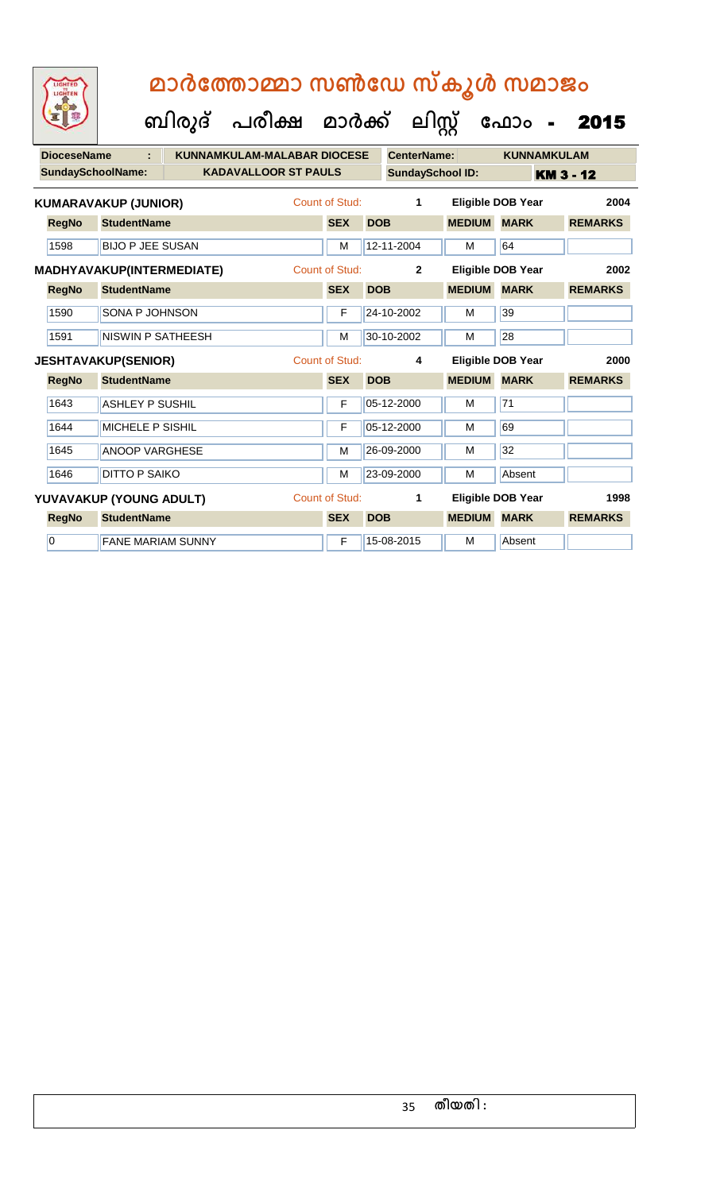| LIGHTED<br>LIGHTEN       |                             | മാർത്തോമ്മാ സൺഡേ സ്കൂൾ സമാജം       |                       |            |                         |               |                          |                |  |
|--------------------------|-----------------------------|------------------------------------|-----------------------|------------|-------------------------|---------------|--------------------------|----------------|--|
|                          |                             | ബിരുദ് പരീക്ഷ മാർക്ക് ലിസ്റ്റ് ഫോം |                       |            |                         |               |                          | 2015           |  |
| <b>DioceseName</b>       |                             | <b>KUNNAMKULAM-MALABAR DIOCESE</b> |                       |            | CenterName:             |               | <b>KUNNAMKULAM</b>       |                |  |
| <b>SundaySchoolName:</b> |                             | <b>KADAVALLOOR ST PAULS</b>        |                       |            | <b>SundaySchool ID:</b> |               | <b>KM 3 - 12</b>         |                |  |
|                          | <b>KUMARAVAKUP (JUNIOR)</b> |                                    | <b>Count of Stud:</b> |            | $\mathbf 1$             |               | <b>Eligible DOB Year</b> | 2004           |  |
| <b>RegNo</b>             | <b>StudentName</b>          |                                    | <b>SEX</b>            | <b>DOB</b> |                         | <b>MEDIUM</b> | <b>MARK</b>              | <b>REMARKS</b> |  |
| 1598                     | <b>BIJO P JEE SUSAN</b>     |                                    | м                     |            | 12-11-2004              | м             | 64                       |                |  |
|                          | MADHYAVAKUP(INTERMEDIATE)   |                                    | <b>Count of Stud:</b> |            | $\overline{2}$          |               | Eligible DOB Year        | 2002           |  |
| <b>RegNo</b>             | <b>StudentName</b>          |                                    | <b>SEX</b>            | <b>DOB</b> |                         | <b>MEDIUM</b> | <b>MARK</b>              | <b>REMARKS</b> |  |
| 1590                     | <b>SONA P JOHNSON</b>       |                                    | F                     |            | 24-10-2002              | м             | 39                       |                |  |
| 1591                     | <b>NISWIN P SATHEESH</b>    |                                    | M                     |            | 30-10-2002              | м             | 28                       |                |  |
|                          | <b>JESHTAVAKUP(SENIOR)</b>  |                                    | <b>Count of Stud:</b> |            | 4                       |               | <b>Eligible DOB Year</b> | 2000           |  |
| <b>RegNo</b>             | <b>StudentName</b>          |                                    | <b>SEX</b>            | <b>DOB</b> |                         | <b>MEDIUM</b> | <b>MARK</b>              | <b>REMARKS</b> |  |
| 1643                     | <b>ASHLEY P SUSHIL</b>      |                                    | F                     |            | 05-12-2000              | м             | 71                       |                |  |
| 1644                     | <b>MICHELE P SISHIL</b>     |                                    | F                     |            | 05-12-2000              | M             | 69                       |                |  |
| 1645                     | <b>ANOOP VARGHESE</b>       |                                    | M                     |            | 26-09-2000              | м             | 32                       |                |  |
| 1646                     | <b>DITTO P SAIKO</b>        |                                    | M                     |            | 23-09-2000              | м             | Absent                   |                |  |
|                          | YUVAVAKUP (YOUNG ADULT)     |                                    | <b>Count of Stud:</b> |            | 1                       |               | <b>Eligible DOB Year</b> | 1998           |  |
| <b>RegNo</b>             | <b>StudentName</b>          |                                    | <b>SEX</b>            | <b>DOB</b> |                         | <b>MEDIUM</b> | <b>MARK</b>              | <b>REMARKS</b> |  |
| $\overline{0}$           | <b>FANE MARIAM SUNNY</b>    |                                    | F                     |            | 15-08-2015              | м             | Absent                   |                |  |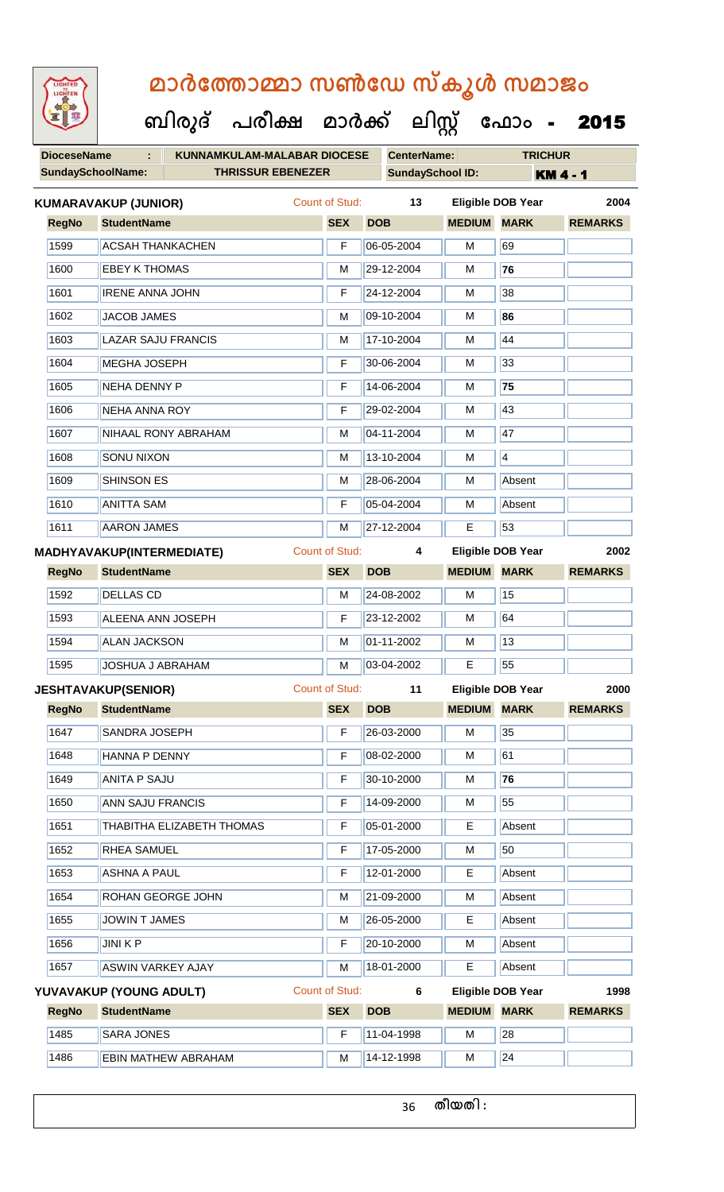| LIGHTED<br>LIGHTEN |                                  | മാർത്തോമ്മാ സൺഡേ സ്കൂൾ സമാജം         |                       |                         |                    |                          |                |
|--------------------|----------------------------------|--------------------------------------|-----------------------|-------------------------|--------------------|--------------------------|----------------|
|                    |                                  | ബിരുദ് പരീക്ഷ മാർക്ക് ലിസ്റ്റ് ഫോം - |                       |                         |                    |                          | 2015           |
| <b>DioceseName</b> | ÷.                               | <b>KUNNAMKULAM-MALABAR DIOCESE</b>   |                       | <b>CenterName:</b>      |                    | <b>TRICHUR</b>           |                |
|                    | <b>SundaySchoolName:</b>         | <b>THRISSUR EBENEZER</b>             |                       | <b>SundaySchool ID:</b> |                    | <b>KM4-1</b>             |                |
|                    | <b>KUMARAVAKUP (JUNIOR)</b>      |                                      | Count of Stud:        | 13                      |                    | <b>Eligible DOB Year</b> | 2004           |
| <b>RegNo</b>       | <b>StudentName</b>               |                                      | <b>SEX</b>            | <b>DOB</b>              | <b>MEDIUM</b>      | <b>MARK</b>              | <b>REMARKS</b> |
| 1599               | <b>ACSAH THANKACHEN</b>          |                                      | F                     | 06-05-2004              | M                  | 69                       |                |
| 1600               | <b>EBEY K THOMAS</b>             |                                      | M                     | 29-12-2004              | M                  | 76                       |                |
| 1601               | <b>IRENE ANNA JOHN</b>           |                                      | F                     | 24-12-2004              | М                  | 38                       |                |
| 1602               | <b>JACOB JAMES</b>               |                                      | М                     | 09-10-2004              | М                  | 86                       |                |
| 1603               | <b>LAZAR SAJU FRANCIS</b>        |                                      | M                     | 17-10-2004              | м                  | 44                       |                |
| 1604               | <b>MEGHA JOSEPH</b>              |                                      | F                     | 30-06-2004              | М                  | 33                       |                |
| 1605               | <b>NEHA DENNY P</b>              |                                      | F                     | 14-06-2004              | M                  | 75                       |                |
| 1606               | <b>NEHA ANNA ROY</b>             |                                      | F                     | 29-02-2004              | м                  | 43                       |                |
| 1607               | NIHAAL RONY ABRAHAM              |                                      | м                     | 04-11-2004              | м                  | 47                       |                |
| 1608               | <b>SONU NIXON</b>                |                                      | M                     | 13-10-2004              | M                  | 4                        |                |
| 1609               | <b>SHINSON ES</b>                |                                      | М                     | 28-06-2004              | М                  | Absent                   |                |
| 1610               | <b>ANITTA SAM</b>                |                                      | F                     | 05-04-2004              | м                  | Absent                   |                |
| 1611               | <b>AARON JAMES</b>               |                                      | M                     | 27-12-2004              | E                  | 53                       |                |
|                    | MADHYAVAKUP(INTERMEDIATE)        |                                      | <b>Count of Stud:</b> | 4                       |                    | <b>Eligible DOB Year</b> | 2002           |
|                    |                                  |                                      |                       |                         |                    |                          |                |
| <b>RegNo</b>       | <b>StudentName</b>               |                                      | <b>SEX</b>            | <b>DOB</b>              | <b>MEDIUM</b>      | <b>MARK</b>              | <b>REMARKS</b> |
| 1592               | <b>DELLAS CD</b>                 |                                      | M                     | 24-08-2002              | M                  | 15                       |                |
| 1593               | <b>ALEENA ANN JOSEPH</b>         |                                      | F                     | 23-12-2002              | M                  | 64                       |                |
| 1594               | <b>ALAN JACKSON</b>              |                                      | M                     | 01-11-2002              | M                  | 13                       |                |
| 1595               | JOSHUA J ABRAHAM                 |                                      | M                     | 03-04-2002              | E                  | 55                       |                |
|                    | <b>JESHTAVAKUP(SENIOR)</b>       |                                      | <b>Count of Stud:</b> | 11                      |                    | <b>Eligible DOB Year</b> | 2000           |
| <b>RegNo</b>       | <b>StudentName</b>               |                                      | <b>SEX</b>            | <b>DOB</b>              | <b>MEDIUM</b>      | <b>MARK</b>              | <b>REMARKS</b> |
| 1647               | SANDRA JOSEPH                    |                                      | F                     | 26-03-2000              | M                  | 35                       |                |
| 1648               | HANNA P DENNY                    |                                      | F                     | 08-02-2000              | м                  | 61                       |                |
| 1649               | <b>ANITA P SAJU</b>              |                                      | F                     | 30-10-2000              | M                  | 76                       |                |
| 1650               | <b>ANN SAJU FRANCIS</b>          |                                      | F                     | 14-09-2000              | M                  | 55                       |                |
| 1651               | <b>THABITHA ELIZABETH THOMAS</b> |                                      | F                     | 05-01-2000              | E                  | Absent                   |                |
| 1652               | <b>RHEA SAMUEL</b>               |                                      | F                     | 17-05-2000              | M                  | 50                       |                |
| 1653               | <b>ASHNA A PAUL</b>              |                                      | F                     | 12-01-2000              | E                  | Absent                   |                |
| 1654               | ROHAN GEORGE JOHN                |                                      | M                     | 21-09-2000              | M                  | Absent                   |                |
| 1655               | JOWIN T JAMES                    |                                      | М                     | 26-05-2000              | E                  | Absent                   |                |
| 1656               | <b>JINIKP</b>                    |                                      | F                     | 20-10-2000              | M                  | Absent                   |                |
| 1657               | <b>ASWIN VARKEY AJAY</b>         |                                      | M                     | 18-01-2000              | E                  | Absent                   |                |
|                    | YUVAVAKUP (YOUNG ADULT)          |                                      | <b>Count of Stud:</b> | 6                       |                    | <b>Eligible DOB Year</b> | 1998           |
| <b>RegNo</b>       | <b>StudentName</b>               |                                      | <b>SEX</b>            | <b>DOB</b>              | <b>MEDIUM MARK</b> |                          | <b>REMARKS</b> |
| 1485               | <b>SARA JONES</b>                |                                      | F                     | 11-04-1998              | M                  | 28                       |                |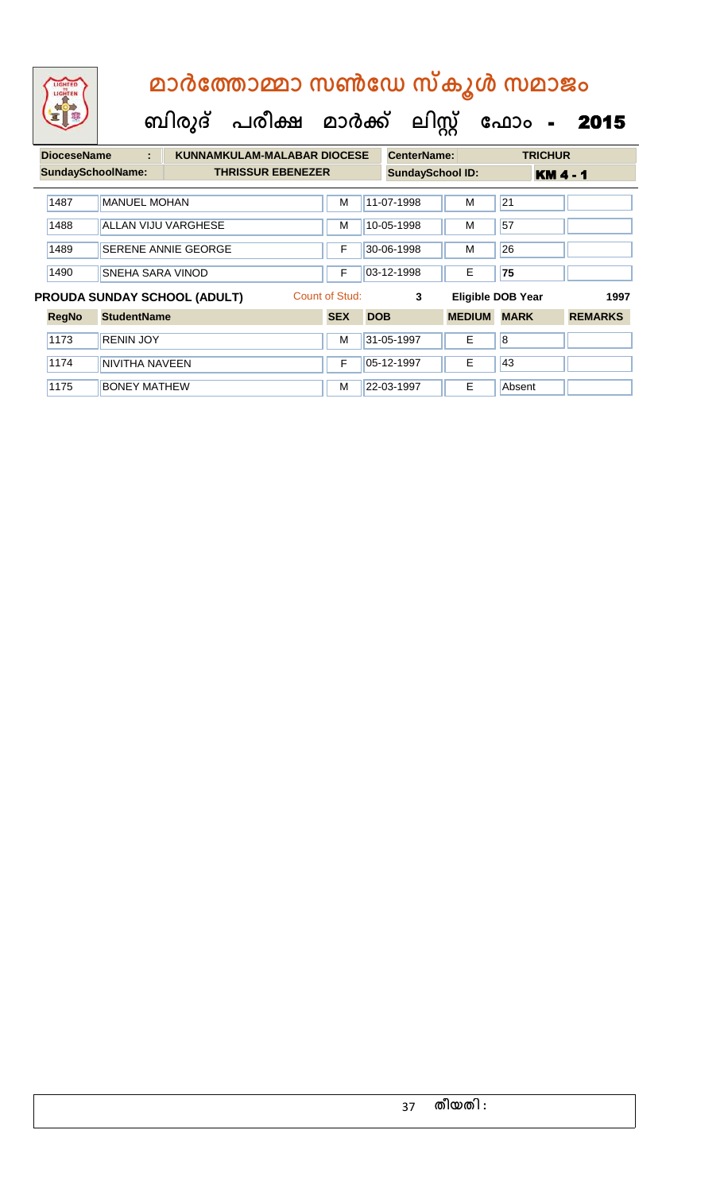|                                                               | LIGHTED<br>LIGHTEN |                                                                                                                 | മാർത്തോമ്മാ സൺഡേ സ്കൂൾ സമാജം |                                |                |  |                                                                                                                 |   |                   |                                                                                                                 |      |  |  |
|---------------------------------------------------------------|--------------------|-----------------------------------------------------------------------------------------------------------------|------------------------------|--------------------------------|----------------|--|-----------------------------------------------------------------------------------------------------------------|---|-------------------|-----------------------------------------------------------------------------------------------------------------|------|--|--|
|                                                               |                    |                                                                                                                 |                              | ബിരുദ് പരീക്ഷ മാർക്ക് ലിസ്റ്റ് |                |  |                                                                                                                 |   | ഫോം -             | 2015                                                                                                            |      |  |  |
| <b>KUNNAMKULAM-MALABAR DIOCESE</b><br><b>DioceseName</b><br>÷ |                    |                                                                                                                 |                              |                                |                |  | <b>CenterName:</b>                                                                                              |   | <b>TRICHUR</b>    |                                                                                                                 |      |  |  |
| <b>SundaySchoolName:</b><br><b>THRISSUR EBENEZER</b>          |                    |                                                                                                                 |                              |                                |                |  | <b>SundaySchool ID:</b>                                                                                         |   |                   | <b>KM4-1</b>                                                                                                    |      |  |  |
|                                                               | 1487               | <b>MANUEL MOHAN</b>                                                                                             |                              |                                | м              |  | 11-07-1998                                                                                                      | м | 21                |                                                                                                                 |      |  |  |
|                                                               | 1488               | <b>ALLAN VIJU VARGHESE</b>                                                                                      |                              |                                | м              |  | 10-05-1998                                                                                                      | M | 57                |                                                                                                                 |      |  |  |
|                                                               | 1489               | <b>SERENE ANNIE GEORGE</b>                                                                                      |                              |                                | F              |  | 30-06-1998                                                                                                      | м | 26                |                                                                                                                 |      |  |  |
|                                                               | 1490               | <b>SNEHA SARA VINOD</b>                                                                                         |                              |                                | F              |  | 03-12-1998                                                                                                      | Е | 75                |                                                                                                                 |      |  |  |
|                                                               |                    | PROUDA SUNDAY SCHOOL (ADULT)                                                                                    |                              |                                | Count of Stud: |  | 3                                                                                                               |   | Eligible DOB Year |                                                                                                                 | 1997 |  |  |
|                                                               |                    | the contract of the contract of the contract of the contract of the contract of the contract of the contract of |                              |                                |                |  | the contract of the contract of the contract of the contract of the contract of the contract of the contract of |   |                   | the contract of the contract of the contract of the contract of the contract of the contract of the contract of |      |  |  |

| <b>RegNo</b> | <b>StudentName</b>    | <b>SEX</b> | <b>DOB</b>     | <b>MEDIUM</b> | <b>MARK</b> | <b>REMARKS</b> |
|--------------|-----------------------|------------|----------------|---------------|-------------|----------------|
| 1173         | <b>RENIN JOY</b>      | M          | 31-05-1997     |               | 8           |                |
| 1174         | <b>NIVITHA NAVEEN</b> |            | $ 05-12-1997 $ |               | <b>43</b>   |                |
| 1175         | <b>BONEY MATHEW</b>   | M          | 22-03-1997     |               | Absent      |                |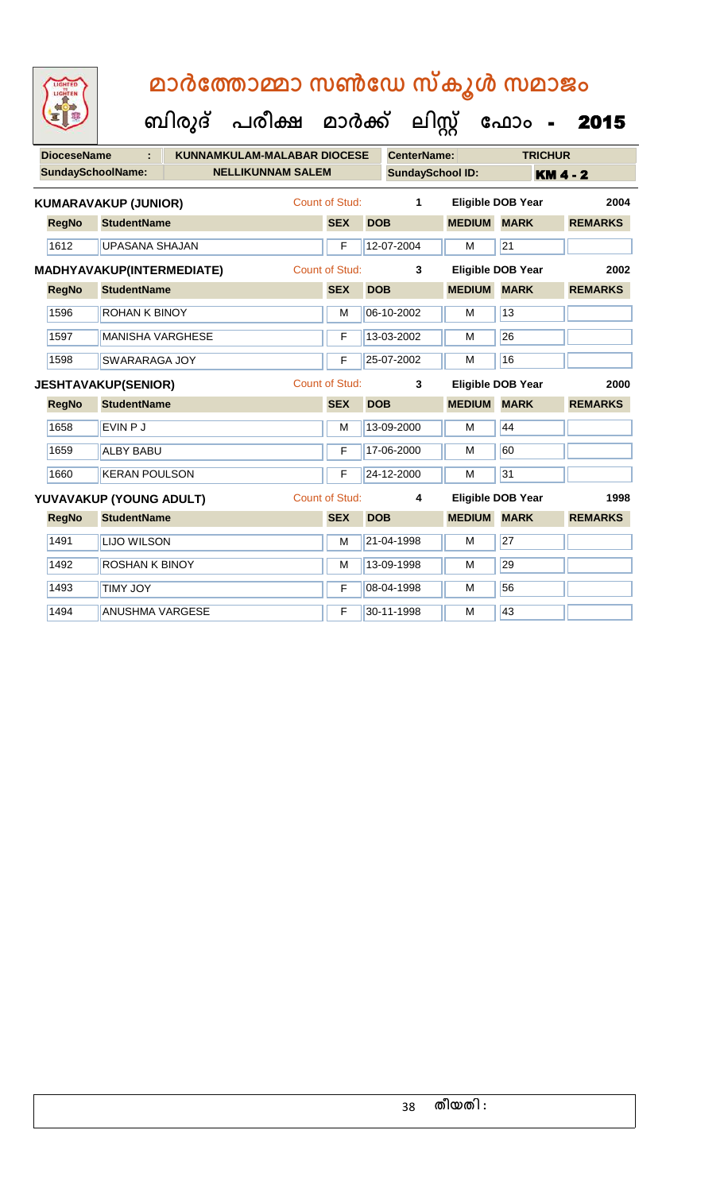| LIGHTED<br>LIGHTEN       | മാർത്തോമ്മാ സൺഡേ സ്കൂൾ സമാജം |  |                                      |                       |            |                         |               |                          |                 |  |
|--------------------------|------------------------------|--|--------------------------------------|-----------------------|------------|-------------------------|---------------|--------------------------|-----------------|--|
|                          |                              |  | ബിരുദ് പരീക്ഷ മാർക്ക് ലിസ്റ്റ് ഫോം - |                       |            |                         |               |                          | 2015            |  |
| <b>DioceseName</b>       |                              |  | KUNNAMKULAM-MALABAR DIOCESE          |                       |            | <b>CenterName:</b>      |               | <b>TRICHUR</b>           |                 |  |
| <b>SundaySchoolName:</b> |                              |  | <b>NELLIKUNNAM SALEM</b>             |                       |            | <b>SundaySchool ID:</b> |               |                          | <b>KM 4 - 2</b> |  |
|                          | <b>KUMARAVAKUP (JUNIOR)</b>  |  |                                      | <b>Count of Stud:</b> |            | 1                       |               | <b>Eligible DOB Year</b> | 2004            |  |
| <b>RegNo</b>             | <b>StudentName</b>           |  |                                      | <b>SEX</b>            | <b>DOB</b> |                         | <b>MEDIUM</b> | <b>MARK</b>              | <b>REMARKS</b>  |  |
| 1612                     | <b>UPASANA SHAJAN</b>        |  |                                      | F                     |            | 12-07-2004              | M             | $\overline{21}$          |                 |  |
|                          | MADHYAVAKUP(INTERMEDIATE)    |  |                                      | <b>Count of Stud:</b> |            | 3                       |               | <b>Eligible DOB Year</b> | 2002            |  |
| <b>RegNo</b>             | <b>StudentName</b>           |  |                                      | <b>SEX</b>            | <b>DOB</b> |                         | <b>MEDIUM</b> | <b>MARK</b>              | <b>REMARKS</b>  |  |
| 1596                     | ROHAN K BINOY                |  |                                      | М                     |            | 06-10-2002              | м             | 13                       |                 |  |
| 1597                     | <b>MANISHA VARGHESE</b>      |  |                                      | F                     |            | 13-03-2002              | м             | 26                       |                 |  |
| 1598                     | SWARARAGA JOY                |  |                                      | F                     |            | 25-07-2002              | M             | 16                       |                 |  |
|                          | <b>JESHTAVAKUP(SENIOR)</b>   |  |                                      | <b>Count of Stud:</b> |            | 3                       |               | <b>Eligible DOB Year</b> | 2000            |  |
| <b>RegNo</b>             | <b>StudentName</b>           |  |                                      | <b>SEX</b>            | <b>DOB</b> |                         | <b>MEDIUM</b> | <b>MARK</b>              | <b>REMARKS</b>  |  |
| 1658                     | EVIN P J                     |  |                                      | М                     |            | 13-09-2000              | м             | 44                       |                 |  |
| 1659                     | <b>ALBY BABU</b>             |  |                                      | F                     |            | 17-06-2000              | М             | 60                       |                 |  |
| 1660                     | <b>KERAN POULSON</b>         |  |                                      | F                     |            | 24-12-2000              | М             | 31                       |                 |  |
|                          | YUVAVAKUP (YOUNG ADULT)      |  |                                      | <b>Count of Stud:</b> |            | 4                       |               | <b>Eligible DOB Year</b> | 1998            |  |
| <b>RegNo</b>             | <b>StudentName</b>           |  |                                      | <b>SEX</b>            | <b>DOB</b> |                         | <b>MEDIUM</b> | <b>MARK</b>              | <b>REMARKS</b>  |  |
| 1491                     | <b>LIJO WILSON</b>           |  |                                      | М                     |            | 21-04-1998              | м             | 27                       |                 |  |
| 1492                     | <b>ROSHAN K BINOY</b>        |  |                                      | М                     |            | 13-09-1998              | м             | 29                       |                 |  |
| 1493                     | <b>TIMY JOY</b>              |  |                                      | F                     |            | 08-04-1998              | м             | 56                       |                 |  |
| 1494                     | ANUSHMA VARGESE              |  |                                      | F                     |            | 30-11-1998              | м             | 43                       |                 |  |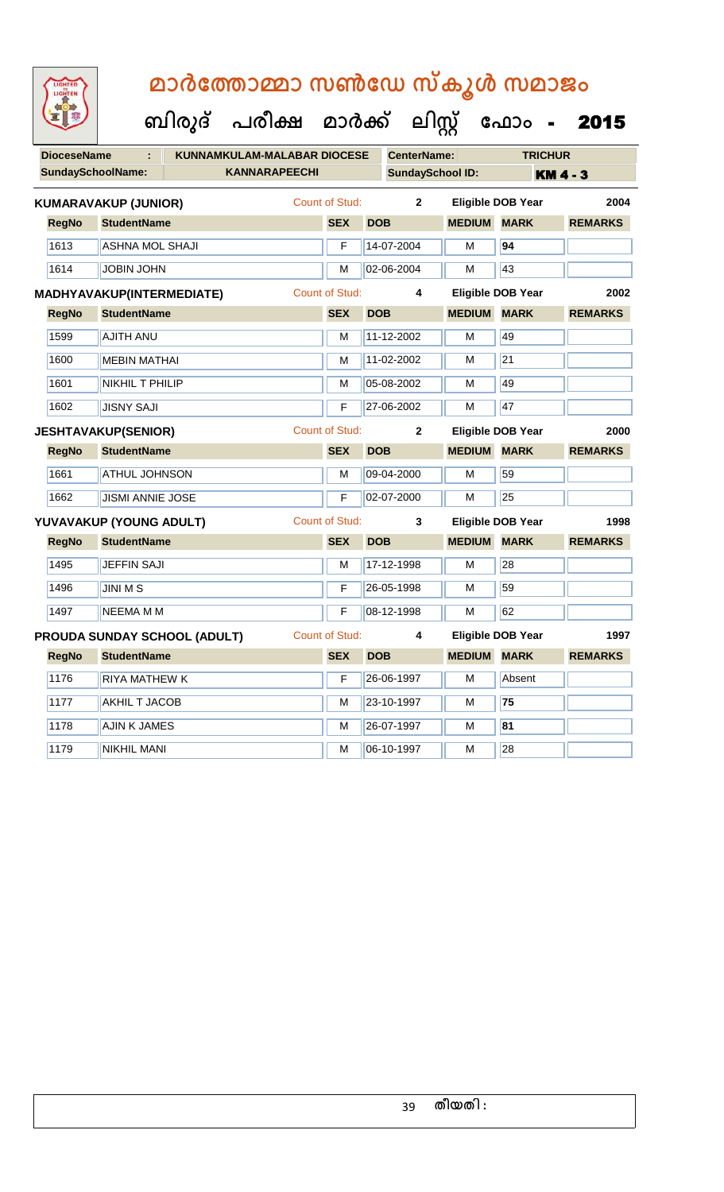|                                  | LIGHTED<br>LIGHTEN       |                              | മാർത്തോമ്മാ സൺഡേ സ്കൂൾ സമാജം |                                      |                       |                         |                    |               |                          |                |  |  |
|----------------------------------|--------------------------|------------------------------|------------------------------|--------------------------------------|-----------------------|-------------------------|--------------------|---------------|--------------------------|----------------|--|--|
|                                  |                          |                              |                              | ബിരുദ് പരീക്ഷ മാർക്ക് ലിസ്റ്റ് ഫോം - |                       |                         |                    |               |                          | 2015           |  |  |
|                                  | <b>DioceseName</b>       |                              |                              | <b>KUNNAMKULAM-MALABAR DIOCESE</b>   |                       |                         | <b>CenterName:</b> |               | <b>TRICHUR</b>           |                |  |  |
|                                  | <b>SundaySchoolName:</b> |                              |                              | <b>KANNARAPEECHI</b>                 |                       | <b>SundaySchool ID:</b> |                    |               | <b>KM 4 - 3</b>          |                |  |  |
|                                  |                          | <b>KUMARAVAKUP (JUNIOR)</b>  |                              |                                      | Count of Stud:        |                         | $\mathbf{2}$       |               | <b>Eligible DOB Year</b> | 2004           |  |  |
|                                  | <b>RegNo</b>             | <b>StudentName</b>           |                              |                                      | <b>SEX</b>            | <b>DOB</b>              |                    | <b>MEDIUM</b> | <b>MARK</b>              | <b>REMARKS</b> |  |  |
|                                  | 1613                     | ASHNA MOL SHAJI              |                              |                                      | F                     |                         | 14-07-2004         | м             | 94                       |                |  |  |
|                                  | 1614                     | <b>JOBIN JOHN</b>            |                              |                                      | М                     |                         | 02-06-2004         | M             | 43                       |                |  |  |
| <b>MADHYAVAKUP(INTERMEDIATE)</b> |                          | Count of Stud:               |                              | 4                                    |                       | Eligible DOB Year       | 2002               |               |                          |                |  |  |
|                                  | <b>RegNo</b>             | <b>StudentName</b>           |                              |                                      | <b>SEX</b>            | <b>DOB</b>              |                    | <b>MEDIUM</b> | <b>MARK</b>              | <b>REMARKS</b> |  |  |
|                                  | 1599                     | <b>AJITH ANU</b>             |                              |                                      | м                     |                         | 11-12-2002         | M             | 49                       |                |  |  |
|                                  | 1600                     | <b>MEBIN MATHAI</b>          |                              |                                      | М                     |                         | 11-02-2002         | м             | 21                       |                |  |  |
|                                  | 1601                     | <b>NIKHIL T PHILIP</b>       |                              |                                      | М                     |                         | 05-08-2002         | м             | 49                       |                |  |  |
|                                  | 1602                     | <b>JISNY SAJI</b>            |                              |                                      | F                     |                         | 27-06-2002         | M             | 47                       |                |  |  |
|                                  |                          | <b>JESHTAVAKUP(SENIOR)</b>   |                              |                                      | <b>Count of Stud:</b> |                         | $\mathbf{2}$       |               | Eligible DOB Year        | 2000           |  |  |
|                                  | <b>RegNo</b>             | <b>StudentName</b>           |                              |                                      | <b>SEX</b>            | <b>DOB</b>              |                    | <b>MEDIUM</b> | <b>MARK</b>              | <b>REMARKS</b> |  |  |
|                                  | 1661                     | <b>ATHUL JOHNSON</b>         |                              |                                      | М                     |                         | 09-04-2000         | M             | 59                       |                |  |  |
|                                  | 1662                     | <b>JISMI ANNIE JOSE</b>      |                              |                                      | F                     |                         | 02-07-2000         | м             | 25                       |                |  |  |
|                                  |                          | YUVAVAKUP (YOUNG ADULT)      |                              |                                      | Count of Stud:        |                         | 3                  |               | <b>Eligible DOB Year</b> | 1998           |  |  |
|                                  | <b>RegNo</b>             | <b>StudentName</b>           |                              |                                      | <b>SEX</b>            | <b>DOB</b>              |                    | <b>MEDIUM</b> | <b>MARK</b>              | <b>REMARKS</b> |  |  |
|                                  | 1495                     | <b>JEFFIN SAJI</b>           |                              |                                      | М                     |                         | 17-12-1998         | M             | 28                       |                |  |  |
|                                  | 1496                     | <b>JINIMS</b>                |                              |                                      | F                     |                         | 26-05-1998         | М             | 59                       |                |  |  |
|                                  | 1497                     | <b>NEEMA M M</b>             |                              |                                      | F                     |                         | 08-12-1998         | M             | 62                       |                |  |  |
|                                  |                          | PROUDA SUNDAY SCHOOL (ADULT) |                              |                                      | Count of Stud:        |                         | 4                  |               | <b>Eligible DOB Year</b> | 1997           |  |  |
|                                  | <b>RegNo</b>             | <b>StudentName</b>           |                              |                                      | <b>SEX</b>            | <b>DOB</b>              |                    | <b>MEDIUM</b> | <b>MARK</b>              | <b>REMARKS</b> |  |  |
|                                  | 1176                     | <b>RIYA MATHEW K</b>         |                              |                                      | F                     |                         | 26-06-1997         | M             | Absent                   |                |  |  |
|                                  | 1177                     | AKHIL T JACOB                |                              |                                      | М                     |                         | 23-10-1997         | M             | 75                       |                |  |  |
|                                  | 1178                     | <b>AJIN K JAMES</b>          |                              |                                      | М                     |                         | 26-07-1997         | M             | 81                       |                |  |  |
|                                  | 1179                     | <b>NIKHIL MANI</b>           |                              |                                      | М                     |                         | 06-10-1997         | M             | 28                       |                |  |  |
|                                  |                          |                              |                              |                                      |                       |                         |                    |               |                          |                |  |  |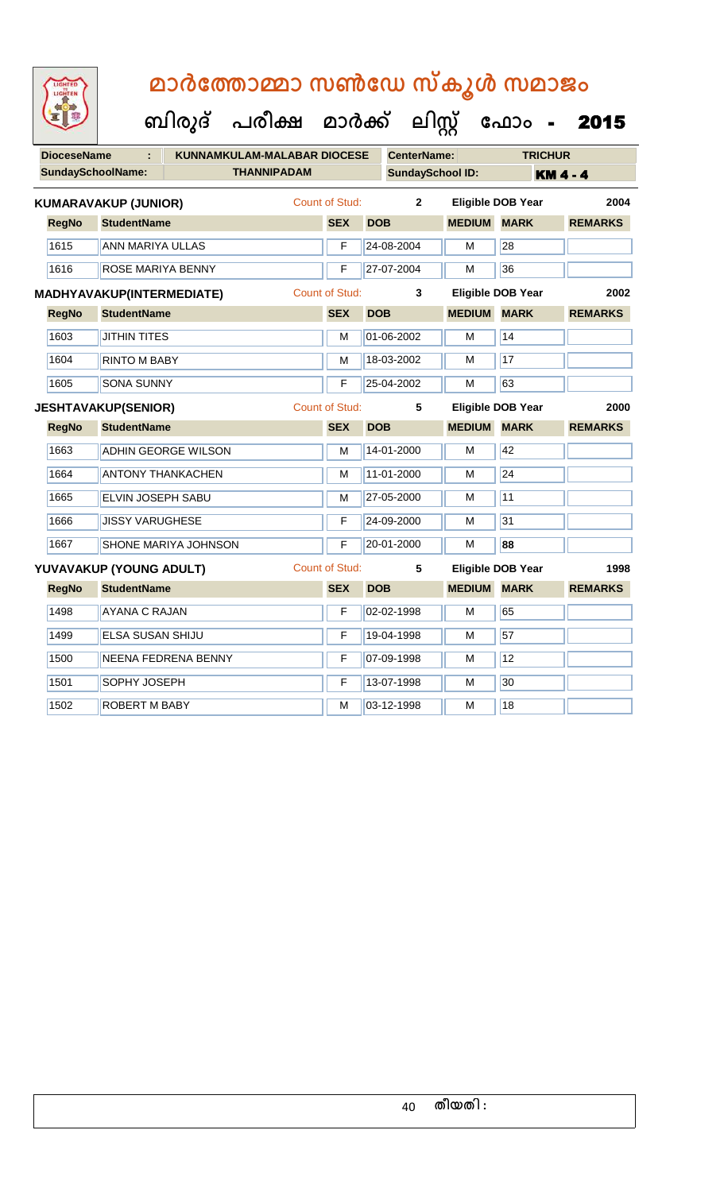| LIGHTED<br>LIGHTEN | മാർത്തോമ്മാ സൺഡേ സ്കൂൾ സമാജം |                                      |                       |                    |                         |                          |                |
|--------------------|------------------------------|--------------------------------------|-----------------------|--------------------|-------------------------|--------------------------|----------------|
|                    |                              | ബിരുദ് പരീക്ഷ മാർക്ക് ലിസ്റ്റ് ഫോം - |                       |                    |                         |                          | 2015           |
|                    | <b>DioceseName</b>           | <b>KUNNAMKULAM-MALABAR DIOCESE</b>   |                       | <b>CenterName:</b> |                         | <b>TRICHUR</b>           |                |
|                    | <b>SundaySchoolName:</b>     | <b>THANNIPADAM</b>                   |                       |                    | <b>SundaySchool ID:</b> |                          | <b>KM4-4</b>   |
|                    |                              | <b>KUMARAVAKUP (JUNIOR)</b>          | Count of Stud:        | $\overline{2}$     |                         | <b>Eligible DOB Year</b> | 2004           |
|                    | <b>RegNo</b>                 | <b>StudentName</b>                   | <b>SEX</b>            | <b>DOB</b>         | <b>MEDIUM</b>           | <b>MARK</b>              | <b>REMARKS</b> |
|                    | 1615                         | <b>ANN MARIYA ULLAS</b>              | F                     | 24-08-2004         | M                       | 28                       |                |
|                    | 1616                         | ROSE MARIYA BENNY                    | F                     | 27-07-2004         | M                       | 36                       |                |
|                    |                              | MADHYAVAKUP(INTERMEDIATE)            | <b>Count of Stud:</b> | 3                  |                         | <b>Eligible DOB Year</b> | 2002           |
|                    | <b>RegNo</b>                 | <b>StudentName</b>                   | <b>SEX</b>            | <b>DOB</b>         | <b>MEDIUM</b>           | <b>MARK</b>              | <b>REMARKS</b> |
|                    | 1603                         | <b>JITHIN TITES</b>                  | M                     | 01-06-2002         | M                       | 14                       |                |
|                    | 1604                         | <b>RINTO M BABY</b>                  | М                     | 18-03-2002         | м                       | 17                       |                |
|                    | 1605                         | <b>SONA SUNNY</b>                    | F                     | 25-04-2002         | M                       | 63                       |                |
|                    |                              | <b>JESHTAVAKUP(SENIOR)</b>           | <b>Count of Stud:</b> | $5\phantom{.0}$    |                         | Eligible DOB Year        | 2000           |
|                    | <b>RegNo</b>                 | <b>StudentName</b>                   | <b>SEX</b>            | <b>DOB</b>         | <b>MEDIUM</b>           | <b>MARK</b>              | <b>REMARKS</b> |
|                    | 1663                         | <b>ADHIN GEORGE WILSON</b>           | М                     | 14-01-2000         | м                       | 42                       |                |
|                    | 1664                         | <b>ANTONY THANKACHEN</b>             | М                     | 11-01-2000         | м                       | 24                       |                |
|                    | 1665                         | <b>ELVIN JOSEPH SABU</b>             | М                     | 27-05-2000         | м                       | 11                       |                |
|                    | 1666                         | <b>JISSY VARUGHESE</b>               | F                     | 24-09-2000         | M                       | 31                       |                |
|                    | 1667                         | <b>SHONE MARIYA JOHNSON</b>          | F                     | 20-01-2000         | м                       | 88                       |                |
|                    |                              | YUVAVAKUP (YOUNG ADULT)              | Count of Stud:        | $5\phantom{.0}$    |                         | <b>Eligible DOB Year</b> | 1998           |
|                    | <b>RegNo</b>                 | <b>StudentName</b>                   | <b>SEX</b>            | <b>DOB</b>         | <b>MEDIUM</b>           | <b>MARK</b>              | <b>REMARKS</b> |
|                    | 1498                         | AYANA C RAJAN                        | F                     | 02-02-1998         | M                       | 65                       |                |
|                    | 1499                         | <b>ELSA SUSAN SHIJU</b>              | F                     | 19-04-1998         | M                       | 57                       |                |
|                    | 1500                         | NEENA FEDRENA BENNY                  | F                     | 07-09-1998         | M                       | 12                       |                |
|                    | 1501                         | SOPHY JOSEPH                         | F                     | 13-07-1998         | M                       | 30                       |                |
|                    | 1502                         | ROBERT M BABY                        | M                     | 03-12-1998         | М                       | 18                       |                |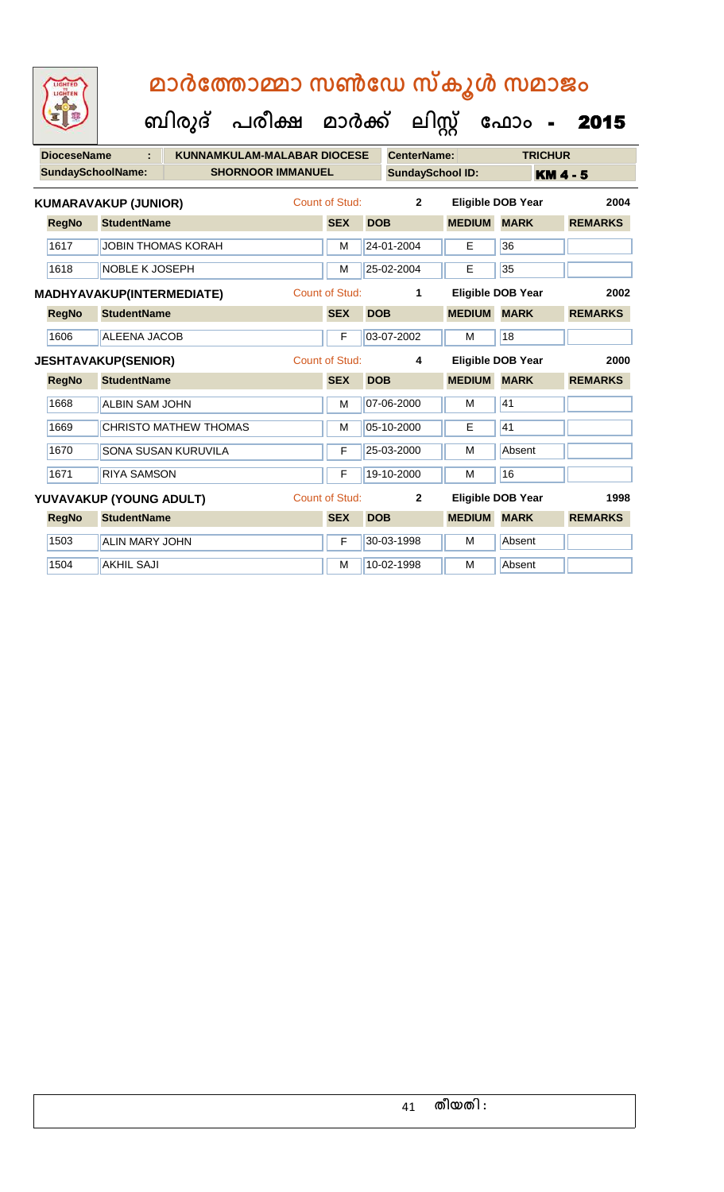| LIGHTED<br>LIGHTEN                             |                              | മാർത്തോമ്മാ സൺഡേ സ്കൂൾ സമാജം<br>ബിരുദ് പരീക്ഷ മാർക്ക് ലിസ്റ്റ് ഫോം - |                       |                    |                         |                          | 2015            |
|------------------------------------------------|------------------------------|----------------------------------------------------------------------|-----------------------|--------------------|-------------------------|--------------------------|-----------------|
| <b>DioceseName</b><br><b>SundaySchoolName:</b> | ÷.                           | <b>KUNNAMKULAM-MALABAR DIOCESE</b><br><b>SHORNOOR IMMANUEL</b>       |                       | <b>CenterName:</b> |                         | <b>TRICHUR</b>           |                 |
|                                                |                              |                                                                      |                       |                    | <b>SundaySchool ID:</b> |                          | <b>KM 4 - 5</b> |
|                                                | <b>KUMARAVAKUP (JUNIOR)</b>  |                                                                      | <b>Count of Stud:</b> | $\mathbf{2}$       |                         | <b>Eligible DOB Year</b> | 2004            |
| <b>RegNo</b>                                   | <b>StudentName</b>           |                                                                      | <b>SEX</b>            | <b>DOB</b>         | <b>MEDIUM</b>           | <b>MARK</b>              | <b>REMARKS</b>  |
| 1617                                           | <b>JOBIN THOMAS KORAH</b>    |                                                                      | М                     | 24-01-2004         | E                       | 36                       |                 |
| 1618                                           | <b>NOBLE K JOSEPH</b>        |                                                                      | M                     | 25-02-2004         | E                       | 35                       |                 |
|                                                | MADHYAVAKUP(INTERMEDIATE)    |                                                                      | Count of Stud:        | 1                  |                         | <b>Eligible DOB Year</b> | 2002            |
| <b>RegNo</b>                                   | <b>StudentName</b>           |                                                                      | <b>SEX</b>            | <b>DOB</b>         | <b>MEDIUM</b>           | <b>MARK</b>              | <b>REMARKS</b>  |
| 1606                                           | <b>ALEENA JACOB</b>          |                                                                      | F                     | 03-07-2002         | M                       | 18                       |                 |
|                                                | <b>JESHTAVAKUP(SENIOR)</b>   |                                                                      | <b>Count of Stud:</b> | 4                  |                         | <b>Eligible DOB Year</b> | 2000            |
| <b>RegNo</b>                                   | <b>StudentName</b>           |                                                                      | <b>SEX</b>            | <b>DOB</b>         | <b>MEDIUM</b>           | <b>MARK</b>              | <b>REMARKS</b>  |
| 1668                                           | <b>ALBIN SAM JOHN</b>        |                                                                      | M                     | 07-06-2000         | M                       | 41                       |                 |
| 1669                                           | <b>CHRISTO MATHEW THOMAS</b> |                                                                      | м                     | 05-10-2000         | E                       | 41                       |                 |
| 1670                                           | <b>SONA SUSAN KURUVILA</b>   |                                                                      | F                     | 25-03-2000         | м                       | Absent                   |                 |
| 1671                                           | <b>RIYA SAMSON</b>           |                                                                      | F                     | 19-10-2000         | M                       | 16                       |                 |
|                                                | YUVAVAKUP (YOUNG ADULT)      |                                                                      | Count of Stud:        | $\overline{2}$     |                         | <b>Eligible DOB Year</b> | 1998            |
| <b>RegNo</b>                                   | <b>StudentName</b>           |                                                                      | <b>SEX</b>            | <b>DOB</b>         | <b>MEDIUM</b>           | <b>MARK</b>              | <b>REMARKS</b>  |
| 1503                                           | <b>ALIN MARY JOHN</b>        |                                                                      | F                     | 30-03-1998         | M                       | Absent                   |                 |
| 1504                                           | <b>AKHIL SAJI</b>            |                                                                      | м                     | 10-02-1998         | м                       | Absent                   |                 |

 $\blacksquare$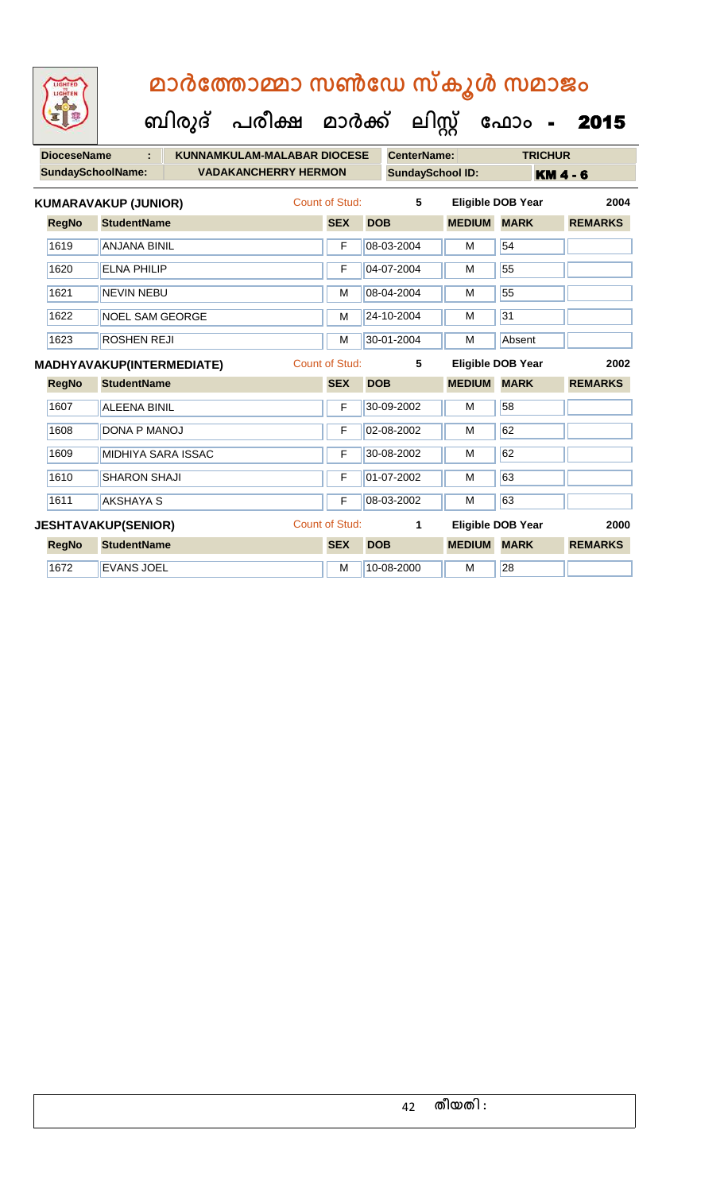| LIGHTED<br>LIGHTEN       | മാർത്തോമ്മാ സൺഡേ സ്കൂൾ സമാജം                     |                       |                         |               |                          |                |  |  |  |  |
|--------------------------|--------------------------------------------------|-----------------------|-------------------------|---------------|--------------------------|----------------|--|--|--|--|
|                          | ബിരുദ് പരീക്ഷ മാർക്ക് ലിസ്റ്റ് ഫോം - <b>2015</b> |                       |                         |               |                          |                |  |  |  |  |
| <b>DioceseName</b>       | <b>KUNNAMKULAM-MALABAR DIOCESE</b>               |                       | <b>CenterName:</b>      |               | <b>TRICHUR</b>           |                |  |  |  |  |
| <b>SundaySchoolName:</b> | <b>VADAKANCHERRY HERMON</b>                      |                       | <b>SundaySchool ID:</b> |               | <b>KM 4 - 6</b>          |                |  |  |  |  |
|                          | <b>KUMARAVAKUP (JUNIOR)</b>                      | Count of Stud:        | 5                       |               | <b>Eligible DOB Year</b> | 2004           |  |  |  |  |
| <b>RegNo</b>             | <b>StudentName</b>                               | <b>SEX</b>            | <b>DOB</b>              | <b>MEDIUM</b> | <b>MARK</b>              | <b>REMARKS</b> |  |  |  |  |
| 1619                     | <b>ANJANA BINIL</b>                              | F                     | 08-03-2004              | м             | 54                       |                |  |  |  |  |
| 1620                     | <b>ELNA PHILIP</b>                               | F                     | 04-07-2004              | м             | 55                       |                |  |  |  |  |
| 1621                     | <b>NEVIN NEBU</b>                                | М                     | 08-04-2004              | M             | 55                       |                |  |  |  |  |
| 1622                     | <b>NOEL SAM GEORGE</b>                           | M                     | 24-10-2004              | м             | 31                       |                |  |  |  |  |
| 1623                     | <b>ROSHEN REJI</b>                               | M                     | 30-01-2004              | M             | Absent                   |                |  |  |  |  |
|                          | MADHYAVAKUP(INTERMEDIATE)                        | <b>Count of Stud:</b> | 5                       |               | <b>Eligible DOB Year</b> | 2002           |  |  |  |  |
| <b>RegNo</b>             | <b>StudentName</b>                               | <b>SEX</b>            | <b>DOB</b>              | <b>MEDIUM</b> | <b>MARK</b>              | <b>REMARKS</b> |  |  |  |  |
| 1607                     | <b>ALEENA BINIL</b>                              | F                     | 30-09-2002              | м             | 58                       |                |  |  |  |  |
| 1608                     | <b>DONA P MANOJ</b>                              | F                     | 02-08-2002              | м             | 62                       |                |  |  |  |  |
| 1609                     | MIDHIYA SARA ISSAC                               | F                     | 30-08-2002              | M             | 62                       |                |  |  |  |  |
| 1610                     | <b>SHARON SHAJI</b>                              | F                     | 01-07-2002              | M             | 63                       |                |  |  |  |  |
| 1611                     | <b>AKSHAYA S</b>                                 | F                     | 08-03-2002              | M             | 63                       |                |  |  |  |  |
|                          | <b>JESHTAVAKUP(SENIOR)</b>                       | <b>Count of Stud:</b> | 1                       |               | <b>Eligible DOB Year</b> | 2000           |  |  |  |  |
| <b>RegNo</b>             | <b>StudentName</b>                               | <b>SEX</b>            | <b>DOB</b>              | <b>MEDIUM</b> | <b>MARK</b>              | <b>REMARKS</b> |  |  |  |  |
| 1672                     | <b>EVANS JOEL</b>                                | M                     | 10-08-2000              | M             | 28                       |                |  |  |  |  |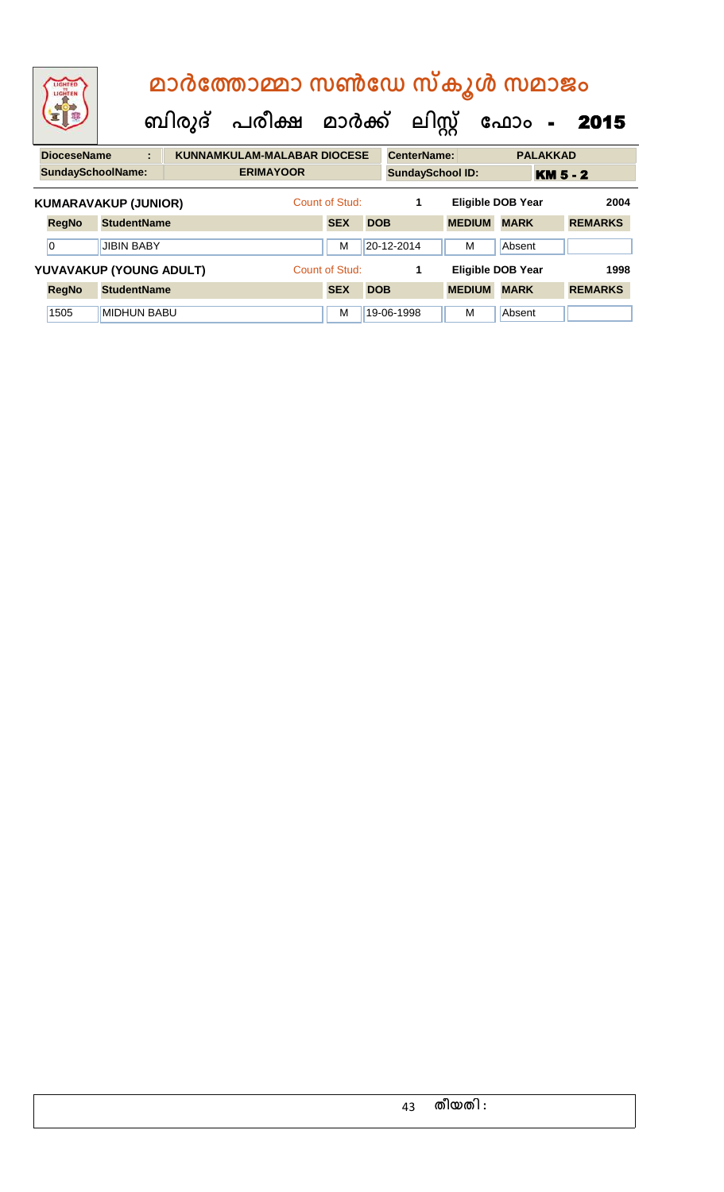|                         | LIGHTED<br>LIGHTEN          |                                    |  |  | മാർത്തോമ്മാ സൺഡേ സ്കൂൾ സമാജം |                |            |                         |                          |                          |                |                |
|-------------------------|-----------------------------|------------------------------------|--|--|------------------------------|----------------|------------|-------------------------|--------------------------|--------------------------|----------------|----------------|
|                         |                             |                                    |  |  | ബിരുദ് പരീക്ഷ മാർക്ക്        |                |            | ലിസ്റ്റ്                |                          | ഫോം                      | $\blacksquare$ | 2015           |
|                         | <b>DioceseName</b>          | <b>KUNNAMKULAM-MALABAR DIOCESE</b> |  |  | <b>CenterName:</b>           |                |            | <b>PALAKKAD</b>         |                          |                          |                |                |
|                         | <b>SundaySchoolName:</b>    |                                    |  |  | <b>ERIMAYOOR</b>             |                |            | <b>SundaySchool ID:</b> |                          | <b>KM 5 - 2</b>          |                |                |
|                         | <b>KUMARAVAKUP (JUNIOR)</b> |                                    |  |  |                              | Count of Stud: |            | 1                       |                          | <b>Eligible DOB Year</b> |                | 2004           |
|                         | <b>RegNo</b>                | <b>StudentName</b>                 |  |  |                              | <b>SEX</b>     | <b>DOB</b> |                         | <b>MEDIUM</b>            | <b>MARK</b>              |                | <b>REMARKS</b> |
|                         | $\overline{0}$              | <b>JIBIN BABY</b>                  |  |  |                              | M              |            | 20-12-2014              | м                        | Absent                   |                |                |
| YUVAVAKUP (YOUNG ADULT) |                             |                                    |  |  | Count of Stud:               |                | 1          |                         | <b>Eligible DOB Year</b> |                          | 1998           |                |
|                         | <b>RegNo</b>                | <b>StudentName</b>                 |  |  |                              | <b>SEX</b>     | <b>DOB</b> |                         | <b>MEDIUM</b>            | <b>MARK</b>              |                | <b>REMARKS</b> |
|                         | 1505                        | <b>MIDHUN BABU</b>                 |  |  |                              | M              |            | 19-06-1998              | M                        | Absent                   |                |                |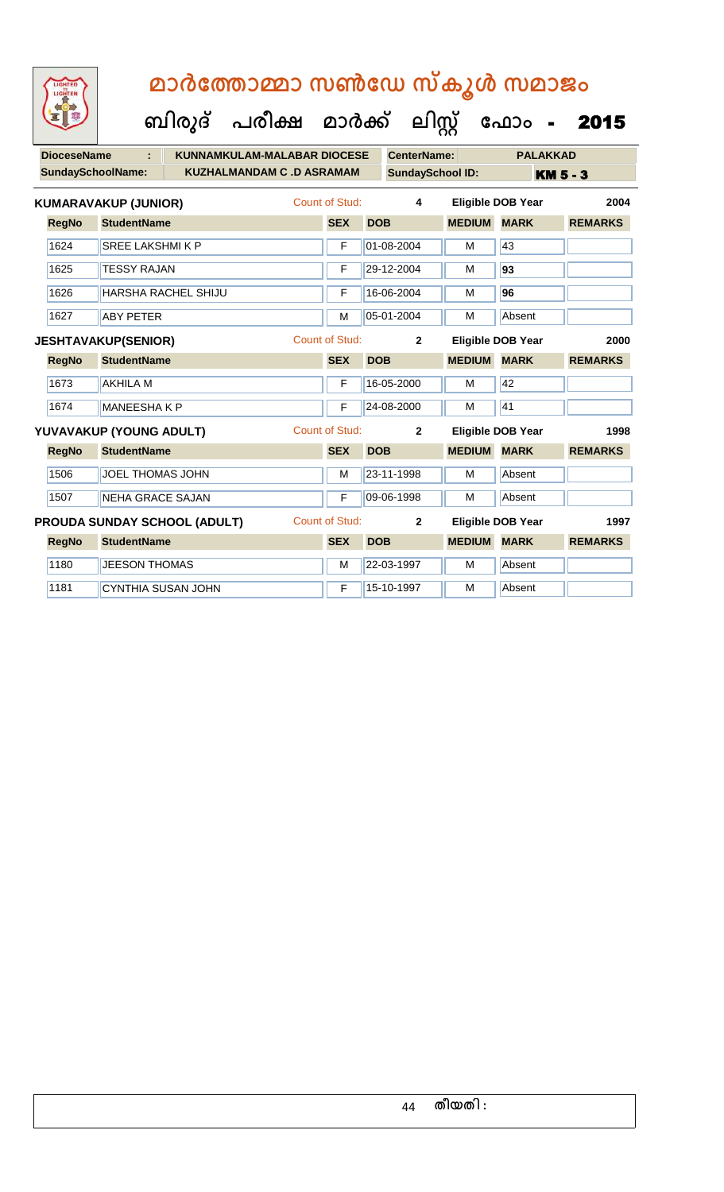| LIGHTED<br>LIGHTEN                             | മാർത്തോമ്മാ സൺഡേ സ്കൂൾ സമാജം<br>ബിരുദ് പരീക്ഷ മാർക്ക് ലിസ്റ്റ് ഫോം - <b>2015</b> |                              |                                               |               |                                         |                        |
|------------------------------------------------|----------------------------------------------------------------------------------|------------------------------|-----------------------------------------------|---------------|-----------------------------------------|------------------------|
| <b>DioceseName</b><br><b>SundaySchoolName:</b> | <b>KUNNAMKULAM-MALABAR DIOCESE</b><br>÷<br><b>KUZHALMANDAM C.D ASRAMAM</b>       |                              | <b>CenterName:</b><br><b>SundaySchool ID:</b> |               | <b>PALAKKAD</b>                         | <b>KM 5 - 3</b>        |
|                                                |                                                                                  |                              |                                               |               |                                         |                        |
| <b>RegNo</b>                                   | <b>KUMARAVAKUP (JUNIOR)</b><br><b>StudentName</b>                                | Count of Stud:<br><b>SEX</b> | 4<br><b>DOB</b>                               | <b>MEDIUM</b> | <b>Eligible DOB Year</b><br><b>MARK</b> | 2004<br><b>REMARKS</b> |
| 1624                                           | <b>SREE LAKSHMIKP</b>                                                            | F                            | 01-08-2004                                    | м             | 43                                      |                        |
|                                                |                                                                                  |                              |                                               |               |                                         |                        |
| 1625                                           | <b>TESSY RAJAN</b>                                                               | F                            | 29-12-2004                                    | м             | 93                                      |                        |
| 1626                                           | <b>HARSHA RACHEL SHIJU</b>                                                       | F                            | 16-06-2004                                    | M             | 96                                      |                        |
| 1627                                           | <b>ABY PETER</b>                                                                 | M                            | 05-01-2004                                    | м             | Absent                                  |                        |
|                                                | <b>JESHTAVAKUP(SENIOR)</b>                                                       | <b>Count of Stud:</b>        | $\mathbf{2}$                                  |               | <b>Eligible DOB Year</b>                | 2000                   |
|                                                |                                                                                  |                              |                                               |               |                                         |                        |
| <b>RegNo</b>                                   | <b>StudentName</b>                                                               | <b>SEX</b>                   | <b>DOB</b>                                    | <b>MEDIUM</b> | <b>MARK</b>                             | <b>REMARKS</b>         |
| 1673                                           | <b>AKHILA M</b>                                                                  | F                            | 16-05-2000                                    | м             | 42                                      |                        |
| 1674                                           | <b>MANEESHAKP</b>                                                                | F                            | 24-08-2000                                    | м             | 41                                      |                        |
|                                                | YUVAVAKUP (YOUNG ADULT)                                                          | <b>Count of Stud:</b>        | $\mathbf{2}$                                  |               | <b>Eligible DOB Year</b>                | 1998                   |
| <b>RegNo</b>                                   | <b>StudentName</b>                                                               | <b>SEX</b>                   | <b>DOB</b>                                    | <b>MEDIUM</b> | <b>MARK</b>                             | <b>REMARKS</b>         |
| 1506                                           | <b>JOEL THOMAS JOHN</b>                                                          | М                            | 23-11-1998                                    | M             | Absent                                  |                        |
| 1507                                           | <b>NEHA GRACE SAJAN</b>                                                          | F                            | 09-06-1998                                    | м             | Absent                                  |                        |
|                                                | <b>PROUDA SUNDAY SCHOOL (ADULT)</b>                                              | Count of Stud:               | $\overline{2}$                                |               | <b>Eligible DOB Year</b>                | 1997                   |
| <b>RegNo</b>                                   | <b>StudentName</b>                                                               | <b>SEX</b>                   | <b>DOB</b>                                    | <b>MEDIUM</b> | <b>MARK</b>                             | <b>REMARKS</b>         |
| 1180                                           | <b>JEESON THOMAS</b>                                                             | М                            | 22-03-1997                                    | M             | Absent                                  |                        |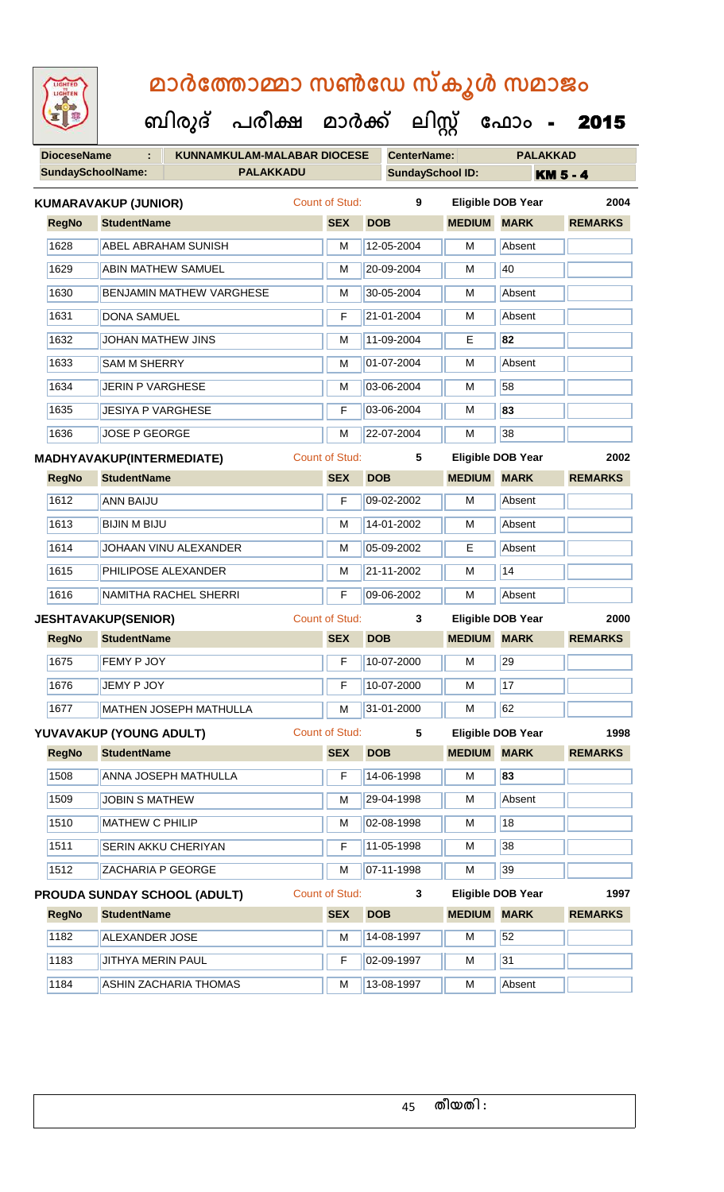| LIGHTED<br>LIGHTEN |                                     | മാർത്തോമ്മാ സൺഡേ സ്കൂൾ സമാജം         |                       |                         |               |                          |                 |
|--------------------|-------------------------------------|--------------------------------------|-----------------------|-------------------------|---------------|--------------------------|-----------------|
|                    |                                     | ബിരുദ് പരീക്ഷ മാർക്ക് ലിസ്റ്റ് ഫോം - |                       |                         |               |                          | 2015            |
| <b>DioceseName</b> | ÷                                   | <b>KUNNAMKULAM-MALABAR DIOCESE</b>   |                       | <b>CenterName:</b>      |               | <b>PALAKKAD</b>          |                 |
|                    | SundaySchoolName:                   | <b>PALAKKADU</b>                     |                       | <b>SundaySchool ID:</b> |               |                          | <b>KM 5 - 4</b> |
|                    | <b>KUMARAVAKUP (JUNIOR)</b>         |                                      | Count of Stud:        | 9                       |               | <b>Eligible DOB Year</b> | 2004            |
| <b>RegNo</b>       | <b>StudentName</b>                  |                                      | <b>SEX</b>            | <b>DOB</b>              | <b>MEDIUM</b> | <b>MARK</b>              | <b>REMARKS</b>  |
| 1628               | <b>ABEL ABRAHAM SUNISH</b>          |                                      | М                     | 12-05-2004              | M             | Absent                   |                 |
| 1629               | <b>ABIN MATHEW SAMUEL</b>           |                                      | М                     | 20-09-2004              | м             | 40                       |                 |
| 1630               | <b>BENJAMIN MATHEW VARGHESE</b>     |                                      | м                     | 30-05-2004              | м             | Absent                   |                 |
| 1631               | <b>DONA SAMUEL</b>                  |                                      | F                     | 21-01-2004              | м             | Absent                   |                 |
| 1632               | <b>JOHAN MATHEW JINS</b>            |                                      | М                     | 11-09-2004              | E             | 82                       |                 |
| 1633               | <b>SAM M SHERRY</b>                 |                                      | M                     | 01-07-2004              | м             | Absent                   |                 |
| 1634               | <b>JERIN P VARGHESE</b>             |                                      | М                     | 03-06-2004              | м             | 58                       |                 |
| 1635               | <b>JESIYA P VARGHESE</b>            |                                      | F                     | 03-06-2004              | м             | 83                       |                 |
| 1636               | <b>JOSE P GEORGE</b>                |                                      | М                     | 22-07-2004              | м             | 38                       |                 |
|                    | MADHYAVAKUP(INTERMEDIATE)           |                                      | <b>Count of Stud:</b> | 5                       |               | <b>Eligible DOB Year</b> | 2002            |
| <b>RegNo</b>       | <b>StudentName</b>                  |                                      | <b>SEX</b>            | <b>DOB</b>              | <b>MEDIUM</b> | <b>MARK</b>              | <b>REMARKS</b>  |
| 1612               | <b>ANN BAIJU</b>                    |                                      | F                     | 09-02-2002              | M             | Absent                   |                 |
| 1613               | <b>BIJIN M BIJU</b>                 |                                      | М                     | 14-01-2002              | м             | Absent                   |                 |
| 1614               | JOHAAN VINU ALEXANDER               |                                      | M                     | 05-09-2002              | Е             | Absent                   |                 |
| 1615               | PHILIPOSE ALEXANDER                 |                                      | м                     | 21-11-2002              | м             | 14                       |                 |
| 1616               | <b>INAMITHA RACHEL SHERRI</b>       |                                      | F                     | 109-06-2002             | M             | Absent                   |                 |
|                    | <b>JESHTAVAKUP(SENIOR)</b>          |                                      | <b>Count of Stud:</b> | 3                       |               | <b>Eligible DOB Year</b> | 2000            |
| <b>RegNo</b>       | <b>StudentName</b>                  |                                      | <b>SEX</b>            | <b>DOB</b>              | <b>MEDIUM</b> | <b>MARK</b>              | <b>REMARKS</b>  |
| 1675               | FEMY P JOY                          |                                      | F                     | 10-07-2000              | м             | 29                       |                 |
| 1676               | JEMY P JOY                          |                                      | F                     | 10-07-2000              | M             | 17                       |                 |
| 1677               | <b>MATHEN JOSEPH MATHULLA</b>       |                                      | М                     | 31-01-2000              | м             | 62                       |                 |
|                    | YUVAVAKUP (YOUNG ADULT)             |                                      | <b>Count of Stud:</b> | 5                       |               | <b>Eligible DOB Year</b> | 1998            |
| <b>RegNo</b>       | <b>StudentName</b>                  |                                      | <b>SEX</b>            | <b>DOB</b>              | <b>MEDIUM</b> | <b>MARK</b>              | <b>REMARKS</b>  |
| 1508               | ANNA JOSEPH MATHULLA                |                                      | F                     | 14-06-1998              | м             | 83                       |                 |
| 1509               | <b>JOBIN S MATHEW</b>               |                                      | M                     | 29-04-1998              | M             | Absent                   |                 |
| 1510               | <b>MATHEW C PHILIP</b>              |                                      | M                     | 02-08-1998              | M             | 18                       |                 |
| 1511               | SERIN AKKU CHERIYAN                 |                                      | F                     | 11-05-1998              | м             | 38                       |                 |
| 1512               | ZACHARIA P GEORGE                   |                                      | M                     | 07-11-1998              | M             | 39                       |                 |
|                    | <b>PROUDA SUNDAY SCHOOL (ADULT)</b> |                                      | <b>Count of Stud:</b> | 3                       |               | <b>Eligible DOB Year</b> | 1997            |
| <b>RegNo</b>       | <b>StudentName</b>                  |                                      | <b>SEX</b>            | <b>DOB</b>              | <b>MEDIUM</b> | <b>MARK</b>              | <b>REMARKS</b>  |
| 1182               | <b>ALEXANDER JOSE</b>               |                                      | M                     | 14-08-1997              | M             | 52                       |                 |
| 1183               | JITHYA MERIN PAUL                   |                                      | F                     | 02-09-1997              | M             | 31                       |                 |
| 1184               | ASHIN ZACHARIA THOMAS               |                                      | M                     | 13-08-1997              | M             | Absent                   |                 |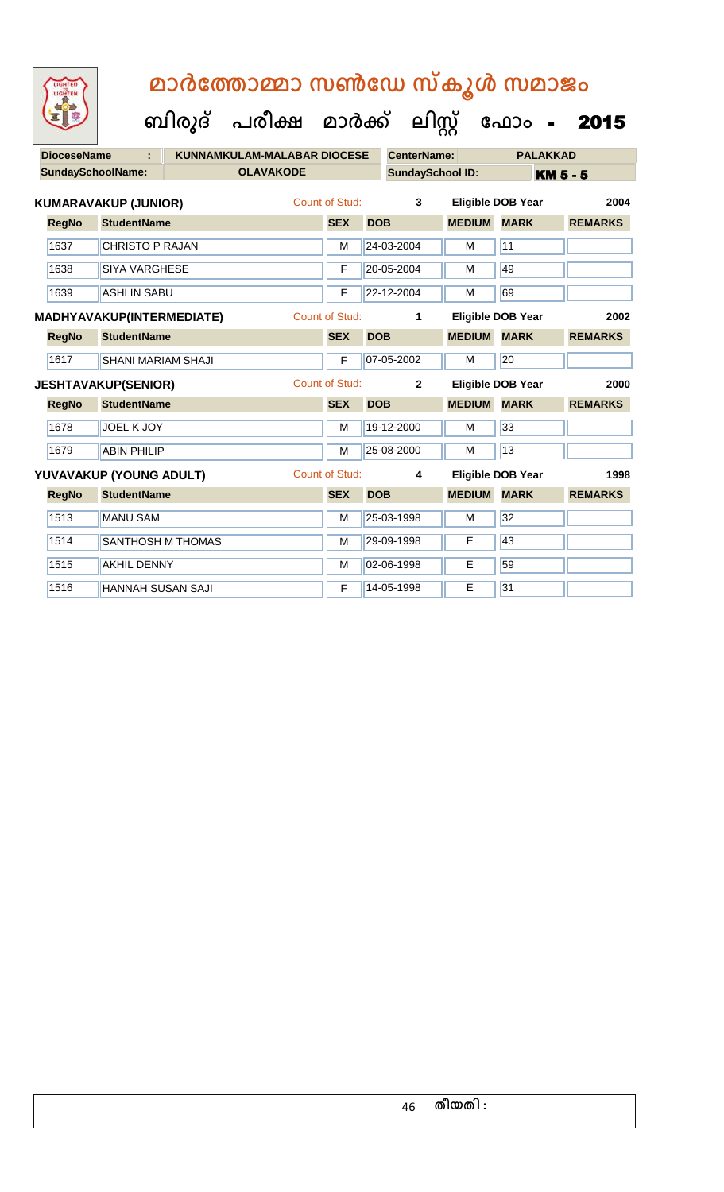# **മാര്കഫതാമ്മാ സണ്ഫേ സ്കൂള് സമാജോം**

|  | . ബിരുദ് പരീക്ഷ മാർക്ക് ലിസ്റ്റ് ഫോം - <b>2015</b> |  |  |  |  |  |  |
|--|----------------------------------------------------|--|--|--|--|--|--|
|--|----------------------------------------------------|--|--|--|--|--|--|

| <b>DioceseName</b> | ÷                           | <b>KUNNAMKULAM-MALABAR DIOCESE</b> |                       |            | <b>CenterName:</b>      |               | <b>PALAKKAD</b>          |                 |
|--------------------|-----------------------------|------------------------------------|-----------------------|------------|-------------------------|---------------|--------------------------|-----------------|
|                    | <b>SundaySchoolName:</b>    | <b>OLAVAKODE</b>                   |                       |            | <b>SundaySchool ID:</b> |               |                          | <b>KM 5 - 5</b> |
|                    | <b>KUMARAVAKUP (JUNIOR)</b> |                                    | Count of Stud:        |            | 3                       |               | <b>Eligible DOB Year</b> | 2004            |
| <b>RegNo</b>       | <b>StudentName</b>          |                                    | <b>SEX</b>            | <b>DOB</b> |                         | <b>MEDIUM</b> | <b>MARK</b>              | <b>REMARKS</b>  |
| 1637               | <b>CHRISTO P RAJAN</b>      |                                    | M                     |            | 24-03-2004              | M             | 11                       |                 |
| 1638               | <b>SIYA VARGHESE</b>        |                                    | F                     |            | 20-05-2004              | M             | 49                       |                 |
| 1639               | <b>ASHLIN SABU</b>          |                                    | F                     |            | 22-12-2004              | M             | 69                       |                 |
|                    | MADHYAVAKUP(INTERMEDIATE)   |                                    | <b>Count of Stud:</b> |            | 1                       |               | <b>Eligible DOB Year</b> | 2002            |
| <b>RegNo</b>       | <b>StudentName</b>          |                                    | <b>SEX</b>            | <b>DOB</b> |                         | <b>MEDIUM</b> | <b>MARK</b>              | <b>REMARKS</b>  |
| 1617               | <b>SHANI MARIAM SHAJI</b>   |                                    | F                     |            | 07-05-2002              | M             | 20                       |                 |
|                    | <b>JESHTAVAKUP(SENIOR)</b>  |                                    | Count of Stud:        |            | $\mathbf 2$             |               | <b>Eligible DOB Year</b> | 2000            |
| <b>RegNo</b>       | <b>StudentName</b>          |                                    | <b>SEX</b>            | <b>DOB</b> |                         | <b>MEDIUM</b> | <b>MARK</b>              | <b>REMARKS</b>  |
| 1678               | <b>JOEL K JOY</b>           |                                    | M                     |            | 19-12-2000              | M             | 33                       |                 |
| 1679               | <b>ABIN PHILIP</b>          |                                    | M                     |            | 25-08-2000              | M             | 13                       |                 |
|                    | YUVAVAKUP (YOUNG ADULT)     |                                    | <b>Count of Stud:</b> |            | 4                       |               | Eligible DOB Year        | 1998            |
| <b>RegNo</b>       | <b>StudentName</b>          |                                    | <b>SEX</b>            | <b>DOB</b> |                         | <b>MEDIUM</b> | <b>MARK</b>              | <b>REMARKS</b>  |
| 1513               | <b>MANU SAM</b>             |                                    | M                     |            | 25-03-1998              | M             | 32                       |                 |
| 1514               | <b>SANTHOSH M THOMAS</b>    |                                    | M                     |            | 29-09-1998              | E             | 43                       |                 |
| 1515               | <b>AKHIL DENNY</b>          |                                    | M                     |            | 02-06-1998              | E             | 59                       |                 |
| 1516               | <b>HANNAH SUSAN SAJI</b>    |                                    | F                     |            | 14-05-1998              | E             | 31                       |                 |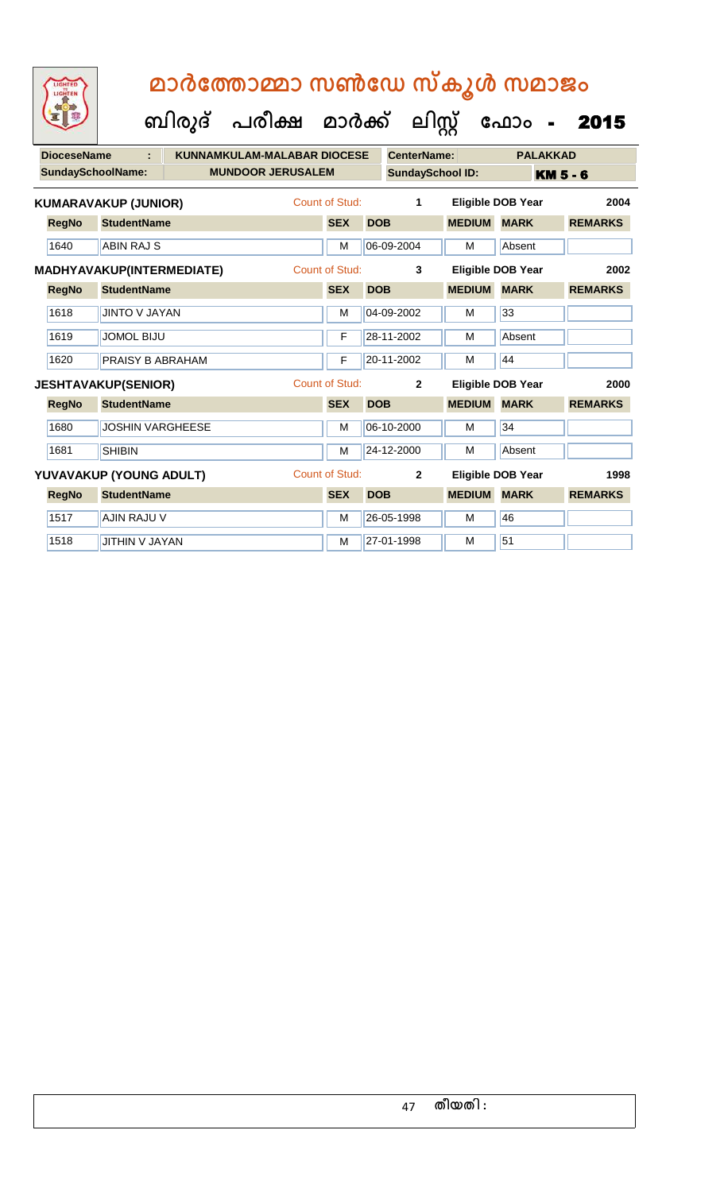| LIGHTED<br>LIGHTEN       |                             | മാർത്തോമ്മാ സൺഡേ സ്കൂൾ സമാജം<br>ബിരുദ് പരീക്ഷ മാർക്ക് ലിസ്റ്റ് |                       |                    |                         | ഫോം -                    |                 |
|--------------------------|-----------------------------|----------------------------------------------------------------|-----------------------|--------------------|-------------------------|--------------------------|-----------------|
|                          |                             |                                                                |                       |                    |                         |                          | 2015            |
| <b>DioceseName</b>       |                             | <b>KUNNAMKULAM-MALABAR DIOCESE</b>                             |                       | <b>CenterName:</b> |                         | <b>PALAKKAD</b>          |                 |
| <b>SundaySchoolName:</b> |                             | <b>MUNDOOR JERUSALEM</b>                                       |                       |                    | <b>SundaySchool ID:</b> |                          | <b>KM 5 - 6</b> |
|                          | <b>KUMARAVAKUP (JUNIOR)</b> |                                                                | Count of Stud:        | 1                  |                         | <b>Eligible DOB Year</b> | 2004            |
| <b>RegNo</b>             | <b>StudentName</b>          |                                                                | <b>SEX</b>            | <b>DOB</b>         | <b>MEDIUM</b>           | <b>MARK</b>              | <b>REMARKS</b>  |
| 1640                     | <b>ABIN RAJ S</b>           |                                                                | M                     | 06-09-2004         | м                       | Absent                   |                 |
|                          | MADHYAVAKUP(INTERMEDIATE)   |                                                                | <b>Count of Stud:</b> | 3                  |                         | <b>Eligible DOB Year</b> | 2002            |
| <b>RegNo</b>             | <b>StudentName</b>          |                                                                | <b>SEX</b>            | <b>DOB</b>         | <b>MEDIUM</b>           | <b>MARK</b>              | <b>REMARKS</b>  |
| 1618                     | <b>JINTO V JAYAN</b>        |                                                                | M                     | 04-09-2002         | M                       | 33                       |                 |
| 1619                     | JOMOL BIJU                  |                                                                | F                     | 28-11-2002         | M                       | Absent                   |                 |
| 1620                     | <b>PRAISY B ABRAHAM</b>     |                                                                | F                     | 20-11-2002         | м                       | 44                       |                 |
|                          | <b>JESHTAVAKUP(SENIOR)</b>  |                                                                | Count of Stud:        | $\mathbf{2}$       |                         | <b>Eligible DOB Year</b> | 2000            |
| <b>RegNo</b>             | <b>StudentName</b>          |                                                                | <b>SEX</b>            | <b>DOB</b>         | <b>MEDIUM</b>           | <b>MARK</b>              | <b>REMARKS</b>  |
| 1680                     | <b>JOSHIN VARGHEESE</b>     |                                                                | M                     | 06-10-2000         | M                       | 34                       |                 |
| 1681                     | <b>SHIBIN</b>               |                                                                | M                     | 24-12-2000         | M                       | Absent                   |                 |
|                          | YUVAVAKUP (YOUNG ADULT)     |                                                                | <b>Count of Stud:</b> | $\mathbf{2}$       |                         | <b>Eligible DOB Year</b> | 1998            |
| <b>RegNo</b>             | <b>StudentName</b>          |                                                                | <b>SEX</b>            | <b>DOB</b>         | <b>MEDIUM</b>           | <b>MARK</b>              | <b>REMARKS</b>  |
| 1517                     | <b>AJIN RAJU V</b>          |                                                                | M                     | 26-05-1998         | M                       | 46                       |                 |
| 1518                     | JITHIN V JAYAN              |                                                                | м                     | 27-01-1998         | м                       | 51                       |                 |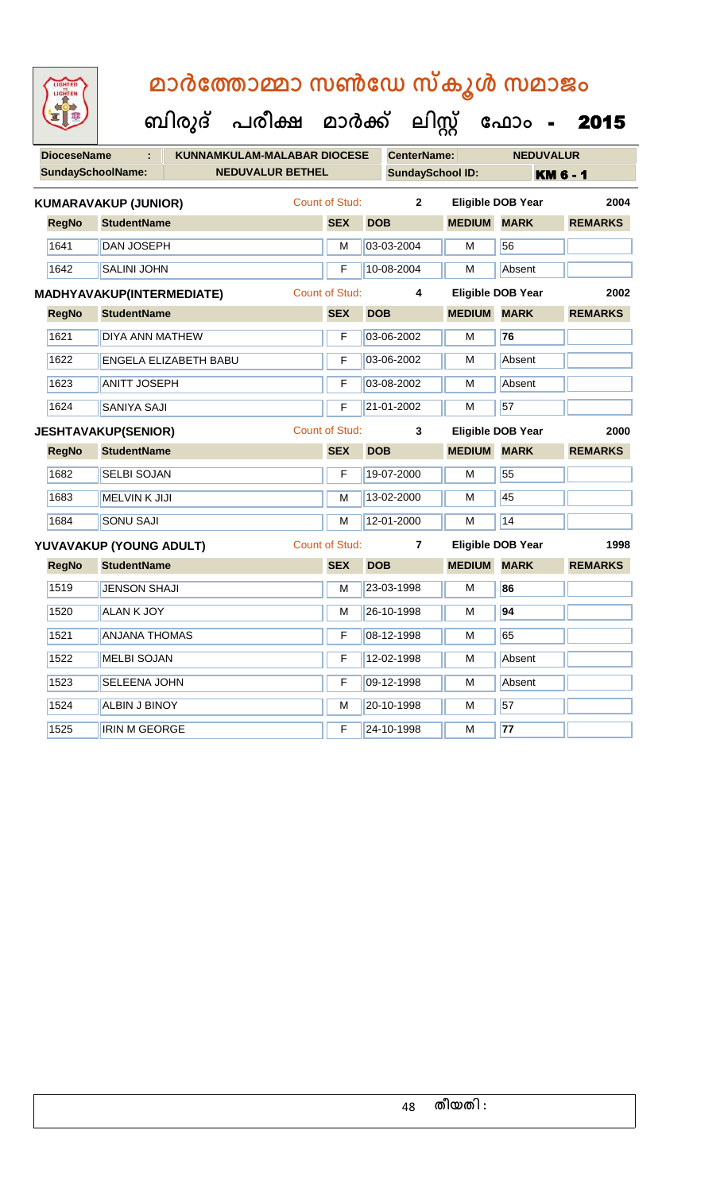| LIGHTED<br>LIGHTEN       | മാർത്തോമ്മാ സൺഡേ സ്കൂൾ സമാജം            |                       |                         |               |                          |                 |  |  |  |  |  |  |  |
|--------------------------|-----------------------------------------|-----------------------|-------------------------|---------------|--------------------------|-----------------|--|--|--|--|--|--|--|
|                          | ബിരുദ് പരീക്ഷ മാർക്ക് ലിസ്റ്റ് ഫോം      |                       |                         |               |                          | 2015            |  |  |  |  |  |  |  |
| <b>DioceseName</b>       | <b>KUNNAMKULAM-MALABAR DIOCESE</b><br>÷ |                       | <b>CenterName:</b>      |               | <b>NEDUVALUR</b>         |                 |  |  |  |  |  |  |  |
| <b>SundaySchoolName:</b> | <b>NEDUVALUR BETHEL</b>                 |                       | <b>SundaySchool ID:</b> |               |                          | <b>KM 6 - 1</b> |  |  |  |  |  |  |  |
|                          | <b>KUMARAVAKUP (JUNIOR)</b>             | <b>Count of Stud:</b> | $\overline{2}$          |               | <b>Eligible DOB Year</b> | 2004            |  |  |  |  |  |  |  |
| <b>RegNo</b>             | <b>StudentName</b>                      | <b>SEX</b>            | <b>DOB</b>              | <b>MEDIUM</b> | <b>MARK</b>              | <b>REMARKS</b>  |  |  |  |  |  |  |  |
| 1641                     | <b>DAN JOSEPH</b>                       | М                     | 03-03-2004              | м             | 56                       |                 |  |  |  |  |  |  |  |
| 1642                     | <b>SALINI JOHN</b>                      | F                     | 10-08-2004              | M             | Absent                   |                 |  |  |  |  |  |  |  |
|                          | MADHYAVAKUP(INTERMEDIATE)               | <b>Count of Stud:</b> | 4                       |               | Eligible DOB Year        | 2002            |  |  |  |  |  |  |  |
| <b>RegNo</b>             | <b>StudentName</b>                      | <b>SEX</b>            | <b>DOB</b>              | <b>MEDIUM</b> | <b>MARK</b>              | <b>REMARKS</b>  |  |  |  |  |  |  |  |
| 1621                     | <b>DIYA ANN MATHEW</b>                  | F                     | 03-06-2002              | M             | 76                       |                 |  |  |  |  |  |  |  |
| 1622                     | <b>ENGELA ELIZABETH BABU</b>            | F                     | 03-06-2002              | М             | Absent                   |                 |  |  |  |  |  |  |  |
| 1623                     | <b>ANITT JOSEPH</b>                     | F                     | 03-08-2002              | м             | Absent                   |                 |  |  |  |  |  |  |  |
| 1624                     | <b>SANIYA SAJI</b>                      | F                     | 21-01-2002              | M             | 57                       |                 |  |  |  |  |  |  |  |
|                          | <b>JESHTAVAKUP(SENIOR)</b>              | <b>Count of Stud:</b> | 3                       |               | <b>Eligible DOB Year</b> | 2000            |  |  |  |  |  |  |  |
| <b>RegNo</b>             | <b>StudentName</b>                      | <b>SEX</b>            | <b>DOB</b>              | <b>MEDIUM</b> | <b>MARK</b>              | <b>REMARKS</b>  |  |  |  |  |  |  |  |
| 1682                     | <b>SELBI SOJAN</b>                      | F                     | 19-07-2000              | M             | 55                       |                 |  |  |  |  |  |  |  |
| 1683                     | <b>MELVIN K JIJI</b>                    | M                     | 13-02-2000              | м             | 45                       |                 |  |  |  |  |  |  |  |
| 1684                     | <b>SONU SAJI</b>                        | M                     | 12-01-2000              | M             | 14                       |                 |  |  |  |  |  |  |  |
|                          | YUVAVAKUP (YOUNG ADULT)                 | <b>Count of Stud:</b> | 7                       |               | Eligible DOB Year        | 1998            |  |  |  |  |  |  |  |
| <b>RegNo</b>             | <b>StudentName</b>                      | <b>SEX</b>            | <b>DOB</b>              | <b>MEDIUM</b> | <b>MARK</b>              | <b>REMARKS</b>  |  |  |  |  |  |  |  |
| 1519                     | <b>JENSON SHAJI</b>                     | M                     | 23-03-1998              | M             | 86                       |                 |  |  |  |  |  |  |  |
| 1520                     | <b>ALAN K JOY</b>                       | M                     | 26-10-1998              | М             | 94                       |                 |  |  |  |  |  |  |  |
| 1521                     | <b>ANJANA THOMAS</b>                    | F                     | 08-12-1998              | М             | 65                       |                 |  |  |  |  |  |  |  |
| 1522                     | <b>MELBI SOJAN</b>                      | F                     | 12-02-1998              | M             | Absent                   |                 |  |  |  |  |  |  |  |
| 1523                     | <b>SELEENA JOHN</b>                     | F                     | 09-12-1998              | М             | Absent                   |                 |  |  |  |  |  |  |  |
| 1524                     | ALBIN J BINOY                           | M                     | 20-10-1998              | M             | 57                       |                 |  |  |  |  |  |  |  |
| 1525                     | <b>IRIN M GEORGE</b>                    | F                     | 24-10-1998              | M             | 77                       |                 |  |  |  |  |  |  |  |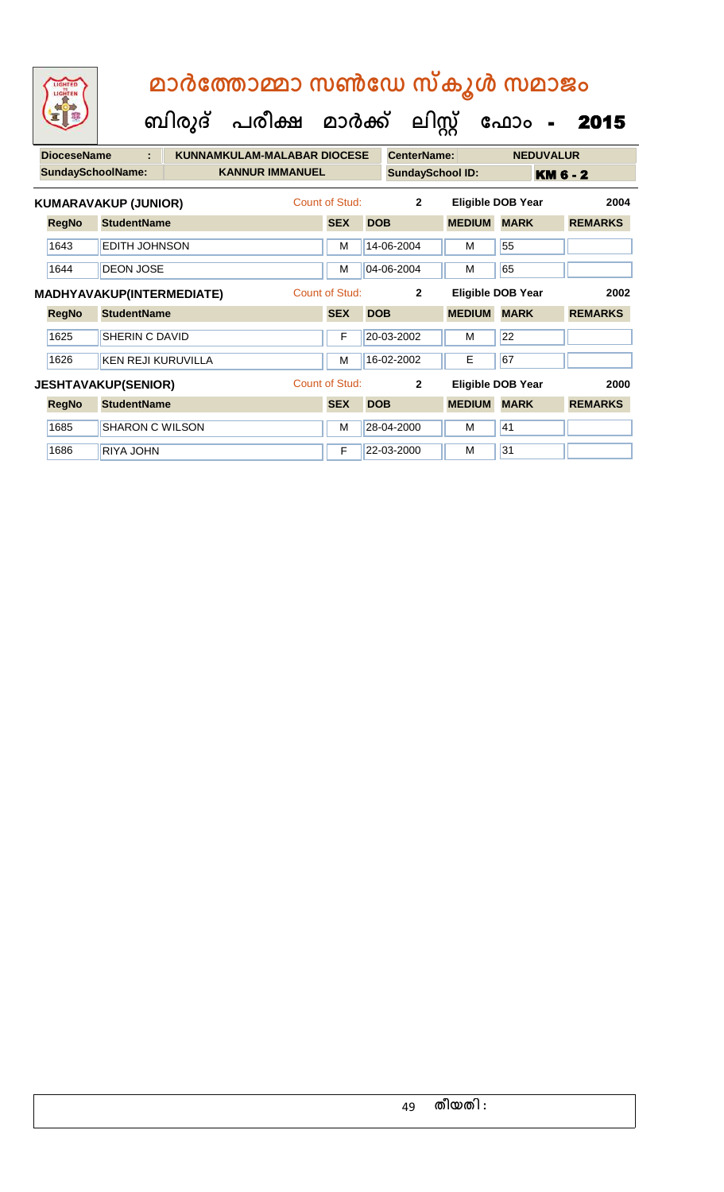| LIGHTED<br>LIGHTEN       |                                  | മാർത്തോമ്മാ സൺഡേ സ്കൂൾ സമാജം<br>ബിരുദ് പരീക്ഷ മാർക്ക് ലിസ്റ്റ് |                |            |                    |                         | ഫോം                      | 2015            |
|--------------------------|----------------------------------|----------------------------------------------------------------|----------------|------------|--------------------|-------------------------|--------------------------|-----------------|
| <b>DioceseName</b>       | ÷                                | <b>KUNNAMKULAM-MALABAR DIOCESE</b>                             |                |            | <b>CenterName:</b> |                         | <b>NEDUVALUR</b>         |                 |
| <b>SundaySchoolName:</b> |                                  | <b>KANNUR IMMANUEL</b>                                         |                |            |                    | <b>SundaySchool ID:</b> |                          | <b>KM 6 - 2</b> |
|                          | <b>KUMARAVAKUP (JUNIOR)</b>      |                                                                | Count of Stud: |            | $\mathbf{2}$       |                         | <b>Eligible DOB Year</b> | 2004            |
| <b>RegNo</b>             | <b>StudentName</b>               |                                                                | <b>SEX</b>     | <b>DOB</b> |                    | <b>MEDIUM</b>           | <b>MARK</b>              | <b>REMARKS</b>  |
| 1643                     | <b>EDITH JOHNSON</b>             |                                                                | м              | 14-06-2004 |                    | м                       | 55                       |                 |
| 1644                     | DEON JOSE                        |                                                                | M              | 04-06-2004 |                    | M                       | 65                       |                 |
|                          | <b>MADHYAVAKUP(INTERMEDIATE)</b> |                                                                | Count of Stud: |            | $\overline{2}$     |                         | <b>Eligible DOB Year</b> | 2002            |
| <b>RegNo</b>             | <b>StudentName</b>               |                                                                | <b>SEX</b>     | <b>DOB</b> |                    | <b>MEDIUM</b>           | <b>MARK</b>              | <b>REMARKS</b>  |
| 1625                     | SHERIN C DAVID                   |                                                                | F              | 20-03-2002 |                    | м                       | 22                       |                 |
| 1626                     | <b>KEN REJI KURUVILLA</b>        |                                                                | M              | 16-02-2002 |                    | Е                       | 67                       |                 |
|                          | <b>JESHTAVAKUP(SENIOR)</b>       |                                                                | Count of Stud: |            | $\overline{2}$     |                         | <b>Eligible DOB Year</b> | 2000            |
| <b>RegNo</b>             | <b>StudentName</b>               |                                                                | <b>SEX</b>     | <b>DOB</b> |                    | <b>MEDIUM</b>           | <b>MARK</b>              | <b>REMARKS</b>  |
| 1685                     | <b>SHARON C WILSON</b>           |                                                                | M              | 28-04-2000 |                    | M                       | 41                       |                 |
| 1686                     | <b>RIYA JOHN</b>                 |                                                                | F              | 22-03-2000 |                    | м                       | 31                       |                 |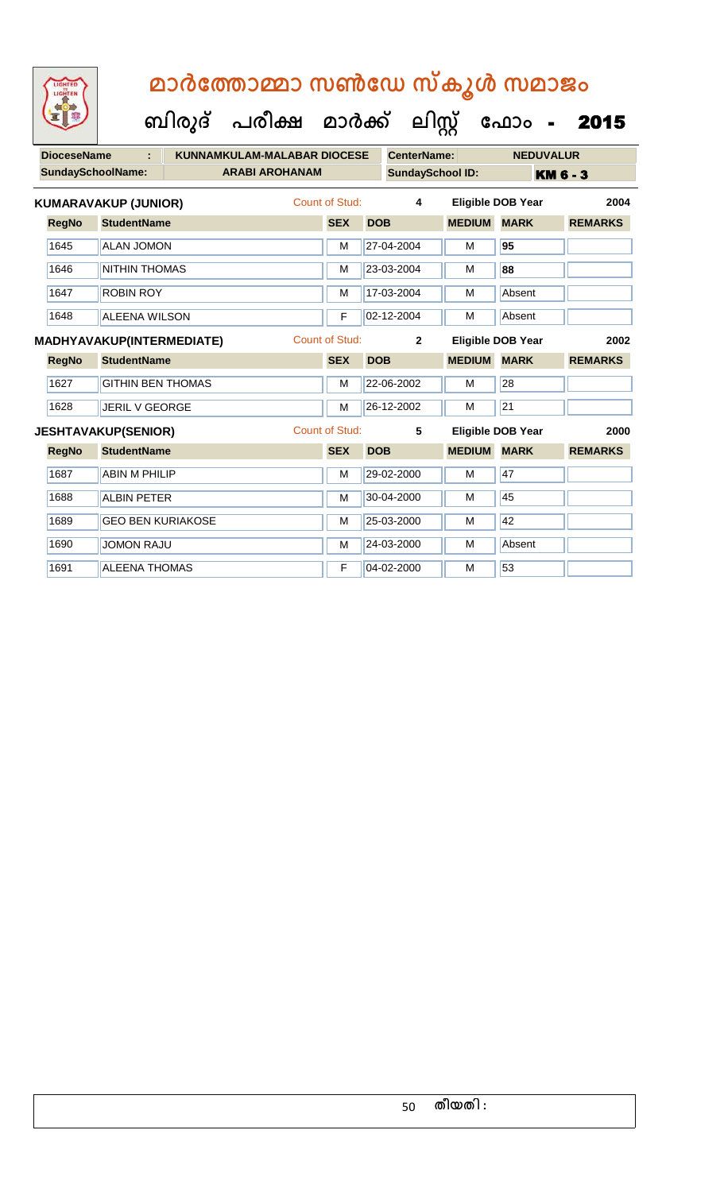| LIGHTED<br>LIGHTEN       | മാർത്തോമ്മാ സൺഡേ സ്കൂൾ സമാജം<br>ബിരുദ് പരീക്ഷ മാർക്ക് ലിസ്റ്റ് ഫോം - |                       |                         |               |                          | 2015            |
|--------------------------|----------------------------------------------------------------------|-----------------------|-------------------------|---------------|--------------------------|-----------------|
| <b>DioceseName</b>       | <b>KUNNAMKULAM-MALABAR DIOCESE</b><br>ŧ.                             |                       | <b>CenterName:</b>      |               | <b>NEDUVALUR</b>         |                 |
| <b>SundaySchoolName:</b> | <b>ARABI AROHANAM</b>                                                |                       | <b>SundaySchool ID:</b> |               |                          | <b>KM 6 - 3</b> |
|                          | <b>KUMARAVAKUP (JUNIOR)</b>                                          | <b>Count of Stud:</b> | 4                       |               | <b>Eligible DOB Year</b> | 2004            |
| <b>RegNo</b>             | <b>StudentName</b>                                                   | <b>SEX</b>            | <b>DOB</b>              | <b>MEDIUM</b> | <b>MARK</b>              | <b>REMARKS</b>  |
| 1645                     | <b>ALAN JOMON</b>                                                    | M                     | 27-04-2004              | M             | 95                       |                 |
| 1646                     | <b>NITHIN THOMAS</b>                                                 | М                     | 23-03-2004              | M             | 88                       |                 |
| 1647                     | <b>ROBIN ROY</b>                                                     | м                     | 17-03-2004              | м             | Absent                   |                 |
| 1648                     | <b>ALEENA WILSON</b>                                                 | F                     | 02-12-2004              | м             | Absent                   |                 |
|                          | <b>MADHYAVAKUP(INTERMEDIATE)</b>                                     | <b>Count of Stud:</b> | $\overline{2}$          |               | <b>Eligible DOB Year</b> | 2002            |
| <b>RegNo</b>             | <b>StudentName</b>                                                   | <b>SEX</b>            | <b>DOB</b>              | <b>MEDIUM</b> | <b>MARK</b>              | <b>REMARKS</b>  |
| 1627                     | <b>GITHIN BEN THOMAS</b>                                             | м                     | 22-06-2002              | M             | $\overline{28}$          |                 |
| 1628                     | <b>JERIL V GEORGE</b>                                                | M                     | 26-12-2002              | M             | $\overline{21}$          |                 |
|                          | <b>JESHTAVAKUP(SENIOR)</b>                                           | <b>Count of Stud:</b> | 5                       |               | <b>Eligible DOB Year</b> | 2000            |
| <b>RegNo</b>             | <b>StudentName</b>                                                   | <b>SEX</b>            | <b>DOB</b>              | <b>MEDIUM</b> | <b>MARK</b>              | <b>REMARKS</b>  |
| 1687                     | <b>ABIN M PHILIP</b>                                                 | M                     | 29-02-2000              | M             | 47                       |                 |
| 1688                     | <b>ALBIN PETER</b>                                                   | M                     | 30-04-2000              | м             | 45                       |                 |
| 1689                     | <b>GEO BEN KURIAKOSE</b>                                             | м                     | 25-03-2000              | м             | 42                       |                 |
| 1690                     | <b>JOMON RAJU</b>                                                    | М                     | 24-03-2000              | M             | Absent                   |                 |
| 1691                     | <b>ALEENA THOMAS</b>                                                 | F                     | 04-02-2000              | M             | 53                       |                 |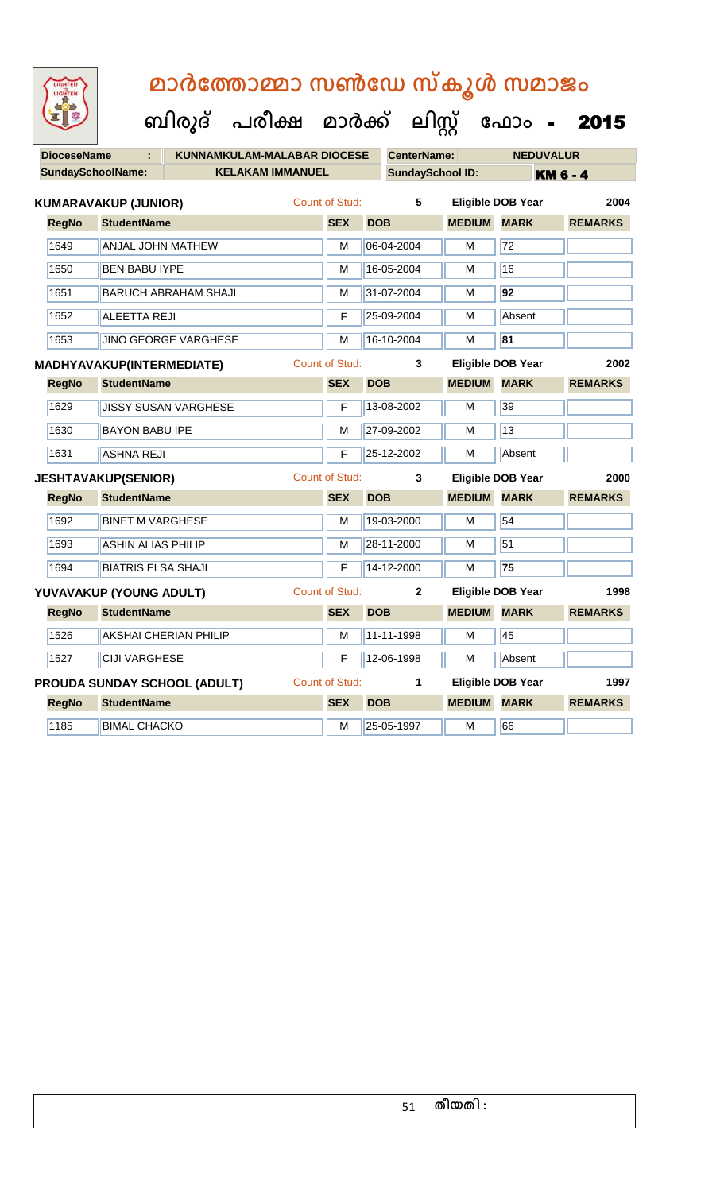| LIGHTED<br>LIGHTEN       | മാർത്തോമ്മാ സൺഡേ സ്കൂൾ സമാജം                     |                       |                         |               |                          |                |  |  |  |  |  |  |
|--------------------------|--------------------------------------------------|-----------------------|-------------------------|---------------|--------------------------|----------------|--|--|--|--|--|--|
|                          | ബിരുദ് പരീക്ഷ മാർക്ക് ലിസ്റ്റ് ഫോം - <b>2015</b> |                       |                         |               |                          |                |  |  |  |  |  |  |
| <b>DioceseName</b>       | <b>KUNNAMKULAM-MALABAR DIOCESE</b>               |                       | <b>CenterName:</b>      |               | <b>NEDUVALUR</b>         |                |  |  |  |  |  |  |
| <b>SundaySchoolName:</b> | <b>KELAKAM IMMANUEL</b>                          |                       | <b>SundaySchool ID:</b> |               | <b>KM 6 - 4</b>          |                |  |  |  |  |  |  |
|                          | <b>KUMARAVAKUP (JUNIOR)</b>                      | Count of Stud:        | 5                       |               | <b>Eligible DOB Year</b> | 2004           |  |  |  |  |  |  |
| <b>RegNo</b>             | <b>StudentName</b>                               | <b>SEX</b>            | <b>DOB</b>              | <b>MEDIUM</b> | <b>MARK</b>              | <b>REMARKS</b> |  |  |  |  |  |  |
| 1649                     | <b>ANJAL JOHN MATHEW</b>                         | м                     | 06-04-2004              | M             | 72                       |                |  |  |  |  |  |  |
| 1650                     | <b>BEN BABU IYPE</b>                             | м                     | 16-05-2004              | м             | 16                       |                |  |  |  |  |  |  |
| 1651                     | <b>BARUCH ABRAHAM SHAJI</b>                      | М                     | 31-07-2004              | M             | 92                       |                |  |  |  |  |  |  |
| 1652                     | <b>ALEETTA REJI</b>                              | F                     | 25-09-2004              | м             | Absent                   |                |  |  |  |  |  |  |
| 1653                     | <b>JINO GEORGE VARGHESE</b>                      | M                     | 16-10-2004              | M             | 81                       |                |  |  |  |  |  |  |
|                          | <b>MADHYAVAKUP(INTERMEDIATE)</b>                 | Count of Stud:        | 3                       |               | <b>Eligible DOB Year</b> | 2002           |  |  |  |  |  |  |
| <b>RegNo</b>             | <b>StudentName</b>                               | <b>SEX</b>            | <b>DOB</b>              | <b>MEDIUM</b> | <b>MARK</b>              | <b>REMARKS</b> |  |  |  |  |  |  |
| 1629                     | <b>JISSY SUSAN VARGHESE</b>                      | F                     | 13-08-2002              | M             | 39                       |                |  |  |  |  |  |  |
| 1630                     | <b>BAYON BABU IPE</b>                            | м                     | 27-09-2002              | м             | 13                       |                |  |  |  |  |  |  |
| 1631                     | <b>ASHNA REJI</b>                                | F                     | 25-12-2002              | м             | Absent                   |                |  |  |  |  |  |  |
|                          | <b>JESHTAVAKUP(SENIOR)</b>                       | Count of Stud:        | 3                       |               | <b>Eligible DOB Year</b> | 2000           |  |  |  |  |  |  |
| <b>RegNo</b>             | <b>StudentName</b>                               | <b>SEX</b>            | <b>DOB</b>              | <b>MEDIUM</b> | <b>MARK</b>              | <b>REMARKS</b> |  |  |  |  |  |  |
| 1692                     | <b>BINET M VARGHESE</b>                          | м                     | 19-03-2000              | M             | 54                       |                |  |  |  |  |  |  |
| 1693                     | <b>ASHIN ALIAS PHILIP</b>                        | М                     | 28-11-2000              | м             | 51                       |                |  |  |  |  |  |  |
| 1694                     | <b>BIATRIS ELSA SHAJI</b>                        | F                     | 14-12-2000              | м             | 75                       |                |  |  |  |  |  |  |
|                          | YUVAVAKUP (YOUNG ADULT)                          | <b>Count of Stud:</b> | 2                       |               | <b>Eligible DOB Year</b> | 1998           |  |  |  |  |  |  |
| <b>RegNo</b>             | <b>StudentName</b>                               | <b>SEX</b>            | <b>DOB</b>              | <b>MEDIUM</b> | <b>MARK</b>              | <b>REMARKS</b> |  |  |  |  |  |  |
| 1526                     | <b>AKSHAI CHERIAN PHILIP</b>                     | M                     | 11-11-1998              | M             | 45                       |                |  |  |  |  |  |  |
| 1527                     | CIJI VARGHESE                                    | F                     | 12-06-1998              | М             | Absent                   |                |  |  |  |  |  |  |
|                          | <b>PROUDA SUNDAY SCHOOL (ADULT)</b>              | Count of Stud:        | $\mathbf{1}$            |               | <b>Eligible DOB Year</b> | 1997           |  |  |  |  |  |  |
| <b>RegNo</b>             | <b>StudentName</b>                               | <b>SEX</b>            | <b>DOB</b>              | <b>MEDIUM</b> | <b>MARK</b>              | <b>REMARKS</b> |  |  |  |  |  |  |
| 1185                     | <b>BIMAL CHACKO</b>                              | M                     | 25-05-1997              | M             | 66                       |                |  |  |  |  |  |  |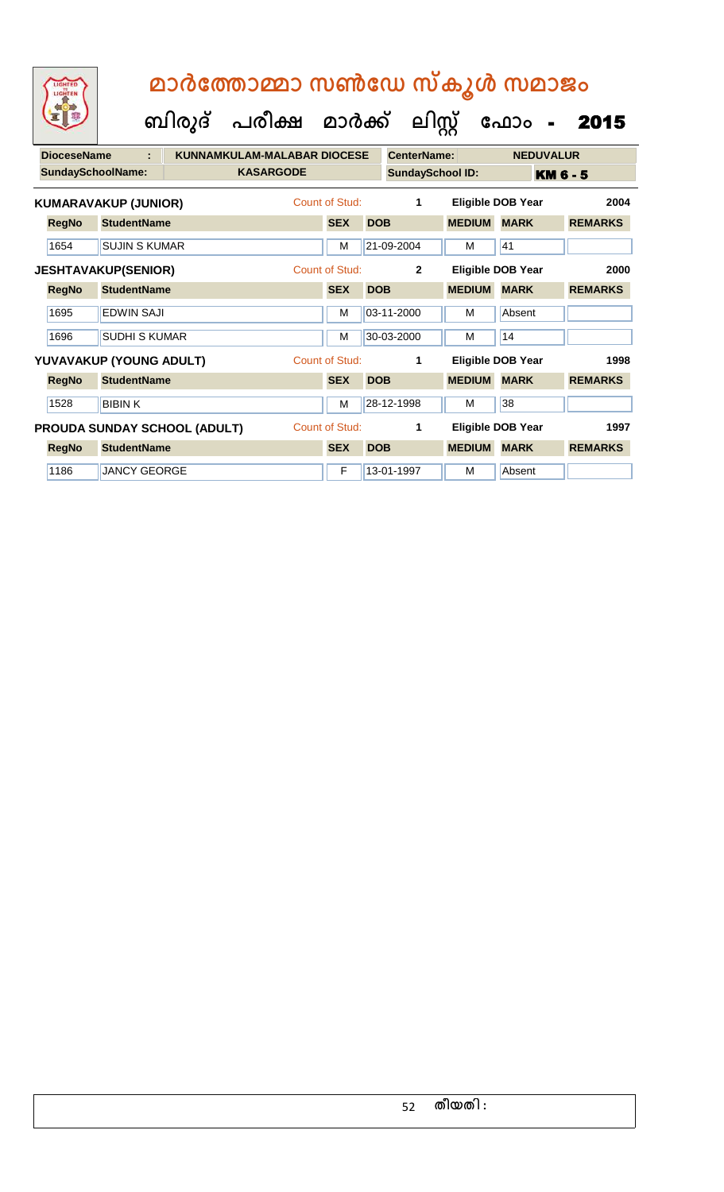| LIGHTED<br>LIGHTEN       |                              | മാർത്തോമ്മാ സൺഡേ സ്കൂൾ സമാജം       |                       |            |                         |               |                          |                 |
|--------------------------|------------------------------|------------------------------------|-----------------------|------------|-------------------------|---------------|--------------------------|-----------------|
|                          |                              | ബിരുദ് പരീക്ഷ മാർക്ക്              |                       |            | ലിസ്റ്റ്                |               | ഫോം                      | 2015            |
| <b>DioceseName</b>       |                              | <b>KUNNAMKULAM-MALABAR DIOCESE</b> |                       |            | <b>CenterName:</b>      |               | <b>NEDUVALUR</b>         |                 |
| <b>SundaySchoolName:</b> |                              | <b>KASARGODE</b>                   |                       |            | <b>SundaySchool ID:</b> |               |                          | <b>KM 6 - 5</b> |
|                          | <b>KUMARAVAKUP (JUNIOR)</b>  |                                    | <b>Count of Stud:</b> |            | 1                       |               | <b>Eligible DOB Year</b> | 2004            |
| <b>RegNo</b>             | <b>StudentName</b>           |                                    | <b>SEX</b>            | <b>DOB</b> |                         | <b>MEDIUM</b> | <b>MARK</b>              | <b>REMARKS</b>  |
| 1654                     | <b>SUJIN S KUMAR</b>         |                                    | M                     |            | 21-09-2004              | м             | 41                       |                 |
|                          | <b>JESHTAVAKUP(SENIOR)</b>   |                                    | Count of Stud:        |            | $\mathbf{2}$            |               | <b>Eligible DOB Year</b> | 2000            |
| <b>RegNo</b>             | <b>StudentName</b>           |                                    | <b>SEX</b>            | <b>DOB</b> |                         | <b>MEDIUM</b> | <b>MARK</b>              | <b>REMARKS</b>  |
| 1695                     | <b>EDWIN SAJI</b>            |                                    | м                     |            | 03-11-2000              | м             | Absent                   |                 |
| 1696                     | <b>SUDHI S KUMAR</b>         |                                    | M                     |            | 30-03-2000              | М             | 14                       |                 |
|                          | YUVAVAKUP (YOUNG ADULT)      |                                    | <b>Count of Stud:</b> |            | 1                       |               | <b>Eligible DOB Year</b> | 1998            |
| <b>RegNo</b>             | <b>StudentName</b>           |                                    | <b>SEX</b>            | <b>DOB</b> |                         | <b>MEDIUM</b> | <b>MARK</b>              | <b>REMARKS</b>  |
| 1528                     | <b>BIBINK</b>                |                                    | M                     |            | 28-12-1998              | м             | 38                       |                 |
|                          | PROUDA SUNDAY SCHOOL (ADULT) |                                    | <b>Count of Stud:</b> |            | 1                       |               | <b>Eligible DOB Year</b> | 1997            |
| <b>RegNo</b>             | <b>StudentName</b>           |                                    | <b>SEX</b>            | <b>DOB</b> |                         | <b>MEDIUM</b> | <b>MARK</b>              | <b>REMARKS</b>  |
| 1186                     | <b>JANCY GEORGE</b>          |                                    | F                     |            | 13-01-1997              | M             | Absent                   |                 |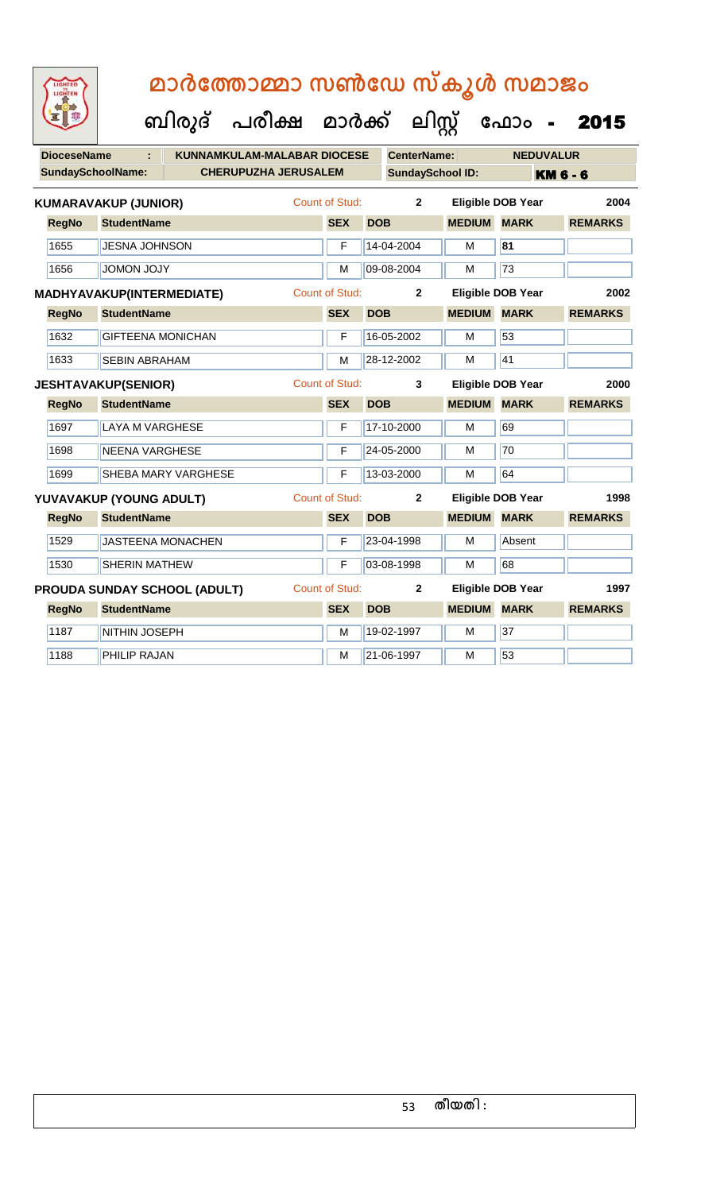| LIGHTED<br>LIGHTEN       | മാർത്തോമ്മാ സൺഡേ സ്കൂൾ സമാജം            |                       |                    |                         |                          |                 |  |  |  |  |  |  |  |
|--------------------------|-----------------------------------------|-----------------------|--------------------|-------------------------|--------------------------|-----------------|--|--|--|--|--|--|--|
|                          | ബിരുദ് പരീക്ഷ മാർക്ക് ലിസ്റ്റ് ഫോം -    |                       |                    |                         |                          | 2015            |  |  |  |  |  |  |  |
| <b>DioceseName</b>       | ÷<br><b>KUNNAMKULAM-MALABAR DIOCESE</b> |                       | <b>CenterName:</b> |                         | <b>NEDUVALUR</b>         |                 |  |  |  |  |  |  |  |
| <b>SundaySchoolName:</b> | <b>CHERUPUZHA JERUSALEM</b>             |                       |                    | <b>SundaySchool ID:</b> |                          | <b>KM 6 - 6</b> |  |  |  |  |  |  |  |
|                          | <b>KUMARAVAKUP (JUNIOR)</b>             | Count of Stud:        | $\overline{2}$     |                         | <b>Eligible DOB Year</b> | 2004            |  |  |  |  |  |  |  |
| <b>RegNo</b>             | <b>StudentName</b>                      | <b>SEX</b>            | <b>DOB</b>         | <b>MEDIUM MARK</b>      |                          | <b>REMARKS</b>  |  |  |  |  |  |  |  |
| 1655                     | <b>JESNA JOHNSON</b>                    | F                     | 14-04-2004         | м                       | 81                       |                 |  |  |  |  |  |  |  |
| 1656                     | <b>YLOL MOMOL</b>                       | M                     | 09-08-2004         | м                       | 73                       |                 |  |  |  |  |  |  |  |
|                          | MADHYAVAKUP(INTERMEDIATE)               | Count of Stud:        | $\mathbf{2}$       |                         | <b>Eligible DOB Year</b> | 2002            |  |  |  |  |  |  |  |
| <b>RegNo</b>             | <b>StudentName</b>                      | <b>SEX</b>            | <b>DOB</b>         | <b>MEDIUM</b>           | <b>MARK</b>              | <b>REMARKS</b>  |  |  |  |  |  |  |  |
| 1632                     | <b>GIFTEENA MONICHAN</b>                | F                     | 16-05-2002         | м                       | 53                       |                 |  |  |  |  |  |  |  |
| 1633                     | <b>SEBIN ABRAHAM</b>                    | М                     | 28-12-2002         | М                       | 41                       |                 |  |  |  |  |  |  |  |
|                          | <b>JESHTAVAKUP(SENIOR)</b>              | <b>Count of Stud:</b> | 3                  |                         | Eligible DOB Year        | 2000            |  |  |  |  |  |  |  |
| <b>RegNo</b>             | <b>StudentName</b>                      | <b>SEX</b>            | <b>DOB</b>         | <b>MEDIUM MARK</b>      |                          | <b>REMARKS</b>  |  |  |  |  |  |  |  |
| 1697                     | LAYA M VARGHESE                         | F                     | 17-10-2000         | м                       | 69                       |                 |  |  |  |  |  |  |  |
| 1698                     | <b>NEENA VARGHESE</b>                   | F                     | 24-05-2000         | м                       | 70                       |                 |  |  |  |  |  |  |  |
| 1699                     | SHEBA MARY VARGHESE                     | F                     | 13-03-2000         | м                       | 64                       |                 |  |  |  |  |  |  |  |
|                          | YUVAVAKUP (YOUNG ADULT)                 | Count of Stud:        | $\mathbf{2}$       |                         | <b>Eligible DOB Year</b> | 1998            |  |  |  |  |  |  |  |
| <b>RegNo</b>             | <b>StudentName</b>                      | <b>SEX</b>            | <b>DOB</b>         | <b>MEDIUM</b>           | <b>MARK</b>              | <b>REMARKS</b>  |  |  |  |  |  |  |  |
| 1529                     | <b>JASTEENA MONACHEN</b>                | F                     | 23-04-1998         | м                       | Absent                   |                 |  |  |  |  |  |  |  |
| 1530                     | <b>SHERIN MATHEW</b>                    | F                     | 03-08-1998         | м                       | 68                       |                 |  |  |  |  |  |  |  |
|                          | PROUDA SUNDAY SCHOOL (ADULT)            | <b>Count of Stud:</b> | $\mathbf{2}$       |                         | <b>Eligible DOB Year</b> | 1997            |  |  |  |  |  |  |  |
| <b>RegNo</b>             | <b>StudentName</b>                      | <b>SEX</b>            | <b>DOB</b>         | <b>MEDIUM</b>           | <b>MARK</b>              | <b>REMARKS</b>  |  |  |  |  |  |  |  |
| 1187                     | NITHIN JOSEPH                           | м                     | 19-02-1997         | м                       | 37                       |                 |  |  |  |  |  |  |  |
| 1188                     | <b>PHILIP RAJAN</b>                     | М                     | 21-06-1997         | М                       | 53                       |                 |  |  |  |  |  |  |  |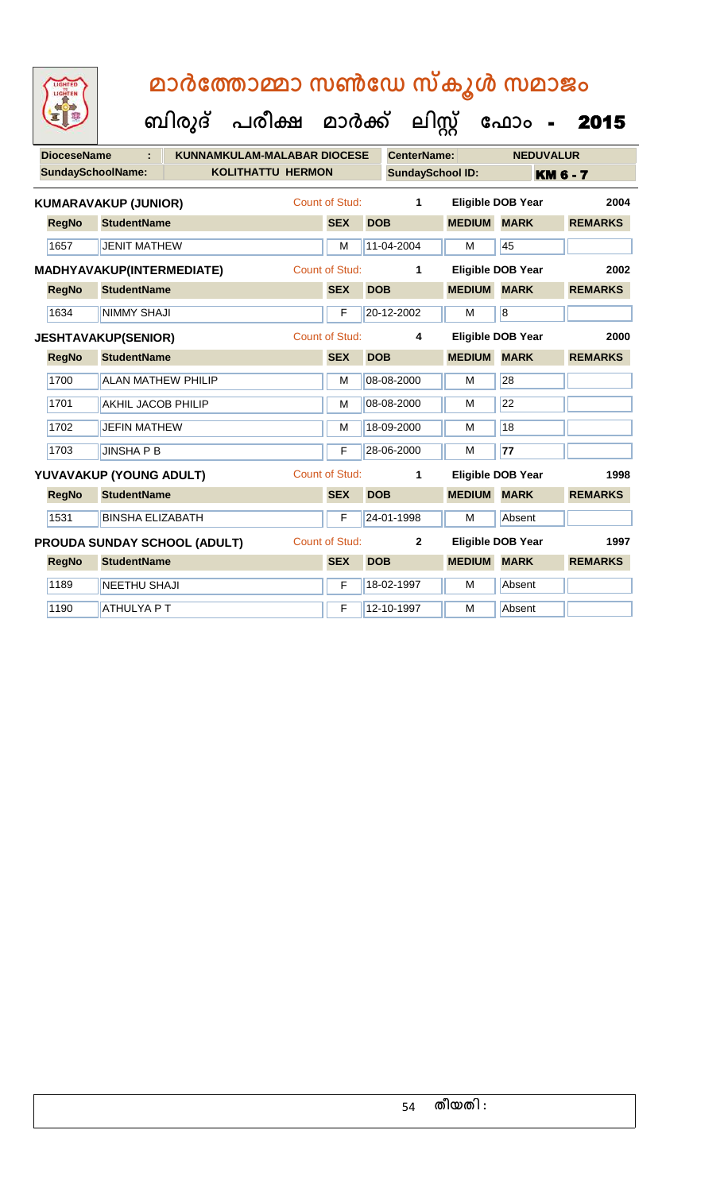| LIGHTED<br>LIGHTEN       |                                     | മാർത്തോമ്മാ സൺഡേ സ്കൂൾ സമാജം         |                       |            |                    |                         |                          |                 |
|--------------------------|-------------------------------------|--------------------------------------|-----------------------|------------|--------------------|-------------------------|--------------------------|-----------------|
|                          |                                     | ബിരുദ് പരീക്ഷ മാർക്ക് ലിസ്റ്റ് ഫോം - |                       |            |                    |                         |                          | 2015            |
| <b>DioceseName</b>       |                                     | <b>KUNNAMKULAM-MALABAR DIOCESE</b>   |                       |            | <b>CenterName:</b> |                         | <b>NEDUVALUR</b>         |                 |
| <b>SundaySchoolName:</b> |                                     | <b>KOLITHATTU HERMON</b>             |                       |            |                    | <b>SundaySchool ID:</b> |                          | <b>KM 6 - 7</b> |
|                          | <b>KUMARAVAKUP (JUNIOR)</b>         |                                      | Count of Stud:        |            | $\mathbf 1$        |                         | <b>Eligible DOB Year</b> | 2004            |
| <b>RegNo</b>             | <b>StudentName</b>                  |                                      | <b>SEX</b>            | <b>DOB</b> |                    | <b>MEDIUM</b>           | <b>MARK</b>              | <b>REMARKS</b>  |
| 1657                     | <b>JENIT MATHEW</b>                 |                                      | м                     | 11-04-2004 |                    | м                       | 45                       |                 |
|                          | MADHYAVAKUP(INTERMEDIATE)           |                                      | Count of Stud:        |            | $\mathbf 1$        |                         | Eligible DOB Year        | 2002            |
| <b>RegNo</b>             | <b>StudentName</b>                  |                                      | <b>SEX</b>            | <b>DOB</b> |                    | <b>MEDIUM</b>           | <b>MARK</b>              | <b>REMARKS</b>  |
| 1634                     | <b>NIMMY SHAJI</b>                  |                                      | F                     | 20-12-2002 |                    | м                       | $\overline{\mathbf{8}}$  |                 |
|                          | <b>JESHTAVAKUP(SENIOR)</b>          |                                      | Count of Stud:        |            | 4                  |                         | <b>Eligible DOB Year</b> | 2000            |
| <b>RegNo</b>             | <b>StudentName</b>                  |                                      | <b>SEX</b>            | <b>DOB</b> |                    | <b>MEDIUM</b>           | <b>MARK</b>              | <b>REMARKS</b>  |
| 1700                     | <b>ALAN MATHEW PHILIP</b>           |                                      | М                     | 08-08-2000 |                    | М                       | 28                       |                 |
| 1701                     | <b>AKHIL JACOB PHILIP</b>           |                                      | м                     | 08-08-2000 |                    | M                       | $\overline{22}$          |                 |
| 1702                     | <b>JEFIN MATHEW</b>                 |                                      | М                     | 18-09-2000 |                    | м                       | 18                       |                 |
| 1703                     | <b>JINSHA P B</b>                   |                                      | F                     | 28-06-2000 |                    | М                       | 77                       |                 |
|                          | YUVAVAKUP (YOUNG ADULT)             |                                      | <b>Count of Stud:</b> |            | 1                  |                         | Eligible DOB Year        | 1998            |
| <b>RegNo</b>             | <b>StudentName</b>                  |                                      | <b>SEX</b>            | <b>DOB</b> |                    | <b>MEDIUM</b>           | <b>MARK</b>              | <b>REMARKS</b>  |
| 1531                     | <b>BINSHA ELIZABATH</b>             |                                      | F                     | 24-01-1998 |                    | М                       | Absent                   |                 |
|                          | <b>PROUDA SUNDAY SCHOOL (ADULT)</b> |                                      | <b>Count of Stud:</b> |            | $\mathbf{2}$       |                         | <b>Eligible DOB Year</b> | 1997            |
| <b>RegNo</b>             | <b>StudentName</b>                  |                                      | <b>SEX</b>            | <b>DOB</b> |                    | <b>MEDIUM</b>           | <b>MARK</b>              | <b>REMARKS</b>  |
| 1189                     | <b>NEETHU SHAJI</b>                 |                                      | F                     | 18-02-1997 |                    | м                       | Absent                   |                 |
| 1190                     | <b>ATHULYA P T</b>                  |                                      | F                     | 12-10-1997 |                    | м                       | Absent                   |                 |

 $\blacksquare$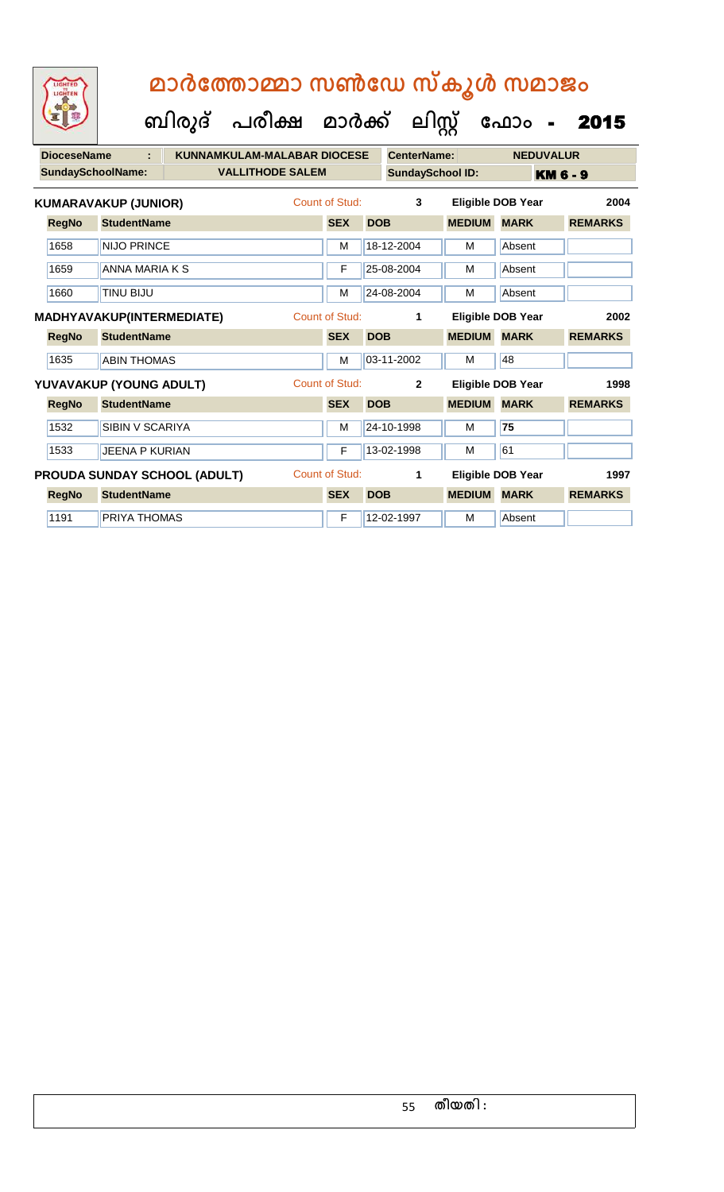| LIGHTED<br>LIGHTEN       |                                     | മാർത്തോമ്മാ സൺഡേ സ്കൂൾ സമാജം<br>ബിരുദ് പരീക്ഷ മാർക്ക് ലിസ്സ് ഫോം - |                       |            |                         |               |                          |                 |  |
|--------------------------|-------------------------------------|--------------------------------------------------------------------|-----------------------|------------|-------------------------|---------------|--------------------------|-----------------|--|
|                          |                                     |                                                                    |                       |            |                         |               |                          | 2015            |  |
| <b>DioceseName</b>       |                                     | KUNNAMKULAM-MALABAR DIOCESE                                        |                       |            | <b>CenterName:</b>      |               | <b>NEDUVALUR</b>         |                 |  |
| <b>SundaySchoolName:</b> |                                     | <b>VALLITHODE SALEM</b>                                            |                       |            | <b>SundaySchool ID:</b> |               |                          | <b>KM 6 - 9</b> |  |
|                          | <b>KUMARAVAKUP (JUNIOR)</b>         |                                                                    | Count of Stud:        |            | 3                       |               | <b>Eligible DOB Year</b> | 2004            |  |
| <b>RegNo</b>             | <b>StudentName</b>                  |                                                                    | <b>SEX</b>            | <b>DOB</b> |                         | <b>MEDIUM</b> | <b>MARK</b>              | <b>REMARKS</b>  |  |
| 1658                     | <b>NIJO PRINCE</b>                  |                                                                    | M                     | 18-12-2004 |                         | M             | Absent                   |                 |  |
| 1659                     | <b>ANNA MARIA K S</b>               |                                                                    | F                     | 25-08-2004 |                         | M             | Absent                   |                 |  |
| 1660                     | <b>TINU BIJU</b>                    |                                                                    | M                     | 24-08-2004 |                         | M             | Absent                   |                 |  |
|                          | MADHYAVAKUP(INTERMEDIATE)           |                                                                    | <b>Count of Stud:</b> |            | 1                       |               | <b>Eligible DOB Year</b> | 2002            |  |
| <b>RegNo</b>             | <b>StudentName</b>                  |                                                                    | <b>SEX</b>            | <b>DOB</b> |                         | <b>MEDIUM</b> | <b>MARK</b>              | <b>REMARKS</b>  |  |
| 1635                     | <b>ABIN THOMAS</b>                  |                                                                    | M                     | 03-11-2002 |                         | M             | 48                       |                 |  |
|                          | YUVAVAKUP (YOUNG ADULT)             |                                                                    | <b>Count of Stud:</b> |            | $\mathbf{2}$            |               | <b>Eligible DOB Year</b> | 1998            |  |
| <b>RegNo</b>             | <b>StudentName</b>                  |                                                                    | <b>SEX</b>            | <b>DOB</b> |                         | <b>MEDIUM</b> | <b>MARK</b>              | <b>REMARKS</b>  |  |
| 1532                     | <b>SIBIN V SCARIYA</b>              |                                                                    | M                     | 24-10-1998 |                         | M             | 75                       |                 |  |
| 1533                     | <b>JEENA P KURIAN</b>               |                                                                    | F                     | 13-02-1998 |                         | м             | 61                       |                 |  |
|                          | <b>PROUDA SUNDAY SCHOOL (ADULT)</b> |                                                                    | <b>Count of Stud:</b> |            | 1                       |               | <b>Eligible DOB Year</b> | 1997            |  |
| <b>RegNo</b>             | <b>StudentName</b>                  |                                                                    | <b>SEX</b>            | <b>DOB</b> |                         | <b>MEDIUM</b> | <b>MARK</b>              | <b>REMARKS</b>  |  |
| 1191                     | PRIYA THOMAS                        |                                                                    | F                     | 12-02-1997 |                         | M             | Absent                   |                 |  |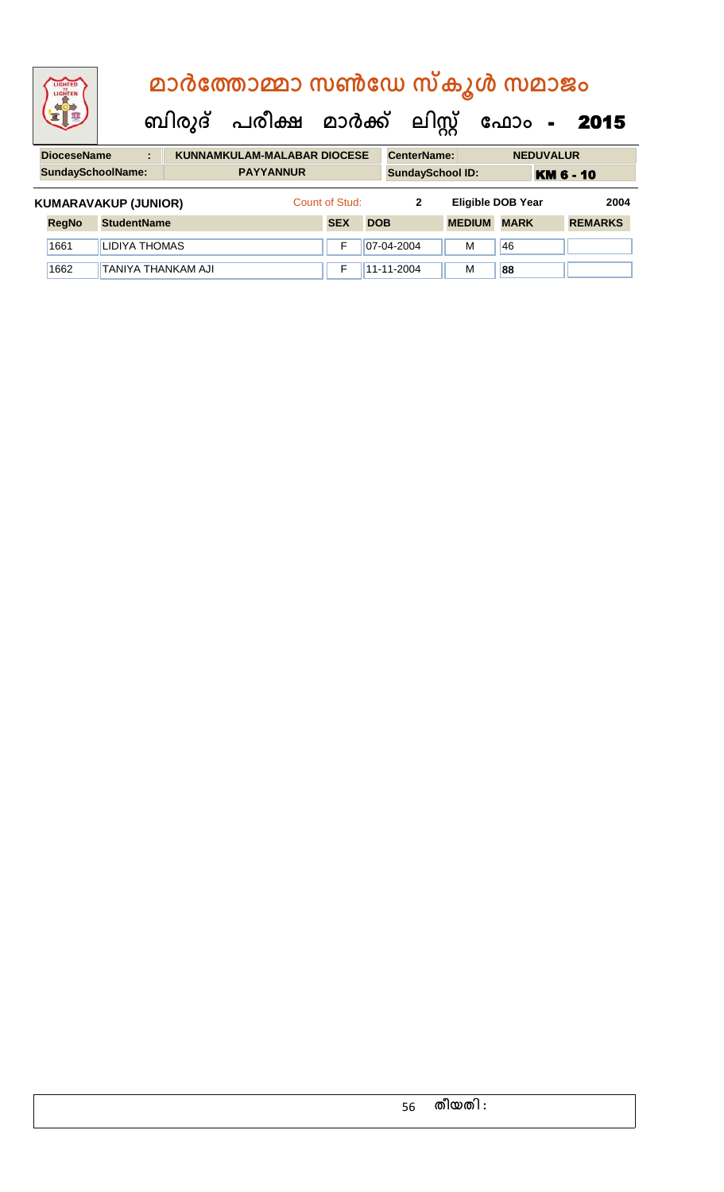| <b>IGHTED</b><br>LIGHTEN    |                      |   | മാർത്തോമ്മാ സൺഡേ സ്കൂൾ സമാജം |                                           |                         |            |                    |  |                   |                  |                  |                |
|-----------------------------|----------------------|---|------------------------------|-------------------------------------------|-------------------------|------------|--------------------|--|-------------------|------------------|------------------|----------------|
|                             |                      |   |                              | ബിരുദ് പരീക്ഷ മാർക്ക് ലിസ്റ്റ് ഫോം - 2015 |                         |            |                    |  |                   |                  |                  |                |
| <b>DioceseName</b>          |                      | ÷ |                              | <b>KUNNAMKULAM-MALABAR DIOCESE</b>        |                         |            | <b>CenterName:</b> |  |                   |                  | <b>NEDUVALUR</b> |                |
| <b>SundaySchoolName:</b>    |                      |   |                              |                                           | <b>SundaySchool ID:</b> |            |                    |  |                   | <b>KM 6 - 10</b> |                  |                |
| <b>KUMARAVAKUP (JUNIOR)</b> |                      |   |                              |                                           | Count of Stud:          |            | $\mathbf{2}$       |  | Eligible DOB Year |                  |                  | 2004           |
| <b>RegNo</b>                | <b>StudentName</b>   |   |                              |                                           | <b>SEX</b>              | <b>DOB</b> |                    |  | <b>MEDIUM</b>     | <b>MARK</b>      |                  | <b>REMARKS</b> |
| 1661                        | <b>LIDIYA THOMAS</b> |   |                              |                                           | F                       |            | 07-04-2004         |  | м                 | 46               |                  |                |

1662 TANIYA THANKAM AJI F 11-11-2004 M **88**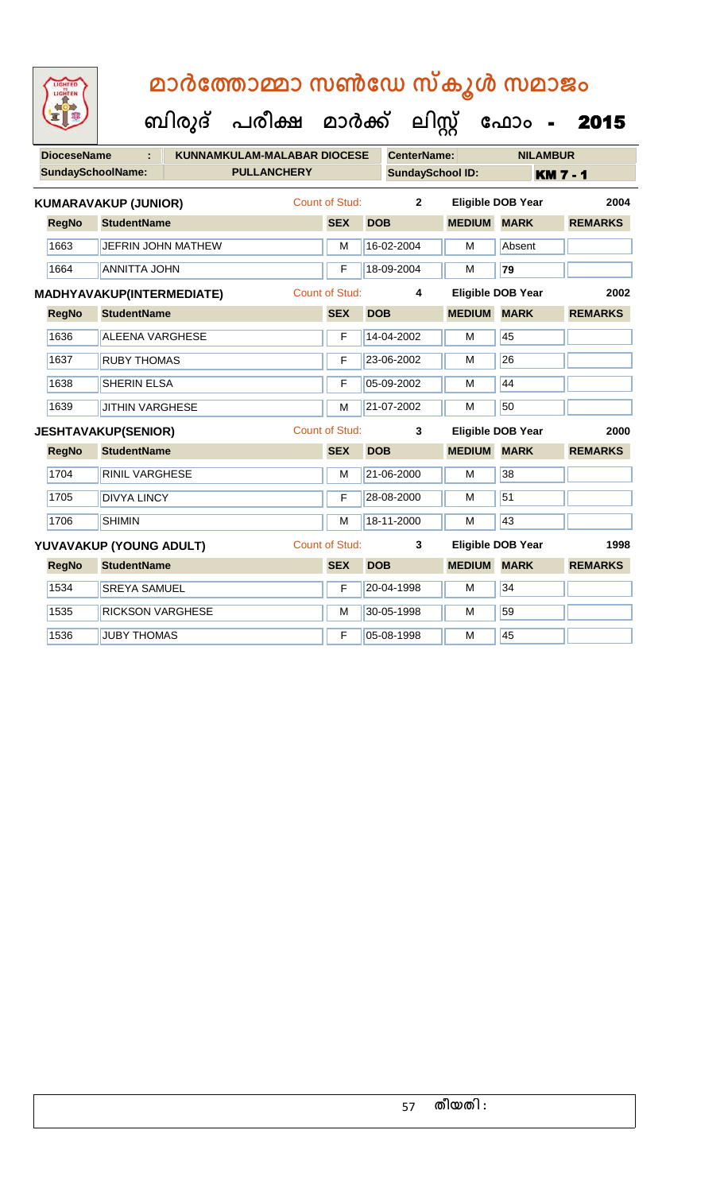| LIGHTED<br>LIGHTEN          |                            | മാർത്തോമ്മാ സൺഡേ സ്കൂൾ സമാജം                     |                       |            |                         |               |                          |                |
|-----------------------------|----------------------------|--------------------------------------------------|-----------------------|------------|-------------------------|---------------|--------------------------|----------------|
|                             |                            | ബിരുദ് പരീക്ഷ മാർക്ക് ലിസ്റ്റ് ഫോം - <b>2015</b> |                       |            |                         |               |                          |                |
| <b>DioceseName</b>          | ÷.                         | <b>KUNNAMKULAM-MALABAR DIOCESE</b>               |                       |            | <b>CenterName:</b>      |               | <b>NILAMBUR</b>          |                |
| <b>SundaySchoolName:</b>    |                            | <b>PULLANCHERY</b>                               |                       |            | <b>SundaySchool ID:</b> |               |                          | <b>KM7-1</b>   |
| <b>KUMARAVAKUP (JUNIOR)</b> |                            |                                                  | Count of Stud:        |            | $\mathbf{2}$            |               | <b>Eligible DOB Year</b> | 2004           |
| <b>RegNo</b>                | <b>StudentName</b>         |                                                  | <b>SEX</b>            | <b>DOB</b> |                         | <b>MEDIUM</b> | <b>MARK</b>              | <b>REMARKS</b> |
| 1663                        | JEFRIN JOHN MATHEW         |                                                  | м                     | 16-02-2004 |                         | M             | Absent                   |                |
| 1664                        | <b>ANNITTA JOHN</b>        |                                                  | F                     | 18-09-2004 |                         | М             | $\overline{79}$          |                |
|                             | MADHYAVAKUP(INTERMEDIATE)  |                                                  | <b>Count of Stud:</b> |            | 4                       |               | <b>Eligible DOB Year</b> | 2002           |
| <b>RegNo</b>                | <b>StudentName</b>         |                                                  | <b>SEX</b>            | <b>DOB</b> |                         | <b>MEDIUM</b> | <b>MARK</b>              | <b>REMARKS</b> |
| 1636                        | ALEENA VARGHESE            |                                                  | F                     | 14-04-2002 |                         | М             | 45                       |                |
| 1637                        | <b>RUBY THOMAS</b>         |                                                  | F                     | 23-06-2002 |                         | м             | 26                       |                |
| 1638                        | <b>SHERIN ELSA</b>         |                                                  | F                     | 05-09-2002 |                         | м             | 44                       |                |
| 1639                        | <b>JITHIN VARGHESE</b>     |                                                  | М                     | 21-07-2002 |                         | М             | 50                       |                |
|                             | <b>JESHTAVAKUP(SENIOR)</b> |                                                  | <b>Count of Stud:</b> |            | 3                       |               | <b>Eligible DOB Year</b> | 2000           |
| <b>RegNo</b>                | <b>StudentName</b>         |                                                  | <b>SEX</b>            | <b>DOB</b> |                         | <b>MEDIUM</b> | <b>MARK</b>              | <b>REMARKS</b> |
| 1704                        | <b>RINIL VARGHESE</b>      |                                                  | м                     | 21-06-2000 |                         | м             | 38                       |                |
| 1705                        | <b>DIVYA LINCY</b>         |                                                  | F                     | 28-08-2000 |                         | м             | 51                       |                |
| 1706                        | <b>SHIMIN</b>              |                                                  | M                     | 18-11-2000 |                         | M             | 43                       |                |
|                             | YUVAVAKUP (YOUNG ADULT)    |                                                  | Count of Stud:        |            | 3                       |               | <b>Eligible DOB Year</b> | 1998           |
| <b>RegNo</b>                | <b>StudentName</b>         |                                                  | <b>SEX</b>            | <b>DOB</b> |                         | <b>MEDIUM</b> | <b>MARK</b>              | <b>REMARKS</b> |
| 1534                        | <b>SREYA SAMUEL</b>        |                                                  | F                     | 20-04-1998 |                         | м             | 34                       |                |
| 1535                        | <b>RICKSON VARGHESE</b>    |                                                  | м                     | 30-05-1998 |                         | м             | 59                       |                |
| 1536                        | JUBY THOMAS                |                                                  | F                     | 05-08-1998 |                         | М             | 45                       |                |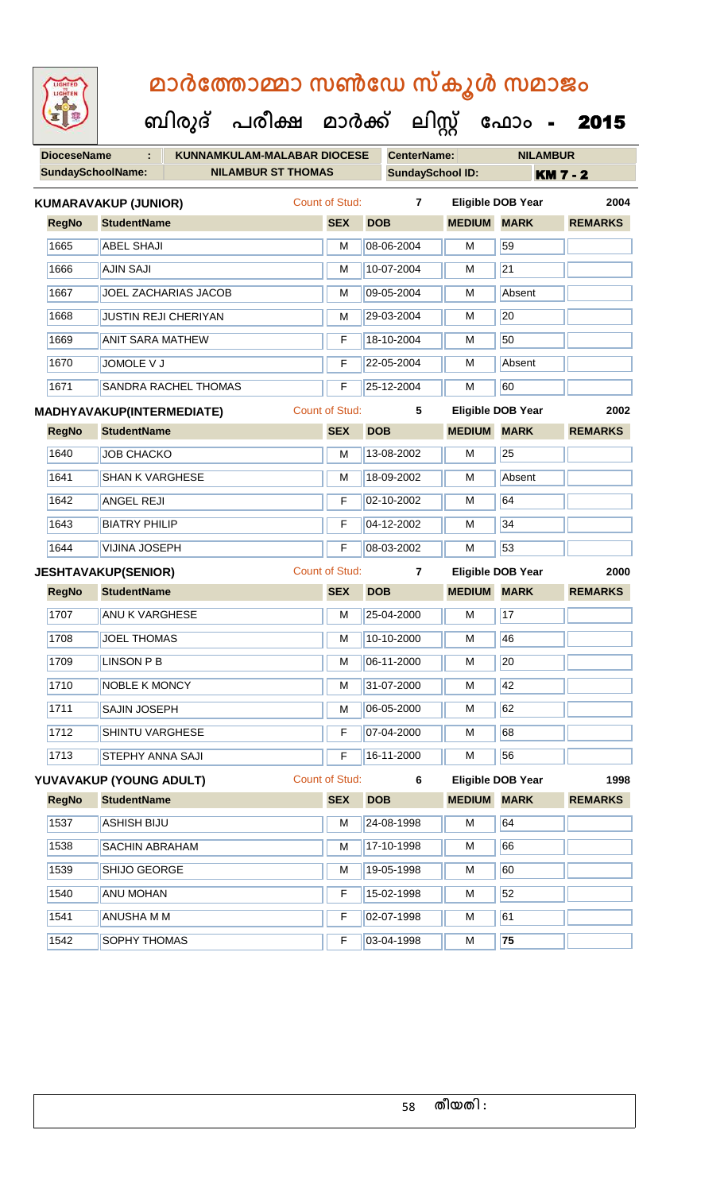| LIGHTED<br>LIGHTEN       | മാർത്തോമ്മാ സൺഡേ സ്കൂൾ സമാജം              |                       |                         |                          |                          |                 |  |  |  |  |  |  |
|--------------------------|-------------------------------------------|-----------------------|-------------------------|--------------------------|--------------------------|-----------------|--|--|--|--|--|--|
|                          | ബിരുദ് പരീക്ഷ മാർക്ക് ലിസ്റ്റ് ഫോം - 2015 |                       |                         |                          |                          |                 |  |  |  |  |  |  |
| <b>DioceseName</b>       | KUNNAMKULAM-MALABAR DIOCESE<br>÷          |                       | <b>CenterName:</b>      |                          | <b>NILAMBUR</b>          |                 |  |  |  |  |  |  |
| <b>SundaySchoolName:</b> | <b>NILAMBUR ST THOMAS</b>                 |                       | <b>SundaySchool ID:</b> |                          |                          | <b>KM 7 - 2</b> |  |  |  |  |  |  |
|                          | <b>KUMARAVAKUP (JUNIOR)</b>               | Count of Stud:        | $\overline{7}$          |                          | <b>Eligible DOB Year</b> | 2004            |  |  |  |  |  |  |
| <b>RegNo</b>             | <b>StudentName</b>                        | <b>SEX</b>            | <b>DOB</b>              | <b>MEDIUM</b>            | <b>MARK</b>              | <b>REMARKS</b>  |  |  |  |  |  |  |
| 1665                     | <b>ABEL SHAJI</b>                         | M                     | 08-06-2004              | M                        | 59                       |                 |  |  |  |  |  |  |
| 1666                     | <b>AJIN SAJI</b>                          | М                     | 10-07-2004              | м                        | $\overline{21}$          |                 |  |  |  |  |  |  |
| 1667                     | <b>JOEL ZACHARIAS JACOB</b>               | М                     | 09-05-2004              | м                        | Absent                   |                 |  |  |  |  |  |  |
| 1668                     | <b>JUSTIN REJI CHERIYAN</b>               | M                     | 29-03-2004              | M                        | 20                       |                 |  |  |  |  |  |  |
| 1669                     | <b>ANIT SARA MATHEW</b>                   | F                     | 18-10-2004              | м                        | 50                       |                 |  |  |  |  |  |  |
| 1670                     | JOMOLE V J                                | F                     | 22-05-2004              | M                        | Absent                   |                 |  |  |  |  |  |  |
| 1671                     | <b>SANDRA RACHEL THOMAS</b>               | F                     | 25-12-2004              | M                        | 60                       |                 |  |  |  |  |  |  |
|                          | MADHYAVAKUP(INTERMEDIATE)                 | <b>Count of Stud:</b> | 5                       |                          | <b>Eligible DOB Year</b> | 2002            |  |  |  |  |  |  |
| <b>RegNo</b>             | <b>StudentName</b>                        | <b>SEX</b>            | <b>DOB</b>              | <b>MEDIUM</b>            | <b>MARK</b>              | <b>REMARKS</b>  |  |  |  |  |  |  |
| 1640                     | <b>JOB CHACKO</b>                         | М                     | 13-08-2002              | M                        | 25                       |                 |  |  |  |  |  |  |
| 1641                     | <b>SHAN K VARGHESE</b>                    | М                     | 18-09-2002              | м                        | Absent                   |                 |  |  |  |  |  |  |
| 1642                     | <b>ANGEL REJI</b>                         | F                     | 02-10-2002              | M                        | 64                       |                 |  |  |  |  |  |  |
| 1643                     | <b>BIATRY PHILIP</b>                      | F                     | 04-12-2002              | м                        | 34                       |                 |  |  |  |  |  |  |
| 1644                     | <b>VIJINA JOSEPH</b>                      | F                     | 08-03-2002              | M                        | 53                       |                 |  |  |  |  |  |  |
|                          | <b>JESHTAVAKUP(SENIOR)</b>                | <b>Count of Stud:</b> | $\overline{7}$          | <b>Eligible DOB Year</b> |                          | 2000            |  |  |  |  |  |  |
| <b>RegNo</b>             | <b>StudentName</b>                        | <b>SEX</b>            | <b>DOB</b>              | <b>MEDIUM MARK</b>       |                          | <b>REMARKS</b>  |  |  |  |  |  |  |
| 1707                     | <b>ANU K VARGHESE</b>                     | М                     | 25-04-2000              | M                        | 17                       |                 |  |  |  |  |  |  |
| 1708                     | <b>JOEL THOMAS</b>                        | М                     | 10-10-2000              | M                        | 46                       |                 |  |  |  |  |  |  |
| 1709                     | <b>LINSON P B</b>                         | M                     | 06-11-2000              | M                        | 20                       |                 |  |  |  |  |  |  |
| 1710                     | NOBLE K MONCY                             | M                     | 31-07-2000              | M                        | 42                       |                 |  |  |  |  |  |  |
| 1711                     | SAJIN JOSEPH                              | M                     | 06-05-2000              | M                        | 62                       |                 |  |  |  |  |  |  |
| 1712                     | <b>SHINTU VARGHESE</b>                    | F                     | 07-04-2000              | M                        | 68                       |                 |  |  |  |  |  |  |
| 1713                     | STEPHY ANNA SAJI                          | F                     | 16-11-2000              | M                        | 56                       |                 |  |  |  |  |  |  |
|                          | YUVAVAKUP (YOUNG ADULT)                   | Count of Stud:        | 6                       |                          | <b>Eligible DOB Year</b> | 1998            |  |  |  |  |  |  |
| <b>RegNo</b>             | <b>StudentName</b>                        | <b>SEX</b>            | <b>DOB</b>              | <b>MEDIUM</b>            | <b>MARK</b>              | <b>REMARKS</b>  |  |  |  |  |  |  |
| 1537                     | <b>ASHISH BIJU</b>                        | м                     | 24-08-1998              | M                        | 64                       |                 |  |  |  |  |  |  |
| 1538                     | SACHIN ABRAHAM                            | M                     | 17-10-1998              | M                        | 66                       |                 |  |  |  |  |  |  |
| 1539                     | SHIJO GEORGE                              | M                     | 19-05-1998              | M                        | 60                       |                 |  |  |  |  |  |  |
| 1540                     | <b>ANU MOHAN</b>                          | F                     | 15-02-1998              | M                        | 52                       |                 |  |  |  |  |  |  |
| 1541                     | <b>ANUSHA M M</b>                         | F                     | 02-07-1998              | M                        | 61                       |                 |  |  |  |  |  |  |
| 1542                     | SOPHY THOMAS                              | F                     | 03-04-1998              | M                        | 75                       |                 |  |  |  |  |  |  |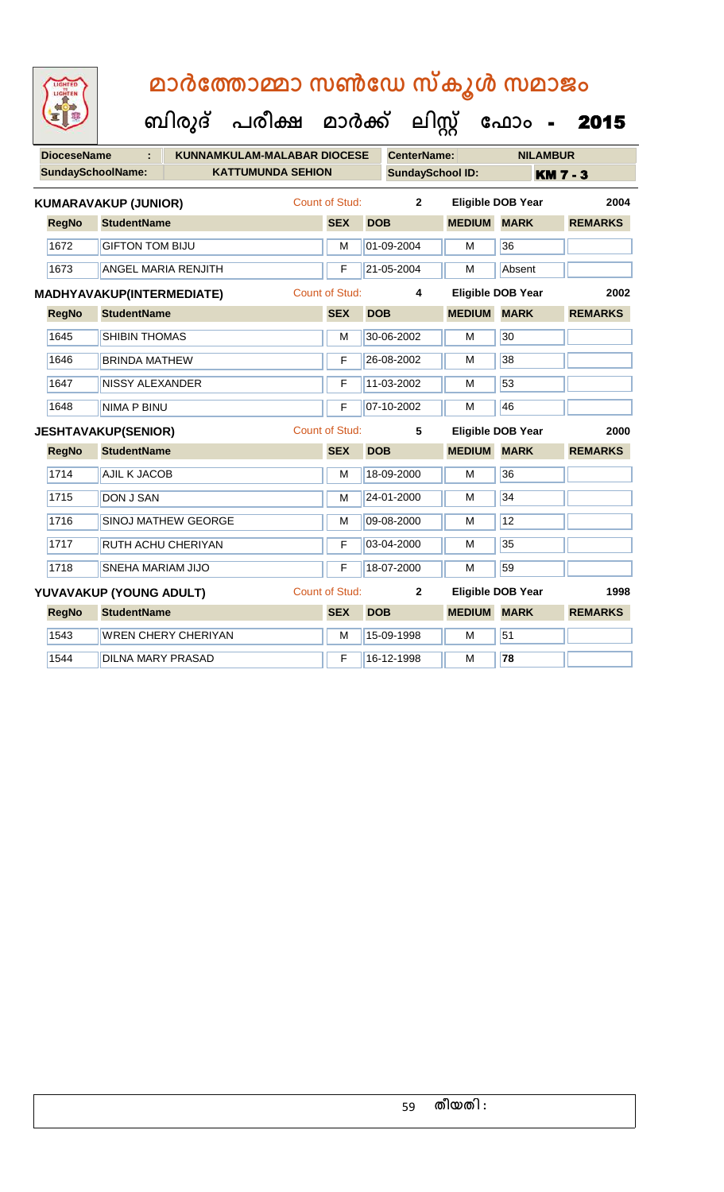| LIGHTED<br>LIGHTEN               | മാർത്തോമ്മാ സൺഡേ സ്കൂൾ സമാജം |                                                                                                             |                          |                                                                                                        |                          |                                                                                                                                                                        |  |  |  |  |  |  |
|----------------------------------|------------------------------|-------------------------------------------------------------------------------------------------------------|--------------------------|--------------------------------------------------------------------------------------------------------|--------------------------|------------------------------------------------------------------------------------------------------------------------------------------------------------------------|--|--|--|--|--|--|
|                                  |                              |                                                                                                             |                          |                                                                                                        |                          |                                                                                                                                                                        |  |  |  |  |  |  |
|                                  | ÷.                           |                                                                                                             |                          |                                                                                                        |                          |                                                                                                                                                                        |  |  |  |  |  |  |
|                                  |                              |                                                                                                             |                          | <b>SundaySchool ID:</b><br><b>KM7-3</b>                                                                |                          |                                                                                                                                                                        |  |  |  |  |  |  |
|                                  |                              |                                                                                                             | $\mathbf{2}$             |                                                                                                        |                          | 2004                                                                                                                                                                   |  |  |  |  |  |  |
| <b>RegNo</b>                     | <b>StudentName</b>           | <b>SEX</b>                                                                                                  | <b>DOB</b>               | <b>MEDIUM</b>                                                                                          | <b>MARK</b>              | <b>REMARKS</b>                                                                                                                                                         |  |  |  |  |  |  |
| 1672                             | <b>GIFTON TOM BIJU</b>       | м                                                                                                           | 01-09-2004               | М                                                                                                      | 36                       |                                                                                                                                                                        |  |  |  |  |  |  |
| 1673                             | <b>ANGEL MARIA RENJITH</b>   | F                                                                                                           | 21-05-2004               | м                                                                                                      | Absent                   |                                                                                                                                                                        |  |  |  |  |  |  |
| <b>MADHYAVAKUP(INTERMEDIATE)</b> |                              |                                                                                                             | 4                        |                                                                                                        |                          | 2002                                                                                                                                                                   |  |  |  |  |  |  |
| <b>RegNo</b>                     | <b>StudentName</b>           | <b>SEX</b>                                                                                                  | <b>DOB</b>               | <b>MEDIUM</b>                                                                                          | <b>MARK</b>              | <b>REMARKS</b>                                                                                                                                                         |  |  |  |  |  |  |
| 1645                             | SHIBIN THOMAS                | M                                                                                                           | 30-06-2002               | м                                                                                                      | 30                       |                                                                                                                                                                        |  |  |  |  |  |  |
| 1646                             | <b>BRINDA MATHEW</b>         | F                                                                                                           | 26-08-2002               | м                                                                                                      | 38                       |                                                                                                                                                                        |  |  |  |  |  |  |
| 1647                             | <b>NISSY ALEXANDER</b>       | F                                                                                                           | 11-03-2002               | м                                                                                                      | 53                       |                                                                                                                                                                        |  |  |  |  |  |  |
| 1648                             | <b>NIMA P BINU</b>           | F                                                                                                           | 07-10-2002               | M                                                                                                      | 46                       |                                                                                                                                                                        |  |  |  |  |  |  |
|                                  |                              |                                                                                                             | 5                        |                                                                                                        |                          | 2000                                                                                                                                                                   |  |  |  |  |  |  |
| <b>RegNo</b>                     | <b>StudentName</b>           | <b>SEX</b>                                                                                                  | <b>DOB</b>               |                                                                                                        |                          | <b>REMARKS</b>                                                                                                                                                         |  |  |  |  |  |  |
| 1714                             | AJIL K JACOB                 | М                                                                                                           | 18-09-2000               | м                                                                                                      | 36                       |                                                                                                                                                                        |  |  |  |  |  |  |
| 1715                             | DON J SAN                    | М                                                                                                           | 24-01-2000               | М                                                                                                      | 34                       |                                                                                                                                                                        |  |  |  |  |  |  |
| 1716                             | SINOJ MATHEW GEORGE          | М                                                                                                           | 09-08-2000               | М                                                                                                      | $\overline{12}$          |                                                                                                                                                                        |  |  |  |  |  |  |
| 1717                             | <b>RUTH ACHU CHERIYAN</b>    | F                                                                                                           | 03-04-2000               | м                                                                                                      | 35                       |                                                                                                                                                                        |  |  |  |  |  |  |
|                                  |                              |                                                                                                             |                          |                                                                                                        |                          |                                                                                                                                                                        |  |  |  |  |  |  |
| 1718                             | SNEHA MARIAM JIJO            | F                                                                                                           | 18-07-2000               | M                                                                                                      | 59                       |                                                                                                                                                                        |  |  |  |  |  |  |
|                                  | YUVAVAKUP (YOUNG ADULT)      | <b>Count of Stud:</b>                                                                                       | $\overline{2}$           |                                                                                                        | <b>Eligible DOB Year</b> | 1998                                                                                                                                                                   |  |  |  |  |  |  |
| <b>RegNo</b>                     | <b>StudentName</b>           | <b>SEX</b>                                                                                                  | <b>DOB</b>               | <b>MEDIUM</b>                                                                                          | <b>MARK</b>              | <b>REMARKS</b>                                                                                                                                                         |  |  |  |  |  |  |
| 1543                             | <b>WREN CHERY CHERIYAN</b>   | М                                                                                                           | 15-09-1998               | M                                                                                                      | 51                       |                                                                                                                                                                        |  |  |  |  |  |  |
|                                  |                              | <b>DioceseName</b><br><b>SundaySchoolName:</b><br><b>KUMARAVAKUP (JUNIOR)</b><br><b>JESHTAVAKUP(SENIOR)</b> | <b>KATTUMUNDA SEHION</b> | <b>KUNNAMKULAM-MALABAR DIOCESE</b><br>Count of Stud:<br><b>Count of Stud:</b><br><b>Count of Stud:</b> | <b>CenterName:</b>       | ബിരുദ് പരീക്ഷ മാർക്ക് ലിസ്റ്റ് ഫോം - <b>2015</b><br><b>NILAMBUR</b><br>Eligible DOB Year<br><b>Eligible DOB Year</b><br><b>Eligible DOB Year</b><br><b>MEDIUM MARK</b> |  |  |  |  |  |  |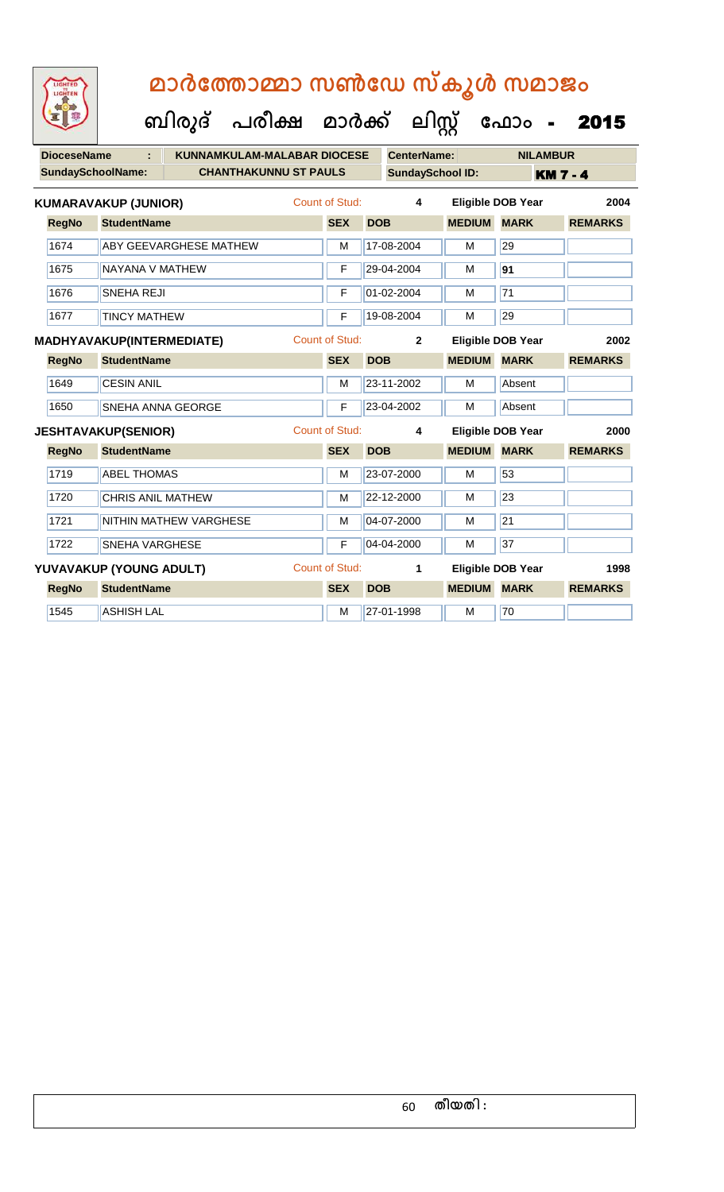| മാർത്തോമ്മാ സൺഡേ സ്കൂൾ സമാജം<br>LIGHTED<br>LIGHTEN |                          |                                      |                       |                         |                    |                          |                 |  |  |  |  |
|----------------------------------------------------|--------------------------|--------------------------------------|-----------------------|-------------------------|--------------------|--------------------------|-----------------|--|--|--|--|
|                                                    |                          | ബിരുദ് പരീക്ഷ മാർക്ക് ലിസ്റ്റ് ഫോം - |                       |                         |                    |                          | 2015            |  |  |  |  |
|                                                    | <b>DioceseName</b>       | <b>KUNNAMKULAM-MALABAR DIOCESE</b>   |                       | <b>CenterName:</b>      |                    | <b>NILAMBUR</b>          |                 |  |  |  |  |
|                                                    | <b>SundaySchoolName:</b> | <b>CHANTHAKUNNU ST PAULS</b>         |                       | <b>SundaySchool ID:</b> |                    |                          | <b>KM 7 - 4</b> |  |  |  |  |
|                                                    |                          | <b>KUMARAVAKUP (JUNIOR)</b>          | Count of Stud:        | 4                       |                    | <b>Eligible DOB Year</b> | 2004            |  |  |  |  |
|                                                    | <b>RegNo</b>             | <b>StudentName</b>                   | <b>SEX</b>            | <b>DOB</b>              | <b>MEDIUM MARK</b> |                          | <b>REMARKS</b>  |  |  |  |  |
|                                                    | 1674                     | <b>ABY GEEVARGHESE MATHEW</b>        | М                     | 17-08-2004              | м                  | 29                       |                 |  |  |  |  |
|                                                    | 1675                     | NAYANA V MATHEW                      | F                     | 29-04-2004              | м                  | 91                       |                 |  |  |  |  |
|                                                    | 1676                     | <b>SNEHA REJI</b>                    | F                     | 01-02-2004              | м                  | 71                       |                 |  |  |  |  |
|                                                    | 1677                     | <b>TINCY MATHEW</b>                  | F                     | 19-08-2004              | M                  | 29                       |                 |  |  |  |  |
|                                                    |                          | <b>MADHYAVAKUP(INTERMEDIATE)</b>     | <b>Count of Stud:</b> | $\mathbf{2}$            |                    | <b>Eligible DOB Year</b> | 2002            |  |  |  |  |
|                                                    | <b>RegNo</b>             | <b>StudentName</b>                   | <b>SEX</b>            | <b>DOB</b>              | <b>MEDIUM</b>      | <b>MARK</b>              | <b>REMARKS</b>  |  |  |  |  |
|                                                    | 1649                     | <b>CESIN ANIL</b>                    | М                     | 23-11-2002              | м                  | Absent                   |                 |  |  |  |  |
|                                                    | 1650                     | SNEHA ANNA GEORGE                    | F                     | 23-04-2002              | M                  | Absent                   |                 |  |  |  |  |
|                                                    |                          | <b>JESHTAVAKUP(SENIOR)</b>           | <b>Count of Stud:</b> | 4                       |                    | <b>Eligible DOB Year</b> | 2000            |  |  |  |  |
|                                                    | <b>RegNo</b>             | <b>StudentName</b>                   | <b>SEX</b>            | <b>DOB</b>              | <b>MEDIUM</b>      | <b>MARK</b>              | <b>REMARKS</b>  |  |  |  |  |
|                                                    | 1719                     | <b>ABEL THOMAS</b>                   | М                     | 23-07-2000              | м                  | 53                       |                 |  |  |  |  |
|                                                    | 1720                     | <b>CHRIS ANIL MATHEW</b>             | M                     | 22-12-2000              | м                  | $\overline{23}$          |                 |  |  |  |  |
|                                                    | 1721                     | <b>NITHIN MATHEW VARGHESE</b>        | м                     | 04-07-2000              | м                  | $\overline{21}$          |                 |  |  |  |  |
|                                                    | 1722                     | <b>SNEHA VARGHESE</b>                | F                     | 04-04-2000              | м                  | $\overline{37}$          |                 |  |  |  |  |
|                                                    |                          | YUVAVAKUP (YOUNG ADULT)              | Count of Stud:        | 1                       |                    | <b>Eligible DOB Year</b> | 1998            |  |  |  |  |
|                                                    | <b>RegNo</b>             | <b>StudentName</b>                   | <b>SEX</b>            | <b>DOB</b>              | <b>MEDIUM</b>      | <b>MARK</b>              | <b>REMARKS</b>  |  |  |  |  |
|                                                    | 1545                     | <b>ASHISH LAL</b>                    | м                     | 27-01-1998              | M                  | 70                       |                 |  |  |  |  |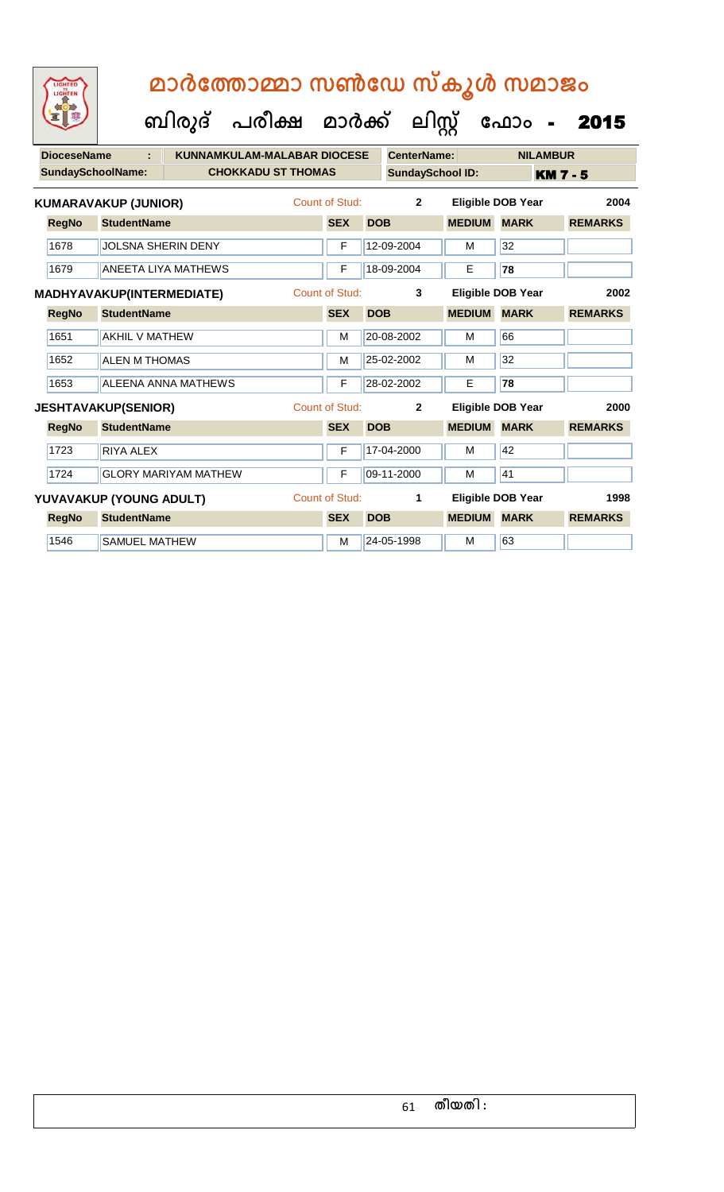| LIGHTED<br>LIGHTEN                                                                                  | മാർത്തോമ്മാ സൺഡേ സ്കൂൾ സമാജം     |                                                  |                       |                    |               |                          |                |  |  |  |  |  |
|-----------------------------------------------------------------------------------------------------|----------------------------------|--------------------------------------------------|-----------------------|--------------------|---------------|--------------------------|----------------|--|--|--|--|--|
|                                                                                                     |                                  | ബിരുദ് പരീക്ഷ മാർക്ക് ലിസ്റ്റ് ഫോം - <b>2015</b> |                       |                    |               |                          |                |  |  |  |  |  |
| <b>DioceseName</b>                                                                                  | ÷.                               | <b>KUNNAMKULAM-MALABAR DIOCESE</b>               |                       | <b>CenterName:</b> |               | <b>NILAMBUR</b>          |                |  |  |  |  |  |
| <b>SundaySchoolName:</b><br><b>CHOKKADU ST THOMAS</b><br><b>SundaySchool ID:</b><br><b>KM 7 - 5</b> |                                  |                                                  |                       |                    |               |                          |                |  |  |  |  |  |
|                                                                                                     | <b>KUMARAVAKUP (JUNIOR)</b>      |                                                  | Count of Stud:        | $\mathbf{2}$       |               | <b>Eligible DOB Year</b> | 2004           |  |  |  |  |  |
| <b>RegNo</b>                                                                                        | <b>StudentName</b>               |                                                  | <b>SEX</b>            | <b>DOB</b>         | <b>MEDIUM</b> | <b>MARK</b>              | <b>REMARKS</b> |  |  |  |  |  |
| 1678                                                                                                | <b>JOLSNA SHERIN DENY</b>        |                                                  | F                     | 12-09-2004         | M             | 32                       |                |  |  |  |  |  |
| 1679                                                                                                | <b>ANEETA LIYA MATHEWS</b>       |                                                  | F                     | 18-09-2004         | Е             | 78                       |                |  |  |  |  |  |
|                                                                                                     | <b>MADHYAVAKUP(INTERMEDIATE)</b> |                                                  | <b>Count of Stud:</b> | 3                  |               | <b>Eligible DOB Year</b> | 2002           |  |  |  |  |  |
| <b>RegNo</b>                                                                                        | <b>StudentName</b>               |                                                  | <b>SEX</b>            | <b>DOB</b>         | <b>MEDIUM</b> | <b>MARK</b>              | <b>REMARKS</b> |  |  |  |  |  |
| 1651                                                                                                | <b>AKHIL V MATHEW</b>            |                                                  | M                     | 20-08-2002         | M             | 66                       |                |  |  |  |  |  |
| 1652                                                                                                | <b>ALEN M THOMAS</b>             |                                                  | M                     | 25-02-2002         | M             | 32                       |                |  |  |  |  |  |
| 1653                                                                                                | <b>ALEENA ANNA MATHEWS</b>       |                                                  | F                     | 28-02-2002         | Е             | 78                       |                |  |  |  |  |  |
|                                                                                                     | <b>JESHTAVAKUP(SENIOR)</b>       |                                                  | <b>Count of Stud:</b> | $\mathbf{2}$       |               | <b>Eligible DOB Year</b> | 2000           |  |  |  |  |  |
| <b>RegNo</b>                                                                                        | <b>StudentName</b>               |                                                  | <b>SEX</b>            | <b>DOB</b>         | <b>MEDIUM</b> | <b>MARK</b>              | <b>REMARKS</b> |  |  |  |  |  |
| 1723                                                                                                | <b>RIYA ALEX</b>                 |                                                  | F                     | 17-04-2000         | M             | 42                       |                |  |  |  |  |  |
| 1724                                                                                                | <b>GLORY MARIYAM MATHEW</b>      |                                                  | F                     | 09-11-2000         | M             | 41                       |                |  |  |  |  |  |
|                                                                                                     | YUVAVAKUP (YOUNG ADULT)          |                                                  | <b>Count of Stud:</b> | 1                  |               | <b>Eligible DOB Year</b> | 1998           |  |  |  |  |  |
| <b>RegNo</b>                                                                                        | <b>StudentName</b>               |                                                  | <b>SEX</b>            | <b>DOB</b>         | <b>MEDIUM</b> | <b>MARK</b>              | <b>REMARKS</b> |  |  |  |  |  |
| 1546                                                                                                | <b>SAMUEL MATHEW</b>             |                                                  | м                     | 24-05-1998         | M             | 63                       |                |  |  |  |  |  |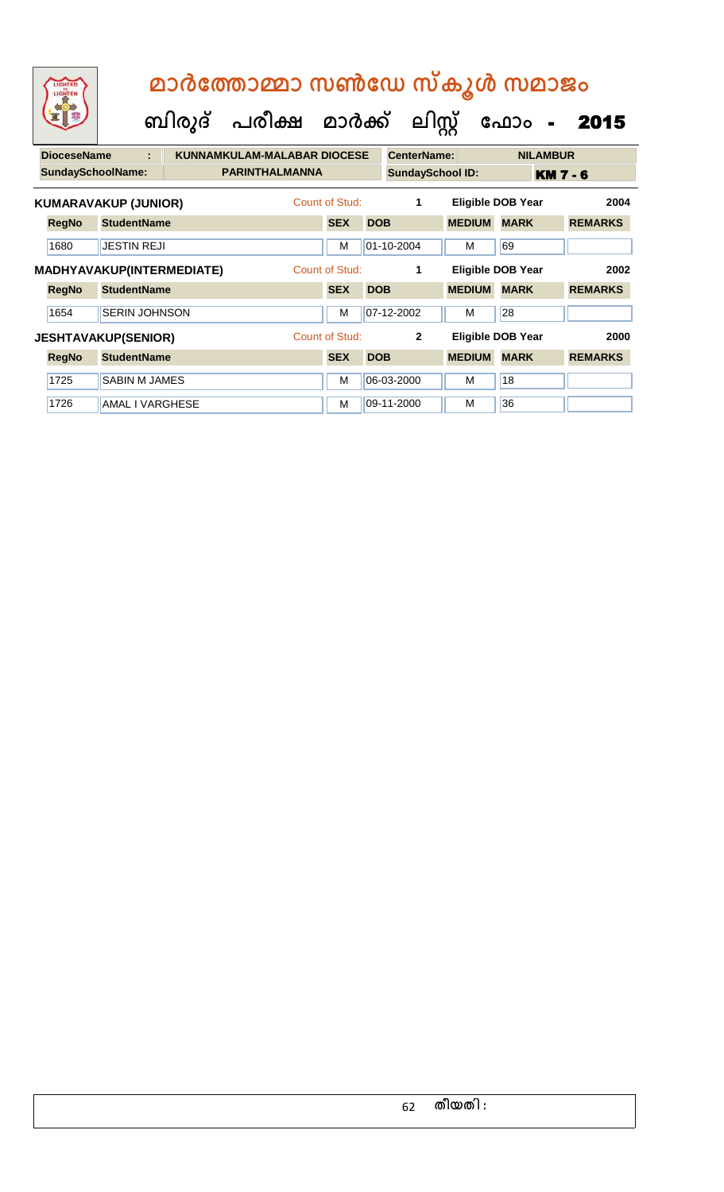| LIGHTED<br>LIGHTEN         |                             | മാർത്തോമ്മാ സൺഡേ സ്കൂൾ സമാജം |                                    |                |            |                         |               |                          |                 |                |  |  |
|----------------------------|-----------------------------|------------------------------|------------------------------------|----------------|------------|-------------------------|---------------|--------------------------|-----------------|----------------|--|--|
|                            |                             |                              | ബിരുദ് പരീക്ഷ മാർക്ക്              |                |            | ലിസ്റ്റ്                |               | ഫോം                      |                 | 2015           |  |  |
| <b>DioceseName</b>         | ÷.                          |                              | <b>KUNNAMKULAM-MALABAR DIOCESE</b> |                |            | <b>CenterName:</b>      |               |                          | <b>NILAMBUR</b> |                |  |  |
| <b>SundaySchoolName:</b>   |                             |                              | <b>PARINTHALMANNA</b>              |                |            | <b>SundaySchool ID:</b> |               |                          | <b>KM 7 - 6</b> |                |  |  |
|                            | <b>KUMARAVAKUP (JUNIOR)</b> |                              |                                    | Count of Stud: |            | 1                       |               | <b>Eligible DOB Year</b> |                 | 2004           |  |  |
| <b>RegNo</b>               | <b>StudentName</b>          |                              |                                    | <b>SEX</b>     | <b>DOB</b> |                         | <b>MEDIUM</b> | <b>MARK</b>              |                 | <b>REMARKS</b> |  |  |
| 1680                       | <b>JESTIN REJI</b>          |                              |                                    | M              |            | 01-10-2004              | M             | 69                       |                 |                |  |  |
|                            | MADHYAVAKUP(INTERMEDIATE)   |                              |                                    | Count of Stud: |            | 1                       |               | <b>Eligible DOB Year</b> |                 | 2002           |  |  |
| <b>RegNo</b>               | <b>StudentName</b>          |                              |                                    | <b>SEX</b>     | <b>DOB</b> |                         | <b>MEDIUM</b> | <b>MARK</b>              |                 | <b>REMARKS</b> |  |  |
| 1654                       | <b>SERIN JOHNSON</b>        |                              |                                    | M              |            | 07-12-2002              | м             | 28                       |                 |                |  |  |
| <b>JESHTAVAKUP(SENIOR)</b> |                             |                              |                                    | Count of Stud: |            | $\overline{2}$          |               | <b>Eligible DOB Year</b> |                 | 2000           |  |  |
| <b>RegNo</b>               | <b>StudentName</b>          |                              |                                    | <b>SEX</b>     | <b>DOB</b> |                         | <b>MEDIUM</b> | <b>MARK</b>              |                 | <b>REMARKS</b> |  |  |
| 1725                       | <b>SABIN M JAMES</b>        |                              |                                    | м              |            | 06-03-2000              | м             | 18                       |                 |                |  |  |
| 1726                       | AMAL I VARGHESE             |                              |                                    | м              |            | 09-11-2000              | M             | 36                       |                 |                |  |  |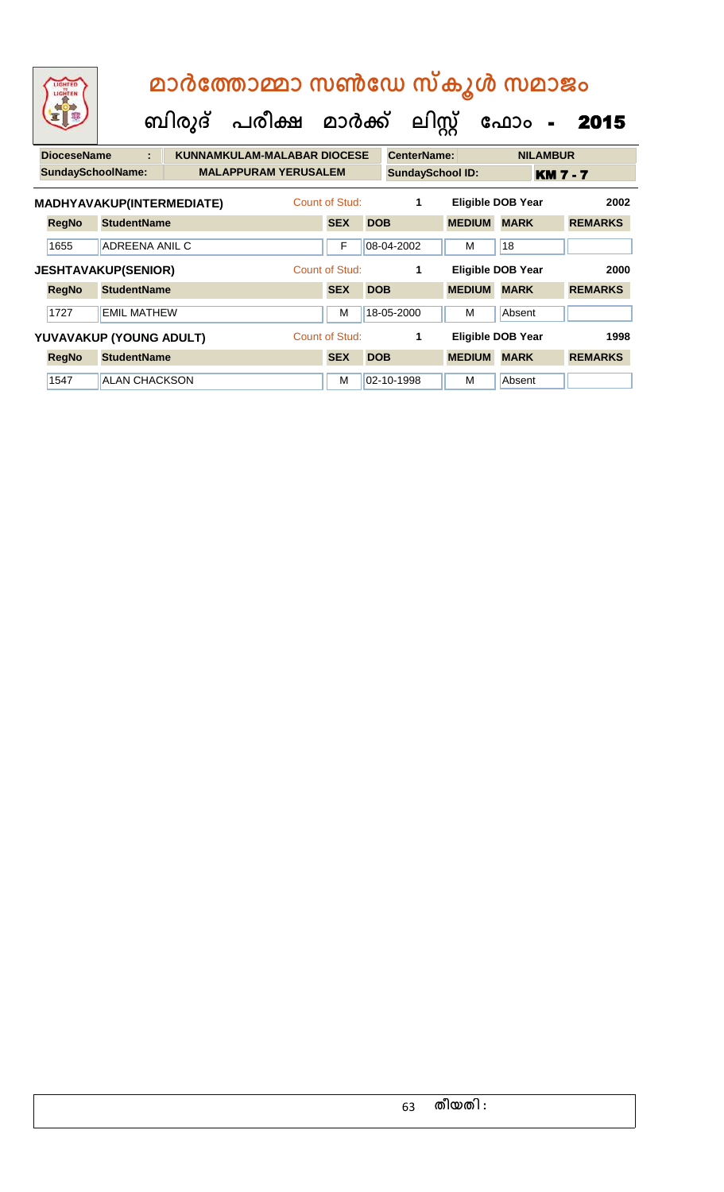| LIGHTED<br>LIGHTEN       |                            | മാർത്തോമ്മാ സൺഡേ സ്കൂൾ സമാജം |                                    |                       |            |                         |               |                          |                        |      |  |  |  |
|--------------------------|----------------------------|------------------------------|------------------------------------|-----------------------|------------|-------------------------|---------------|--------------------------|------------------------|------|--|--|--|
|                          |                            | ബിരുദ്                       | പരീക്ഷ മാർക്ക്                     |                       |            | ലിസ്റ്റ്                |               | ഫോം                      | 2015<br>$\blacksquare$ |      |  |  |  |
| <b>DioceseName</b>       | ÷                          |                              | <b>KUNNAMKULAM-MALABAR DIOCESE</b> |                       |            | <b>CenterName:</b>      |               | <b>NILAMBUR</b>          |                        |      |  |  |  |
| <b>SundaySchoolName:</b> |                            |                              | <b>MALAPPURAM YERUSALEM</b>        |                       |            | <b>SundaySchool ID:</b> |               |                          | <b>KM 7 - 7</b>        |      |  |  |  |
|                          | MADHYAVAKUP(INTERMEDIATE)  |                              |                                    | Count of Stud:        |            | 1                       |               | <b>Eligible DOB Year</b> |                        | 2002 |  |  |  |
| <b>RegNo</b>             | <b>StudentName</b>         |                              |                                    | <b>SEX</b>            | <b>DOB</b> |                         | <b>MEDIUM</b> | <b>MARK</b>              | <b>REMARKS</b>         |      |  |  |  |
| 1655                     | <b>ADREENA ANIL C</b>      |                              |                                    | F                     |            | 08-04-2002              | M             | 18                       |                        |      |  |  |  |
|                          | <b>JESHTAVAKUP(SENIOR)</b> |                              |                                    | <b>Count of Stud:</b> |            | 1                       |               | <b>Eligible DOB Year</b> |                        | 2000 |  |  |  |
| <b>RegNo</b>             | <b>StudentName</b>         |                              |                                    | <b>SEX</b>            | <b>DOB</b> |                         | <b>MEDIUM</b> | <b>MARK</b>              | <b>REMARKS</b>         |      |  |  |  |
| 1727                     | <b>EMIL MATHEW</b>         |                              |                                    | M                     |            | 18-05-2000              | м             | Absent                   |                        |      |  |  |  |
|                          | YUVAVAKUP (YOUNG ADULT)    |                              |                                    | Count of Stud:        |            | 1                       |               | <b>Eligible DOB Year</b> |                        | 1998 |  |  |  |
| <b>RegNo</b>             | <b>StudentName</b>         |                              |                                    | <b>SEX</b>            | <b>DOB</b> |                         | <b>MEDIUM</b> | <b>MARK</b>              | <b>REMARKS</b>         |      |  |  |  |
| 1547                     | <b>ALAN CHACKSON</b>       |                              |                                    | M                     |            | 02-10-1998              | м             | Absent                   |                        |      |  |  |  |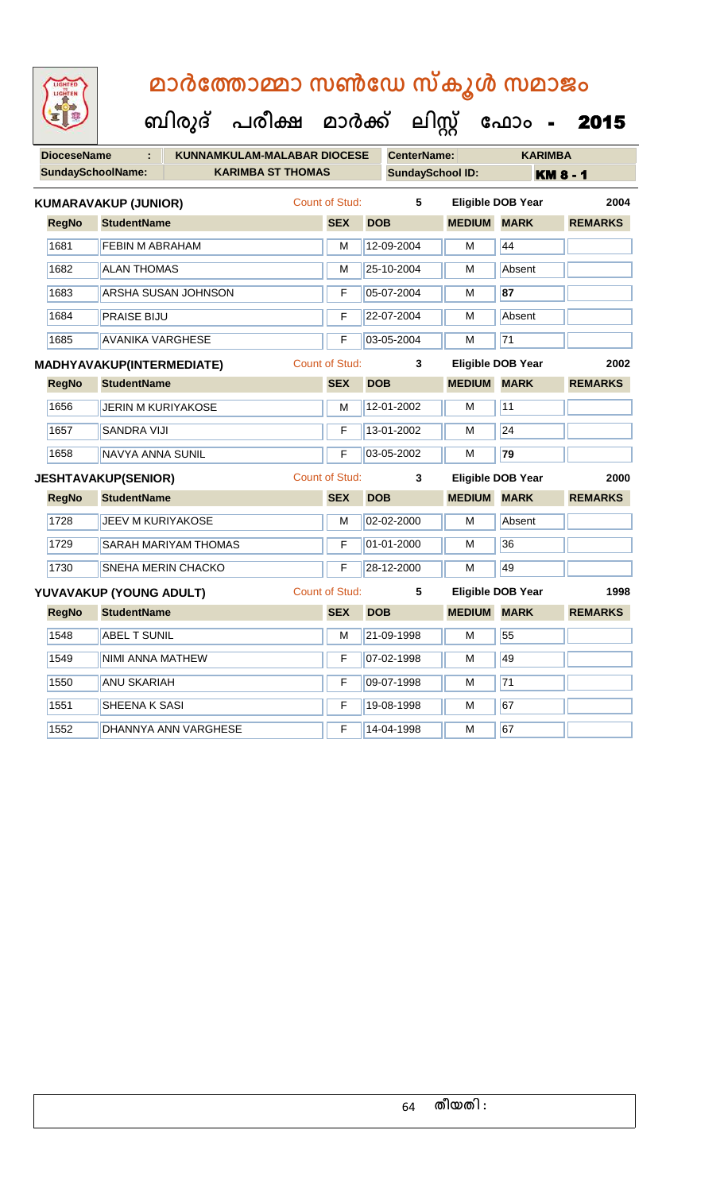| LIGHTED<br>LIGHTEN | മാർത്തോമ്മാ സൺഡേ സ്കൂൾ സമാജം                         |                       |            |                         |               | ബിരുദ് പരീക്ഷ മാർക്ക് ലിസ്റ്റ് ഫോം - 2015 |                 |
|--------------------|------------------------------------------------------|-----------------------|------------|-------------------------|---------------|-------------------------------------------|-----------------|
|                    |                                                      |                       |            |                         |               |                                           |                 |
| <b>DioceseName</b> | <b>KUNNAMKULAM-MALABAR DIOCESE</b><br>÷              |                       |            | <b>CenterName:</b>      |               | <b>KARIMBA</b>                            |                 |
|                    | <b>SundaySchoolName:</b><br><b>KARIMBA ST THOMAS</b> |                       |            | <b>SundaySchool ID:</b> |               |                                           | <b>KM 8 - 1</b> |
|                    | <b>KUMARAVAKUP (JUNIOR)</b>                          | Count of Stud:        |            | 5                       |               | <b>Eligible DOB Year</b>                  | 2004            |
| <b>RegNo</b>       | <b>StudentName</b>                                   | <b>SEX</b>            | <b>DOB</b> |                         | <b>MEDIUM</b> | <b>MARK</b>                               | <b>REMARKS</b>  |
| 1681               | <b>FEBIN M ABRAHAM</b>                               | М                     |            | 12-09-2004              | м             | 44                                        |                 |
| 1682               | <b>ALAN THOMAS</b>                                   | M                     |            | 25-10-2004              | м             | Absent                                    |                 |
| 1683               | ARSHA SUSAN JOHNSON                                  | F                     |            | 05-07-2004              | м             | 87                                        |                 |
| 1684               | <b>PRAISE BIJU</b>                                   | F                     |            | 22-07-2004              | м             | Absent                                    |                 |
| 1685               | <b>AVANIKA VARGHESE</b>                              | F                     |            | 03-05-2004              | м             | $\overline{71}$                           |                 |
|                    | MADHYAVAKUP(INTERMEDIATE)                            | <b>Count of Stud:</b> |            | 3                       |               | <b>Eligible DOB Year</b>                  | 2002            |
| <b>RegNo</b>       | <b>StudentName</b>                                   | <b>SEX</b>            | <b>DOB</b> |                         | <b>MEDIUM</b> | <b>MARK</b>                               | <b>REMARKS</b>  |
| 1656               | <b>JERIN M KURIYAKOSE</b>                            | М                     |            | 12-01-2002              | м             | 11                                        |                 |
| 1657               | <b>SANDRA VIJI</b>                                   | F                     |            | 13-01-2002              | м             | 24                                        |                 |
| 1658               | <b>NAVYA ANNA SUNIL</b>                              | F                     |            | 03-05-2002              | M             | 79                                        |                 |
|                    | <b>JESHTAVAKUP(SENIOR)</b>                           | <b>Count of Stud:</b> |            | 3                       |               | <b>Eligible DOB Year</b>                  | 2000            |
| <b>RegNo</b>       | <b>StudentName</b>                                   | <b>SEX</b>            | <b>DOB</b> |                         | <b>MEDIUM</b> | <b>MARK</b>                               | <b>REMARKS</b>  |
| 1728               | <b>JEEV M KURIYAKOSE</b>                             | M                     |            | 02-02-2000              | M             | Absent                                    |                 |
| 1729               | <b>SARAH MARIYAM THOMAS</b>                          | F                     |            | 01-01-2000              | M             | 36                                        |                 |
| 1730               | <b>SNEHA MERIN CHACKO</b>                            | F                     |            | 28-12-2000              | м             | 49                                        |                 |
|                    | YUVAVAKUP (YOUNG ADULT)                              | <b>Count of Stud:</b> |            | $5 -$                   |               | <b>Eligible DOB Year</b>                  | 1998            |
| <b>RegNo</b>       | <b>StudentName</b>                                   | <b>SEX</b>            | <b>DOB</b> |                         | <b>MEDIUM</b> | <b>MARK</b>                               | <b>REMARKS</b>  |
| 1548               | <b>ABEL T SUNIL</b>                                  | M                     |            | 21-09-1998              | М             | 55                                        |                 |
| 1549               | NIMI ANNA MATHEW                                     | F                     |            | 07-02-1998              | M             | 49                                        |                 |
| 1550               | <b>ANU SKARIAH</b>                                   | F                     |            | 09-07-1998              | М             | 71                                        |                 |
| 1551               | SHEENA K SASI                                        | F                     |            | 19-08-1998              | M             | 67                                        |                 |
| 1552               | DHANNYA ANN VARGHESE                                 | F                     |            | 14-04-1998              | М             | 67                                        |                 |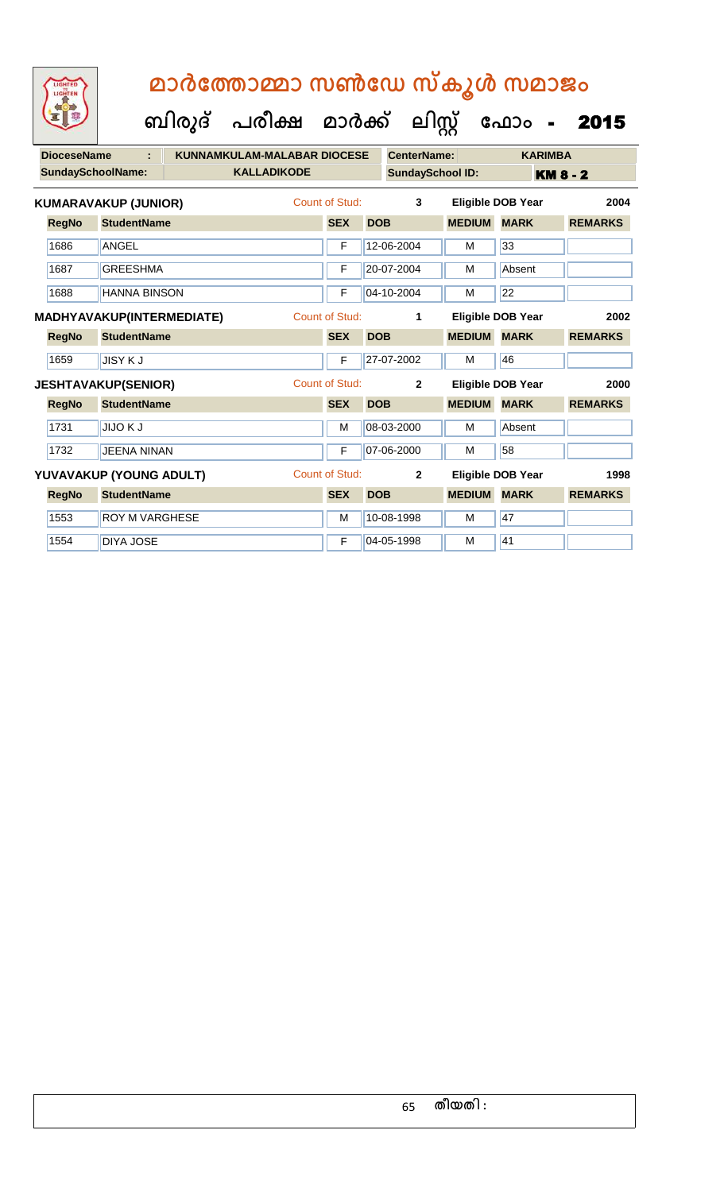# **മാര്കഫതാമ്മാ സണ്ഫേ സ്കൂള് സമാജോം**

 **ബിരുദ് പരീക്ഷ മാര്ക് ക ലിസ്റ്റ ക ഫ ാോം** - 2015

| <b>DioceseName</b><br>÷ |                             | <b>KUNNAMKULAM-MALABAR DIOCESE</b> |  |                       | <b>CenterName:</b> |                         | <b>KARIMBA</b> |                          |                 |
|-------------------------|-----------------------------|------------------------------------|--|-----------------------|--------------------|-------------------------|----------------|--------------------------|-----------------|
|                         | <b>SundaySchoolName:</b>    | <b>KALLADIKODE</b>                 |  |                       |                    | <b>SundaySchool ID:</b> |                |                          | <b>KM 8 - 2</b> |
|                         | <b>KUMARAVAKUP (JUNIOR)</b> |                                    |  | Count of Stud:        |                    | 3                       |                | <b>Eligible DOB Year</b> | 2004            |
| <b>RegNo</b>            | <b>StudentName</b>          |                                    |  | <b>SEX</b>            | <b>DOB</b>         |                         | <b>MEDIUM</b>  | <b>MARK</b>              | <b>REMARKS</b>  |
| 1686                    | <b>ANGEL</b>                |                                    |  | F                     |                    | 12-06-2004              | М              | 33                       |                 |
| 1687                    | <b>GREESHMA</b>             |                                    |  | F                     |                    | 20-07-2004              | M              | Absent                   |                 |
| 1688                    | <b>HANNA BINSON</b>         |                                    |  | F                     |                    | 04-10-2004              | М              | $\overline{22}$          |                 |
|                         | MADHYAVAKUP(INTERMEDIATE)   |                                    |  | Count of Stud:        |                    | 1                       |                | <b>Eligible DOB Year</b> | 2002            |
| <b>RegNo</b>            | <b>StudentName</b>          |                                    |  | <b>SEX</b>            | <b>DOB</b>         |                         | <b>MEDIUM</b>  | <b>MARK</b>              | <b>REMARKS</b>  |
| 1659                    | <b>JISY K J</b>             |                                    |  | F                     |                    | 27-07-2002              | M              | 46                       |                 |
|                         | <b>JESHTAVAKUP(SENIOR)</b>  |                                    |  | <b>Count of Stud:</b> |                    | $\mathbf{2}$            |                | <b>Eligible DOB Year</b> | 2000            |
| <b>RegNo</b>            | <b>StudentName</b>          |                                    |  | <b>SEX</b>            | <b>DOB</b>         |                         | <b>MEDIUM</b>  | <b>MARK</b>              | <b>REMARKS</b>  |
| 1731                    | JIJO K J                    |                                    |  | M                     |                    | 08-03-2000              | M              | Absent                   |                 |
| 1732                    | <b>JEENA NINAN</b>          |                                    |  | F                     |                    | 07-06-2000              | М              | 58                       |                 |
|                         | YUVAVAKUP (YOUNG ADULT)     |                                    |  | Count of Stud:        |                    | $\mathbf{2}$            |                | <b>Eligible DOB Year</b> | 1998            |
| <b>RegNo</b>            | <b>StudentName</b>          |                                    |  | <b>SEX</b>            | <b>DOB</b>         |                         | <b>MEDIUM</b>  | <b>MARK</b>              | <b>REMARKS</b>  |
| 1553                    | <b>ROY M VARGHESE</b>       |                                    |  | M                     |                    | 10-08-1998              | M              | 47                       |                 |
| 1554                    | <b>DIYA JOSE</b>            |                                    |  | F                     |                    | 04-05-1998              | М              | 41                       |                 |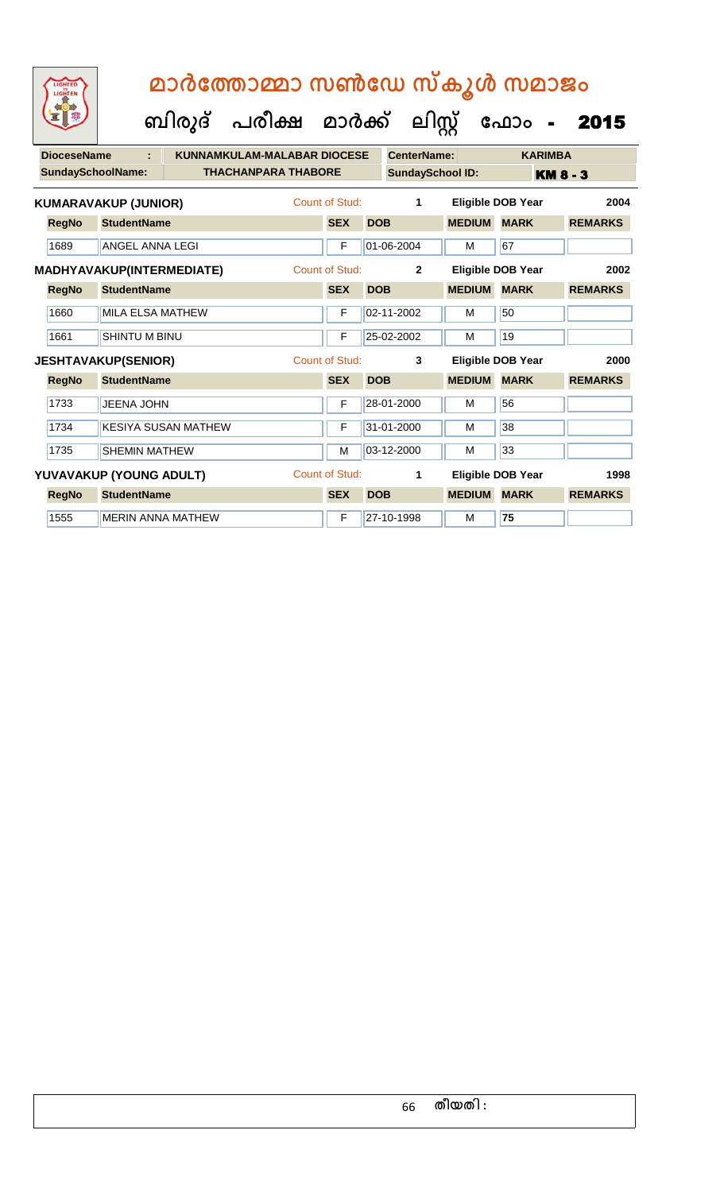| LIGHTED<br>LIGHTEN       |                                  | മാർത്തോമ്മാ സൺഡേ സ്കൂൾ സമാജം         |                       |            |                         |               |                          |                |
|--------------------------|----------------------------------|--------------------------------------|-----------------------|------------|-------------------------|---------------|--------------------------|----------------|
|                          |                                  | ബിരുദ് പരീക്ഷ മാർക്ക് ലിസ്റ്റ് ഫോം - |                       |            |                         |               |                          | 2015           |
| <b>DioceseName</b>       |                                  | <b>KUNNAMKULAM-MALABAR DIOCESE</b>   |                       |            | <b>CenterName:</b>      |               | <b>KARIMBA</b>           |                |
| <b>SundaySchoolName:</b> |                                  | <b>THACHANPARA THABORE</b>           |                       |            | <b>SundaySchool ID:</b> |               | <b>KM 8 - 3</b>          |                |
|                          | <b>KUMARAVAKUP (JUNIOR)</b>      |                                      | Count of Stud:        |            | 1                       |               | <b>Eligible DOB Year</b> | 2004           |
| <b>RegNo</b>             | <b>StudentName</b>               |                                      | <b>SEX</b>            | <b>DOB</b> |                         | <b>MEDIUM</b> | <b>MARK</b>              | <b>REMARKS</b> |
| 1689                     | <b>ANGEL ANNA LEGI</b>           |                                      | F                     |            | 01-06-2004              | M             | 67                       |                |
|                          | <b>MADHYAVAKUP(INTERMEDIATE)</b> |                                      | Count of Stud:        |            | $\overline{2}$          |               | <b>Eligible DOB Year</b> | 2002           |
| <b>RegNo</b>             | <b>StudentName</b>               |                                      | <b>SEX</b>            | <b>DOB</b> |                         | <b>MEDIUM</b> | <b>MARK</b>              | <b>REMARKS</b> |
| 1660                     | <b>MILA ELSA MATHEW</b>          |                                      | F                     |            | 02-11-2002              | M             | 50                       |                |
| 1661                     | SHINTU M BINU                    |                                      | F                     |            | 25-02-2002              | M             | 19                       |                |
|                          | <b>JESHTAVAKUP(SENIOR)</b>       |                                      | Count of Stud:        |            | 3                       |               | <b>Eligible DOB Year</b> | 2000           |
| <b>RegNo</b>             | <b>StudentName</b>               |                                      | <b>SEX</b>            | <b>DOB</b> |                         | <b>MEDIUM</b> | <b>MARK</b>              | <b>REMARKS</b> |
| 1733                     | <b>JEENA JOHN</b>                |                                      | F                     |            | 28-01-2000              | м             | 56                       |                |
| 1734                     | <b>KESIYA SUSAN MATHEW</b>       |                                      | F                     |            | 31-01-2000              | м             | 38                       |                |
| 1735                     | <b>SHEMIN MATHEW</b>             |                                      | M                     |            | 03-12-2000              | M             | 33                       |                |
|                          | YUVAVAKUP (YOUNG ADULT)          |                                      | <b>Count of Stud:</b> |            | 1                       |               | Eligible DOB Year        | 1998           |
| <b>RegNo</b>             | <b>StudentName</b>               |                                      | <b>SEX</b>            | <b>DOB</b> |                         | <b>MEDIUM</b> | <b>MARK</b>              | <b>REMARKS</b> |
| 1555                     | <b>MERIN ANNA MATHEW</b>         |                                      | F                     |            | 27-10-1998              | M             | 75                       |                |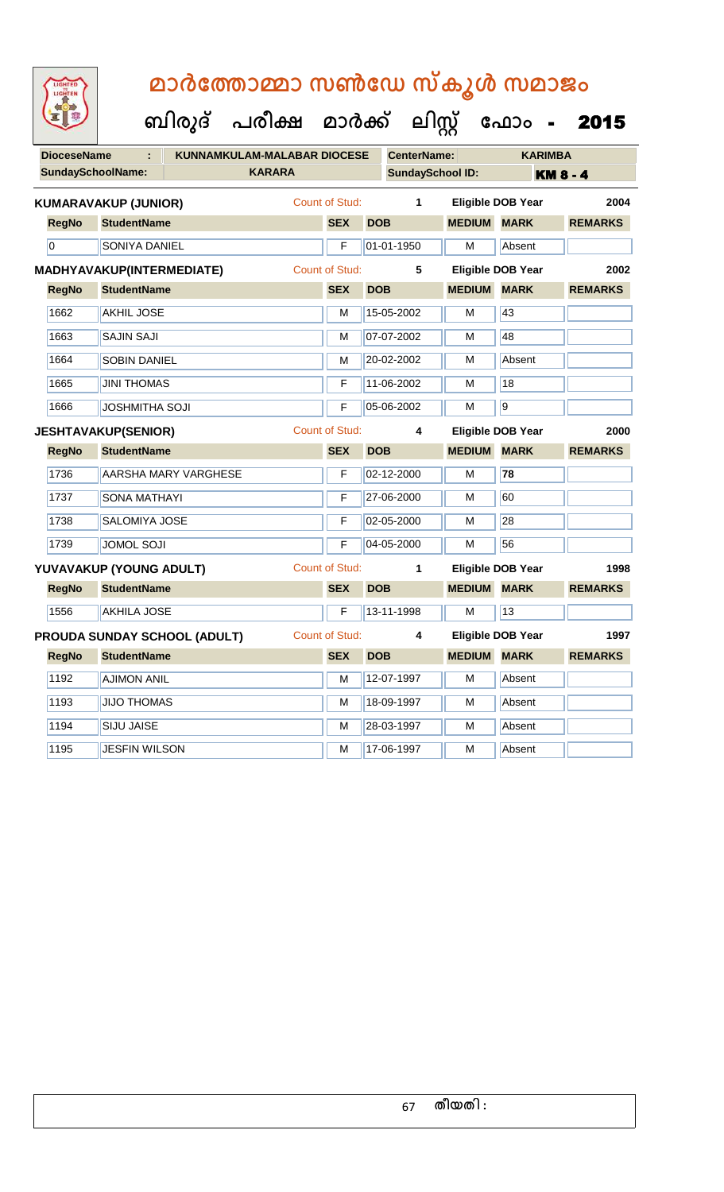| മാർത്തോമ്മാ സൺഡേ സ്കൂൾ സമാജം<br>LIGHTED<br>LIGHTEN |                    |                                     |                      |                                      |                       |            |                         |                    |                          |                |
|----------------------------------------------------|--------------------|-------------------------------------|----------------------|--------------------------------------|-----------------------|------------|-------------------------|--------------------|--------------------------|----------------|
|                                                    |                    |                                     |                      | ബിരുദ് പരീക്ഷ മാർക്ക് ലിസ്റ്റ് ഫോം - |                       |            |                         |                    |                          | 2015           |
|                                                    | <b>DioceseName</b> |                                     |                      | <b>KUNNAMKULAM-MALABAR DIOCESE</b>   |                       |            | <b>CenterName:</b>      |                    | <b>KARIMBA</b>           |                |
|                                                    |                    | <b>SundaySchoolName:</b>            |                      | <b>KARARA</b>                        |                       |            | <b>SundaySchool ID:</b> | <b>KM 8 - 4</b>    |                          |                |
|                                                    |                    | <b>KUMARAVAKUP (JUNIOR)</b>         |                      |                                      | <b>Count of Stud:</b> |            | 1                       |                    | <b>Eligible DOB Year</b> | 2004           |
|                                                    | <b>RegNo</b>       | <b>StudentName</b>                  |                      |                                      | <b>SEX</b>            | <b>DOB</b> |                         | <b>MEDIUM</b>      | <b>MARK</b>              | <b>REMARKS</b> |
|                                                    | $\overline{0}$     | SONIYA DANIEL                       |                      |                                      | F                     |            | 01-01-1950              | м                  | Absent                   |                |
|                                                    |                    | MADHYAVAKUP(INTERMEDIATE)           |                      |                                      | <b>Count of Stud:</b> |            | 5                       |                    | <b>Eligible DOB Year</b> | 2002           |
|                                                    | <b>RegNo</b>       | <b>StudentName</b>                  |                      |                                      | <b>SEX</b>            | <b>DOB</b> |                         | <b>MEDIUM</b>      | <b>MARK</b>              | <b>REMARKS</b> |
|                                                    | 1662               | <b>AKHIL JOSE</b>                   |                      |                                      | м                     |            | 15-05-2002              | м                  | 43                       |                |
|                                                    | 1663               | <b>SAJIN SAJI</b>                   |                      |                                      | M                     |            | 07-07-2002              | M                  | 48                       |                |
|                                                    | 1664               | <b>SOBIN DANIEL</b>                 |                      |                                      | М                     |            | 20-02-2002              | м                  | Absent                   |                |
|                                                    | 1665               | <b>JINI THOMAS</b>                  |                      |                                      | F                     |            | 11-06-2002              | м                  | 18                       |                |
|                                                    | 1666               | <b>JOSHMITHA SOJI</b>               |                      |                                      | F                     |            | 05-06-2002              | M                  | 9                        |                |
|                                                    |                    | <b>JESHTAVAKUP(SENIOR)</b>          |                      |                                      | <b>Count of Stud:</b> |            | 4                       |                    | Eligible DOB Year        | 2000           |
|                                                    | <b>RegNo</b>       | <b>StudentName</b>                  |                      |                                      | <b>SEX</b>            | <b>DOB</b> |                         | <b>MEDIUM</b>      | <b>MARK</b>              | <b>REMARKS</b> |
|                                                    | 1736               |                                     | AARSHA MARY VARGHESE |                                      | F                     |            | 02-12-2000              | M                  | 78                       |                |
|                                                    | 1737               | <b>SONA MATHAYI</b>                 |                      |                                      | F                     |            | 27-06-2000              | м                  | 60                       |                |
|                                                    | 1738               | <b>SALOMIYA JOSE</b>                |                      |                                      | F                     |            | 02-05-2000              | M                  | 28                       |                |
|                                                    | 1739               | <b>JOMOL SOJI</b>                   |                      |                                      | F                     |            | 04-05-2000              | M                  | 56                       |                |
|                                                    |                    | YUVAVAKUP (YOUNG ADULT)             |                      |                                      | <b>Count of Stud:</b> |            | 1                       |                    | <b>Eligible DOB Year</b> | 1998           |
|                                                    | <b>RegNo</b>       | <b>StudentName</b>                  |                      |                                      | <b>SEX</b>            | <b>DOB</b> |                         | <b>MEDIUM MARK</b> |                          | <b>REMARKS</b> |
|                                                    | 1556               | <b>AKHILA JOSE</b>                  |                      |                                      | F                     |            | 13-11-1998              | м                  | 13                       |                |
|                                                    |                    | <b>PROUDA SUNDAY SCHOOL (ADULT)</b> |                      |                                      | <b>Count of Stud:</b> |            | 4                       |                    | Eligible DOB Year        | 1997           |
|                                                    | <b>RegNo</b>       | <b>StudentName</b>                  |                      |                                      | <b>SEX</b>            | <b>DOB</b> |                         | <b>MEDIUM</b>      | <b>MARK</b>              | <b>REMARKS</b> |
|                                                    | 1192               | <b>AJIMON ANIL</b>                  |                      |                                      | M                     |            | 12-07-1997              | M                  | Absent                   |                |
|                                                    | 1193               | <b>JIJO THOMAS</b>                  |                      |                                      | М                     |            | 18-09-1997              | М                  | Absent                   |                |
|                                                    | 1194               | <b>SIJU JAISE</b>                   |                      |                                      | M                     |            | 28-03-1997              | M                  | Absent                   |                |
|                                                    | 1195               | <b>JESFIN WILSON</b>                |                      |                                      | M                     |            | 17-06-1997              | M                  | Absent                   |                |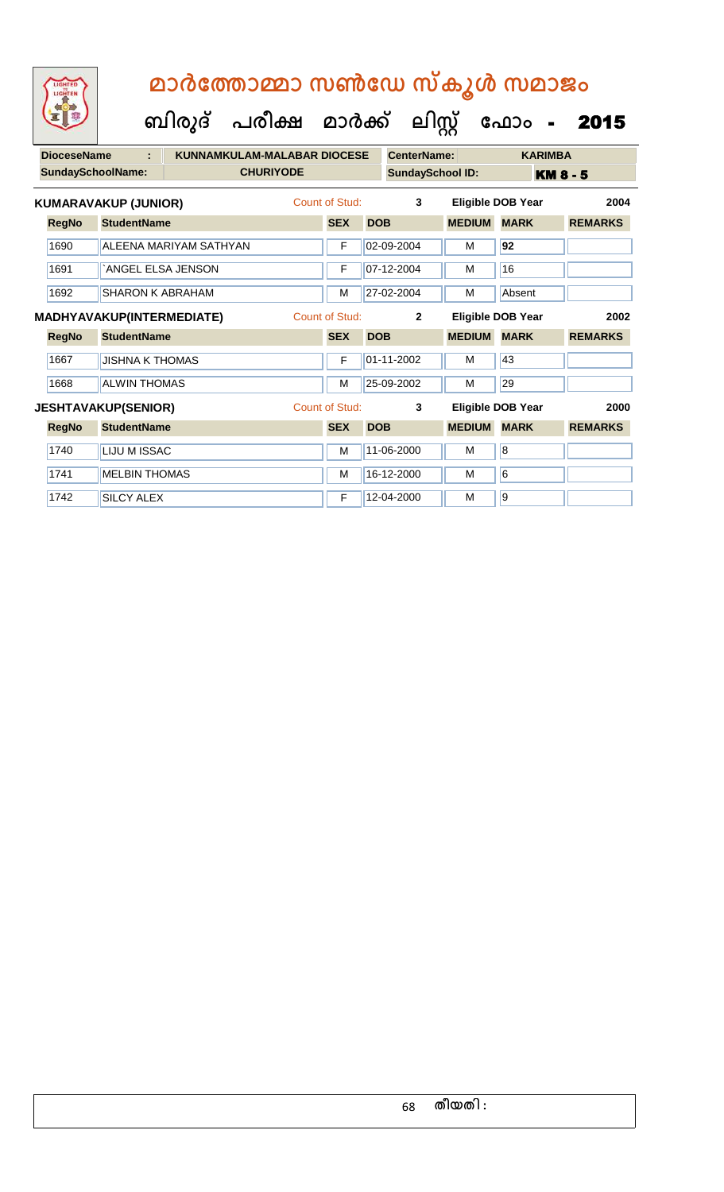|  | മാർത്തോമ്മാ സൺഡേ സ്കൂൾ സമാജം |                                           |  |  |  |  |  |  |  |
|--|------------------------------|-------------------------------------------|--|--|--|--|--|--|--|
|  |                              | ബിരുദ് പരീക്ഷ മാർക്ക് ലിസ്റ്റ് ഫോം - 2015 |  |  |  |  |  |  |  |

| <b>DioceseName</b><br><b>KUNNAMKULAM-MALABAR DIOCESE</b><br>÷ |                                                           |                        |  |                |                | <b>CenterName:</b>       |                   | <b>KARIMBA</b>  |
|---------------------------------------------------------------|-----------------------------------------------------------|------------------------|--|----------------|----------------|--------------------------|-------------------|-----------------|
| <b>SundaySchoolName:</b><br><b>CHURIYODE</b>                  |                                                           |                        |  |                |                | <b>SundaySchool ID:</b>  |                   | <b>KM 8 - 5</b> |
| Count of Stud:<br><b>KUMARAVAKUP (JUNIOR)</b>                 |                                                           |                        |  |                | 3              |                          | Eligible DOB Year | 2004            |
| <b>RegNo</b>                                                  | <b>StudentName</b>                                        |                        |  | <b>SEX</b>     | <b>DOB</b>     | <b>MEDIUM</b>            | <b>MARK</b>       | <b>REMARKS</b>  |
| 1690                                                          |                                                           | ALEENA MARIYAM SATHYAN |  | F              | 02-09-2004     | м                        | 92                |                 |
| 1691                                                          | `ANGEL ELSA JENSON                                        |                        |  |                | 07-12-2004     | м                        | 16                |                 |
| 1692                                                          | <b>SHARON K ABRAHAM</b>                                   |                        |  | M              | 27-02-2004     | M                        | Absent            |                 |
|                                                               | <b>Count of Stud:</b><br><b>MADHYAVAKUP(INTERMEDIATE)</b> |                        |  |                | $\overline{2}$ | <b>Eligible DOB Year</b> | 2002              |                 |
| <b>RegNo</b>                                                  | <b>StudentName</b>                                        |                        |  | <b>SEX</b>     | <b>DOB</b>     | <b>MEDIUM</b>            | <b>MARK</b>       | <b>REMARKS</b>  |
| 1667                                                          | <b>JISHNA K THOMAS</b>                                    |                        |  | F              | 01-11-2002     | M                        | 43                |                 |
| 1668                                                          | <b>ALWIN THOMAS</b>                                       |                        |  | M              | 25-09-2002     | М                        | 29                |                 |
| <b>JESHTAVAKUP(SENIOR)</b>                                    |                                                           |                        |  | Count of Stud: | 3              | Eligible DOB Year        | 2000              |                 |
| <b>RegNo</b>                                                  | <b>StudentName</b>                                        |                        |  | <b>SEX</b>     | <b>DOB</b>     | <b>MEDIUM</b>            | <b>MARK</b>       | <b>REMARKS</b>  |
|                                                               |                                                           |                        |  |                |                |                          |                   |                 |
| 1740                                                          | LIJU M ISSAC                                              |                        |  | M              | 11-06-2000     | м                        | 8                 |                 |
| 1741                                                          | <b>MELBIN THOMAS</b>                                      |                        |  | M              | 16-12-2000     | м                        | 6                 |                 |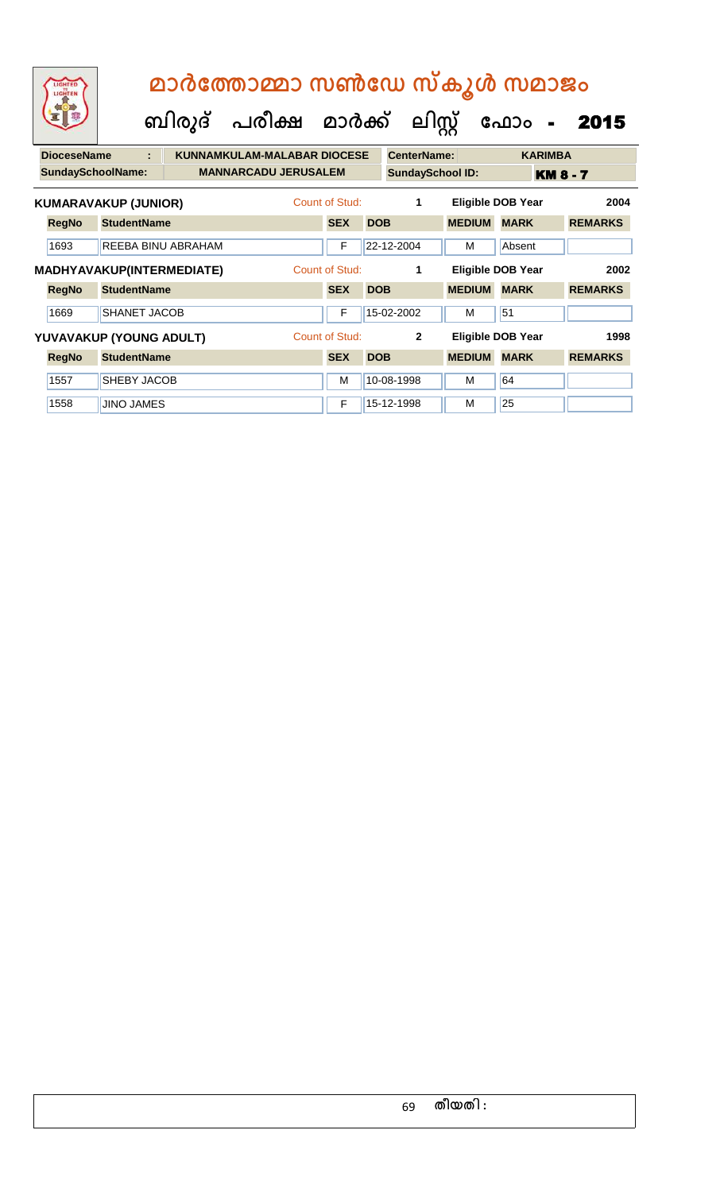|                                                         | LIGHTED<br>LIGHTEN                                            | മാർത്തോമ്മാ സൺഡേ സ്കൂൾ സമാജം |  |                                |                    |            |                                            |                          |                   |                |  |
|---------------------------------------------------------|---------------------------------------------------------------|------------------------------|--|--------------------------------|--------------------|------------|--------------------------------------------|--------------------------|-------------------|----------------|--|
|                                                         |                                                               |                              |  | ബിരുദ് പരീക്ഷ മാർക്ക് ലിസ്റ്റ് |                    |            |                                            |                          | ഫോം -             | 2015           |  |
|                                                         | <b>DioceseName</b><br><b>KUNNAMKULAM-MALABAR DIOCESE</b><br>÷ |                              |  |                                | <b>CenterName:</b> |            |                                            | <b>KARIMBA</b>           |                   |                |  |
| <b>SundaySchoolName:</b><br><b>MANNARCADU JERUSALEM</b> |                                                               |                              |  |                                |                    |            | <b>SundaySchool ID:</b><br><b>KM 8 - 7</b> |                          |                   |                |  |
| <b>KUMARAVAKUP (JUNIOR)</b>                             |                                                               |                              |  | Count of Stud:                 |                    | 1          |                                            | <b>Eligible DOB Year</b> | 2004              |                |  |
|                                                         | <b>RegNo</b>                                                  | <b>StudentName</b>           |  |                                | <b>SEX</b>         | <b>DOB</b> |                                            | <b>MEDIUM</b>            | <b>MARK</b>       | <b>REMARKS</b> |  |
|                                                         | 1693                                                          | <b>REEBA BINU ABRAHAM</b>    |  |                                | F                  |            | 22-12-2004                                 | м                        | Absent            |                |  |
| MADHYAVAKUP(INTERMEDIATE)                               |                                                               |                              |  | Count of Stud:                 |                    | 1          |                                            | Eligible DOB Year        | 2002              |                |  |
|                                                         | <b>RegNo</b>                                                  | <b>StudentName</b>           |  |                                | <b>SEX</b>         | <b>DOB</b> |                                            | <b>MEDIUM</b>            | <b>MARK</b>       | <b>REMARKS</b> |  |
|                                                         | 1669                                                          | <b>SHANET JACOB</b>          |  |                                | F                  |            | 15-02-2002                                 | М                        | 51                |                |  |
| YUVAVAKUP (YOUNG ADULT)                                 |                                                               |                              |  |                                | Count of Stud:     |            | $\mathbf{2}$                               |                          | Eligible DOB Year | 1998           |  |
|                                                         | <b>RegNo</b>                                                  | <b>StudentName</b>           |  |                                | <b>SEX</b>         | <b>DOB</b> |                                            | <b>MEDIUM</b>            | <b>MARK</b>       | <b>REMARKS</b> |  |
|                                                         | 1557                                                          | SHEBY JACOB                  |  |                                | M                  |            | 10-08-1998                                 | м                        | 64                |                |  |
|                                                         | 1558                                                          | <b>JINO JAMES</b>            |  |                                | F                  |            | 15-12-1998                                 | м                        | 25                |                |  |